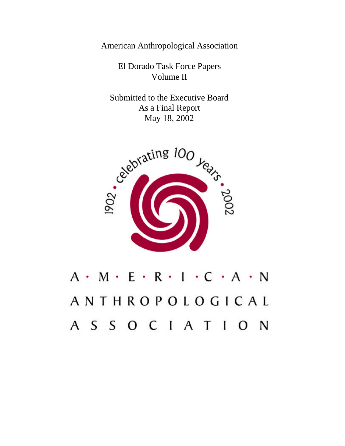American Anthropological Association

El Dorado Task Force Papers Volume II

Submitted to the Executive Board As a Final Report May 18, 2002



# $A \cdot M \cdot E \cdot R \cdot I \cdot C \cdot A \cdot N$ ANTHROPOLOGICAL A S S O C I A T I O N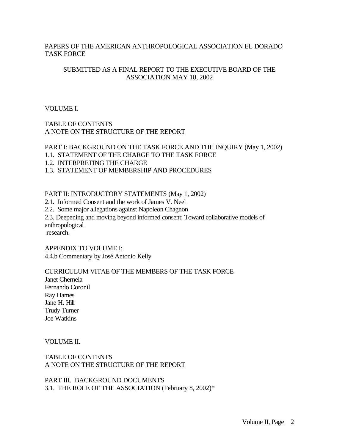# PAPERS OF THE AMERICAN ANTHROPOLOGICAL ASSOCIATION EL DORADO TASK FORCE

# SUBMITTED AS A FINAL REPORT TO THE EXECUTIVE BOARD OF THE ASSOCIATION MAY 18, 2002

## VOLUME I.

# TABLE OF CONTENTS A NOTE ON THE STRUCTURE OF THE REPORT

## PART I: BACKGROUND ON THE TASK FORCE AND THE INQUIRY (May 1, 2002) 1.1. STATEMENT OF THE CHARGE TO THE TASK FORCE

- 1.2. INTERPRETING THE CHARGE
- 1.3. STATEMENT OF MEMBERSHIP AND PROCEDURES

#### PART II: INTRODUCTORY STATEMENTS (May 1, 2002)

2.1. Informed Consent and the work of James V. Neel

2.2. Some major allegations against Napoleon Chagnon

2.3. Deepening and moving beyond informed consent: Toward collaborative models of anthropological

research.

# APPENDIX TO VOLUME I: 4.4.b Commentary by José Antonio Kelly

# CURRICULUM VITAE OF THE MEMBERS OF THE TASK FORCE

Janet Chernela Fernando Coronil Ray Hames Jane H. Hill Trudy Turner Joe Watkins

VOLUME II.

# TABLE OF CONTENTS A NOTE ON THE STRUCTURE OF THE REPORT

PART III. BACKGROUND DOCUMENTS 3.1. THE ROLE OF THE ASSOCIATION (February 8, 2002)\*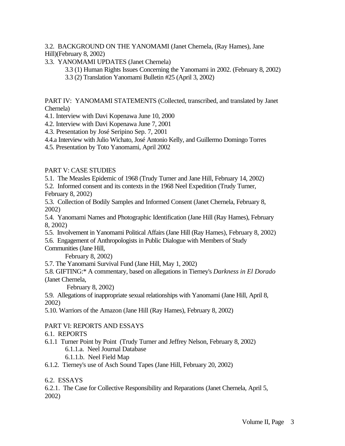3.2. BACKGROUND ON THE YANOMAMI (Janet Chernela, (Ray Hames), Jane Hill)(February 8, 2002)

3.3. YANOMAMI UPDATES (Janet Chernela)

3.3 (1) Human Rights Issues Concerning the Yanomami in 2002. (February 8, 2002) 3.3 (2) Translation Yanomami Bulletin #25 (April 3, 2002)

PART IV: YANOMAMI STATEMENTS (Collected, transcribed, and translated by Janet Chernela)

4.1. Interview with Davi Kopenawa June 10, 2000

- 4.2. Interview with Davi Kopenawa June 7, 2001
- 4.3. Presentation by José Seripino Sep. 7, 2001

4.4.a Interview with Julio Wichato, José Antonio Kelly, and Guillermo Domingo Torres

4.5. Presentation by Toto Yanomami, April 2002

PART V: CASE STUDIES

5.1. The Measles Epidemic of 1968 (Trudy Turner and Jane Hill, February 14, 2002)

5.2. Informed consent and its contexts in the 1968 Neel Expedition (Trudy Turner, February 8, 2002)

5.3. Collection of Bodily Samples and Informed Consent (Janet Chernela, February 8, 2002)

5.4. Yanomami Names and Photographic Identification (Jane Hill (Ray Hames), February 8, 2002)

5.5. Involvement in Yanomami Political Affairs (Jane Hill (Ray Hames), February 8, 2002)

5.6. Engagement of Anthropologists in Public Dialogue with Members of Study

Communities (Jane Hill,

February 8, 2002)

5.7. The Yanomami Survival Fund (Jane Hill, May 1, 2002)

5.8. GIFTING:\* A commentary, based on allegations in Tierney's *Darkness in El Dorado* (Janet Chernela,

February 8, 2002)

5.9. Allegations of inappropriate sexual relationships with Yanomami (Jane Hill, April 8, 2002)

5.10. Warriors of the Amazon (Jane Hill (Ray Hames), February 8, 2002)

PART VI: REPORTS AND ESSAYS

6.1. REPORTS

6.1.1 Turner Point by Point (Trudy Turner and Jeffrey Nelson, February 8, 2002) 6.1.1.a. Neel Journal Database 6.1.1.b. Neel Field Map

6.1.2. Tierney's use of Asch Sound Tapes (Jane Hill, February 20, 2002)

6.2. ESSAYS

6.2.1. The Case for Collective Responsibility and Reparations (Janet Chernela, April 5, 2002)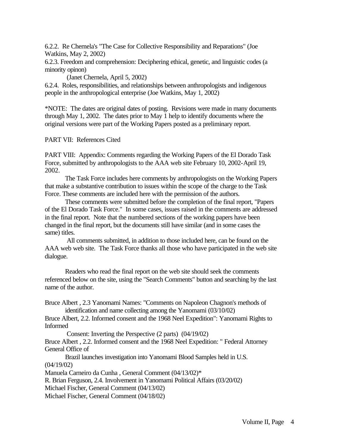6.2.2. Re Chernela's "The Case for Collective Responsibility and Reparations" (Joe Watkins, May 2, 2002)

6.2.3. Freedom and comprehension: Deciphering ethical, genetic, and linguistic codes (a minority opinon)

(Janet Chernela, April 5, 2002)

6.2.4. Roles, responsibilities, and relationships between anthropologists and indigenous people in the anthropological enterprise (Joe Watkins, May 1, 2002)

\*NOTE: The dates are original dates of posting. Revisions were made in many documents through May 1, 2002. The dates prior to May 1 help to identify documents where the original versions were part of the Working Papers posted as a preliminary report.

PART VII: References Cited

PART VIII: Appendix: Comments regarding the Working Papers of the El Dorado Task Force, submitted by anthropologists to the AAA web site February 10, 2002-April 19, 2002.

The Task Force includes here comments by anthropologists on the Working Papers that make a substantive contribution to issues within the scope of the charge to the Task Force. These comments are included here with the permission of the authors.

These comments were submitted before the completion of the final report, "Papers of the El Dorado Task Force." In some cases, issues raised in the comments are addressed in the final report. Note that the numbered sections of the working papers have been changed in the final report, but the documents still have similar (and in some cases the same) titles.

 All comments submitted, in addition to those included here, can be found on the AAA web web site. The Task Force thanks all those who have participated in the web site dialogue.

Readers who read the final report on the web site should seek the comments referenced below on the site, using the "Search Comments" button and searching by the last name of the author.

Bruce Albert , 2.3 Yanomami Names: "Comments on Napoleon Chagnon's methods of identification and name collecting among the Yanomami (03/10/02)

Bruce Albert, 2.2. Informed consent and the 1968 Neel Expedition": Yanomami Rights to Informed

Consent: Inverting the Perspective (2 parts) (04/19/02)

Bruce Albert , 2.2. Informed consent and the 1968 Neel Expedition: " Federal Attorney General Office of

Brazil launches investigation into Yanomami Blood Samples held in U.S. (04/19/02)

Manuela Carneiro da Cunha , General Comment (04/13/02)\*

R. Brian Ferguson, 2.4. Involvement in Yanomami Political Affairs (03/20/02)

Michael Fischer, General Comment (04/13/02)

Michael Fischer, General Comment (04/18/02)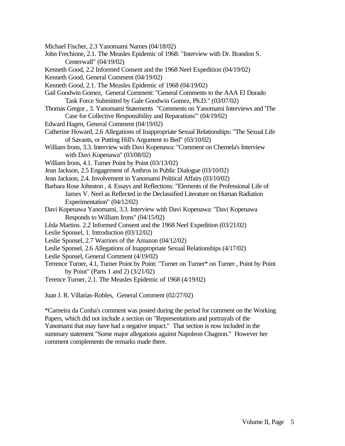- Michael Fischer, 2.3 Yanomami Names (04/18/02)
- John Frechione, 2.1. The Measles Epidemic of 1968: "Interview with Dr. Brandon S. Centerwall" (04/19/02)
- Kenneth Good, 2.2 Informed Consent and the 1968 Neel Expedition (04/19/02)
- Kenneth Good, General Comment (04/19/02)
- Kenneth Good, 2.1. The Measles Epidemic of 1968 (04/19/02)
- Gail Goodwin Gomez, General Comment: "General Comments to the AAA El Dorado Task Force Submitted by Gale Goodwin Gomez, Ph.D." (03/07/02)
- Thomas Gregor , 3. Yanomami Statements "Comments on Yanomami Interviews and 'The Case for Collective Responsibility and Reparations'" (04/19/02)
- Edward Hagen, General Comment (04/19/02)
- Catherine Howard, 2.6 Allegations of Inappropriate Sexual Relationships: "The Sexual Life of Savants, or Putting Hill's Argument to Bed" (03/10/02)
- William Irons, 3.3. Interview with Davi Kopenawa: "Comment on Chernela's Interview with Davi Kopenawa" (03/08/02)
- William Irons, 4.1. Turner Point by Point (03/13/02)
- Jean Jackson, 2.5 Engagement of Anthros in Public Dialogue (03/10/02)
- Jean Jackson, 2.4. Involvement in Yanomami Political Affairs (03/10/02)
- Barbara Rose Johnston , 4. Essays and Reflections: "Elements of the Professional Life of James V. Neel as Reflected in the Declassified Literature on Human Radiation Experimentation" (04/12/02)
- Davi Kopenawa Yanomami, 3.3. Interview with Davi Kopenawa: "Davi Kopenawa Responds to William Irons" (04/15/02)
- Lêda Martins. 2.2 Informed Consent and the 1968 Neel Expedition (03/21/02)
- Leslie Sponsel, 1. Introduction (03/12/02)
- Leslie Sponsel, 2.7 Warriors of the Amazon (04/12/02)
- Leslie Sponsel, 2.6 Allegations of Inappropriate Sexual Relationships (4/17/02)
- Leslie Sponsel, General Comment (4/19/02)
- Terrence Turner, 4.1, Turner Point by Point: "Turner on Turner\* on Turner , Point by Point by Point" (Parts 1 and 2) (3/21/02)
- Terence Turner, 2.1. The Measles Epidemic of 1968 (4/19/02)
- Juan J. R. Villarías-Robles, General Comment (02/27/02)

\*Carneira da Cunha's comment was posted during the period for comment on the Working Papers, which did not include a section on "Representations and portrayals of the Yanomami that may have had a negative impact." That section is now included in the summary statement "Some major allegations against Napoleon Chagnon." However her comment complements the remarks made there.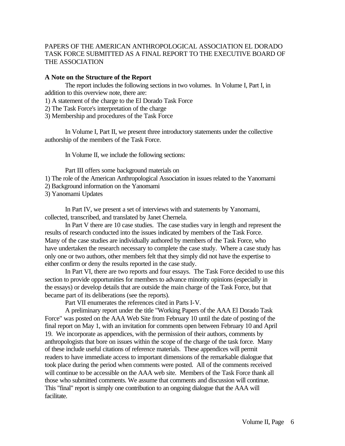# PAPERS OF THE AMERICAN ANTHROPOLOGICAL ASSOCIATION EL DORADO TASK FORCE SUBMITTED AS A FINAL REPORT TO THE EXECUTIVE BOARD OF THE ASSOCIATION

## **A Note on the Structure of the Report**

The report includes the following sections in two volumes. In Volume I, Part I, in addition to this overview note, there are:

1) A statement of the charge to the El Dorado Task Force

2) The Task Force's interpretation of the charge

3) Membership and procedures of the Task Force

In Volume I, Part II, we present three introductory statements under the collective authorship of the members of the Task Force.

In Volume II, we include the following sections:

Part III offers some background materials on

- 1) The role of the American Anthropological Association in issues related to the Yanomami
- 2) Background information on the Yanomami
- 3) Yanomami Updates

In Part IV, we present a set of interviews with and statements by Yanomami, collected, transcribed, and translated by Janet Chernela.

In Part V there are 10 case studies. The case studies vary in length and represent the results of research conducted into the issues indicated by members of the Task Force. Many of the case studies are individually authored by members of the Task Force, who have undertaken the research necessary to complete the case study. Where a case study has only one or two authors, other members felt that they simply did not have the expertise to either confirm or deny the results reported in the case study.

In Part VI, there are two reports and four essays. The Task Force decided to use this section to provide opportunities for members to advance minority opinions (especially in the essays) or develop details that are outside the main charge of the Task Force, but that became part of its deliberations (see the reports).

Part VII enumerates the references cited in Parts I-V.

A preliminary report under the title "Working Papers of the AAA El Dorado Task Force" was posted on the AAA Web Site from February 10 until the date of posting of the final report on May 1, with an invitation for comments open between February 10 and April 19. We incorporate as appendices, with the permission of their authors, comments by anthropologists that bore on issues within the scope of the charge of the task force. Many of these include useful citations of reference materials. These appendices will permit readers to have immediate access to important dimensions of the remarkable dialogue that took place during the period when comments were posted. All of the comments received will continue to be accessible on the AAA web site. Members of the Task Force thank all those who submitted comments. We assume that comments and discussion will continue. This "final" report is simply one contribution to an ongoing dialogue that the AAA will facilitate.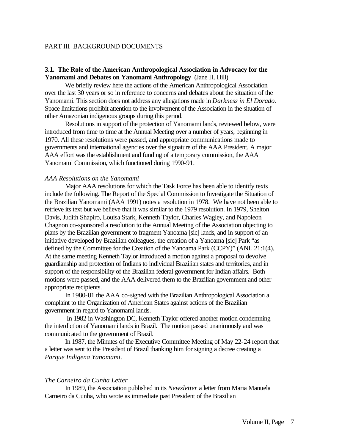## PART III BACKGROUND DOCUMENTS

# **3.1. The Role of the American Anthropological Association in Advocacy for the Yanomami and Debates on Yanomami Anthropology** (Jane H. Hill)

We briefly review here the actions of the American Anthropological Association over the last 30 years or so in reference to concerns and debates about the situation of the Yanomami. This section does not address any allegations made in *Darkness in El Dorado.* Space limitations prohibit attention to the involvement of the Association in the situation of other Amazonian indigenous groups during this period.

Resolutions in support of the protection of Yanomami lands, reviewed below, were introduced from time to time at the Annual Meeting over a number of years, beginning in 1970. All these resolutions were passed, and appropriate communications made to governments and international agencies over the signature of the AAA President. A major AAA effort was the establishment and funding of a temporary commission, the AAA Yanomami Commission, which functioned during 1990-91.

#### *AAA Resolutions on the Yanomami*

Major AAA resolutions for which the Task Force has been able to identify texts include the following. The Report of the Special Commission to Investigate the Situation of the Brazilian Yanomami (AAA 1991) notes a resolution in 1978. We have not been able to retrieve its text but we believe that it was similar to the 1979 resolution. In 1979, Shelton Davis, Judith Shapiro, Louisa Stark, Kenneth Taylor, Charles Wagley, and Napoleon Chagnon co-sponsored a resolution to the Annual Meeting of the Association objecting to plans by the Brazilian government to fragment Yanoama [sic] lands, and in support of an initiative developed by Brazilian colleagues, the creation of a Yanoama [sic] Park "as defined by the Committee for the Creation of the Yanoama Park (CCPY)" (ANL 21:1(4). At the same meeting Kenneth Taylor introduced a motion against a proposal to devolve guardianship and protection of Indians to individual Brazilian states and territories, and in support of the responsibility of the Brazilian federal government for Indian affairs. Both motions were passed, and the AAA delivered them to the Brazilian government and other appropriate recipients.

In 1980-81 the AAA co-signed with the Brazilian Anthropological Association a complaint to the Organization of American States against actions of the Brazilian government in regard to Yanomami lands.

 In 1982 in Washington DC, Kenneth Taylor offered another motion condemning the interdiction of Yanomami lands in Brazil. The motion passed unanimously and was communicated to the government of Brazil.

In 1987, the Minutes of the Executive Committee Meeting of May 22-24 report that a letter was sent to the President of Brazil thanking him for signing a decree creating a *Parque Indigena Yanomami*.

#### *The Carneiro da Cunha Letter*

In 1989, the Association published in its *Newsletter* a letter from Maria Manuela Carneiro da Cunha, who wrote as immediate past President of the Brazilian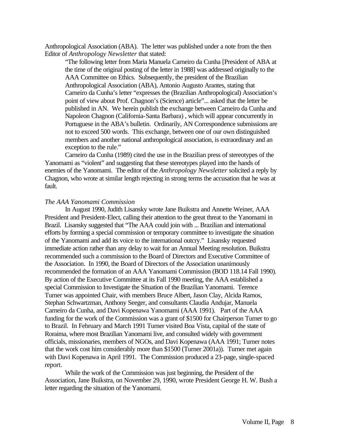Anthropological Association (ABA). The letter was published under a note from the then Editor of *Anthropology Newsletter* that stated:

"The following letter from Maria Manuela Carneiro da Cunha [President of ABA at the time of the original posting of the letter in 1988] was addressed originally to the AAA Committee on Ethics. Subsequently, the president of the Brazilian Anthropological Association (ABA), Antonio Augusto Arantes, stating that Carneiro da Cunha's letter "expresses the (Brazilian Anthropological) Association's point of view about Prof. Chagnon's (Science) article"... asked that the letter be published in AN. We herein publish the exchange between Carneiro da Cunha and Napoleon Chagnon (California-Santa Barbara) , which will appear concurrently in Portuguese in the ABA's bulletin. Ordinarily, AN Correspondence submissions are not to exceed 500 words. This exchange, between one of our own distinguished members and another national anthropological association, is extraordinary and an exception to the rule."

Carneiro da Cunha (1989) cited the use in the Brazilian press of stereotypes of the Yanomami as "violent" and suggesting that these stereotypes played into the hands of enemies of the Yanomami. The editor of the *Anthropology Newsletter* solicited a reply by Chagnon, who wrote at similar length rejecting in strong terms the accusation that he was at fault.

#### *The AAA Yanomami Commission*

In August 1990, Judith Lisansky wrote Jane Buikstra and Annette Weiner, AAA President and President-Elect, calling their attention to the great threat to the Yanomami in Brazil. Lisansky suggested that "The AAA could join with ... Brazilian and international efforts by forming a special commission or temporary committee to investigate the situation of the Yanomami and add its voice to the international outcry." Lisansky requested immediate action rather than any delay to wait for an Annual Meeting resolution. Buikstra recommended such a commission to the Board of Directors and Executive Committee of the Association. In 1990, the Board of Directors of the Association unanimously recommended the formation of an AAA Yanomami Commission (BOD 118.14 Fall 1990). By action of the Executive Committee at its Fall 1990 meeting, the AAA established a special Commission to Investigate the Situation of the Brazilian Yanomami. Terence Turner was appointed Chair, with members Bruce Albert, Jason Clay, Alcida Ramos, Stephan Schwartzman, Anthony Seeger, and consultants Claudia Andujar, Manuela Carneiro da Cunha, and Davi Kopenawa Yanomami (AAA 1991). Part of the AAA funding for the work of the Commission was a grant of \$1500 for Chairperson Turner to go to Brazil. In February and March 1991 Turner visited Boa Vista, capital of the state of Roraima, where most Brazilian Yanomami live, and consulted widely with government officials, missionaries, members of NGOs, and Davi Kopenawa (AAA 1991; Turner notes that the work cost him considerably more than \$1500 (Turner 2001a)). Turner met again with Davi Kopenawa in April 1991. The Commission produced a 23-page, single-spaced report.

While the work of the Commission was just beginning, the President of the Association, Jane Buikstra, on November 29, 1990, wrote President George H. W. Bush a letter regarding the situation of the Yanomami.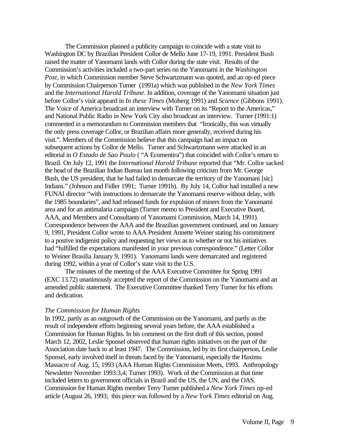The Commission planned a publicity campaign to coincide with a state visit to Washington DC by Brazilian President Collor de Mello June 17-19, 1991. President Bush raised the matter of Yanomami lands with Collor during the state visit. Results of the Commission's activities included a two-part series on the Yanomami in the *Washington Post*, in which Commission member Steve Schwartzmann was quoted, and an op-ed piece by Commission Chairperson Turner (1991a) which was published in the *New York Times* and the *International Harold Tribune*. In addition, coverage of the Yanomami situation just before Collor's visit appeard in *In these Times* (Moberg 1991) and *Science* (Gibbons 1991). The Voice of America broadcast an interview with Turner on its "Report to the Americas," and National Public Radio in New York City also broadcast an interview. Turner (1991:1) commented in a memorandum to Commission members that "Ironically, this was virtually the only press coverage Collor, or Brazilian affairs more generally, received during his visit.". Members of the Commission believe that this campaign had an impact on subsequent actions by Collor de Mello. Turner and Schwartzmann were attacked in an editorial in *O Estado de Sao Paulo* ( "A Ecomentira") that coincided with Collor's return to Brazil. On July 12, 1991 the *International Harold Tribune* reported that "Mr. Collor sacked the head of the Brazilian Indian Bureau last month following criticism from Mr. George Bush, the US president, that he had failed to demarcate the territory of the Yanomani [sic] Indians." (Johnson and Fidler 1991; Turner 1991b). By July 14, Collor had installed a new FUNAI director "with instructions to demarcate the Yanomami reserve without delay, with the 1985 boundaries", and had released funds for expulsion of miners from the Yanomami area and for an antimalaria campaign (Turner memo to President and Executive Board, AAA, and Members and Consultants of Yanomami Commission, March 14, 1991). Correspondence between the AAA and the Brazilian government continued, and on January 9, 1991, President Collor wrote to AAA President Annette Weiner stating his commitment to a postive indigenist policy and requesting her views as to whether or not his initiatives had "fulfilled the expectations manifested in your previous correspondence." (Letter Collor to Weiner Brasilia January 9, 1991). Yanomami lands were demarcated and registered during 1992, within a year of Collor's state visit to the U.S.

The minutes of the meeting of the AAA Executive Committee for Spring 1991 (EXC 13.72) unanimously accepted the report of the Commission on the Yanomami and an amended public statement. The Executive Committee thanked Terry Turner for his efforts and dedication.

#### *The Commission for Human Rights*

In 1992, partly as an outgrowth of the Commission on the Yanomami, and partly as the result of independent efforts beginning several years before, the AAA established a Commission for Human Rights. In his comment on the first draft of this section, posted March 12, 2002, Leslie Sponsel observed that human rights initiatives on the part of the Association date back to at least 1947. The Commission, led by its first chairperson, Leslie Sponsel, early involved itself in threats faced by the Yanomami, especially the Haximu Massacre of Aug. 15, 1993 (AAA Human Rights Commission Meets, 1993. Anthropology Newsletter November 1993:3,4; Turner 1993). Work of the Commission at that time included letters to government officials in Brazil and the US, the UN, and the OAS. Commission for Human Rights member Terry Turner published a *New York Times* op-ed article (August 26, 1993; this piece was followed by a *New York Times* editorial on Aug.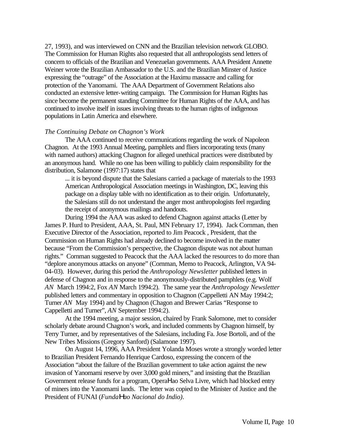27, 1993), and was interviewed on CNN and the Brazilian television network GLOBO. The Commission for Human Rights also requested that all anthropologists send letters of concern to officials of the Brazilian and Venezuelan governments. AAA President Annette Weiner wrote the Brazilian Ambassador to the U.S. and the Brazilian Minster of Justice expressing the "outrage" of the Association at the Haximu massacre and calling for protection of the Yanomami. The AAA Department of Government Relations also conducted an extensive letter-writing campaign. The Commission for Human Rights has since become the permanent standing Committee for Human Rights of the AAA, and has continued to involve itself in issues involving threats to the human rights of indigenous populations in Latin America and elsewhere.

#### *The Continuing Debate on Chagnon's Work*

The AAA continued to receive communications regarding the work of Napoleon Chagnon. At the 1993 Annual Meeting, pamphlets and fliers incorporating texts (many with named authors) attacking Chagnon for alleged unethical practices were distributed by an anonymous hand. While no one has been willing to publicly claim responsibility for the distribution, Salamone (1997:17) states that

... it is beyond dispute that the Salesians carried a package of materials to the 1993 American Anthropological Association meetings in Washington, DC, leaving this package on a display table with no identification as to their origin. Unfortunately, the Salesians still do not understand the anger most anthropologists feel regarding the receipt of anonymous mailings and handouts.

During 1994 the AAA was asked to defend Chagnon against attacks (Letter by James P. Hurd to President, AAA, St. Paul, MN February 17, 1994). Jack Cornman, then Executive Director of the Association, reported to Jim Peacock , President, that the Commission on Human Rights had already declined to become involved in the matter because "From the Commission's perspective, the Chagnon dispute was not about human rights." Cornman suggested to Peacock that the AAA lacked the resources to do more than "deplore anonymous attacks on anyone" (Cornman, Memo to Peacock, Arlington, VA 94- 04-03). However, during this period the *Anthropology Newsletter* published letters in defense of Chagnon and in response to the anonymously-distributed pamphlets (e.g. Wolf *AN* March 1994:2, Fox *AN* March 1994:2). The same year the *Anthropology Newsletter* published letters and commentary in opposition to Chagnon (Cappelletti AN May 1994:2; Turner *AN* May 1994) and by Chagnon (Chagon and Brewer Carias "Response to Cappelletti and Turner", *AN* September 1994:2).

At the 1994 meeting, a major session, chaired by Frank Salomone, met to consider scholarly debate around Chagnon's work, and included comments by Chagnon himself, by Terry Turner, and by representatives of the Salesians, including Fa. Jose Bortoli, and of the New Tribes Missions (Gregory Sanford) (Salamone 1997).

On August 14, 1996, AAA President Yolanda Moses wrote a strongly worded letter to Brazilian President Fernando Henrique Cardoso, expressing the concern of the Association "about the failure of the Brazilian government to take action against the new invasion of Yanomami reserve by over 3,000 gold miners," and insisting that the Brazilian Government release funds for a program, OperaΗao Selva Livre*,* which had blocked entry of miners into the Yanomami lands. The letter was copied to the Minister of Justice and the President of FUNAI (*FundaHao Nacional do Indio)*.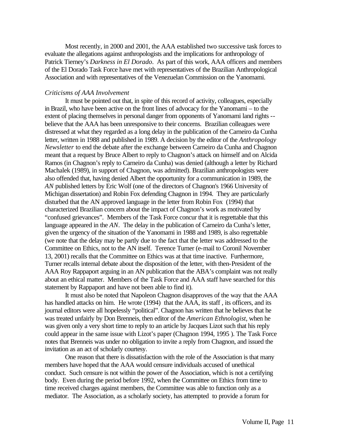Most recently, in 2000 and 2001, the AAA established two successive task forces to evaluate the allegations against anthropologists and the implications for anthropology of Patrick Tierney's *Darkness in El Dorado*. As part of this work, AAA officers and members of the El Dorado Task Force have met with representatives of the Brazilian Anthropological Association and with representatives of the Venezuelan Commission on the Yanomami.

#### *Criticisms of AAA Involvement*

It must be pointed out that, in spite of this record of activity, colleagues, especially in Brazil, who have been active on the front lines of advocacy for the Yanomami – to the extent of placing themselves in personal danger from opponents of Yanomami land rights - believe that the AAA has been unresponsive to their concerns. Brazilian colleagues were distressed at what they regarded as a long delay in the publication of the Carneiro da Cunha letter, written in 1988 and published in 1989. A decision by the editor of the *Anthropology Newsletter* to end the debate after the exchange between Carneiro da Cunha and Chagnon meant that a request by Bruce Albert to reply to Chagnon's attack on himself and on Alcida Ramos (in Chagnon's reply to Carneiro da Cunha) was denied (although a letter by Richard Machalek (1989), in support of Chagnon, was admitted). Brazilian anthropologists were also offended that, having denied Albert the opportunity for a communication in 1989, the *AN* published letters by Eric Wolf (one of the directors of Chagnon's 1966 University of Michigan dissertation) and Robin Fox defending Chagnon in 1994. They are particularly disturbed that the AN approved language in the letter from Robin Fox (1994) that characterized Brazilian concern about the impact of Chagnon's work as motivated by "confused grievances". Members of the Task Force concur that it is regrettable that this language appeared in the *AN*. The delay in the publication of Carneiro da Cunha's letter, given the urgency of the situation of the Yanomami in 1988 and 1989, is also regrettable (we note that the delay may be partly due to the fact that the letter was addressed to the Committee on Ethics, not to the AN itself. Terence Turner (e-mail to Coronil November 13, 2001) recalls that the Committee on Ethics was at that time inactive. Furthermore, Turner recalls internal debate about the disposition of the letter, with then-President of the AAA Roy Rappaport arguing in an AN publication that the ABA's complaint was not really about an ethical matter. Members of the Task Force and AAA staff have searched for this statement by Rappaport and have not been able to find it).

It must also be noted that Napoleon Chagnon disapproves of the way that the AAA has handled attacks on him. He wrote (1994) that the AAA, its staff , its officers, and its journal editors were all hopelessly "political". Chagnon has written that he believes that he was treated unfairly by Don Brenneis, then editor of the *American Ethnologist*, when he was given only a very short time to reply to an article by Jacques Lizot such that his reply could appear in the same issue with Lizot's paper (Chagnon 1994, 1995 ). The Task Force notes that Brenneis was under no obligation to invite a reply from Chagnon, and issued the invitation as an act of scholarly courtesy.

One reason that there is dissatisfaction with the role of the Association is that many members have hoped that the AAA would censure individuals accused of unethical conduct. Such censure is not within the power of the Association, which is not a certifying body. Even during the period before 1992, when the Committee on Ethics from time to time received charges against members, the Committee was able to function only as a mediator. The Association, as a scholarly society, has attempted to provide a forum for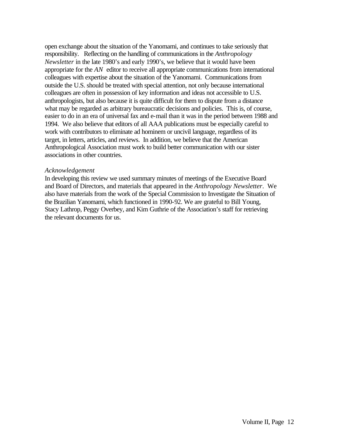open exchange about the situation of the Yanomami, and continues to take seriously that responsibility. Reflecting on the handling of communications in the *Anthropology Newsletter* in the late 1980's and early 1990's, we believe that it would have been appropriate for the *AN* editor to receive all appropriate communications from international colleagues with expertise about the situation of the Yanomami. Communications from outside the U.S. should be treated with special attention, not only because international colleagues are often in possession of key information and ideas not accessible to U.S. anthropologists, but also because it is quite difficult for them to dispute from a distance what may be regarded as arbitrary bureaucratic decisions and policies. This is, of course, easier to do in an era of universal fax and e-mail than it was in the period between 1988 and 1994. We also believe that editors of all AAA publications must be especially careful to work with contributors to eliminate ad hominem or uncivil language, regardless of its target, in letters, articles, and reviews. In addition, we believe that the American Anthropological Association must work to build better communication with our sister associations in other countries.

#### *Acknowledgement*

In developing this review we used summary minutes of meetings of the Executive Board and Board of Directors, and materials that appeared in the *Anthropology Newsletter*. We also have materials from the work of the Special Commission to Investigate the Situation of the Brazilian Yanomami, which functioned in 1990-92. We are grateful to Bill Young, Stacy Lathrop, Peggy Overbey, and Kim Guthrie of the Association's staff for retrieving the relevant documents for us.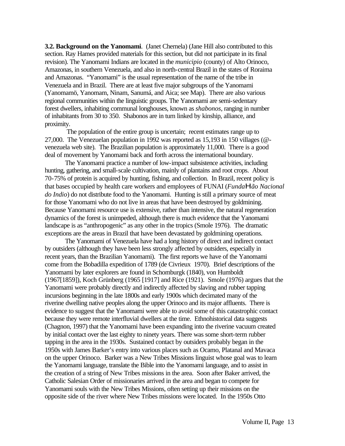**3.2. Background on the Yanomami**. (Janet Chernela) (Jane Hill also contributed to this section. Ray Hames provided materials for this section, but did not participate in its final revision). The Yanomami Indians are located in the *municipio* (county) of Alto Orinoco, Amazonas, in southern Venezuela, and also in north-central Brazil in the states of Roraima and Amazonas. "Yanomami" is the usual representation of the name of the tribe in Venezuela and in Brazil. There are at least five major subgroups of the Yanomami (Yanomamö, Yanomam, Ninam, Sanumá, and Aica; see Map). There are also various regional communities within the linguistic groups. The Yanomami are semi-sedentary forest dwellers, inhabiting communal longhouses, known as *shabonos*, ranging in number of inhabitants from 30 to 350. Shabonos are in turn linked by kinship, alliance, and proximity.

 The population of the entire group is uncertain; recent estimates range up to 27,000. The Venezuelan population in 1992 was reported as 15,193 in 150 villages (@ venezuela web site). The Brazilian population is approximately 11,000. There is a good deal of movement by Yanomami back and forth across the international boundary.

The Yanomami practice a number of low-impact subsistence activities, including hunting, gathering, and small-scale cultivation, mainly of plantains and root crops. About 70-75% of protein is acquired by hunting, fishing, and collection. In Brazil, recent policy is that bases occupied by health care workers and employees of FUNAI (*FundaH ão Nacional do Indio*) do not distribute food to the Yanomami. Hunting is still a primary source of meat for those Yanomami who do not live in areas that have been destroyed by goldmining. Because Yanomami resource use is extensive, rather than intensive, the natural regeneration dynamics of the forest is unimpeded, although there is much evidence that the Yanomami landscape is as "anthropogenic" as any other in the tropics (Smole 1976). The dramatic exceptions are the areas in Brazil that have been devastated by goldmining operations.

The Yanomami of Venezuela have had a long history of direct and indirect contact by outsiders (although they have been less strongly affected by outsiders, especially in recent years, than the Brazilian Yanomami). The first reports we have of the Yanomami come from the Bobadilla expedition of 1789 (de Civrieux 1970). Brief descriptions of the Yanomami by later explorers are found in Schomburgk (1840), von Humboldt (1967[1859]), Koch Grünberg (1965 [1917] and Rice (1921). Smole (1976) argues that the Yanomami were probably directly and indirectly affected by slaving and rubber tapping incursions beginning in the late 1800s and early 1900s which decimated many of the riverine dwelling native peoples along the upper Orinoco and its major affluents. There is evidence to suggest that the Yanomami were able to avoid some of this catastrophic contact because they were remote interfluvial dwellers at the time. Ethnohistorical data suggests (Chagnon, 1997) that the Yanomami have been expanding into the riverine vacuum created by initial contact over the last eighty to ninety years. There was some short-term rubber tapping in the area in the 1930s. Sustained contact by outsiders probably began in the 1950s with James Barker's entry into various places such as Ocamo, Platanal and Mavaca on the upper Orinoco. Barker was a New Tribes Missions linguist whose goal was to learn the Yanomami language, translate the Bible into the Yanomami language, and to assist in the creation of a string of New Tribes missions in the area. Soon after Baker arrived, the Catholic Salesian Order of missionaries arrived in the area and began to compete for Yanomami souls with the New Tribes Missions, often setting up their missions on the opposite side of the river where New Tribes missions were located. In the 1950s Otto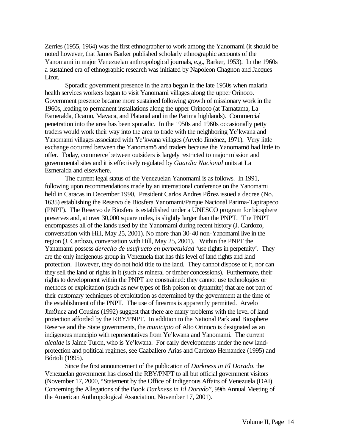Zerries (1955, 1964) was the first ethnographer to work among the Yanomami (it should be noted however, that James Barker published scholarly ethnographic accounts of the Yanomami in major Venezuelan anthropological journals, e.g., Barker, 1953). In the 1960s a sustained era of ethnographic research was initiated by Napoleon Chagnon and Jacques Lizot.

Sporadic government presence in the area began in the late 1950s when malaria health services workers began to visit Yanomami villages along the upper Orinoco. Government presence became more sustained following growth of missionary work in the 1960s, leading to permanent installations along the upper Orinoco (at Tamatama, La Esmeralda, Ocamo, Mavaca, and Platanal and in the Parima highlands). Commercial penetration into the area has been sporadic. In the 1950s and 1960s occasionally petty traders would work their way into the area to trade with the neighboring Ye'kwana and Yanomami villages associated with Ye'kwana villages (Arvelo Jiménez, 1971). Very little exchange occurred between the Yanomamö and traders because the Yanomamö had little to offer. Today, commerce between outsiders is largely restricted to major mission and governmental sites and it is effectively regulated by *Guardia Nacional* units at La Esmeralda and elsewhere.

The current legal status of the Venezuelan Yanomami is as follows. In 1991, following upon recommendations made by an international conference on the Yanomami held in Caracas in December 1990, President Carlos Andres P $\theta$ rez issued a decree (No. 1635) establishing the Reservo de Biosfera Yanomami/Parque Nacional Parima-Tapirapeco (PNPT). The Reservo de Biosfera is established under a UNESCO program for biosphere preserves and, at over 30,000 square miles, is slightly larger than the PNPT. The PNPT encompasses all of the lands used by the Yanomami during recent history (J. Cardozo, conversation with Hill, May 25, 2001). No more than 30-40 non-Yanomami live in the region (J. Cardozo, conversation with Hill, May 25, 2001). Within the PNPT the Yanamami possess *derecho de usufructo en perpetuidad* 'use rights in perpetuity'. They are the only indigenous group in Venezuela that has this level of land rights and land protection. However, they do not hold title to the land. They cannot dispose of it, nor can they sell the land or rights in it (such as mineral or timber concessions). Furthermore, their rights to development within the PNPT are constrained: they cannot use technologies or methods of exploitation (such as new types of fish poison or dynamite) that are not part of their customary techniques of exploitation as determined by the government at the time of the establishment of the PNPT. The use of firearms is apparently permitted. Arvelo Jimϑnez and Cousins (1992) suggest that there are many problems with the level of land protection afforded by the RBY/PNPT. In addition to the National Park and Biosphere Reserve and the State governments, the *municipio* of Alto Orinoco is designated as an indigenous muncipio with representatives from Ye'kwana and Yanomami. The current *alcalde* is Jaime Turon, who is Ye'kwana. For early developments under the new landprotection and political regimes, see Caaballero Arias and Cardozo Hernandez (1995) and Bórtoli (1995).

Since the first announcement of the publication of *Darkness in El Dorado*, the Venezuelan government has closed the RBY/PNPT to all but official government visitors (November 17, 2000, "Statement by the Office of Indigenous Affairs of Venezuela (DAI) Concerning the Allegations of the Book *Darkness in El Dorado*", 99th Annual Meeting of the American Anthropological Association, November 17, 2001).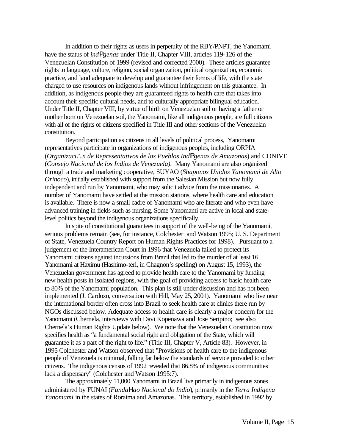In addition to their rights as users in perpetuity of the RBY/PNPT, the Yanomami have the status of *indRgenas* under Title II, Chapter VIII, articles 119-126 of the Venezuelan Constitution of 1999 (revised and corrected 2000). These articles guarantee rights to language, culture, religion, social organization, political organization, economic practice, and land adequate to develop and guarantee their forms of life, with the state charged to use resources on indigenous lands without infringement on this guarantee. In addition, as indigenous people they are guaranteed rights to health care that takes into account their specific cultural needs, and to culturally appropriate bilingual education. Under Title II, Chapter VIII, by virtue of birth on Venezuelan soil or having a father or mother born on Venezuelan soil, the Yanomami, like all indigenous people, are full citizens with all of the rights of citizens specified in Title III and other sections of the Venezuelan constitution.

Beyond participation as citizens in all levels of political process, Yanomami representatives participate in organizations of indigenous peoples, including ORPIA (*Organizaci\n de Representativos de los Pueblos IndRgenas de Amazonas*) and CONIVE (*Consejo Nacional de los Indios de Venezuela).* Many Yanomami are also organized through a trade and marketing cooperative, SUYAO (*Shaponos Unidos Yanomami de Alto Orinoco*), initially established with support from the Salesian Mission but now fully independent and run by Yanomami, who may solicit advice from the missionaries. A number of Yanomami have settled at the mission stations, where health care and education is available. There is now a small cadre of Yanomami who are literate and who even have advanced training in fields such as nursing. Some Yanomami are active in local and statelevel politics beyond the indigenous organizations specifically.

In spite of constitutional guarantees in support of the well-being of the Yanomami, serious problems remain (see, for instance, Colchester and Watson 1995; U. S. Department of State, Venezuela Country Report on Human Rights Practices for 1998). Pursuant to a judgement of the Interamerican Court in 1996 that Venezuela failed to protect its Yanomami citizens against incursions from Brazil that led to the murder of at least 16 Yanomami at Haximu (Hashimo-teri, in Chagnon's spelling) on August 15, 1993), the Venezuelan government has agreed to provide health care to the Yanomami by funding new health posts in isolated regions, with the goal of providing access to basic health care to 80% of the Yanomami population. This plan is still under discussion and has not been implemented (J. Cardozo, conversation with Hill, May 25, 2001). Yanomami who live near the international border often cross into Brazil to seek health care at clinics there run by NGOs discussed below. Adequate access to health care is clearly a major concern for the Yanomami (Chernela, interviews with Davi Kopenawa and Jose Seripino; see also Chernela's Human Rights Update below). We note that the Venezuelan Constitution now specifies health as "a fundamental social right and obligation of the State, which will guarantee it as a part of the right to life." (Title III, Chapter V, Article 83). However, in 1995 Colchester and Watson observed that "Provisions of health care to the indigenous people of Venezuela is minimal, falling far below the standards of service provided to other citizens. The indigenous census of 1992 revealed that 86.8% of indigenous communities lack a dispensary" (Colchester and Watson 1995:7).

The approximately 11,000 Yanomami in Brazil live primarily in indigenous zones administered by FUNAI (*Funda*Η*ao Nacional do Indio*), primarily in the *Terra Indigena Yanomami* in the states of Roraima and Amazonas. This territory, established in 1992 by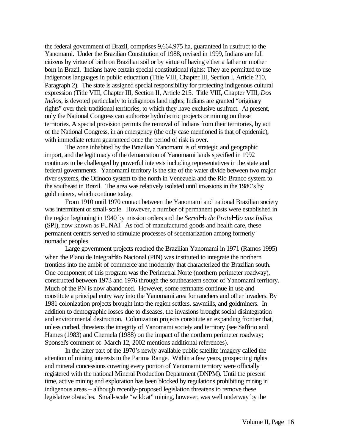the federal government of Brazil, comprises 9,664,975 ha, guaranteed in usufruct to the Yanomami. Under the Brazilian Constitution of 1988, revised in 1999, Indians are full citizens by virtue of birth on Brazilian soil or by virtue of having either a father or mother born in Brazil. Indians have certain special constitutional rights: They are permitted to use indigenous languages in public education (Title VIII, Chapter III, Section I, Article 210, Paragraph 2). The state is assigned special responsibility for protecting indigenous cultural expression (Title VIII, Chapter III, Section II, Article 215. Title VIII, Chapter VIII, *Dos Indios*, is devoted particularly to indigenous land rights; Indians are granted "originary rights" over their traditional territories, to which they have exclusive usufruct. At present, only the National Congress can authorize hydrolectric projects or mining on these territories. A special provision permits the removal of Indians from their territories, by act of the National Congress, in an emergency (the only case mentioned is that of epidemic), with immediate return guaranteed once the period of risk is over.

The zone inhabited by the Brazilian Yanomami is of strategic and geographic import, and the legitimacy of the demarcation of Yanomami lands specified in 1992 continues to be challenged by powerful interests including representatives in the state and federal governments. Yanomami territory is the site of the water divide between two major river systems, the Orinoco system to the north in Venezuela and the Rio Branco system to the southeast in Brazil. The area was relatively isolated until invasions in the 1980's by gold miners, which continue today.

From 1910 until 1970 contact between the Yanomami and national Brazilian society was intermittent or small-scale. However, a number of permanent posts were established in the region beginning in 1940 by mission orders and the *ServiHo de ProteHão aos Indios* (SPI), now known as FUNAI. As foci of manufactured goods and health care, these permanent centers served to stimulate processes of sedentarization among formerly nomadic peoples.

Large government projects reached the Brazilian Yanomami in 1971 (Ramos 1995) when the Plano de IntegraHão Nacional (PIN) was instituted to integrate the northern frontiers into the ambit of commerce and modernity that characterized the Brazilian south. One component of this program was the Perimetral Norte (northern perimeter roadway), constructed between 1973 and 1976 through the southeastern sector of Yanomami territory. Much of the PN is now abandoned. However, some remnants continue in use and constitute a principal entry way into the Yanomami area for ranchers and other invaders. By 1981 colonization projects brought into the region settlers, sawmills, and goldminers. In addition to demographic losses due to diseases, the invasions brought social disintegration and environmental destruction. Colonization projects constitute an expanding frontier that, unless curbed, threatens the integrity of Yanomami society and territory (see Saffirio and Hames (1983) and Chernela (1988) on the impact of the northern perimeter roadway; Sponsel's comment of March 12, 2002 mentions additional references).

In the latter part of the 1970's newly available public satellite imagery called the attention of mining interests to the Parima Range. Within a few years, prospecting rights and mineral concessions covering every portion of Yanomami territory were officially registered with the national Mineral Production Department (DNPM). Until the present time, active mining and exploration has been blocked by regulations prohibiting mining in indigenous areas – although recently-proposed legislation threatens to remove these legislative obstacles. Small-scale "wildcat" mining, however, was well underway by the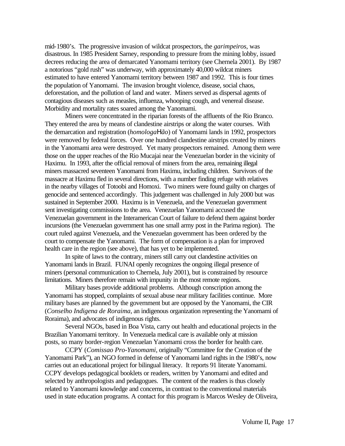mid-1980's. The progressive invasion of wildcat prospectors, the *garimpeiros*, was disastrous. In 1985 President Sarney, responding to pressure from the mining lobby, issued decrees reducing the area of demarcated Yanomami territory (see Chernela 2001). By 1987 a notorious "gold rush" was underway, with approximately 40,000 wildcat miners estimated to have entered Yanomami territory between 1987 and 1992. This is four times the population of Yanomami. The invasion brought violence, disease, social chaos, deforestation, and the pollution of land and water. Miners served as dispersal agents of contagious diseases such as measles, influenza, whooping cough, and venereal disease. Morbidity and mortality rates soared among the Yanomami.

Miners were concentrated in the riparian forests of the affluents of the Rio Branco. They entered the area by means of clandestine airstrips or along the water courses. With the demarcation and registration (*homologa*Η*ão*) of Yanomami lands in 1992, prospectors were removed by federal forces. Over one hundred clandestine airstrips created by miners in the Yanomami area were destroyed. Yet many prospectors remained. Among them were those on the upper reaches of the Rio Mucajai near the Venezuelan border in the vicinity of Haximu. In 1993, after the official removal of miners from the area, remaining illegal miners massacred seventeen Yanomami from Haximu, including children. Survivors of the massacre at Haximu fled in several directions, with a number finding refuge with relatives in the nearby villages of Totoobi and Homoxi. Two miners were found guilty on charges of genocide and sentenced accordingly. This judgement was challenged in July 2000 but was sustained in September 2000. Haximu is in Venezuela, and the Venezuelan government sent investigating commissions to the area. Venezuelan Yanomami accused the Venezuelan government in the Interamerican Court of failure to defend them against border incursions (the Venezuelan government has one small army post in the Parima region). The court ruled against Venezuela, and the Venezuelan government has been ordered by the court to compensate the Yanomami. The form of compensation is a plan for improved health care in the region (see above), that has yet to be implemented.

In spite of laws to the contrary, miners still carry out clandestine activities on Yanomami lands in Brazil. FUNAI openly recognizes the ongoing illegal presence of miners (personal communication to Chernela, July 2001), but is constrained by resource limitations. Miners therefore remain with impunity in the most remote regions.

Military bases provide additional problems. Although conscription among the Yanomami has stopped, complaints of sexual abuse near military facilities continue. More military bases are planned by the government but are opposed by the Yanomami, the CIR (*Conselho Indigena de Roraima*, an indigenous organization representing the Yanomami of Roraima), and advocates of indigenous rights.

Several NGOs, based in Boa Vista, carry out health and educational projects in the Brazilian Yanomami territory. In Venezuela medical care is available only at mission posts, so many border-region Venezuelan Yanomami cross the border for health care.

CCPY (*Comissao Pro-Yanomami*, originally "Committee for the Creation of the Yanomami Park"), an NGO formed in defense of Yanomami land rights in the 1980's, now carries out an educational project for bilingual literacy. It reports 91 literate Yanomami. CCPY develops pedagogical booklets or readers, written by Yanomami and edited and selected by anthropologists and pedagogues. The content of the readers is thus closely related to Yanomami knowledge and concerns, in contrast to the conventional materials used in state education programs. A contact for this program is Marcos Wesley de Oliveira,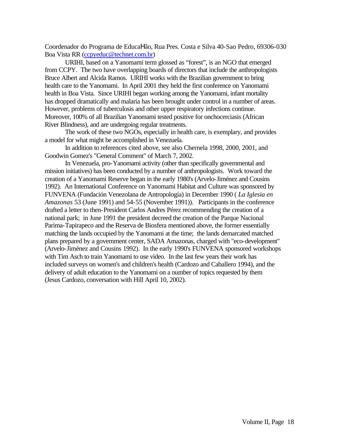Coordenador do Programa de EducaΗão, Rua Pres. Costa e Silva 40-Sao Pedro, 69306-030 Boa Vista RR (ccpyeduc@technet.com.br)

URIHI, based on a Yanomami term glossed as "forest", is an NGO that emerged from CCPY. The two have overlapping boards of directors that include the anthropologists Bruce Albert and Alcida Ramos. URIHI works with the Brazilian government to bring health care to the Yanomami. In April 2001 they held the first conference on Yanomami health in Boa Vista. Since URIHI began working among the Yanomami, infant mortality has dropped dramatically and malaria has been brought under control in a number of areas. However, problems of tuberculosis and other upper respiratory infections continue. Moreover, 100% of all Brazilian Yanomami tested positive for onchocerciasis (African River Blindness), and are undergoing regular treatments.

The work of these two NGOs, especially in health care, is exemplary, and provides a model for what might be accomplished in Venezuela.

In addition to references cited above, see also Chernela 1998, 2000, 2001, and Goodwin Gomez's "General Comment" of March 7, 2002.

In Venezuela, pro-Yanomami activity (other than specifically governmental and mission initiatives) has been conducted by a number of anthropologists. Work toward the creation of a Yanomami Reserve began in the early 1980's (Arvelo-Jiménez and Cousins 1992). An International Conference on Yanomami Habitat and Culture was sponsored by FUNVENA (Fundación Venezolana de Antropología) in December 1990 ( *La Iglesia en Amazonas* 53 (June 1991) and 54-55 (November 1991)). Participants in the conference drafted a letter to then-President Carlos Andres Pérez recommending the creation of a national park; in June 1991 the president decreed the creation of the Parque Nacional Parima-Tapirapeco and the Reserva de Biosfera mentioned above, the former essentially matching the lands occupied by the Yanomami at the time; the lands demarcated matched plans prepared by a government center, SADA Amazonas, charged with "eco-development" (Arvelo-Jiménez and Cousins 1992). In the early 1990's FUNVENA sponsored workshops with Tim Asch to train Yanomami to use video. In the last few years their work has included surveys on women's and children's health (Cardozo and Caballero 1994), and the delivery of adult education to the Yanomami on a number of topics requested by them (Jesus Cardozo, conversation with Hill April 10, 2002).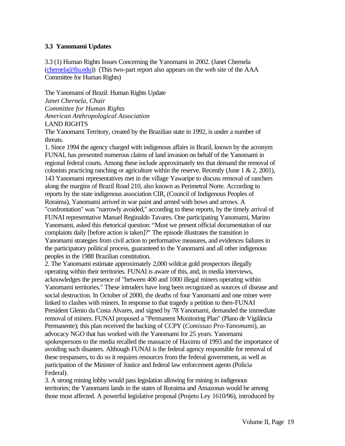# **3.3 Yanomami Updates**

3.3 (1) Human Rights Issues Concerning the Yanomami in 2002. (Janet Chernela (chernela@fiu.edu)) (This two-part report also appears on the web site of the AAA Committee for Human Rights)

The Yanomami of Brazil: Human Rights Update *Janet Chernela, Chair Committee for Human Rights American Anthropological Association* LAND RIGHTS

The Yanomami Territory, created by the Brazilian state in 1992, is under a number of threats.

1. Since 1994 the agency charged with indigenous affairs in Brazil, known by the acronym FUNAI, has presented numerous claims of land invasion on behalf of the Yanomami in regional federal courts. Among these include approximately ten that demand the removal of colonists practicing ranching or agriculture within the reserve. Recently (June 1 & 2, 2001), 143 Yanomami representatives met in the village Yawaripe to discuss removal of ranchers along the margins of Brazil Road 210, also known as Perimetral Norte. According to reports by the state indigenous association CIR, (Council of Indigenous Peoples of Roraima), Yanomami arrived in war paint and armed with bows and arrows. A "confrontation" was "narrowly avoided," according to these reports, by the timely arrival of FUNAI representative Manuel Reginaldo Tavares. One participating Yanomami, Marino Yanomami, asked this rhetorical question: "Must we present official documentation of our complaints daily [before action is taken]?" The episode illustrates the transition in Yanomami strategies from civil action to performative measures, and evidences failures in the participatory political process, guaranteed to the Yanomami and all other indigenous peoples in the 1988 Brazilian constitution.

2. The Yanomami estimate approximately 2,000 wildcat gold prospectors illegally operating within their territories. FUNAI is aware of this, and, in media interviews, acknowledges the presence of "between 400 and 1000 illegal miners operating within Yanomami territories." These intruders have long been recognized as sources of disease and social destruction. In October of 2000, the deaths of four Yanomami and one miner were linked to clashes with miners. In response to that tragedy a petition to then-FUNAI President Glenio da Costa Alvares, and signed by 78 Yanomami, demanded the immediate removal of miners. FUNAI proposed a "Permanent Monitoring Plan" (Plano de Vigilância Permanente); this plan received the backing of CCPY (*Comissao Pro-Yanomami*), an advocacy NGO that has worked with the Yanomami for 25 years. Yanomami spokespersons to the media recalled the massacre of Haximu of 1993 and the importance of avoiding such disasters. Although FUNAI is the federal agency responsible for removal of these trespassers, to do so it requires resources from the federal government, as well as participation of the Minister of Justice and federal law enforcement agents (Policia Federal).

3. A strong mining lobby would pass legislation allowing for mining in indigenous territories; the Yanomami lands in the states of Roraima and Amazonas would be among those most affected. A powerful legislative proposal (Projeto Ley 1610/96), introduced by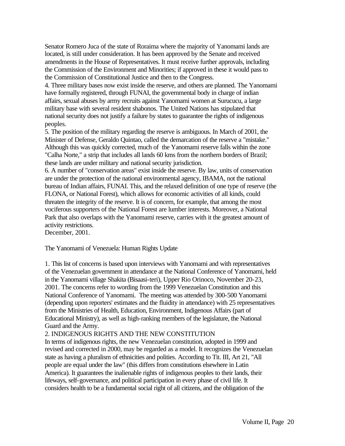Senator Romero Juca of the state of Roraima where the majority of Yanomami lands are located, is still under consideration. It has been approved by the Senate and received amendments in the House of Representatives. It must receive further approvals, including the Commission of the Environment and Minorities; if approved in these it would pass to the Commission of Constitutional Justice and then to the Congress.

4. Three military bases now exist inside the reserve, and others are planned. The Yanomami have formally registered, through FUNAI, the governmental body in charge of indian affairs, sexual abuses by army recruits against Yanomami women at Surucucu, a large military base with several resident shabonos. The United Nations has stipulated that national security does not justify a failure by states to guarantee the rights of indigenous peoples.

5. The position of the military regarding the reserve is ambiguous. In March of 2001, the Minister of Defense, Geraldo Quintao, called the demarcation of the reserve a "mistake." Although this was quickly corrected, much of the Yanomami reserve falls within the zone "Calha Norte," a strip that includes all lands 60 kms from the northern borders of Brazil; these lands are under military and national security jurisdiction.

6. A number of "conservation areas" exist inside the reserve. By law, units of conservation are under the protection of the national environmental agency, IBAMA, not the national bureau of Indian affairs, FUNAI. This, and the relaxed definition of one type of reserve (the FLONA, or National Forest), which allows for economic activities of all kinds, could threaten the integrity of the reserve. It is of concern, for example, that among the most vociferous supporters of the National Forest are lumber interests. Moreover, a National Park that also overlaps with the Yanomami reserve, carries with it the greatest amount of activity restrictions.

December, 2001.

The Yanomami of Venezuela: Human Rights Update

1. This list of concerns is based upon interviews with Yanomami and with representatives of the Venezuelan government in attendance at the National Conference of Yanomami, held in the Yanomami village Shakita (Bisaasi-teri), Upper Rio Orinoco, November 20-23, 2001. The concerns refer to wording from the 1999 Venezuelan Constitution and this National Conference of Yanomami. The meeting was attended by 300-500 Yanomami (depending upon reporters' estimates and the fluidity in attendance) with 25 representatives from the Ministries of Health, Education, Environment, Indigenous Affairs (part of Educational Ministry), as well as high-ranking members of the legislature, the National Guard and the Army.

#### 2. INDIGENOUS RIGHTS AND THE NEW CONSTITUTION

In terms of indigenous rights, the new Venezuelan constitution, adopted in 1999 and revised and corrected in 2000, may be regarded as a model. It recognizes the Venezuelan state as having a pluralism of ethnicities and polities. According to Tit. III, Art 21, "All people are equal under the law" (this differs from constitutions elsewhere in Latin America). It guarantees the inalienable rights of indigenous peoples to their lands, their lifeways, self-governance, and political participation in every phase of civil life. It considers health to be a fundamental social right of all citizens, and the obligation of the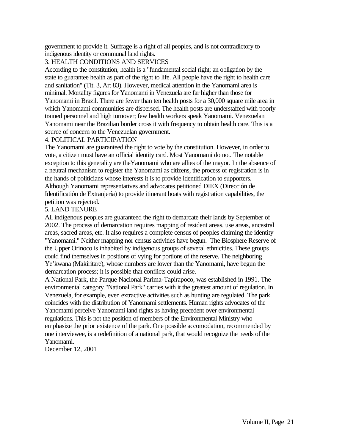government to provide it. Suffrage is a right of all peoples, and is not contradictory to indigenous identity or communal land rights.

# 3. HEALTH CONDITIONS AND SERVICES

According to the constitution, health is a "fundamental social right; an obligation by the state to guarantee health as part of the right to life. All people have the right to health care and sanitation" (Tit. 3, Art 83). However, medical attention in the Yanomami area is minimal. Mortality figures for Yanomami in Venezuela are far higher than those for Yanomami in Brazil. There are fewer than ten health posts for a 30,000 square mile area in which Yanomami communities are dispersed. The health posts are understaffed with poorly trained personnel and high turnover; few health workers speak Yanomami. Venezuelan Yanomami near the Brazilian border cross it with frequency to obtain health care. This is a source of concern to the Venezuelan government.

# 4. POLITICAL PARTICIPATION

The Yanomami are guaranteed the right to vote by the constitution. However, in order to vote, a citizen must have an official identity card. Most Yanomami do not. The notable exception to this generality are theYanomami who are allies of the mayor. In the absence of a neutral mechanism to register the Yanomami as citizens, the process of registration is in the hands of politicians whose interests it is to provide identification to supporters. Although Yanomami representatives and advocates petitioned DIEX (Dirección de Identificatión de Extranjería) to provide itinerant boats with registration capabilities, the petition was rejected.

# 5. LAND TENURE

All indigenous peoples are guaranteed the right to demarcate their lands by September of 2002. The process of demarcation requires mapping of resident areas, use areas, ancestral areas, sacred areas, etc. It also requires a complete census of peoples claiming the identity "Yanomami." Neither mapping nor census activities have begun. The Biosphere Reserve of the Upper Orinoco is inhabited by indigenous groups of several ethnicities. These groups could find themselves in positions of vying for portions of the reserve. The neighboring Ye'kwana (Makiritare), whose numbers are lower than the Yanomami, have begun the demarcation process; it is possible that conflicts could arise.

A National Park, the Parque Nacional Parima-Tapirapoco, was established in 1991. The environmental category "National Park" carries with it the greatest amount of regulation. In Venezuela, for example, even extractive activities such as hunting are regulated. The park coincides with the distribution of Yanomami settlements. Human rights advocates of the Yanomami perceive Yanomami land rights as having precedent over environmental regulations. This is not the position of members of the Environmental Ministry who emphasize the prior existence of the park. One possible accomodation, recommended by one interviewee, is a redefinition of a national park, that would recognize the needs of the Yanomami.

December 12, 2001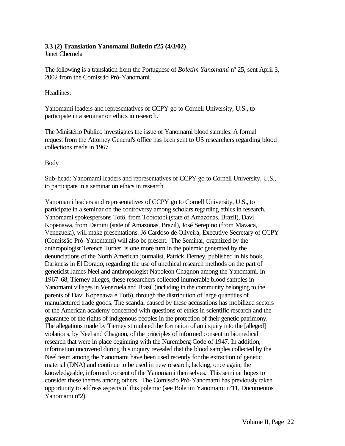# **3.3 (2) Translation Yanomami Bulletin #25 (4/3/02)** Janet Chernela

The following is a translation from the Portuguese of *Boletim Yanomami* nº 25, sent April 3, 2002 from the Comissão Pró-Yanomami.

## Headlines:

Yanomami leaders and representatives of CCPY go to Cornell University, U.S., to participate in a seminar on ethics in research.

The Ministério Público investigates the issue of Yanomami blood samples. A formal request from the Attorney General's office has been sent to US researchers regarding blood collections made in 1967.

# Body

Sub-head: Yanomami leaders and representatives of CCPY go to Cornell University, U.S., to participate in a seminar on ethics in research.

Yanomami leaders and representatives of CCPY go to Cornell University, U.S., to participate in a seminar on the controversy among scholars regarding ethics in research. Yanomami spokespersons Totô, from Toototobi (state of Amazonas, Brazil), Davi Kopenawa, from Demini (state of Amazonas, Brazil), José Serepino (from Mavaca, Venezuela), will make presentations. Jô Cardoso de Oliveira, Executive Secretary of CCPY (Comissão Pró-Yanomami) will also be present. The Seminar, organized by the anthropologist Terence Turner, is one more turn in the polemic generated by the denunciations of the North American journalist, Patrick Tierney, published in his book, Darkness in El Dorado, regarding the use of unethical research methods on the part of geneticist James Neel and anthropologist Napoleon Chagnon among the Yanomami. In 1967-68, Tierney alleges, these researchers collected inumerable blood samples in Yanomami villages in Venezuela and Brazil (including in the community belonging to the parents of Davi Kopenawa e Totô), through the distribution of large quantities of manufactured trade goods. The scandal caused by these accusations has mobilized sectors of the American academy concerned with questions of ethics in scientific research and the guarantee of the rights of indigenous peoples in the protection of their genetic patrimony. The allegations made by Tierney stimulated the formation of an inquiry into the [alleged] violations, by Neel and Chagnon, of the principles of informed consent in biomedical research that were in place beginning with the Nuremberg Code of 1947. In addition, information uncovered during this inquiry revealed that the blood samples collected by the Neel team among the Yanomami have been used recently for the extraction of genetic material (DNA) and continue to be used in new research, lacking, once again, the knowledgeable, informed consent of the Yanomami themselves. This seminar hopes to consider these themes among others. The Comissão Pró-Yanomami has previously taken opportunity to address aspects of this polemic (see Boletim Yanomami nº11, Documentos Yanomami nº2).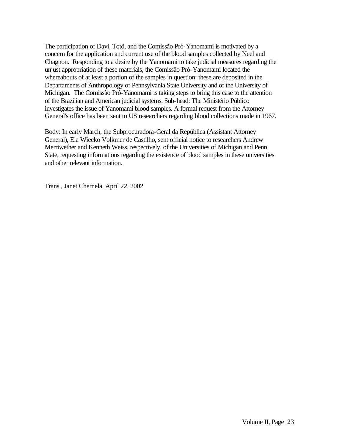The participation of Davi, Totô, and the Comissão Pró-Yanomami is motivated by a concern for the application and current use of the blood samples collected by Neel and Chagnon. Responding to a desire by the Yanomami to take judicial measures regarding the unjust appropriation of these materials, the Comissão Pró-Yanomami located the whereabouts of at least a portion of the samples in question: these are deposited in the Departaments of Anthropology of Pennsylvania State University and of the University of Michigan. The Comissão Pró-Yanomami is taking steps to bring this case to the attention of the Brazilian and American judicial systems. Sub-head: The Ministério Público investigates the issue of Yanomami blood samples. A formal request from the Attorney General's office has been sent to US researchers regarding blood collections made in 1967.

Body: In early March, the Subprocuradora-Geral da República (Assistant Attorney General), Ela Wiecko Volkmer de Castilho, sent official notice to researchers Andrew Merriwether and Kenneth Weiss, respectively, of the Universities of Michigan and Penn State, requesting informations regarding the existence of blood samples in these universities and other relevant information.

Trans., Janet Chernela, April 22, 2002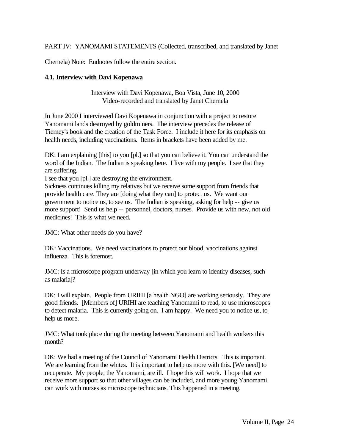PART IV: YANOMAMI STATEMENTS (Collected, transcribed, and translated by Janet

Chernela) Note: Endnotes follow the entire section.

# **4.1. Interview with Davi Kopenawa**

Interview with Davi Kopenawa, Boa Vista, June 10, 2000 Video-recorded and translated by Janet Chernela

In June 2000 I interviewed Davi Kopenawa in conjunction with a project to restore Yanomami lands destroyed by goldminers. The interview precedes the release of Tierney's book and the creation of the Task Force. I include it here for its emphasis on health needs, including vaccinations. Items in brackets have been added by me.

DK: I am explaining [this] to you [pl.] so that you can believe it. You can understand the word of the Indian. The Indian is speaking here. I live with my people. I see that they are suffering.

I see that you [pl.] are destroying the environment.

Sickness continues killing my relatives but we receive some support from friends that provide health care. They are [doing what they can] to protect us. We want our government to notice us, to see us. The Indian is speaking, asking for help -- give us more support! Send us help -- personnel, doctors, nurses. Provide us with new, not old medicines! This is what we need.

JMC: What other needs do you have?

DK: Vaccinations. We need vaccinations to protect our blood, vaccinations against influenza. This is foremost.

JMC: Is a microscope program underway [in which you learn to identify diseases, such as malaria]?

DK: I will explain. People from URIHI [a health NGO] are working seriously. They are good friends. [Members of] URIHI are teaching Yanomami to read, to use microscopes to detect malaria. This is currently going on. I am happy. We need you to notice us, to help us more.

JMC: What took place during the meeting between Yanomami and health workers this month?

DK: We had a meeting of the Council of Yanomami Health Districts. This is important. We are learning from the whites. It is important to help us more with this. [We need] to recuperate. My people, the Yanomami, are ill. I hope this will work. I hope that we receive more support so that other villages can be included, and more young Yanomami can work with nurses as microscope technicians. This happened in a meeting.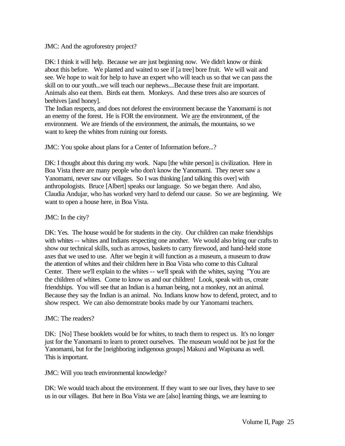JMC: And the agroforestry project?

DK: I think it will help. Because we are just beginning now. We didn't know or think about this before. We planted and waited to see if [a tree] bore fruit. We will wait and see. We hope to wait for help to have an expert who will teach us so that we can pass the skill on to our youth...we will teach our nephews....Because these fruit are important. Animals also eat them. Birds eat them. Monkeys. And these trees also are sources of beehives [and honey].

The Indian respects, and does not deforest the environment because the Yanomami is not an enemy of the forest. He is FOR the environment. We are the environment, of the environment. We are friends of the environment, the animals, the mountains, so we want to keep the whites from ruining our forests.

JMC: You spoke about plans for a Center of Information before...?

DK: I thought about this during my work. Napu [the white person] is civilization. Here in Boa Vista there are many people who don't know the Yanomami. They never saw a Yanomami, never saw our villages. So I was thinking [and talking this over] with anthropologists. Bruce [Albert] speaks our language. So we began there. And also, Claudia Andujar, who has worked very hard to defend our cause. So we are beginning. We want to open a house here, in Boa Vista.

JMC: In the city?

DK: Yes. The house would be for students in the city. Our children can make friendships with whites  $-$ - whites and Indians respecting one another. We would also bring our crafts to show our technical skills, such as arrows, baskets to carry firewood, and hand-held stone axes that we used to use. After we begin it will function as a museum, a museum to draw the attention of whites and their children here in Boa Vista who come to this Cultural Center. There we'll explain to the whites -- we'll speak with the whites, saying "You are the children of whites. Come to know us and our children! Look, speak with us, create friendships. You will see that an Indian is a human being, not a monkey, not an animal. Because they say the Indian is an animal. No. Indians know how to defend, protect, and to show respect. We can also demonstrate books made by our Yanomami teachers.

JMC: The readers?

DK: [No] These booklets would be for whites, to teach them to respect us. It's no longer just for the Yanomami to learn to protect ourselves. The museum would not be just for the Yanomami, but for the [neighboring indigenous groups] Makuxi and Wapixana as well. This is important.

JMC: Will you teach environmental knowledge?

DK: We would teach about the environment. If they want to see our lives, they have to see us in our villages. But here in Boa Vista we are [also] learning things, we are learning to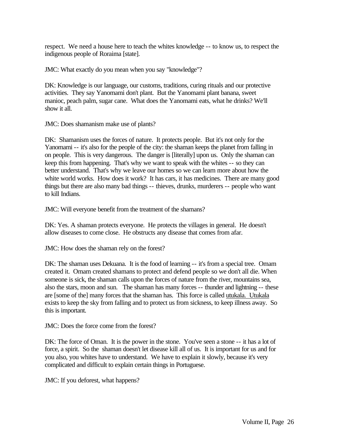respect. We need a house here to teach the whites knowledge -- to know us, to respect the indigenous people of Roraima [state].

JMC: What exactly do you mean when you say "knowledge"?

DK: Knowledge is our language, our customs, traditions, curing rituals and our protective activities. They say Yanomami don't plant. But the Yanomami plant banana, sweet manioc, peach palm, sugar cane. What does the Yanomami eats, what he drinks? We'll show it all.

JMC: Does shamanism make use of plants?

DK: Shamanism uses the forces of nature. It protects people. But it's not only for the Yanomami -- it's also for the people of the city: the shaman keeps the planet from falling in on people. This is very dangerous. The danger is [literally] upon us. Only the shaman can keep this from happening. That's why we want to speak with the whites -- so they can better understand. That's why we leave our homes so we can learn more about how the white world works. How does it work? It has cars, it has medicines. There are many good things but there are also many bad things -- thieves, drunks, murderers -- people who want to kill Indians.

JMC: Will everyone benefit from the treatment of the shamans?

DK: Yes. A shaman protects everyone. He protects the villages in general. He doesn't allow diseases to come close. He obstructs any disease that comes from afar.

JMC: How does the shaman rely on the forest?

DK: The shaman uses Dekuana. It is the food of learning -- it's from a special tree. Omam created it. Omam created shamans to protect and defend people so we don't all die. When someone is sick, the shaman calls upon the forces of nature from the river, mountains sea, also the stars, moon and sun. The shaman has many forces -- thunder and lightning -- these are [some of the] many forces that the shaman has. This force is called utukala. Utukala exists to keep the sky from falling and to protect us from sickness, to keep illness away. So this is important.

JMC: Does the force come from the forest?

DK: The force of Oman. It is the power in the stone. You've seen a stone -- it has a lot of force, a spirit. So the shaman doesn't let disease kill all of us. It is important for us and for you also, you whites have to understand. We have to explain it slowly, because it's very complicated and difficult to explain certain things in Portuguese.

JMC: If you deforest, what happens?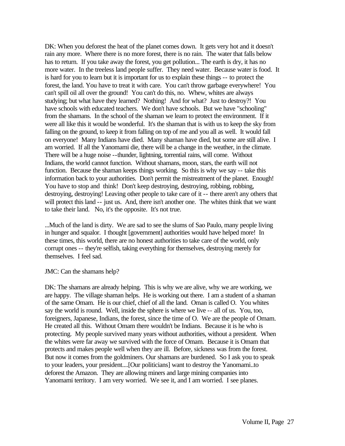DK: When you deforest the heat of the planet comes down. It gets very hot and it doesn't rain any more. Where there is no more forest, there is no rain. The water that falls below has to return. If you take away the forest, you get pollution... The earth is dry, it has no more water. In the treeless land people suffer. They need water. Because water is food. It is hard for you to learn but it is important for us to explain these things -- to protect the forest, the land. You have to treat it with care. You can't throw garbage everywhere! You can't spill oil all over the ground! You can't do this, no. Whew, whites are always studying; but what have they learned? Nothing! And for what? Just to destroy?! You have schools with educated teachers. We don't have schools. But we have "schooling" from the shamans. In the school of the shaman we learn to protect the environment. If it were all like this it would be wonderful. It's the shaman that is with us to keep the sky from falling on the ground, to keep it from falling on top of me and you all as well. It would fall on everyone! Many Indians have died. Many shaman have died, but some are still alive. I am worried. If all the Yanomami die, there will be a change in the weather, in the climate. There will be a huge noise --thunder, lightning, torrential rains, will come. Without Indians, the world cannot function. Without shamans, moon, stars, the earth will not function. Because the shaman keeps things working. So this is why we say -- take this information back to your authorities. Don't permit the mistreatment of the planet. Enough! You have to stop and think! Don't keep destroying, destroying, robbing, robbing, destroying, destroying! Leaving other people to take care of it -- there aren't any others that will protect this land -- just us. And, there isn't another one. The whites think that we want to take their land. No, it's the opposite. It's not true.

...Much of the land is dirty. We are sad to see the slums of Sao Paulo, many people living in hunger and squalor. I thought [government] authorities would have helped more! In these times, this world, there are no honest authorities to take care of the world, only corrupt ones -- they're selfish, taking everything for themselves, destroying merely for themselves. I feel sad.

#### JMC: Can the shamans help?

DK: The shamans are already helping. This is why we are alive, why we are working, we are happy. The village shaman helps. He is working out there. I am a student of a shaman of the same Omam. He is our chief, chief of all the land. Oman is called O. You whites say the world is round. Well, inside the sphere is where we live -- all of us. You, too, foreigners, Japanese, Indians, the forest, since the time of O. We are the people of Omam. He created all this. Without Omam there wouldn't be Indians. Because it is he who is protecting. My people survived many years without authorities, without a president. When the whites were far away we survived with the force of Omam. Because it is Omam that protects and makes people well when they are ill. Before, sickness was from the forest. But now it comes from the goldminers. Our shamans are burdened. So I ask you to speak to your leaders, your president....[Our politicians] want to destroy the Yanomami..to deforest the Amazon. They are allowing miners and large mining companies into Yanomami territory. I am very worried. We see it, and I am worried. I see planes.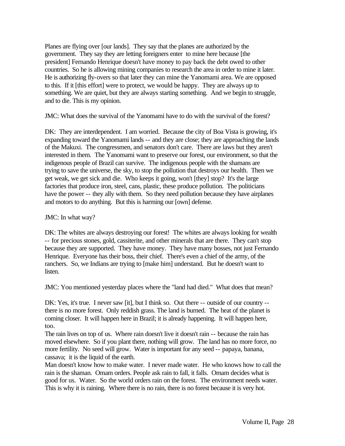Planes are flying over [our lands]. They say that the planes are authorized by the government. They say they are letting foreigners enter to mine here because [the president] Fernando Henrique doesn't have money to pay back the debt owed to other countries. So he is allowing mining companies to research the area in order to mine it later. He is authorizing fly-overs so that later they can mine the Yanomami area. We are opposed to this. If it [this effort] were to protect, we would be happy. They are always up to something. We are quiet, but they are always starting something. And we begin to struggle, and to die. This is my opinion.

JMC: What does the survival of the Yanomami have to do with the survival of the forest?

DK: They are interdependent. I am worried. Because the city of Boa Vista is growing, it's expanding toward the Yanomami lands -- and they are close; they are approaching the lands of the Makuxi. The congressmen, and senators don't care. There are laws but they aren't interested in them. The Yanomami want to preserve our forest, our environment, so that the indigenous people of Brazil can survive. The indigenous people with the shamans are trying to save the universe, the sky, to stop the pollution that destroys our health. Then we get weak, we get sick and die. Who keeps it going, won't [they] stop? It's the large factories that produce iron, steel, cans, plastic, these produce pollution. The politicians have the power -- they ally with them. So they need pollution because they have airplanes and motors to do anything. But this is harming our [own] defense.

JMC: In what way?

DK: The whites are always destroying our forest! The whites are always looking for wealth -- for precious stones, gold, cassiterite, and other minerals that are there. They can't stop because they are supported. They have money. They have many bosses, not just Fernando Henrique. Everyone has their boss, their chief. There's even a chief of the army, of the ranchers. So, we Indians are trying to [make him] understand. But he doesn't want to listen.

JMC: You mentioned yesterday places where the "land had died." What does that mean?

DK: Yes, it's true. I never saw [it], but I think so. Out there -- outside of our country - there is no more forest. Only reddish grass. The land is burned. The heat of the planet is coming closer. It will happen here in Brazil; it is already happening. It will happen here, too.

The rain lives on top of us. Where rain doesn't live it doesn't rain -- because the rain has moved elsewhere. So if you plant there, nothing will grow. The land has no more force, no more fertility. No seed will grow. Water is important for any seed -- papaya, banana, cassava; it is the liquid of the earth.

Man doesn't know how to make water. I never made water. He who knows how to call the rain is the shaman. Omam orders. People ask rain to fall, it falls. Omam decides what is good for us. Water. So the world orders rain on the forest. The environment needs water. This is why it is raining. Where there is no rain, there is no forest because it is very hot.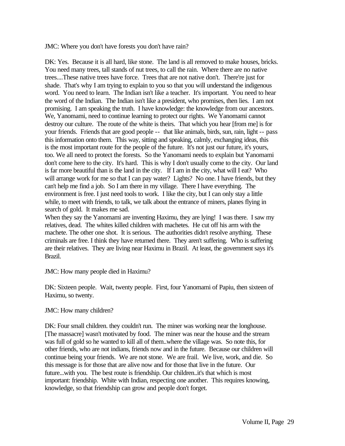JMC: Where you don't have forests you don't have rain?

DK: Yes. Because it is all hard, like stone. The land is all removed to make houses, bricks. You need many trees, tall stands of nut trees, to call the rain. Where there are no native trees....These native trees have force. Trees that are not native don't. There're just for shade. That's why I am trying to explain to you so that you will understand the indigenous word. You need to learn. The Indian isn't like a teacher. It's important. You need to hear the word of the Indian. The Indian isn't like a president, who promises, then lies. I am not promising. I am speaking the truth. I have knowledge: the knowledge from our ancestors. We, Yanomami, need to continue learning to protect our rights. We Yanomami cannot destroy our culture. The route of the white is theirs. That which you hear [from me] is for your friends. Friends that are good people -- that like animals, birds, sun, rain, light -- pass this information onto them. This way, sitting and speaking, calmly, exchanging ideas, this is the most important route for the people of the future. It's not just our future, it's yours, too. We all need to protect the forests. So the Yanomami needs to explain but Yanomami don't come here to the city. It's hard. This is why I don't usually come to the city. Our land is far more beautiful than is the land in the city. If I am in the city, what will I eat? Who will arrange work for me so that I can pay water? Lights? No one. I have friends, but they can't help me find a job. So I am there in my village. There I have everything. The environment is free. I just need tools to work. I like the city, but I can only stay a little while, to meet with friends, to talk, we talk about the entrance of miners, planes flying in search of gold. It makes me sad.

When they say the Yanomami are inventing Haximu, they are lying! I was there. I saw my relatives, dead. The whites killed children with machetes. He cut off his arm with the machete. The other one shot. It is serious. The authorities didn't resolve anything. These criminals are free. I think they have returned there. They aren't suffering. Who is suffering are their relatives. They are living near Haximu in Brazil. At least, the government says it's Brazil.

JMC: How many people died in Haximu?

DK: Sixteen people. Wait, twenty people. First, four Yanomami of Papiu, then sixteen of Haximu, so twenty.

# JMC: How many children?

DK: Four small children. they couldn't run. The miner was working near the longhouse. [The massacre] wasn't motivated by food. The miner was near the house and the stream was full of gold so he wanted to kill all of them..where the village was. So note this, for other friends, who are not indians, friends now and in the future. Because our children will continue being your friends. We are not stone. We are frail. We live, work, and die. So this message is for those that are alive now and for those that live in the future. Our future...with you. The best route is friendship. Our children..it's that which is most important: friendship. White with Indian, respecting one another. This requires knowing, knowledge, so that friendship can grow and people don't forget.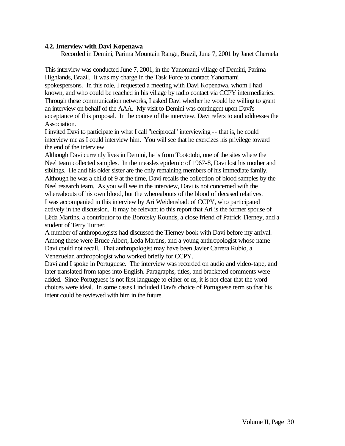# **4.2. Interview with Davi Kopenawa**

Recorded in Demini, Parima Mountain Range, Brazil, June 7, 2001 by Janet Chernela

This interview was conducted June 7, 2001, in the Yanomami village of Demini, Parima Highlands, Brazil. It was my charge in the Task Force to contact Yanomami spokespersons. In this role, I requested a meeting with Davi Kopenawa, whom I had known, and who could be reached in his village by radio contact via CCPY intermediaries. Through these communication networks, I asked Davi whether he would be willing to grant an interview on behalf of the AAA. My visit to Demini was contingent upon Davi's acceptance of this proposal. In the course of the interview, Davi refers to and addresses the Association.

I invited Davi to participate in what I call "reciprocal" interviewing -- that is, he could interview me as I could interview him. You will see that he exercizes his privilege toward the end of the interview.

Although Davi currently lives in Demini, he is from Toototobi, one of the sites where the Neel team collected samples. In the measles epidemic of 1967-8, Davi lost his mother and siblings. He and his older sister are the only remaining members of his immediate family. Although he was a child of 9 at the time, Davi recalls the collection of blood samples by the Neel research team. As you will see in the interview, Davi is not concerned with the whereabouts of his own blood, but the whereabouts of the blood of decased relatives. I was accompanied in this interview by Ari Weidenshadt of CCPY, who participated actively in the discussion. It may be relevant to this report that Ari is the former spouse of Lêda Martins, a contributor to the Borofsky Rounds, a close friend of Patrick Tierney, and a student of Terry Turner.

A number of anthropologists had discussed the Tierney book with Davi before my arrival. Among these were Bruce Albert, Leda Martins, and a young anthropologist whose name Davi could not recall. That anthropologist may have been Javier Carrera Rubio, a Venezuelan anthropologist who worked briefly for CCPY.

Davi and I spoke in Portuguese. The interview was recorded on audio and video-tape, and later translated from tapes into English. Paragraphs, titles, and bracketed comments were added. Since Portuguese is not first language to either of us, it is not clear that the word choices were ideal. In some cases I included Davi's choice of Portuguese term so that his intent could be reviewed with him in the future.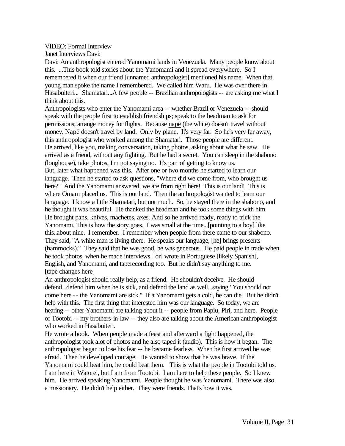VIDEO: Formal Interview

Janet Interviews Davi:

Davi: An anthropologist entered Yanomami lands in Venezuela. Many people know about this. ...This book told stories about the Yanomami and it spread everywhere. So I remembered it when our friend [unnamed anthropologist] mentioned his name. When that young man spoke the name I remembered. We called him Waru. He was over there in Hasabuiteri... Shamatari...A few people -- Brazilian anthropologists -- are asking me what I think about this.

Anthropologists who enter the Yanomami area -- whether Brazil or Venezuela -- should speak with the people first to establish friendships; speak to the headman to ask for permissions; arrange money for flights. Because napë (the white) doesn't travel without money. Napë doesn't travel by land. Only by plane. It's very far. So he's very far away, this anthropologist who worked among the Shamatari. Those people are different. He arrived, like you, making conversation, taking photos, asking about what he saw. He arrived as a friend, without any fighting. But he had a secret. You can sleep in the shabono (longhouse), take photos, I'm not saying no. It's part of getting to know us. But, later what happened was this. After one or two months he started to learn our language. Then he started to ask questions, "Where did we come from, who brought us here?" And the Yanomami answered, we are from right here! This is our land! This is where Omam placed us. This is our land. Then the anthropologist wanted to learn our language. I know a little Shamatari, but not much. So, he stayed there in the shabono, and he thought it was beautiful. He thanked the headman and he took some things with him. He brought pans, knives, machetes, axes. And so he arrived ready, ready to trick the Yanomami. This is how the story goes. I was small at the time...[pointing to a boy] like this..about nine. I remember. I remember when people from there came to our shabono. They said, "A white man is living there. He speaks our language, [he] brings presents (hammocks)." They said that he was good, he was generous. He paid people in trade when he took photos, when he made interviews, [or] wrote in Portuguese [likely Spanish], English, and Yanomami, and taperecording too. But he didn't say anything to me. [tape changes here]

An anthropologist should really help, as a friend. He shouldn't deceive. He should defend...defend him when he is sick, and defend the land as well...saying "You should not come here -- the Yanomami are sick." If a Yanomami gets a cold, he can die. But he didn't help with this. The first thing that interested him was our language. So today, we are hearing -- other Yanomami are talking about it -- people from Papiu, Piri, and here. People of Tootobi -- my brothers-in-law -- they also are talking about the American anthropologist who worked in Hasabuiteri.

He wrote a book. When people made a feast and afterward a fight happened, the anthropologist took alot of photos and he also taped it (audio). This is how it began. The anthropologist began to lose his fear -- he became fearless. When he first arrived he was afraid. Then he developed courage. He wanted to show that he was brave. If the Yanomami could beat him, he could beat them. This is what the people in Tootobi told us. I am here in Watorei, but I am from Tootobi. I am here to help these people. So I knew him. He arrived speaking Yanomami. People thought he was Yanomami. There was also a missionary. He didn't help either. They were friends. That's how it was.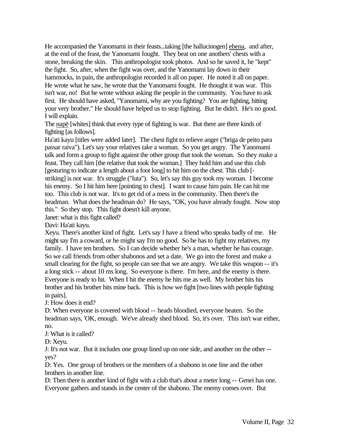He accompanied the Yanomami in their feasts...taking [the hallucinogen] ebena, and after, at the end of the feast, the Yanomami fought. They beat on one anothers' chests with a stone, breaking the skin. This anthropologist took photos. And so he saved it, he "kept" the fight. So, after, when the fight was over, and the Yanomami lay down in their hammocks, in pain, the anthropologist recorded it all on paper. He noted it all on paper. He wrote what he saw, he wrote that the Yanomami fought. He thought it was war. This isn't war, no! But he wrote without asking the people in the community. You have to ask first. He should have asked, "Yanomami, why are you fighting? You are fighting, hitting your very brother." He should have helped us to stop fighting. But he didn't. He's no good. I will explain.

The napë [whites] think that every type of fighting is war. But there are three kinds of fighting [as follows].

Ha'ati kayu [titles were added later]. The chest fight to relieve anger ("briga de peito para passar raiva"). Let's say your relatives take a woman. So you get angry. The Yanomami talk and form a group to fight against the other group that took the woman. So they make a feast. They call him [the relative that took the woman.] They hold him and use this club [gesturing to indicate a length about a foot long] to hit him on the chest. This club [ striking] is not war. It's struggle ("luta"). So, let's say this guy took my woman. I become his enemy. So I hit him here [pointing to chest]. I want to cause him pain. He can hit me too. This club is not war. It's to get rid of a mess in the community. Then there's the headman. What does the headman do? He says, "OK, you have already fought. Now stop this." So they stop. This fight doesn't kill anyone.

Janet: what is this fight called?

Davi: Ha'ati kayu.

Xeyu. There's another kind of fight. Let's say I have a friend who speaks badly of me. He might say I'm a coward, or he might say I'm no good. So he has to fight my relatives, my family. I have ten brothers. So I can decide whether he's a man, whether he has courage. So we call friends from other shabonos and set a date. We go into the forest and make a small clearing for the fight, so people can see that we are angry. We take this weapon -- it's a long stick -- about 10 ms long. So everyone is there. I'm here, and the enemy is there. Everyone is ready to hit. When I hit the enemy he hits me as well. My brother hits his brother and his brother hits mine back. This is how we fight [two lines with people fighting in pairs].

J: How does it end?

D: When everyone is covered with blood -- heads bloodied, everyone beaten. So the headman says, 'OK, enough. We've already shed blood. So, it's over. This isn't war either, no.

J: What is it called?

D: Xeyu.

J: It's not war. But it includes one group lined up on one side, and another on the other - yes?

D: Yes. One group of brothers or the members of a shabono in one line and the other brothers in another line.

D: Then there is another kind of fight with a club that's about a meter long -- Genei has one. Everyone gathers and stands in the center of the shabono. The enemy comes over. But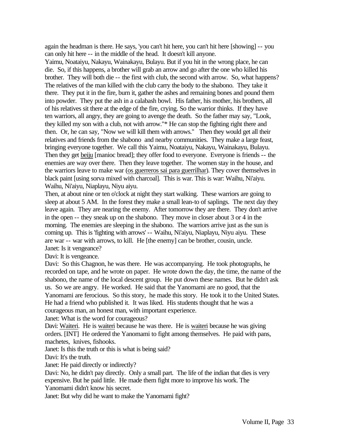again the headman is there. He says, 'you can't hit here, you can't hit here [showing] -- you can only hit here -- in the middle of the head. It doesn't kill anyone.

Yaimu, Noataiyu, Nakayu, Wainakayu, Bulayu. But if you hit in the wrong place, he can die. So, if this happens, a brother will grab an arrow and go after the one who killed his brother. They will both die -- the first with club, the second with arrow. So, what happens? The relatives of the man killed with the club carry the body to the shabono. They take it there. They put it in the fire, burn it, gather the ashes and remaining bones and pound them into powder. They put the ash in a calabash bowl. His father, his mother, his brothers, all of his relatives sit there at the edge of the fire, crying. So the warrior thinks. If they have ten warriors, all angry, they are going to avenge the death. So the father may say, "Look, they killed my son with a club, not with arrow."\* He can stop the fighting right there and then. Or, he can say, "Now we will kill them with arrows." Then they would get all their relatives and friends from the shabono and nearby communities. They make a large feast, bringing everyone together. We call this Yaimu, Noataiyu, Nakayu, Wainakayu, Bulayu. Then they get beiju [manioc bread]; they offer food to everyone. Everyone is friends -- the enemies are way over there. Then they leave together. The women stay in the house, and the warriors leave to make war (os guerreros sai para guerrilhar). They cover themselves in black paint [using sorva mixed with charcoal]. This is war. This is war: Waihu, Ni'aiyu. Waihu, Ni'aiyu, Niaplayu, Niyu aiyu.

Then, at about nine or ten o'clock at night they start walking. These warriors are going to sleep at about 5 AM. In the forest they make a small lean-to of saplings. The next day they leave again. They are nearing the enemy. After tomorrow they are there. They don't arrive in the open -- they sneak up on the shabono. They move in closer about 3 or 4 in the morning. The enemies are sleeping in the shabono. The warriors arrive just as the sun is coming up. This is 'fighting with arrows' -- Waihu, Ni'aiyu, Niaplayu, Niyu aiyu. These are war -- war with arrows, to kill. He [the enemy] can be brother, cousin, uncle. Janet: Is it vengeance?

Davi: It is vengeance.

Davi: So this Chagnon, he was there. He was accompanying. He took photographs, he recorded on tape, and he wrote on paper. He wrote down the day, the time, the name of the shabono, the name of the local descent group. He put down these names. But he didn't ask us. So we are angry. He worked. He said that the Yanomami are no good, that the Yanomami are ferocious. So this story, he made this story. He took it to the United States. He had a friend who published it. It was liked. His students thought that he was a courageous man, an honest man, with important experience.

Janet: What is the word for courageous?

Davi: Waiteri. He is waiteri because he was there. He is waiteri because he was giving orders. [INT] He ordered the Yanomami to fight among themselves. He paid with pans, machetes, knives, fishooks.

Janet: Is this the truth or this is what is being said?

Davi: It's the truth.

Janet: He paid directly or indirectly?

Davi: No, he didn't pay directly. Only a small part. The life of the indian that dies is very expensive. But he paid little. He made them fight more to improve his work. The Yanomami didn't know his secret.

Janet: But why did he want to make the Yanomami fight?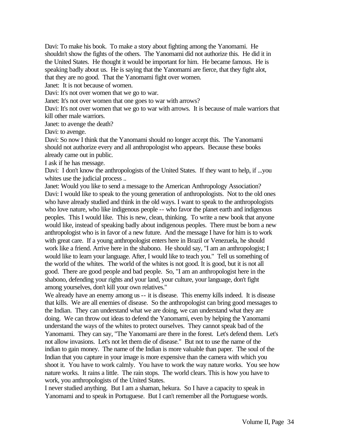Davi: To make his book. To make a story about fighting among the Yanomami. He shouldn't show the fights of the others. The Yanomami did not authorize this. He did it in the United States. He thought it would be important for him. He became famous. He is speaking badly about us. He is saying that the Yanomami are fierce, that they fight alot, that they are no good. That the Yanomami fight over women.

Janet: It is not because of women.

Davi: It's not over women that we go to war.

Janet: It's not over women that one goes to war with arrows?

Davi: It's not over women that we go to war with arrows. It is because of male warriors that kill other male warriors.

Janet: to avenge the death?

Davi: to avenge.

Davi: So now I think that the Yanomami should no longer accept this. The Yanomami should not authorize every and all anthropologist who appears. Because these books already came out in public.

I ask if he has message.

Davi: I don't know the anthropologists of the United States. If they want to help, if ...you whites use the judicial process ...

Janet: Would you like to send a message to the American Anthropology Association? Davi: I would like to speak to the young generation of anthropologists. Not to the old ones who have already studied and think in the old ways. I want to speak to the anthropologists who love nature, who like indigenous people -- who favor the planet earth and indigenous peoples. This I would like. This is new, clean, thinking. To write a new book that anyone would like, instead of speaking badly about indigenous peoples. There must be born a new anthropologist who is in favor of a new future. And the message I have for him is to work with great care. If a young anthropologist enters here in Brazil or Venezuela, he should work like a friend. Arrive here in the shabono. He should say, "I am an anthropologist; I would like to learn your language. After, I would like to teach you." Tell us something of the world of the whites. The world of the whites is not good. It is good, but it is not all good. There are good people and bad people. So, "I am an anthropologist here in the shabono, defending your rights and your land, your culture, your language, don't fight among yourselves, don't kill your own relatives."

We already have an enemy among us -- it is disease. This enemy kills indeed. It is disease that kills. We are all enemies of disease. So the anthropologist can bring good messages to the Indian. They can understand what we are doing, we can understand what they are doing. We can throw out ideas to defend the Yanomami, even by helping the Yanomami understand the ways of the whites to protect ourselves. They cannot speak bad of the Yanomami. They can say, "The Yanomami are there in the forest. Let's defend them. Let's not allow invasions. Let's not let them die of disease." But not to use the name of the indian to gain money. The name of the Indian is more valuable than paper. The soul of the Indian that you capture in your image is more expensive than the camera with which you shoot it. You have to work calmly. You have to work the way nature works. You see how nature works. It rains a little. The rain stops. The world clears. This is how you have to work, you anthropologists of the United States.

I never studied anything. But I am a shaman, hekura. So I have a capacity to speak in Yanomami and to speak in Portuguese. But I can't remember all the Portuguese words.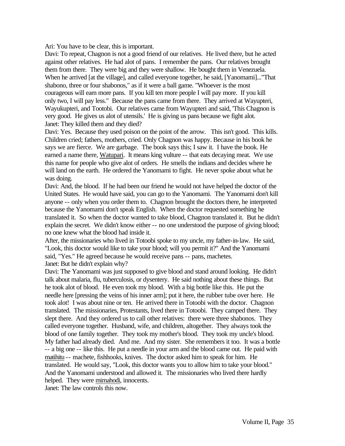Ari: You have to be clear, this is important.

Davi: To repeat, Chagnon is not a good friend of our relatives. He lived there, but he acted against other relatives. He had alot of pans. I remember the pans. Our relatives brought them from there. They were big and they were shallow. He bought them in Venezuela. When he arrived [at the village], and called everyone together, he said, [Yanomami]..."That shabono, three or four shabonos," as if it were a ball game. "Whoever is the most courageous will earn more pans. If you kill ten more people I will pay more. If you kill only two, I will pay less." Because the pans came from there. They arrived at Wayupteri, Wayukupteri, and Tootobi. Our relatives came from Wayupteri and said, 'This Chagnon is very good. He gives us alot of utensils.' He is giving us pans because we fight alot. Janet: They killed them and they died?

Davi: Yes. Because they used poison on the point of the arrow. This isn't good. This kills. Children cried; fathers, mothers, cried. Only Chagnon was happy. Because in his book he says we are fierce. We are garbage. The book says this; I saw it. I have the book. He earned a name there, Watupari. It means king vulture -- that eats decaying meat. We use this name for people who give alot of orders. He smells the indians and decides where he will land on the earth. He ordered the Yanomami to fight. He never spoke about what he was doing.

Davi: And, the blood. If he had been our friend he would not have helped the doctor of the United States. He would have said, you can go to the Yanomami. The Yanomami don't kill anyone -- only when you order them to. Chagnon brought the doctors there, he interpreted because the Yanomami don't speak English. When the doctor requested something he translated it. So when the doctor wanted to take blood, Chagnon translated it. But he didn't explain the secret. We didn't know either -- no one understood the purpose of giving blood; no one knew what the blood had inside it.

After, the missionaries who lived in Totoobi spoke to my uncle, my father-in-law. He said, "Look, this doctor would like to take your blood; will you permit it?" And the Yanomami said, "Yes." He agreed because he would receive pans -- pans, machetes. Janet: But he didn't explain why?

Davi: The Yanomami was just supposed to give blood and stand around looking. He didn't talk about malaria, flu, tuberculosis, or dysentery. He said nothing about these things. But he took alot of blood. He even took my blood. With a big bottle like this. He put the needle here [pressing the veins of his inner arm]; put it here, the rubber tube over here. He took alot! I was about nine or ten. He arrived there in Totoobi with the doctor. Chagnon translated. The missionaries, Protestants, lived there in Totoobi. They camped there. They slept there. And they ordered us to call other relatives: there were three shabonos. They called everyone together. Husband, wife, and children, altogether. They always took the blood of one family together. They took my mother's blood. They took my uncle's blood. My father had already died. And me. And my sister. She remembers it too. It was a bottle -- a big one -- like this. He put a needle in your arm and the blood came out. He paid with matihitu -- machete, fishhooks, knives. The doctor asked him to speak for him. He translated. He would say, "Look, this doctor wants you to allow him to take your blood." And the Yanomami understood and allowed it. The missionaries who lived there hardly helped. They were mimahodi, innocents.

Janet: The law controls this now.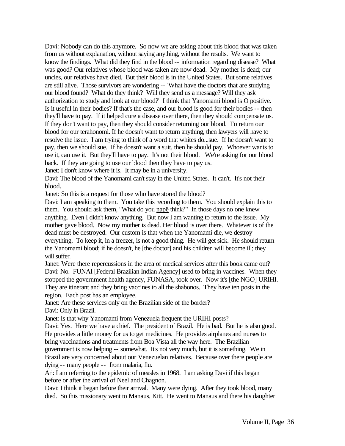Davi: Nobody can do this anymore. So now we are asking about this blood that was taken from us without explanation, without saying anything, without the results. We want to know the findings. What did they find in the blood -- information regarding disease? What was good? Our relatives whose blood was taken are now dead. My mother is dead; our uncles, our relatives have died. But their blood is in the United States. But some relatives are still alive. Those survivors are wondering -- 'What have the doctors that are studying our blood found? What do they think? Will they send us a message? Will they ask authorization to study and look at our blood?' I think that Yanomami blood is O positive. Is it useful in their bodies? If that's the case, and our blood is good for their bodies -- then they'll have to pay. If it helped cure a disease over there, then they should compensate us. If they don't want to pay, then they should consider returning our blood. To return our blood for our terahonomi. If he doesn't want to return anything, then lawyers will have to resolve the issue. I am trying to think of a word that whites do...sue. If he doesn't want to pay, then we should sue. If he doesn't want a suit, then he should pay. Whoever wants to use it, can use it. But they'll have to pay. It's not their blood. We're asking for our blood back. If they are going to use our blood then they have to pay us.

Janet: I don't know where it is. It may be in a university.

Davi: The blood of the Yanomami can't stay in the United States. It can't. It's not their blood.

Janet: So this is a request for those who have stored the blood?

Davi: I am speaking to them. You take this recording to them. You should explain this to them. You should ask them, "What do you napë think?" In those days no one knew anything. Even I didn't know anything. But now I am wanting to return to the issue. My mother gave blood. Now my mother is dead. Her blood is over there. Whatever is of the dead must be destroyed. Our custom is that when the Yanomami die, we destroy everything. To keep it, in a freezer, is not a good thing. He will get sick. He should return the Yanomami blood; if he doesn't, he [the doctor] and his children will become ill; they will suffer.

Janet: Were there repercussions in the area of medical services after this book came out? Davi: No. FUNAI [Federal Brazilian Indian Agency] used to bring in vaccines. When they stopped the government health agency, FUNASA, took over. Now it's [the NGO] URIHI. They are itinerant and they bring vaccines to all the shabonos. They have ten posts in the region. Each post has an employee.

Janet: Are these services only on the Brazilian side of the border?

Davi: Only in Brazil.

Janet: Is that why Yanomami from Venezuela frequent the URIHI posts?

Davi: Yes. Here we have a chief. The president of Brazil. He is bad. But he is also good. He provides a little money for us to get medicines. He provides airplanes and nurses to bring vaccinations and treatments from Boa Vista all the way here. The Brazilian

government is now helping -- somewhat. It's not very much, but it is something. We in Brazil are very concerned about our Venezuelan relatives. Because over there people are dying -- many people -- from malaria, flu.

Ari: I am referring to the epidemic of measles in 1968. I am asking Davi if this began before or after the arrival of Neel and Chagnon.

Davi: I think it began before their arrival. Many were dying. After they took blood, many died. So this missionary went to Manaus, Kitt. He went to Manaus and there his daughter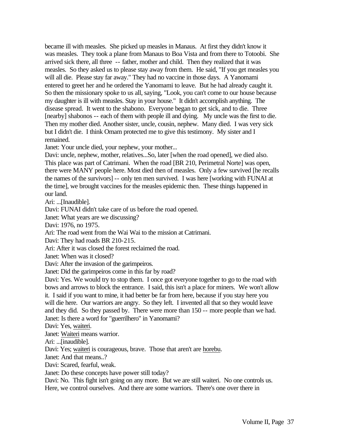became ill with measles. She picked up measles in Manaus. At first they didn't know it was measles. They took a plane from Manaus to Boa Vista and from there to Totoobi. She arrived sick there, all three -- father, mother and child. Then they realized that it was measles. So they asked us to please stay away from them. He said, "If you get measles you will all die. Please stay far away." They had no vaccine in those days. A Yanomami entered to greet her and he ordered the Yanomami to leave. But he had already caught it. So then the missionary spoke to us all, saying, "Look, you can't come to our house because my daughter is ill with measles. Stay in your house." It didn't accomplish anything. The disease spread. It went to the shabono. Everyone began to get sick, and to die. Three [nearby] shabonos -- each of them with people ill and dying. My uncle was the first to die. Then my mother died. Another sister, uncle, cousin, nephew. Many died. I was very sick but I didn't die. I think Omam protected me to give this testimony. My sister and I remained.

Janet: Your uncle died, your nephew, your mother...

Davi: uncle, nephew, mother, relatives...So, later [when the road opened], we died also. This place was part of Catrimani. When the road [BR 210, Perimetral Norte] was open, there were MANY people here. Most died then of measles. Only a few survived [he recalls the names of the survivors] -- only ten men survived. I was here [working with FUNAI at the time], we brought vaccines for the measles epidemic then. These things happened in our land.

Ari: ...[Inaudible].

Davi: FUNAI didn't take care of us before the road opened.

Janet: What years are we discussing?

Davi: 1976, no 1975.

Ari: The road went from the Wai Wai to the mission at Catrimani.

Davi: They had roads BR 210-215.

Ari: After it was closed the forest reclaimed the road.

Janet: When was it closed?

Davi: After the invasion of the garimpeiros.

Janet: Did the garimpeiros come in this far by road?

Davi: Yes. We would try to stop them. I once got everyone together to go to the road with bows and arrows to block the entrance. I said, this isn't a place for miners. We won't allow it. I said if you want to mine, it had better be far from here, because if you stay here you will die here. Our warriors are angry. So they left. I invented all that so they would leave and they did. So they passed by. There were more than 150 -- more people than we had. Janet: Is there a word for "guerrilhero" in Yanomami?

Davi: Yes, waiteri.

Janet: Waiteri means warrior.

Ari: ...[inaudible].

Davi: Yes; waiteri is courageous, brave. Those that aren't are horebu.

Janet: And that means..?

Davi: Scared, fearful, weak.

Janet: Do these concepts have power still today?

Davi: No. This fight isn't going on any more. But we are still waiteri. No one controls us.

Here, we control ourselves. And there are some warriors. There's one over there in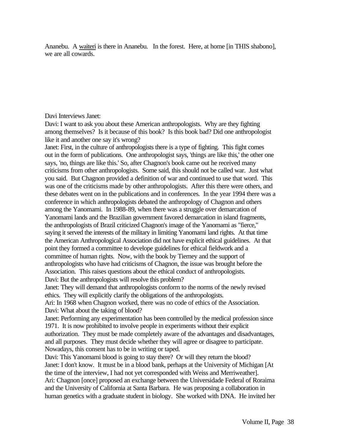Ananebu. A waiteri is there in Ananebu. In the forest. Here, at home [in THIS shabono], we are all cowards.

### Davi Interviews Janet:

Davi: I want to ask you about these American anthropologists. Why are they fighting among themselves? Is it because of this book? Is this book bad? Did one anthropologist like it and another one say it's wrong?

Janet: First, in the culture of anthropologists there is a type of fighting. This fight comes out in the form of publications. One anthropologist says, 'things are like this,' the other one says, 'no, things are like this.' So, after Chagnon's book came out he received many criticisms from other anthropologists. Some said, this should not be called war. Just what you said. But Chagnon provided a definition of war and continued to use that word. This was one of the criticisms made by other anthropologists. After this there were others, and these debates went on in the publications and in conferences. In the year 1994 there was a conference in which anthropologists debated the anthropology of Chagnon and others among the Yanomami. In 1988-89, when there was a struggle over demarcation of Yanomami lands and the Brazilian government favored demarcation in island fragments, the anthropologists of Brazil criticized Chagnon's image of the Yanomami as "fierce," saying it served the interests of the military in limiting Yanomami land rights. At that time the American Anthropological Association did not have explicit ethical guidelines. At that point they formed a committee to develope guidelines for ethical fieldwork and a committee of human rights. Now, with the book by Tierney and the support of anthropologists who have had criticisms of Chagnon, the issue was brought before the Association. This raises questions about the ethical conduct of anthropologists. Davi: But the anthropologists will resolve this problem?

Janet: They will demand that anthropologists conform to the norms of the newly revised ethics. They will explicitly clarify the obligations of the anthropologists.

Ari: In 1968 when Chagnon worked, there was no code of ethics of the Association. Davi: What about the taking of blood?

Janet: Performing any experimentation has been controlled by the medical profession since 1971. It is now prohibited to involve people in experiments without their explicit authorization. They must be made completely aware of the advantages and disadvantages, and all purposes. They must decide whether they will agree or disagree to participate. Nowadays, this consent has to be in writing or taped.

Davi: This Yanomami blood is going to stay there? Or will they return the blood? Janet: I don't know. It must be in a blood bank, perhaps at the University of Michigan [At the time of the interview, I had not yet corresponded with Weiss and Merriweather]. Ari: Chagnon [once] proposed an exchange between the Universidade Federal of Roraima and the University of California at Santa Barbara. He was proposing a collaboration in human genetics with a graduate student in biology. She worked with DNA. He invited her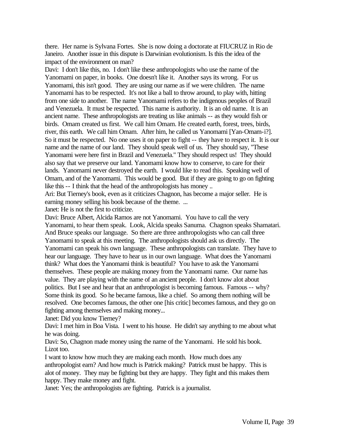there. Her name is Sylvana Fortes. She is now doing a doctorate at FIUCRUZ in Rio de Janeiro. Another issue in this dispute is Darwinian evolutionism. Is this the idea of the impact of the environment on man?

Davi: I don't like this, no. I don't like these anthropologists who use the name of the Yanomami on paper, in books. One doesn't like it. Another says its wrong. For us Yanomami, this isn't good. They are using our name as if we were children. The name Yanomami has to be respected. It's not like a ball to throw around, to play with, hitting from one side to another. The name Yanomami refers to the indigenous peoples of Brazil and Venezuela. It must be respected. This name is authority. It is an old name. It is an ancient name. These anthropologists are treating us like animals -- as they would fish or birds. Omam created us first. We call him Omam. He created earth, forest, trees, birds, river, this earth. We call him Omam. After him, he called us Yanomami [Yan-Omam-i?]. So it must be respected. No one uses it on paper to fight -- they have to respect it. It is our name and the name of our land. They should speak well of us. They should say, "These Yanomami were here first in Brazil and Venezuela." They should respect us! They should also say that we preserve our land. Yanomami know how to conserve, to care for their lands. Yanomami never destroyed the earth. I would like to read this. Speaking well of Omam, and of the Yanomami. This would be good. But if they are going to go on fighting like this -- I think that the head of the anthropologists has money ..

Ari: But Tierney's book, even as it criticizes Chagnon, has become a major seller. He is earning money selling his book because of the theme. ...

Janet: He is not the first to criticize.

Davi: Bruce Albert, Alcida Ramos are not Yanomami. You have to call the very Yanomami, to hear them speak. Look, Alcida speaks Sanuma. Chagnon speaks Shamatari. And Bruce speaks our language. So there are three anthropologists who can call three Yanomami to speak at this meeting. The anthropologists should ask us directly. The Yanomami can speak his own language. These anthropologists can translate. They have to hear our language. They have to hear us in our own language. What does the Yanomami think? What does the Yanomami think is beautiful? You have to ask the Yanomami themselves. These people are making money from the Yanomami name. Our name has value. They are playing with the name of an ancient people. I don't know alot about politics. But I see and hear that an anthropologist is becoming famous. Famous -- why? Some think its good. So he became famous, like a chief. So among them nothing will be resolved. One becomes famous, the other one [his critic] becomes famous, and they go on fighting among themselves and making money...

Janet: Did you know Tierney?

Davi: I met him in Boa Vista. I went to his house. He didn't say anything to me about what he was doing.

Davi: So, Chagnon made money using the name of the Yanomami. He sold his book. Lizot too.

I want to know how much they are making each month. How much does any anthropologist earn? And how much is Patrick making? Patrick must be happy. This is alot of money. They may be fighting but they are happy. They fight and this makes them happy. They make money and fight.

Janet: Yes; the anthropologists are fighting. Patrick is a journalist.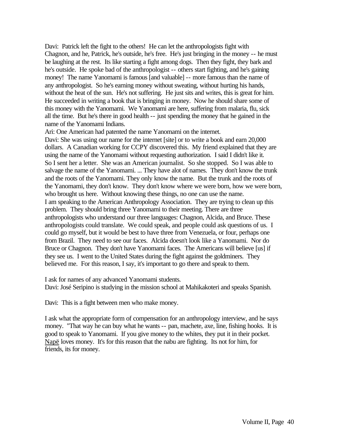Davi: Patrick left the fight to the others! He can let the anthropologists fight with Chagnon, and he, Patrick, he's outside, he's free. He's just bringing in the money -- he must be laughing at the rest. Its like starting a fight among dogs. Then they fight, they bark and he's outside. He spoke bad of the anthropologist -- others start fighting, and he's gaining money! The name Yanomami is famous [and valuable] -- more famous than the name of any anthropologist. So he's earning money without sweating, without hurting his hands, without the heat of the sun. He's not suffering. He just sits and writes, this is great for him. He succeeded in writing a book that is bringing in money. Now he should share some of this money with the Yanomami. We Yanomami are here, suffering from malaria, flu, sick all the time. But he's there in good health -- just spending the money that he gained in the name of the Yanomami Indians.

Ari: One American had patented the name Yanomami on the internet.

Davi: She was using our name for the internet [site] or to write a book and earn 20,000 dollars. A Canadian working for CCPY discovered this. My friend explained that they are using the name of the Yanomami without requesting authorization. I said I didn't like it. So I sent her a letter. She was an American journalist. So she stopped. So I was able to salvage the name of the Yanomami. ... They have alot of names. They don't know the trunk and the roots of the Yanomami. They only know the name. But the trunk and the roots of the Yanomami, they don't know. They don't know where we were born, how we were born, who brought us here. Without knowing these things, no one can use the name. I am speaking to the American Anthropology Association. They are trying to clean up this problem. They should bring three Yanomami to their meeting. There are three anthropologists who understand our three languages: Chagnon, Alcida, and Bruce. These anthropologists could translate. We could speak, and people could ask questions of us. I could go myself, but it would be best to have three from Venezuela, or four, perhaps one from Brazil. They need to see our faces. Alcida doesn't look like a Yanomami. Nor do Bruce or Chagnon. They don't have Yanomami faces. The Americans will believe [us] if they see us. I went to the United States during the fight against the goldminers. They believed me. For this reason, I say, it's important to go there and speak to them.

I ask for names of any advanced Yanomami students. Davi: José Seripino is studying in the mission school at Mahikakoteri and speaks Spanish.

Davi: This is a fight between men who make money.

I ask what the appropriate form of compensation for an anthropology interview, and he says money. "That way he can buy what he wants -- pan, machete, axe, line, fishing hooks. It is good to speak to Yanomami. If you give money to the whites, they put it in their pocket. Napë loves money. It's for this reason that the nabu are fighting. Its not for him, for friends, its for money.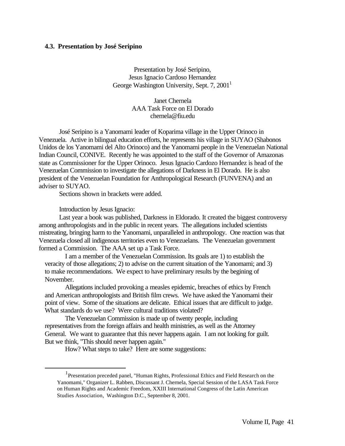# **4.3. Presentation by José Seripino**

Presentation by José Seripino, Jesus Ignacio Cardoso Hernandez George Washington University, Sept. 7,  $2001<sup>1</sup>$ 

> Janet Chernela AAA Task Force on El Dorado chernela@fiu.edu

José Seripino is a Yanomami leader of Koparima village in the Upper Orinoco in Venezuela. Active in bilingual education efforts, he represents his village in SUYAO (Shabonos Unidos de los Yanomami del Alto Orinoco) and the Yanomami people in the Venezuelan National Indian Council, CONIVE. Recently he was appointed to the staff of the Governor of Amazonas state as Commissioner for the Upper Orinoco. Jesus Ignacio Cardozo Hernandez is head of the Venezuelan Commission to investigate the allegations of Darkness in El Dorado. He is also president of the Venezuelan Foundation for Anthropological Research (FUNVENA) and an adviser to SUYAO.

Sections shown in brackets were added.

Introduction by Jesus Ignacio:

 $\overline{a}$ 

Last year a book was published, Darkness in Eldorado. It created the biggest controversy among anthropologists and in the public in recent years. The allegations included scientists mistreating, bringing harm to the Yanomami, unparalleled in anthropology. One reaction was that Venezuela closed all indigenous territories even to Venezuelans. The Venezuelan government formed a Commission. The AAA set up a Task Force.

I am a member of the Venezuelan Commission. Its goals are 1) to establish the veracity of those allegations; 2) to advise on the current situation of the Yanomami; and 3) to make recommendations. We expect to have preliminary results by the begining of November.

Allegations included provoking a measles epidemic, breaches of ethics by French and American anthropologists and British film crews. We have asked the Yanomami their point of view. Some of the situations are delicate. Ethical issues that are difficult to judge. What standards do we use? Were cultural traditions violated?

The Venezuelan Commission is made up of twenty people, including representatives from the foreign affairs and health ministries, as well as the Attorney General. We want to guarantee that this never happens again. I am not looking for guilt. But we think, "This should never happen again."

How? What steps to take? Here are some suggestions:

<sup>&</sup>lt;sup>1</sup> Presentation preceded panel, "Human Rights, Professional Ethics and Field Research on the Yanomami," Organizer L. Rabben, Discussant J. Chernela, Special Session of the LASA Task Force on Human Rights and Academic Freedom, XXIII International Congress of the Latin American Studies Association, Washington D.C., September 8, 2001.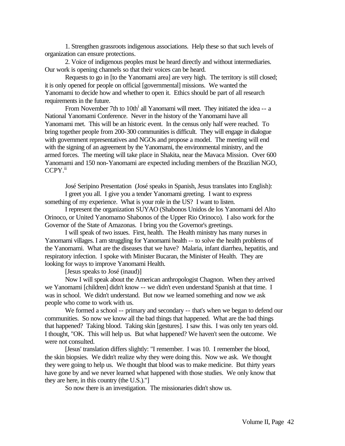1. Strengthen grassroots indigenous associations. Help these so that such levels of organization can ensure protections.

2. Voice of indigenous peoples must be heard directly and without intermediaries. Our work is opening channels so that their voices can be heard.

Requests to go in [to the Yanomami area] are very high. The territory is still closed; it is only opened for people on official [governmental] missions. We wanted the Yanomami to decide how and whether to open it. Ethics should be part of all research requirements in the future.

From November 7th to 10th<sup>i</sup> all Yanomami will meet. They initiated the idea -- a National Yanomami Conference. Never in the history of the Yanomami have all Yanomami met. This will be an historic event. In the census only half were reached. To bring together people from 200-300 communities is difficult. They will engage in dialogue with government representatives and NGOs and propose a model. The meeting will end with the signing of an agreement by the Yanomami, the environmental ministry, and the armed forces. The meeting will take place in Shakita, near the Mavaca Mission. Over 600 Yanomami and 150 non-Yanomami are expected including members of the Brazilian NGO,  $CCPY<sup>ii</sup>$ 

José Seripino Presentation (José speaks in Spanish, Jesus translates into English):

I greet you all. I give you a tender Yanomami greeting. I want to express something of my experience. What is your role in the US? I want to listen.

I represent the organization SUYAO (Shabonos Unidos de los Yanomami del Alto Orinoco, or United Yanomamo Shabonos of the Upper Rio Orinoco). I also work for the Governor of the State of Amazonas. I bring you the Governor's greetings.

I will speak of two issues. First, health. The Health ministry has many nurses in Yanomami villages. I am struggling for Yanomami health -- to solve the health problems of the Yanomami. What are the diseases that we have? Malaria, infant diarrhea, hepatitis, and respiratory infection. I spoke with Minister Bucaran, the Minister of Health. They are looking for ways to improve Yanomami Health.

[Jesus speaks to José (inaud)]

Now I will speak about the American anthropologist Chagnon. When they arrived we Yanomami [children] didn't know -- we didn't even understand Spanish at that time. I was in school. We didn't understand. But now we learned something and now we ask people who come to work with us.

We formed a school -- primary and secondary -- that's when we began to defend our communities. So now we know all the bad things that happened. What are the bad things that happened? Taking blood. Taking skin [gestures]. I saw this. I was only ten years old. I thought, "OK. This will help us. But what happened? We haven't seen the outcome. We were not consulted.

[Jesus' translation differs slightly: "I remember. I was 10. I remember the blood, the skin biopsies. We didn't realize why they were doing this. Now we ask. We thought they were going to help us. We thought that blood was to make medicine. But thirty years have gone by and we never learned what happened with those studies. We only know that they are here, in this country (the U.S.)."]

So now there is an investigation. The missionaries didn't show us.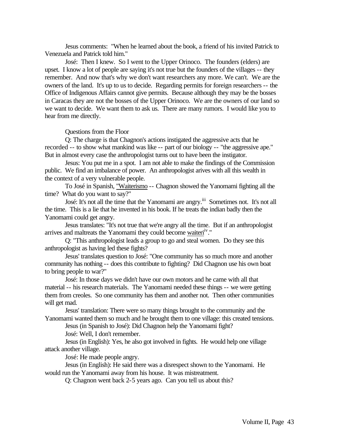Jesus comments: "When he learned about the book, a friend of his invited Patrick to Venezuela and Patrick told him."

José: Then I knew. So I went to the Upper Orinoco. The founders (elders) are upset. I know a lot of people are saying it's not true but the founders of the villages -- they remember. And now that's why we don't want researchers any more. We can't. We are the owners of the land. It's up to us to decide. Regarding permits for foreign researchers -- the Office of Indigenous Affairs cannot give permits. Because although they may be the bosses in Caracas they are not the bosses of the Upper Orinoco. We are the owners of our land so we want to decide. We want them to ask us. There are many rumors. I would like you to hear from me directly.

Questions from the Floor

Q: The charge is that Chagnon's actions instigated the aggressive acts that he recorded -- to show what mankind was like -- part of our biology -- "the aggressive ape." But in almost every case the anthropologist turns out to have been the instigator.

Jesus: You put me in a spot. I am not able to make the findings of the Commission public. We find an imbalance of power. An anthropologist arives with all this wealth in the context of a very vulnerable people.

To José in Spanish, "Waiterismo -- Chagnon showed the Yanomami fighting all the time? What do you want to say?"

José: It's not all the time that the Yanomami are angry.<sup>iii</sup> Sometimes not. It's not all the time. This is a lie that he invented in his book. If he treats the indian badly then the Yanomami could get angry.

Jesus translates: "It's not true that we're angry all the time. But if an anthropologist arrives and maltreats the Yanomami they could become waiteri<sup>iv</sup>."

Q: "This anthropologist leads a group to go and steal women. Do they see this anthropologist as having led these fights?

Jesus' translates question to José: "One community has so much more and another community has nothing -- does this contribute to fighting? Did Chagnon use his own boat to bring people to war?"

José: In those days we didn't have our own motors and he came with all that material -- his research materials. The Yanomami needed these things -- we were getting them from creoles. So one community has them and another not. Then other communities will get mad.

Jesus' translation: There were so many things brought to the community and the Yanomami wanted them so much and he brought them to one village: this created tensions.

Jesus (in Spanish to José): Did Chagnon help the Yanomami fight?

José: Well, I don't remember.

Jesus (in English): Yes, he also got involved in fights. He would help one village attack another village.

José: He made people angry.

Jesus (in English): He said there was a disrespect shown to the Yanomami. He would run the Yanomami away from his house. It was mistreatment.

Q: Chagnon went back 2-5 years ago. Can you tell us about this?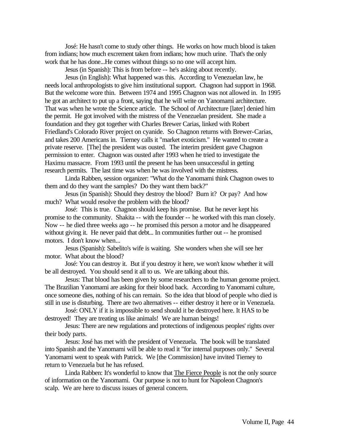José: He hasn't come to study other things. He works on how much blood is taken from indians; how much excrement taken from indians; how much urine. That's the only work that he has done...He comes without things so no one will accept him.

Jesus (in Spanish): This is from before -- he's asking about recently.

Jesus (in English): What happened was this. According to Venezuelan law, he needs local anthropologists to give him institutional support. Chagnon had support in 1968. But the welcome wore thin. Between 1974 and 1995 Chagnon was not allowed in. In 1995 he got an architect to put up a front, saying that he will write on Yanomami architecture. That was when he wrote the Science article. The School of Architecture [later] denied him the permit. He got involved with the mistress of the Venezuelan president. She made a foundation and they got together with Charles Brewer Carias, linked with Robert Friedland's Colorado River project on cyanide. So Chagnon returns with Brewer-Carias, and takes 200 Americans in. Tierney calls it "market exoticism." He wanted to create a private reserve. [The] the president was ousted. The interim president gave Chagnon permission to enter. Chagnon was ousted after 1993 when he tried to investigate the Haximu massacre. From 1993 until the present he has been unsuccessful in getting research permits. The last time was when he was involved with the mistress.

Linda Rabben, session organizer: "What do the Yanomami think Chagnon owes to them and do they want the samples? Do they want them back?"

Jesus (in Spanish): Should they destroy the blood? Burn it? Or pay? And how much? What would resolve the problem with the blood?

José: This is true. Chagnon should keep his promise. But he never kept his promise to the community. Shakita -- with the founder -- he worked with this man closely. Now -- he died three weeks ago -- he promised this person a motor and he disappeared without giving it. He never paid that debt... In communities further out -- he promised motors. I don't know when...

Jesus (Spanish): Sabelito's wife is waiting. She wonders when she will see her motor. What about the blood?

José: You can destroy it. But if you destroy it here, we won't know whether it will be all destroyed. You should send it all to us. We are talking about this.

Jesus: That blood has been given by some researchers to the human genome project. The Brazilian Yanomami are asking for their blood back. According to Yanomami culture, once someone dies, nothing of his can remain. So the idea that blood of people who died is still in use is disturbing. There are two alternatives -- either destroy it here or in Venezuela.

José: ONLY if it is impossible to send should it be destroyed here. It HAS to be destroyed! They are treating us like animals! We are human beings!

Jesus: There are new regulations and protections of indigenous peoples' rights over their body parts.

Jesus: José has met with the president of Venezuela. The book will be translated into Spanish and the Yanomami will be able to read it "for internal purposes only." Several Yanomami went to speak with Patrick. We [the Commission] have invited Tierney to return to Venezuela but he has refused.

Linda Rabben: It's wonderful to know that The Fierce People is not the only source of information on the Yanomami. Our purpose is not to hunt for Napoleon Chagnon's scalp. We are here to discuss issues of general concern.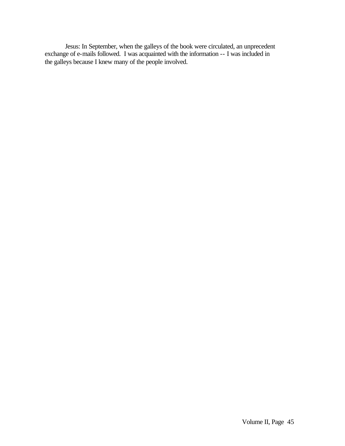Jesus: In September, when the galleys of the book were circulated, an unprecedent exchange of e-mails followed. I was acquainted with the information -- I was included in the galleys because I knew many of the people involved.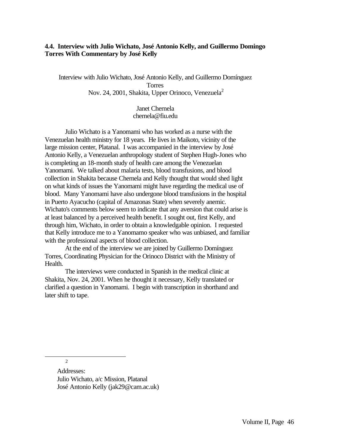# **4.4. Interview with Julio Wichato, José Antonio Kelly, and Guillermo Domingo Torres With Commentary by José Kelly**

Interview with Julio Wichato, José Antonio Kelly, and Guillermo Domínguez **Torres** Nov. 24, 2001, Shakita, Upper Orinoco, Venezuela<sup>2</sup>

> Janet Chernela chernela@fiu.edu

Julio Wichato is a Yanomami who has worked as a nurse with the Venezuelan health ministry for 18 years. He lives in Maikoto, vicinity of the large mission center, Platanal. I was accompanied in the interview by José Antonio Kelly, a Venezuelan anthropology student of Stephen Hugh-Jones who is completing an 18-month study of health care among the Venezuelan Yanomami. We talked about malaria tests, blood transfusions, and blood collection in Shakita because Chernela and Kelly thought that would shed light on what kinds of issues the Yanomami might have regarding the medical use of blood. Many Yanomami have also undergone blood transfusions in the hospital in Puerto Ayacucho (capital of Amazonas State) when severely anemic. Wichato's comments below seem to indicate that any aversion that could arise is at least balanced by a perceived health benefit. I sought out, first Kelly, and through him, Wichato, in order to obtain a knowledgable opinion. I requested that Kelly introduce me to a Yanomamo speaker who was unbiased, and familiar with the professional aspects of blood collection.

At the end of the interview we are joined by Guillermo Domínguez Torres, Coordinating Physician for the Orinoco District with the Ministry of Health.

The interviews were conducted in Spanish in the medical clinic at Shakita, Nov. 24, 2001. When he thought it necessary, Kelly translated or clarified a question in Yanomami. I begin with transcription in shorthand and later shift to tape.

2

 $\overline{a}$ 

Addresses: Julio Wichato, a/c Mission, Platanal José Antonio Kelly (jak29@cam.ac.uk)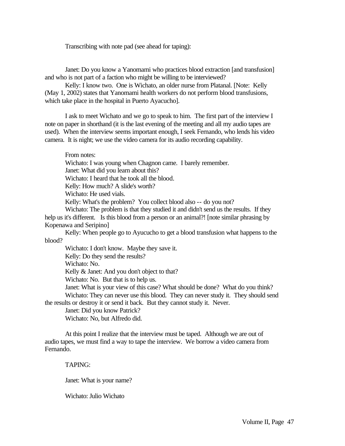Transcribing with note pad (see ahead for taping):

Janet: Do you know a Yanomami who practices blood extraction [and transfusion] and who is not part of a faction who might be willing to be interviewed?

Kelly: I know two. One is Wichato, an older nurse from Platanal. [Note: Kelly (May 1, 2002) states that Yanomami health workers do not perform blood transfusions, which take place in the hospital in Puerto Ayacucho].

I ask to meet Wichato and we go to speak to him. The first part of the interview I note on paper in shorthand (it is the last evening of the meeting and all my audio tapes are used). When the interview seems important enough, I seek Fernando, who lends his video camera. It is night; we use the video camera for its audio recording capability.

From notes: Wichato: I was young when Chagnon came. I barely remember. Janet: What did you learn about this? Wichato: I heard that he took all the blood. Kelly: How much? A slide's worth? Wichato: He used vials. Kelly: What's the problem? You collect blood also -- do you not? Wichato: The problem is that they studied it and didn't send us the results. If they

help us it's different. Is this blood from a person or an animal?! [note similar phrasing by Kopenawa and Seripino]

Kelly: When people go to Ayucucho to get a blood transfusion what happens to the blood?

Wichato: I don't know. Maybe they save it.

Kelly: Do they send the results?

Wichato: No.

Kelly  $&$  Janet: And you don't object to that?

Wichato: No. But that is to help us.

Janet: What is your view of this case? What should be done? What do you think?

Wichato: They can never use this blood. They can never study it. They should send the results or destroy it or send it back. But they cannot study it. Never.

Janet: Did you know Patrick?

Wichato: No, but Alfredo did.

At this point I realize that the interview must be taped. Although we are out of audio tapes, we must find a way to tape the interview. We borrow a video camera from Fernando.

TAPING:

Janet: What is your name?

Wichato: Julio Wichato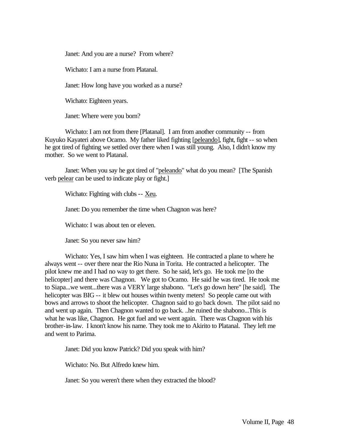Janet: And you are a nurse? From where?

Wichato: I am a nurse from Platanal.

Janet: How long have you worked as a nurse?

Wichato: Eighteen years.

Janet: Where were you born?

Wichato: I am not from there [Platanal]. I am from another community -- from Kuyuko Kayateri above Ocamo. My father liked fighting [peleando], fight, fight -- so when he got tired of fighting we settled over there when I was still young. Also, I didn't know my mother. So we went to Platanal.

Janet: When you say he got tired of "peleando" what do you mean? [The Spanish verb pelear can be used to indicate play or fight.]

Wichato: Fighting with clubs -- Xeu.

Janet: Do you remember the time when Chagnon was here?

Wichato: I was about ten or eleven.

Janet: So you never saw him?

Wichato: Yes, I saw him when I was eighteen. He contracted a plane to where he always went -- over there near the Rio Nuna in Torita. He contracted a helicopter. The pilot knew me and I had no way to get there. So he said, let's go. He took me [to the helicopter] and there was Chagnon. We got to Ocamo. He said he was tired. He took me to Siapa...we went...there was a VERY large shabono. "Let's go down here" [he said]. The helicopter was BIG -- it blew out houses within twenty meters! So people came out with bows and arrows to shoot the helicopter. Chagnon said to go back down. The pilot said no and went up again. Then Chagnon wanted to go back. ..he ruined the shabono...This is what he was like, Chagnon. He got fuel and we went again. There was Chagnon with his brother-in-law. I knon't know his name. They took me to Akirito to Platanal. They left me and went to Parima.

Janet: Did you know Patrick? Did you speak with him?

Wichato: No. But Alfredo knew him.

Janet: So you weren't there when they extracted the blood?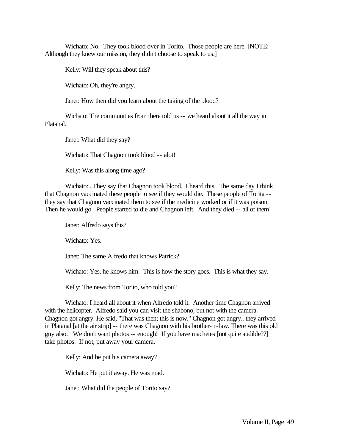Wichato: No. They took blood over in Torito. Those people are here. [NOTE: Although they knew our mission, they didn't choose to speak to us.]

Kelly: Will they speak about this?

Wichato: Oh, they're angry.

Janet: How then did you learn about the taking of the blood?

Wichato: The communities from there told us -- we heard about it all the way in Platanal.

Janet: What did they say?

Wichato: That Chagnon took blood -- alot!

Kelly: Was this along time ago?

Wichato:...They say that Chagnon took blood. I heard this. The same day I think that Chagnon vaccinated these people to see if they would die. These people of Torita - they say that Chagnon vaccinated them to see if the medicine worked or if it was poison. Then he would go. People started to die and Chagnon left. And they died -- all of them!

Janet: Alfredo says this?

Wichato: Yes.

Janet: The same Alfredo that knows Patrick?

Wichato: Yes, he knows him. This is how the story goes. This is what they say.

Kelly: The news from Torito, who told you?

Wichato: I heard all about it when Alfredo told it. Another time Chagnon arrived with the helicopter. Alfredo said you can visit the shabono, but not with the camera. Chagnon got angry. He said, "That was then; this is now." Chagnon got angry.. they arrived in Platanal [at the air strip] -- there was Chagnon with his brother-in-law. There was this old guy also. We don't want photos -- enough! If you have machetes [not quite audible??] take photos. If not, put away your camera.

Kelly: And he put his camera away?

Wichato: He put it away. He was mad.

Janet: What did the people of Torito say?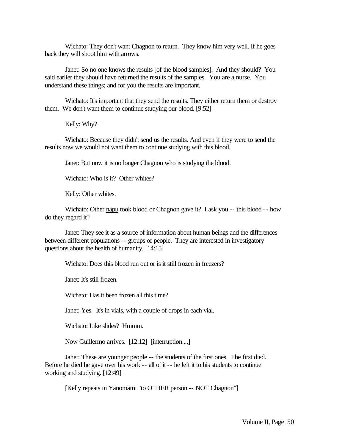Wichato: They don't want Chagnon to return. They know him very well. If he goes back they will shoot him with arrows.

Janet: So no one knows the results [of the blood samples]. And they should? You said earlier they should have returned the results of the samples. You are a nurse. You understand these things; and for you the results are important.

Wichato: It's important that they send the results. They either return them or destroy them. We don't want them to continue studying our blood. [9:52]

Kelly: Why?

Wichato: Because they didn't send us the results. And even if they were to send the results now we would not want them to continue studying with this blood.

Janet: But now it is no longer Chagnon who is studying the blood.

Wichato: Who is it? Other whites?

Kelly: Other whites.

Wichato: Other napu took blood or Chagnon gave it? I ask you -- this blood -- how do they regard it?

Janet: They see it as a source of information about human beings and the differences between different populations -- groups of people. They are interested in investigatory questions about the health of humanity. [14:15]

Wichato: Does this blood run out or is it still frozen in freezers?

Janet: It's still frozen.

Wichato: Has it been frozen all this time?

Janet: Yes. It's in vials, with a couple of drops in each vial.

Wichato: Like slides? Hmmm.

Now Guillermo arrives. [12:12] [interruption....]

Janet: These are younger people -- the students of the first ones. The first died. Before he died he gave over his work -- all of it -- he left it to his students to continue working and studying. [12:49]

[Kelly repeats in Yanomami "to OTHER person -- NOT Chagnon"]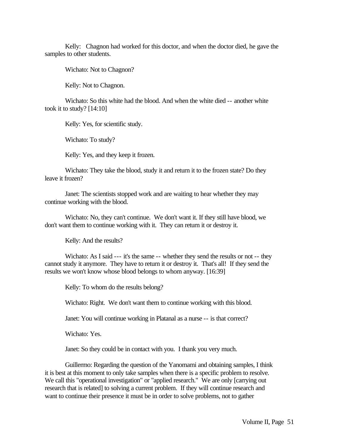Kelly: Chagnon had worked for this doctor, and when the doctor died, he gave the samples to other students.

Wichato: Not to Chagnon?

Kelly: Not to Chagnon.

Wichato: So this white had the blood. And when the white died -- another white took it to study? [14:10]

Kelly: Yes, for scientific study.

Wichato: To study?

Kelly: Yes, and they keep it frozen.

Wichato: They take the blood, study it and return it to the frozen state? Do they leave it frozen?

Janet: The scientists stopped work and are waiting to hear whether they may continue working with the blood.

Wichato: No, they can't continue. We don't want it. If they still have blood, we don't want them to continue working with it. They can return it or destroy it.

Kelly: And the results?

Wichato: As I said --- it's the same -- whether they send the results or not -- they cannot study it anymore. They have to return it or destroy it. That's all! If they send the results we won't know whose blood belongs to whom anyway. [16:39]

Kelly: To whom do the results belong?

Wichato: Right. We don't want them to continue working with this blood.

Janet: You will continue working in Platanal as a nurse -- is that correct?

Wichato: Yes.

Janet: So they could be in contact with you. I thank you very much.

Guillermo: Regarding the question of the Yanomami and obtaining samples, I think it is best at this moment to only take samples when there is a specific problem to resolve. We call this "operational investigation" or "applied research." We are only [carrying out research that is related] to solving a current problem. If they will continue research and want to continue their presence it must be in order to solve problems, not to gather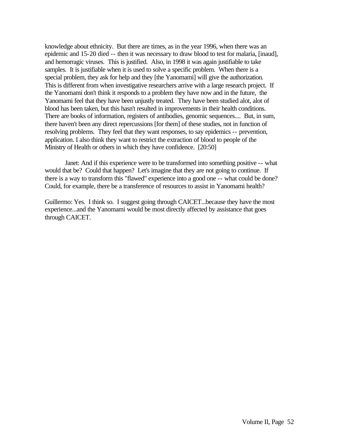knowledge about ethnicity. But there are times, as in the year 1996, when there was an epidemic and 15-20 died -- then it was necessary to draw blood to test for malaria, [inaud], and hemorragic viruses. This is justified. Also, in 1998 it was again justifiable to take samples. It is justifiable when it is used to solve a specific problem. When there is a special problem, they ask for help and they [the Yanomami] will give the authorization. This is different from when investigative researchers arrive with a large research project. If the Yanomami don't think it responds to a problem they have now and in the future, the Yanomami feel that they have been unjustly treated. They have been studied alot, alot of blood has been taken, but this hasn't resulted in improvements in their health conditions. There are books of information, registers of antibodies, genomic sequences.... But, in sum, there haven't been any direct repercussions [for them] of these studies, not in function of resolving problems. They feel that they want responses, to say epidemics -- prevention, application. I also think they want to restrict the extraction of blood to people of the Ministry of Health or others in which they have confidence. [20:50]

Janet: And if this experience were to be transformed into something positive -- what would that be? Could that happen? Let's imagine that they are not going to continue. If there is a way to transform this "flawed" experience into a good one -- what could be done? Could, for example, there be a transference of resources to assist in Yanomami health?

Guillermo: Yes. I think so. I suggest going through CAICET...because they have the most experience...and the Yanomami would be most directly affected by assistance that goes through CAICET.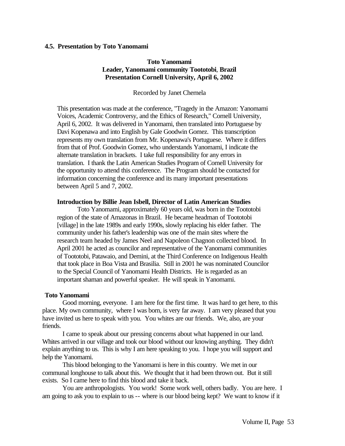# **4.5. Presentation by Toto Yanomami**

# **Toto Yanomami Leader, Yanomami community Toototobi**, **Brazil Presentation Cornell University, April 6, 2002**

## Recorded by Janet Chernela

This presentation was made at the conference, "Tragedy in the Amazon: Yanomami Voices, Academic Controversy, and the Ethics of Research," Cornell University, April 6, 2002. It was delivered in Yanomami, then translated into Portuguese by Davi Kopenawa and into English by Gale Goodwin Gomez. This transcription represents my own translation from Mr. Kopenawa's Portuguese. Where it differs from that of Prof. Goodwin Gomez, who understands Yanomami, I indicate the alternate translation in brackets. I take full responsibility for any errors in translation. I thank the Latin American Studies Program of Cornell University for the opportunity to attend this conference. The Program should be contacted for information concerning the conference and its many important presentations between April 5 and 7, 2002.

### **Introduction by Billie Jean Isbell, Director of Latin American Studies**

Toto Yanomami, approximately 60 years old, was born in the Toototobi region of the state of Amazonas in Brazil. He became headman of Toototobi [village] in the late 1989s and early 1990s, slowly replacing his elder father. The community under his father's leadership was one of the main sites where the research team headed by James Neel and Napoleon Chagnon collected blood. In April 2001 he acted as councilor and representative of the Yanomami communities of Toototobi, Patawaio, and Demini, at the Third Conference on Indigenous Health that took place in Boa Vista and Brasilia. Still in 2001 he was nominated Councilor to the Special Council of Yanomami Health Districts. He is regarded as an important shaman and powerful speaker. He will speak in Yanomami.

## **Toto Yanomami**

Good morning, everyone. I am here for the first time. It was hard to get here, to this place. My own community, where I was born, is very far away. I am very pleased that you have invited us here to speak with you. You whites are our friends. We, also, are your friends.

I came to speak about our pressing concerns about what happened in our land. Whites arrived in our village and took our blood without our knowing anything. They didn't explain anything to us. This is why I am here speaking to you. I hope you will support and help the Yanomami.

This blood belonging to the Yanomami is here in this country. We met in our communal longhouse to talk about this. We thought that it had been thrown out. But it still exists. So I came here to find this blood and take it back.

You are anthropologists. You work! Some work well, others badly. You are here. I am going to ask you to explain to us -- where is our blood being kept? We want to know if it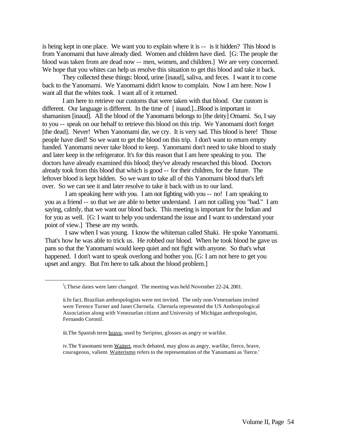is being kept in one place. We want you to explain where it is -- is it hidden? This blood is from Yanomami that have already died. Women and children have died. [G: The people the blood was taken from are dead now -- men, women, and children.] We are very concerned. We hope that you whites can help us resolve this situation to get this blood and take it back.

They collected these things: blood, urine [inaud], saliva, and feces. I want it to come back to the Yanomami. We Yanomami didn't know to complain. Now I am here. Now I want all that the whites took. I want all of it returned.

I am here to retrieve our customs that were taken with that blood. Our custom is different. Our language is different. In the time of [ inaud.]...Blood is important in shamanism [inaud]. All the blood of the Yanomami belongs to [the deity] Omami. So, I say to you -- speak on our behalf to retrieve this blood on this trip. We Yanomami don't forget [the dead]. Never! When Yanomami die, we cry. It is very sad. This blood is here! Those people have died! So we want to get the blood on this trip. I don't want to return empty handed. Yanomami never take blood to keep. Yanomami don't need to take blood to study and later keep in the refrigerator. It's for this reason that I am here speaking to you. The doctors have already examined this blood; they've already researched this blood. Doctors already took from this blood that which is good -- for their children, for the future. The leftover blood is kept hidden. So we want to take all of this Yanomami blood that's left over. So we can see it and later resolve to take it back with us to our land.

I am speaking here with you. I am not fighting with you -- no! I am speaking to you as a friend -- so that we are able to better understand. I am not calling you "bad." I am saying, calmly, that we want our blood back. This meeting is important for the Indian and for you as well. [G: I want to help you understand the issue and I want to understand your point of view.] These are my words.

I saw when I was young. I know the whiteman called Shaki. He spoke Yanomami. That's how he was able to trick us. He robbed our blood. When he took blood he gave us pans so that the Yanomami would keep quiet and not fight with anyone. So that's what happened. I don't want to speak overlong and bother you. [G: I am not here to get you upset and angry. But I'm here to talk about the blood problem.]

 $\overline{a}$ 

<sup>&</sup>lt;sup>i</sup>i.These dates were later changed. The meeting was held November 22-24, 2001.

ii.In fact, Brazilian anthropologists were not invited. The only non-Venezuelans invited were Terence Turner and Janet Chernela. Chernela represented the US Anthropological Association along with Venezuelan citizen and University of Michigan anthropologist, Fernando Coronil.

iii.The Spanish term bravo, used by Seripino, glosses as angry or warlike.

iv. The Yanomami term Waiteri, much debated, may gloss as angry, warlike, fierce, brave, courageous, valient. Waiterismo refers to the representation of the Yanomami as 'fierce.'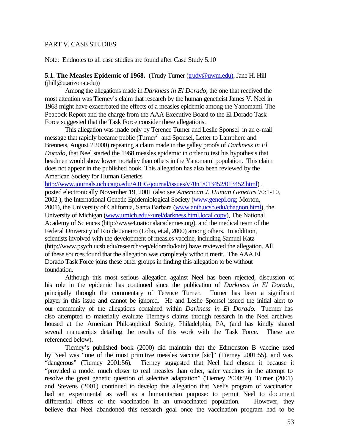## PART V. CASE STUDIES

Note: Endnotes to all case studies are found after Case Study 5.10

# **5.1. The Measles Epidemic of 1968.** (Trudy Turner (trudy@uwm.edu), Jane H. Hill (jhill@u.arizona.edu))

Among the allegations made in *Darkness in El Dorado*, the one that received the most attention was Tierney's claim that research by the human geneticist James V. Neel in 1968 might have exacerbated the effects of a measles epidemic among the Yanomami. The Peacock Report and the charge from the AAA Executive Board to the El Dorado Task Force suggested that the Task Force consider these allegations.

This allegation was made only by Terence Turner and Leslie Sponsel in an e-mail message that rapidly became public (Turner<sup>v</sup> and Sponsel, Letter to Lamphere and Brenneis, August ? 2000) repeating a claim made in the galley proofs of *Darkness in El Dorado*, that Neel started the 1968 measles epidemic in order to test his hypothesis that headmen would show lower mortality than others in the Yanomami population. This claim does not appear in the published book. This allegation has also been reviewed by the American Society for Human Genetics

http://www.journals.uchicago.edu/AJHG/journal/issues/v70n1/013452/013452.html), posted electronically November 19, 2001 (also see *American J. Human Genetics* 70:1-10, 2002 ), the International Genetic Epidemiological Society (www.genepi.org; Morton, 2001), the University of California, Santa Barbara (www.anth.ucsb.edu/chagnon.html), the University of Michigan (www.umich.edu/~urel/darkness.html,local copy), The National Academy of Sciences (http://www4.nationalacademies.org), and the medical team of the Federal University of Rio de Janeiro (Lobo, et.al, 2000) among others. In addition, scientists involved with the development of measles vaccine, including Samuel Katz (http://www.psych.ucsb.edu/research/cep/eldorado/katz) have reviewed the allegation. All of these sources found that the allegation was completely without merit. The AAA El Dorado Task Force joins these other groups in finding this allegation to be without foundation.

Although this most serious allegation against Neel has been rejected, discussion of his role in the epidemic has continued since the publication of *Darkness in El Dorado,* principally through the commentary of Terence Turner. Turner has been a significant player in this issue and cannot be ignored. He and Leslie Sponsel issued the initial alert to our community of the allegations contained within *Darkness in El Dorado*. Tuerner has also attempted to materially evaluate Tierney's claims through research in the Neel archives housed at the American Philosophical Society, Philadelphia, PA, (and has kindly shared several manuscripts detailing the results of this work with the Task Force. These are referenced below).

Tierney's published book (2000) did maintain that the Edmonston B vaccine used by Neel was "one of the most primitive measles vaccine [sic]" (Tierney 2001:55), and was "dangerous" (Tierney 2001:56). Tierney suggested that Neel had chosen it because it "provided a model much closer to real measles than other, safer vaccines in the attempt to resolve the great genetic question of selective adaptation" (Tierney 2000:59). Turner (2001) and Stevens (2001) continued to develop this allegation that Neel's program of vaccination had an experimental as well as a humanitarian purpose: to permit Neel to document differential effects of the vaccination in an unvaccinated population. However, they believe that Neel abandoned this research goal once the vaccination program had to be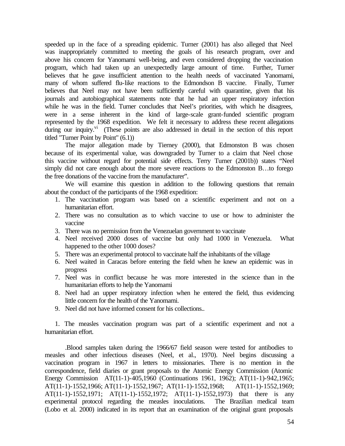speeded up in the face of a spreading epidemic. Turner (2001) has also alleged that Neel was inappropriately committed to meeting the goals of his research program, over and above his concern for Yanomami well-being, and even considered dropping the vaccination program, which had taken up an unexpectedly large amount of time. Further, Turner believes that he gave insufficient attention to the health needs of vaccinated Yanomami, many of whom suffered flu-like reactions to the Edmondson B vaccine. Finally, Turner believes that Neel may not have been sufficiently careful with quarantine, given that his journals and autobiographical statements note that he had an upper respiratory infection while he was in the field. Turner concludes that Neel's priorities, with which he disagrees, were in a sense inherent in the kind of large-scale grant-funded scientific program represented by the 1968 expedition. We felt it necessary to address these recent allegations during our inquiry.<sup>vi</sup> (These points are also addressed in detail in the section of this report titled "Turner Point by Point"  $(6.1)$ )

The major allegation made by Tierney (2000), that Edmonston B was chosen because of its experimental value, was downgraded by Turner to a claim that Neel chose this vaccine without regard for potential side effects. Terry Turner (2001b)) states "Neel simply did not care enough about the more severe reactions to the Edmonston B…to forego the free donations of the vaccine from the manufacturer".

We will examine this question in addition to the following questions that remain about the conduct of the participants of the 1968 expedition:

- 1. The vaccination program was based on a scientific experiment and not on a humanitarian effort.
- 2. There was no consultation as to which vaccine to use or how to administer the vaccine
- 3. There was no permission from the Venezuelan government to vaccinate
- 4. Neel received 2000 doses of vaccine but only had 1000 in Venezuela. What happened to the other 1000 doses?
- 5. There was an experimental protocol to vaccinate half the inhabitants of the village
- 6. Neel waited in Caracas before entering the field when he knew an epidemic was in progress
- 7. Neel was in conflict because he was more interested in the science than in the humanitarian efforts to help the Yanomami
- 8. Neel had an upper respiratory infection when he entered the field, thus evidencing little concern for the health of the Yanomami.
- 9. Neel did not have informed consent for his collections..

1. The measles vaccination program was part of a scientific experiment and not a humanitarian effort.

.Blood samples taken during the 1966/67 field season were tested for antibodies to measles and other infectious diseases (Neel, et al., 1970). Neel begins discussing a vaccination program in 1967 in letters to missionaries. There is no mention in the correspondence, field diaries or grant proposals to the Atomic Energy Commission (Atomic Energy Commission AT(11-1)-405,1960 (Continuations 1961, 1962); AT(11-1)-942,1965; AT(11-1)-1552,1966; AT(11-1)-1552,1967; AT(11-1)-1552,1968; AT(11-1)-1552,1969; AT(11-1)-1552,1971; AT(11-1)-1552,1972; AT(11-1)-1552,1973) that there is any experimental protocol regarding the measles inoculations. The Brazilian medical team (Lobo et al. 2000) indicated in its report that an examination of the original grant proposals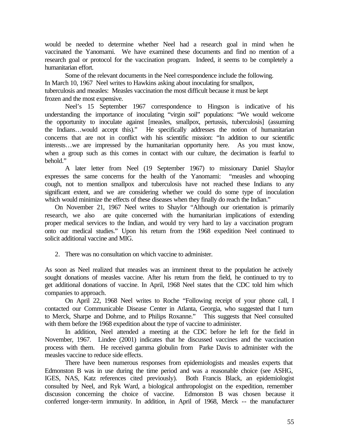would be needed to determine whether Neel had a research goal in mind when he vaccinated the Yanomami. We have examined these documents and find no mention of a research goal or protocol for the vaccination program. Indeed, it seems to be completely a humanitarian effort.

Some of the relevant documents in the Neel correspondence include the following. In March 10, 1967 Neel writes to Hawkins asking about inoculating for smallpox, tuberculosis and measles: Measles vaccination the most difficult because it must be kept frozen and the most expensive.

Neel's 15 September 1967 correspondence to Hingson is indicative of his understanding the importance of inoculating "virgin soil" populations: "We would welcome the opportunity to inoculate against [measles, smallpox, pertussis, tuberculosis] (assuming the Indians…would accept this)." He specifically addresses the notion of humanitarian concerns that are not in conflict with his scientific mission: "In addition to our scientific interests…we are impressed by the humanitarian opportunity here. As you must know, when a group such as this comes in contact with our culture, the decimation is fearful to behold."

A later letter from Neel (19 September 1967) to missionary Daniel Shaylor expresses the same concerns for the health of the Yanomami: "measles and whooping cough, not to mention smallpox and tuberculosis have not reached these Indians to any significant extent, and we are considering whether we could do some type of inoculation which would minimize the effects of these diseases when they finally do reach the Indian."

On November 21, 1967 Neel writes to Shaylor "Although our orientation is primarily research, we also are quite concerned with the humanitarian implications of extending proper medical services to the Indian, and would try very hard to lay a vaccination program onto our medical studies." Upon his return from the 1968 expedition Neel continued to solicit additional vaccine and MIG.

2. There was no consultation on which vaccine to administer.

As soon as Neel realized that measles was an imminent threat to the population he actively sought donations of measles vaccine. After his return from the field, he continued to try to get additional donations of vaccine. In April, 1968 Neel states that the CDC told him which companies to approach.

On April 22, 1968 Neel writes to Roche "Following receipt of your phone call, I contacted our Communicable Disease Center in Atlanta, Georgia, who suggested that I turn to Merck, Sharpe and Dohme, and to Philips Roxanne." This suggests that Neel consulted with them before the 1968 expedition about the type of vaccine to administer.

In addition, Neel attended a meeting at the CDC before he left for the field in November, 1967. Lindee (2001) indicates that he discussed vaccines and the vaccination process with them. He received gamma globulin from Parke Davis to administer with the measles vaccine to reduce side effects.

There have been numerous responses from epidemiologists and measles experts that Edmonston B was in use during the time period and was a reasonable choice (see ASHG, IGES, NAS, Katz references cited previously). Both Francis Black, an epidemiologist consulted by Neel, and Ryk Ward, a biological anthropologist on the expedition, remember discussion concerning the choice of vaccine. Edmonston B was chosen because it conferred longer-term immunity. In addition, in April of 1968, Merck -- the manufacturer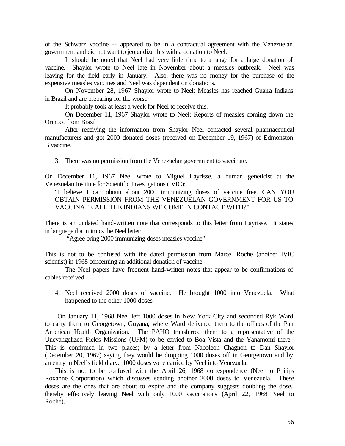of the Schwarz vaccine -- appeared to be in a contractual agreement with the Venezuelan government and did not want to jeopardize this with a donation to Neel.

It should be noted that Neel had very little time to arrange for a large donation of vaccine. Shaylor wrote to Neel late in November about a measles outbreak. Neel was leaving for the field early in January. Also, there was no money for the purchase of the expensive measles vaccines and Neel was dependent on donations.

On November 28, 1967 Shaylor wrote to Neel: Measles has reached Guaira Indians in Brazil and are preparing for the worst.

It probably took at least a week for Neel to receive this.

On December 11, 1967 Shaylor wrote to Neel: Reports of measles coming down the Orinoco from Brazil

After receiving the information from Shaylor Neel contacted several pharmaceutical manufacturers and got 2000 donated doses (received on December 19, 1967) of Edmonston B vaccine.

3. There was no permission from the Venezuelan government to vaccinate.

On December 11, 1967 Neel wrote to Miguel Layrisse, a human geneticist at the Venezuelan Institute for Scientific Investigations (IVIC):

"I believe I can obtain about 2000 immunizing doses of vaccine free. CAN YOU OBTAIN PERMISSION FROM THE VENEZUELAN GOVERNMENT FOR US TO VACCINATE ALL THE INDIANS WE COME IN CONTACT WITH?"

There is an undated hand-written note that corresponds to this letter from Layrisse. It states in language that mimics the Neel letter:

"Agree bring 2000 immunizing doses measles vaccine"

This is not to be confused with the dated permission from Marcel Roche (another IVIC scientist) in 1968 concerning an additional donation of vaccine.

The Neel papers have frequent hand-written notes that appear to be confirmations of cables received.

4. Neel received 2000 doses of vaccine. He brought 1000 into Venezuela. What happened to the other 1000 doses

 On January 11, 1968 Neel left 1000 doses in New York City and seconded Ryk Ward to carry them to Georgetown, Guyana, where Ward delivered them to the offices of the Pan American Health Organization. The PAHO transferred them to a representative of the Unevangelized Fields Missions (UFM) to be carried to Boa Vista and the Yanamomi there. This is confirmed in two places; by a letter from Napoleon Chagnon to Dan Shaylor (December 20, 1967) saying they would be dropping 1000 doses off in Georgetown and by an entry in Neel's field diary. 1000 doses were carried by Neel into Venezuela.

This is not to be confused with the April 26, 1968 correspondence (Neel to Philips Roxanne Corporation) which discusses sending another 2000 doses to Venezuela. These doses are the ones that are about to expire and the company suggests doubling the dose, thereby effectively leaving Neel with only 1000 vaccinations (April 22, 1968 Neel to Roche).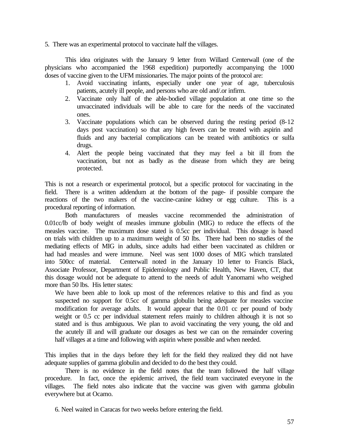5. There was an experimental protocol to vaccinate half the villages.

This idea originates with the January 9 letter from Willard Centerwall (one of the physicians who accompanied the 1968 expedition) purportedly accompanying the 1000 doses of vaccine given to the UFM missionaries. The major points of the protocol are:

- 1. Avoid vaccinating infants, especially under one year of age, tuberculosis patients, acutely ill people, and persons who are old and/.or infirm.
- 2. Vaccinate only half of the able-bodied village population at one time so the unvaccinated individuals will be able to care for the needs of the vaccinated ones.
- 3. Vaccinate populations which can be observed during the resting period (8-12 days post vaccination) so that any high fevers can be treated with aspirin and fluids and any bacterial complications can be treated with antibiotics or sulfa drugs.
- 4. Alert the people being vaccinated that they may feel a bit ill from the vaccination, but not as badly as the disease from which they are being protected.

This is not a research or experimental protocol, but a specific protocol for vaccinating in the field. There is a written addendum at the bottom of the page- if possible compare the reactions of the two makers of the vaccine-canine kidney or egg culture. This is a procedural reporting of information.

Both manufacturers of measles vaccine recommended the administration of 0.01cc/lb of body weight of measles immune globulin (MIG) to reduce the effects of the measles vaccine. The maximum dose stated is 0.5cc per individual. This dosage is based on trials with children up to a maximum weight of 50 lbs. There had been no studies of the mediating effects of MIG in adults, since adults had either been vaccinated as children or had had measles and were immune. Neel was sent 1000 doses of MIG which translated into 500cc of material. Centerwall noted in the January 10 letter to Francis Black, Associate Professor, Department of Epidemiology and Public Health, New Haven, CT, that this dosage would not be adequate to attend to the needs of adult Yanomami who weighed more than 50 lbs. His letter states:

We have been able to look up most of the references relative to this and find as you suspected no support for 0.5cc of gamma globulin being adequate for measles vaccine modification for average adults. It would appear that the 0.01 cc per pound of body weight or 0.5 cc per individual statement refers mainly to children although it is not so stated and is thus ambiguous. We plan to avoid vaccinating the very young, the old and the acutely ill and will graduate our dosages as best we can on the remainder covering half villages at a time and following with aspirin where possible and when needed.

This implies that in the days before they left for the field they realized they did not have adequate supplies of gamma globulin and decided to do the best they could.

There is no evidence in the field notes that the team followed the half village procedure. In fact, once the epidemic arrived, the field team vaccinated everyone in the villages. The field notes also indicate that the vaccine was given with gamma globulin everywhere but at Ocamo.

6. Neel waited in Caracas for two weeks before entering the field.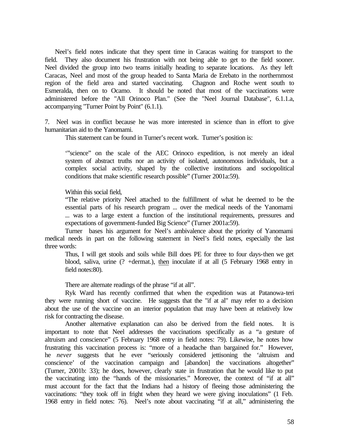Neel's field notes indicate that they spent time in Caracas waiting for transport to the field. They also document his frustration with not being able to get to the field sooner. Neel divided the group into two teams initially heading to separate locations. As they left Caracas, Neel and most of the group headed to Santa Maria de Erebato in the northernmost region of the field area and started vaccinating. Chagnon and Roche went south to Esmeralda, then on to Ocamo. It should be noted that most of the vaccinations were administered before the "All Orinoco Plan." (See the "Neel Journal Database", 6.1.1.a, accompanying "Turner Point by Point" (6.1.1).

7. Neel was in conflict because he was more interested in science than in effort to give humanitarian aid to the Yanomami.

This statement can be found in Turner's recent work. Turner's position is:

'"science" on the scale of the AEC Orinoco expedition, is not merely an ideal system of abstract truths nor an activity of isolated, autonomous individuals, but a complex social activity, shaped by the collective institutions and sociopolitical conditions that make scientific research possible" (Turner 2001a:59).

Within this social field,

"The relative priority Neel attached to the fulfillment of what he deemed to be the essential parts of his research program ... over the medical needs of the Yanomami ... was to a large extent a function of the institutional requirements, pressures and expectations of government-funded Big Science" (Turner 2001a:59).

Turner bases his argument for Neel's ambivalence about the priority of Yanomami medical needs in part on the following statement in Neel's field notes, especially the last three words:

Thus, I will get stools and soils while Bill does PE for three to four days-then we get blood, saliva, urine (? +dermat.), then inoculate if at all (5 February 1968 entry in field notes:80).

There are alternate readings of the phrase "if at all".

Ryk Ward has recently confirmed that when the expedition was at Patanowa-teri they were running short of vaccine. He suggests that the "if at al" may refer to a decision about the use of the vaccine on an interior population that may have been at relatively low risk for contracting the disease.

Another alternative explanation can also be derived from the field notes. It is important to note that Neel addresses the vaccinations specifically as a "a gesture of altruism and conscience" (5 February 1968 entry in field notes: 79). Likewise, he notes how frustrating this vaccination process is: "more of a headache than bargained for." However, he *never* suggests that he ever "seriously considered jettisoning the 'altruism and conscience' of the vaccination campaign and [abandon] the vaccinations altogether" (Turner, 2001b: 33); he does, however, clearly state in frustration that he would like to put the vaccinating into the "hands of the missionaries." Moreover, the context of "if at all" must account for the fact that the Indians had a history of fleeing those administering the vaccinations: "they took off in fright when they heard we were giving inoculations" (1 Feb. 1968 entry in field notes: 76). Neel's note about vaccinating "if at all," administering the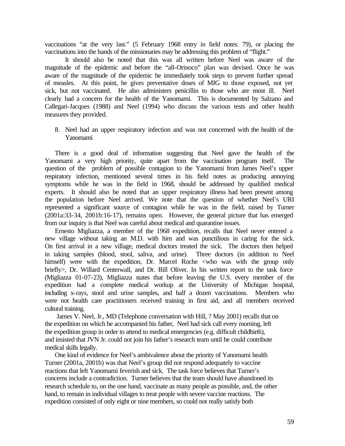vaccinations "at the very last." (5 February 1968 entry in field notes: 79), or placing the vaccinations into the hands of the missionaries may be addressing this problem of "flight."

It should also be noted that this was all written before Neel was aware of the magnitude of the epidemic and before the "all-Orinoco" plan was devised. Once he was aware of the magnitude of the epidemic he immediately took steps to prevent further spread of measles. At this point, he gives preventative doses of MIG to those exposed, not yet sick, but not vaccinated. He also administers penicillin to those who are most ill. Neel clearly had a concern for the health of the Yanomami. This is documented by Salzano and Callegari-Jacques (1988) and Neel (1994) who discuss the various tests and other health measures they provided.

8. Neel had an upper respiratory infection and was not concerned with the health of the Yanomami

There is a good deal of information suggesting that Neel gave the health of the Yanomami a very high priority, quite apart from the vaccination program itself. The question of the problem of possible contagion to the Yanomami from James Neel's upper respiratory infection, mentioned several times in his field notes as producing annoying symptoms while he was in the field in 1968, should be addressed by qualified medical experts. It should also be noted that an upper respiratory illness had been present among the population before Neel arrived. We note that the question of whether Neel's URI represented a significant source of contagion while he was in the field, raised by Turner (2001a:33-34, 2001b:16-17), remains open. However, the general picture that has emerged from our inquiry is that Neel was careful about medical and quarantine issues.

Ernesto Migliazza, a member of the 1968 expedition, recalls that Neel never entered a new village without taking an M.D. with him and was punctilious in caring for the sick. On first arrival in a new village, medical doctors treated the sick. The doctors then helped in taking samples (blood, stool, saliva, and urine). Three doctors (in addition to Neel himself) were with the expedition, Dr. Marcel Roche <who was with the group only briefly>, Dr. Willard Centerwall, and Dr. Bill Oliver. In his written report to the task force (Migliazza 01-07-23), Migliazza states that before leaving the U.S. every member of the expedition had a complete medical workup at the University of Michigan hospital, including x-rays, stool and urine samples, and half a dozen vaccinations. Members who were not health care practitioners received training in first aid, and all members received cultural training.

 James V. Neel, Jr., MD (Telephone conversation with Hill, ? May 2001) recalls that on the expedition on which he accompanied his father, Neel had sick call every morning, left the expedition group in order to attend to medical emergencies (e.g. difficult childbirth), and insisted that JVN Jr. could not join his father's research team until he could contribute medical skills legally.

One kind of evidence for Neel's ambivalence about the priority of Yanomami health Turner (2001a, 2001b) was that Neel's group did not respond adequately to vaccine reactions that left Yanomami feverish and sick. The task force believes that Turner's concerns include a contradiction. Turner believes that the team should have abandoned its research schedule to, on the one hand, vaccinate as many people as possible, and, the other hand, to remain in individual villages to treat people with severe vaccine reactions. The expedition consisted of only eight or nine members, so could not really satisfy both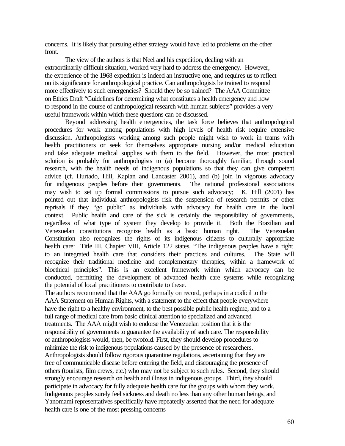concerns. It is likely that pursuing either strategy would have led to problems on the other front.

The view of the authors is that Neel and his expedition, dealing with an extraordinarily difficult situation, worked very hard to address the emergency. However, the experience of the 1968 expedition is indeed an instructive one, and requires us to reflect on its significance for anthropological practice. Can anthropologists be trained to respond more effectively to such emergencies? Should they be so trained? The AAA Committee on Ethics Draft "Guidelines for determining what constitutes a health emergency and how to respond in the course of anthropological research with human subjects" provides a very useful framework within which these questions can be discussed.

Beyond addressing health emergencies, the task force believes that anthropological procedures for work among populations with high levels of health risk require extensive discussion. Anthropologists working among such people might wish to work in teams with health practitioners or seek for themselves appropriate nursing and/or medical education and take adequate medical supplies with them to the field. However, the most practical solution is probably for anthropologists to (a) become thoroughly familiar, through sound research, with the health needs of indigenous populations so that they can give competent advice (cf. Hurtado, Hill, Kaplan and Lancaster 2001), and (b) join in vigorous advocacy for indigenous peoples before their governments. The national professional associations may wish to set up formal commissions to pursue such advocacy; K. Hill (2001) has pointed out that individual anthropologists risk the suspension of research permits or other reprisals if they "go public" as individuals with advocacy for health care in the local context. Public health and care of the sick is certainly the responsibility of governments, regardless of what type of system they develop to provide it. Both the Brazilian and Venezuelan constitutions recognize health as a basic human right. The Venezuelan Constitution also recognizes the rights of its indigenous citizens to culturally appropriate health care: Title III, Chapter VIII, Article 122 states, "The indigenous peoples have a right to an integrated health care that considers their practices and cultures. The State will recognize their traditional medicine and complementary therapies, within a framework of bioethical principles". This is an excellent framework within which advocacy can be conducted, permitting the development of advanced health care systems while recognizing the potential of local practitioners to contribute to these.

The authors recommend that the AAA go formally on record, perhaps in a codicil to the AAA Statement on Human Rights, with a statement to the effect that people everywhere have the right to a healthy environment, to the best possible public health regime, and to a full range of medical care from basic clinical attention to specialized and advanced treatments. The AAA might wish to endorse the Venezuelan position that it is the responsibility of governments to guarantee the availability of such care. The responsibility of anthropologists would, then, be twofold. First, they should develop procedures to minimize the risk to indigenous populations caused by the presence of researchers. Anthropologists should follow rigorous quarantine regulations, ascertaining that they are free of communicable disease before entering the field, and discouraging the presence of others (tourists, film crews, etc.) who may not be subject to such rules. Second, they should strongly encourage research on health and illness in indigenous groups. Third, they should participate in advocacy for fully adequate health care for the groups with whom they work. Indigenous peoples surely feel sickness and death no less than any other human beings, and Yanomami representatives specifically have repeatedly asserted that the need for adequate health care is one of the most pressing concerns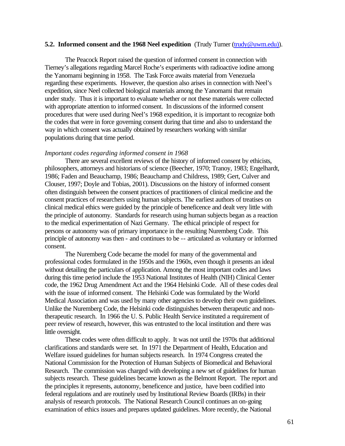### **5.2. Informed consent and the 1968 Neel expedition** (Trudy Turner (trudy@uwm.edu)).

The Peacock Report raised the question of informed consent in connection with Tierney's allegations regarding Marcel Roche's experiments with radioactive iodine among the Yanomami beginning in 1958. The Task Force awaits material from Venezuela regarding these experiments. However, the question also arises in connection with Neel's expedition, since Neel collected biological materials among the Yanomami that remain under study. Thus it is important to evaluate whether or not these materials were collected with appropriate attention to informed consent. In discussions of the informed consent procedures that were used during Neel's 1968 expedition, it is important to recognize both the codes that were in force governing consent during that time and also to understand the way in which consent was actually obtained by researchers working with similar populations during that time period.

#### *Important codes regarding informed consent in 1968*

There are several excellent reviews of the history of informed consent by ethicists, philosophers, attorneys and historians of science (Beecher, 1970; Tranoy, 1983; Engelhardt, 1986; Faden and Beauchamp, 1986; Beauchamp and Childress, 1989; Gert, Culver and Clouser, 1997; Doyle and Tobias, 2001). Discussions on the history of informed consent often distinguish between the consent practices of practitioners of clinical medicine and the consent practices of researchers using human subjects. The earliest authors of treatises on clinical medical ethics were guided by the principle of beneficence and dealt very little with the principle of autonomy. Standards for research using human subjects began as a reaction to the medical experimentation of Nazi Germany. The ethical principle of respect for persons or autonomy was of primary importance in the resulting Nuremberg Code. This principle of autonomy was then - and continues to be -- articulated as voluntary or informed consent.

The Nuremberg Code became the model for many of the governmental and professional codes formulated in the 1950s and the 1960s, even though it presents an ideal without detailing the particulars of application. Among the most important codes and laws during this time period include the 1953 National Institutes of Health (NIH) Clinical Center code, the 1962 Drug Amendment Act and the 1964 Helsinki Code. All of these codes deal with the issue of informed consent. The Helsinki Code was formulated by the World Medical Association and was used by many other agencies to develop their own guidelines. Unlike the Nuremberg Code, the Helsinki code distinguishes between therapeutic and nontherapeutic research. In 1966 the U. S. Public Health Service instituted a requirement of peer review of research, however, this was entrusted to the local institution and there was little oversight.

These codes were often difficult to apply. It was not until the 1970s that additional clarifications and standards were set. In 1971 the Department of Health, Education and Welfare issued guidelines for human subjects research. In 1974 Congress created the National Commission for the Protection of Human Subjects of Biomedical and Behavioral Research. The commission was charged with developing a new set of guidelines for human subjects research. These guidelines became known as the Belmont Report. The report and the principles it represents, autonomy, beneficence and justice, have been codified into federal regulations and are routinely used by Institutional Review Boards (IRBs) in their analysis of research protocols. The National Research Council continues an on-going examination of ethics issues and prepares updated guidelines. More recently, the National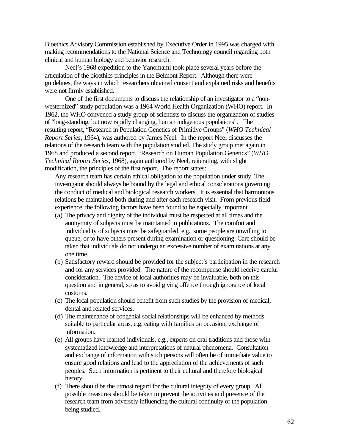Bioethics Advisory Commission established by Executive Order in 1995 was charged with making recommendations to the National Science and Technology council regarding both clinical and human biology and behavior research.

Neel's 1968 expedition to the Yanomami took place several years before the articulation of the bioethics principles in the Belmont Report. Although there were guidelines, the ways in which researchers obtained consent and explained risks and benefits were not firmly established.

One of the first documents to discuss the relationship of an investigator to a "nonwesternized" study population was a 1964 World Health Organization (WHO) report. In 1962, the WHO convened a study group of scientists to discuss the organization of studies of "long-standing, but now rapidly changing, human indigenous populations". The resulting report, "Research in Population Genetics of Primitive Groups" (*WHO Technical Report Series*, 1964), was authored by James Neel. In the report Neel discusses the relations of the research team with the population studied. The study group met again in 1968 and produced a second report, "Research on Human Population Genetics" (*WHO Technical Report Series*, 1968), again authored by Neel, reiterating, with slight modification, the principles of the first report. The report states:

Any research team has certain ethical obligation to the population under study. The investigator should always be bound by the legal and ethical considerations governing the conduct of medical and biological research workers. It is essential that harmonious relations be maintained both during and after each research visit. From previous field experience, the following factors have been found to be especially important.

- (a) The privacy and dignity of the individual must be respected at all times and the anonymity of subjects must be maintained in publications. The comfort and individuality of subjects must be safeguarded, e.g., some people are unwilling to queue, or to have others present during examination or questioning. Care should be taken that individuals do not undergo an excessive number of examinations at any one time.
- (b) Satisfactory reward should be provided for the subject's participation in the research and for any services provided. The nature of the recompense should receive careful consideration. The advice of local authorities may be invaluable, both on this question and in general, so as to avoid giving offence through ignorance of local customs.
- (c) The local population should benefit from such studies by the provision of medical, dental and related services.
- (d) The maintenance of congenial social relationships will be enhanced by methods suitable to particular areas, e.g. eating with families on occasion, exchange of information.
- (e) All groups have learned individuals, e.g., experts on oral traditions and those with systematized knowledge and interpretations of natural phenomena. Consultation and exchange of information with such persons will often be of immediate value to ensure good relations and lead to the appreciation of the achievements of such peoples. Such information is pertinent to their cultural and therefore biological history.
- (f) There should be the utmost regard for the cultural integrity of every group. All possible measures should be taken to prevent the activities and presence of the research team from adversely influencing the cultural continuity of the population being studied.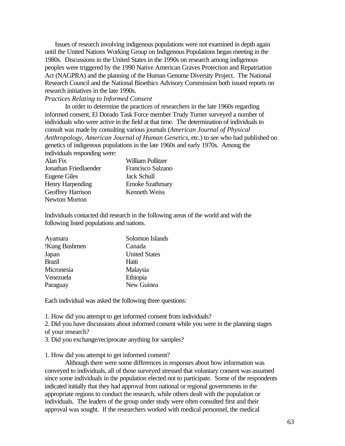Issues of research involving indigenous populations were not examined in depth again until the United Nations Working Group on Indigenous Populations began meeting in the 1980s. Discussions in the United States in the 1990s on research among indigenous peoples were triggered by the 1990 Native American Graves Protection and Repatriation Act (NAGPRA) and the planning of the Human Genome Diversity Project. The National Research Council and the National Bioethics Advisory Commission both issued reports on research initiatives in the late 1990s.

# *Practices Relating to Informed Consent*

In order to determine the practices of researchers in the late 1960s regarding informed consent, El Dorado Task Force member Trudy Turner surveyed a number of individuals who were active in the field at that time. The determination of individuals to consult was made by consulting various journals (*American Journal of Physical Anthropology*, *American Journal of Human Genetics*, etc.) to see who had published on genetics of indigenous populations in the late 1960s and early 1970s. Among the individuals responding were:

| Alan Fix              | <b>William Pollitzer</b> |
|-----------------------|--------------------------|
| Jonathan Friedlaender | Francisco Salzano        |
| Eugene Giles          | <b>Jack Schull</b>       |
| Henry Harpending      | <b>Emoke Szathmary</b>   |
| Geoffrey Harrison     | Kenneth Weiss            |
| <b>Newton Morton</b>  |                          |

Individuals contacted did research in the following areas of the world and with the following listed populations and nations.

| Ayamara       | Solomon Islands      |
|---------------|----------------------|
| !Kung Bushmen | Canada               |
| Japan         | <b>United States</b> |
| <b>Brazil</b> | Haiti                |
| Micronesia    | Malaysia             |
| Venezuela     | Ethiopia             |
| Paraguay      | New Guinea           |
|               |                      |

Each individual was asked the following three questions:

1. How did you attempt to get informed consent from individuals?

2. Did you have discussions about informed consent while you were in the planning stages of your research?

3. Did you exchange/reciprocate anything for samples?

#### 1. How did you attempt to get informed consent?

Although there were some differences in responses about how information was conveyed to individuals, all of those surveyed stressed that voluntary consent was assumed since some individuals in the population elected not to participate. Some of the respondents indicated initially that they had approval from national or regional governments in the appropriate regions to conduct the research, while others dealt with the population or individuals. The leaders of the group under study were often consulted first and their approval was sought. If the researchers worked with medical personnel, the medical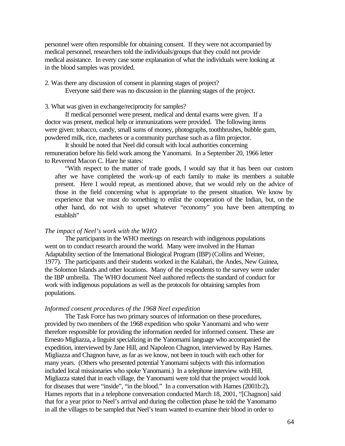personnel were often responsible for obtaining consent. If they were not accompanied by medical personnel, researchers told the individuals/groups that they could not provide medical assistance. In every case some explanation of what the individuals were looking at in the blood samples was provided.

2. Was there any discussion of consent in planning stages of project? Everyone said there was no discussion in the planning stages of the project.

3. What was given in exchange/reciprocity for samples?

If medical personnel were present, medical and dental exams were given. If a doctor was present, medical help or immunizations were provided. The following items were given: tobacco, candy, small sums of money, photographs, toothbrushes, bubble gum, powdered milk, rice, machetes or a community purchase such as a film projector.

It should be noted that Neel did consult with local authorities concerning remuneration before his field work among the Yanomami. In a September 20, 1966 letter to Reverend Macon C. Hare he states:

"With respect to the matter of trade goods, I would say that it has been our custom after we have completed the work-up of each family to make its members a suitable present. Here I would repeat, as mentioned above, that we would rely on the advice of those in the field concerning what is appropriate to the present situation. We know by experience that we must do something to enlist the cooperation of the Indian, but, on the other hand, do not wish to upset whatever "economy" you have been attempting to establish"

### *The impact of Neel's work with the WHO*

The participants in the WHO meetings on research with indigenous populations went on to conduct research around the world. Many were involved in the Human Adaptability section of the International Biological Program (IBP) (Collins and Weiner, 1977). The participants and their students worked in the Kalahari, the Andes, New Guinea, the Solomon Islands and other locations. Many of the respondents to the survey were under the IBP umbrella. The WHO document Neel authored reflects the standard of conduct for work with indigenous populations as well as the protocols for obtaining samples from populations.

### *Informed consent procedures of the 1968 Neel expedition*

The Task Force has two primary sources of information on these procedures, provided by two members of the 1968 expedition who spoke Yanomami and who were therefore responsible for providing the information needed for informed consent. These are Ernesto Migliazza, a linguist specializing in the Yanomami language who accompanied the expedition, interviewed by Jane Hill, and Napoleon Chagnon, interviewed by Ray Hames. Migliazza and Chagnon have, as far as we know, not been in touch with each other for many years. (Others who presented potential Yanomami subjects with this information included local missionaries who spoke Yanomami.) In a telephone interview with Hill, Migliazza stated that in each village, the Yanomami were told that the project would look for diseases that were "inside", "in the blood." In a conversation with Hames (2001b:2), Hames reports that in a telephone conversation conducted March 18, 2001, "[Chagnon] said that for a year prior to Neel's arrival and during the collection phase he told the Yanomamo in all the villages to be sampled that Neel's team wanted to examine their blood in order to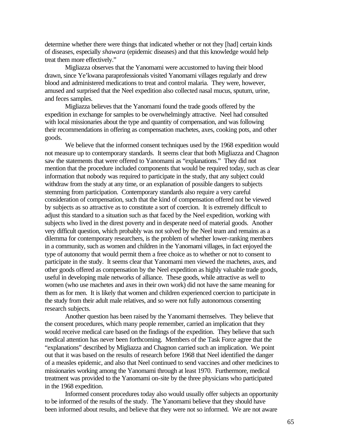determine whether there were things that indicated whether or not they [had] certain kinds of diseases, especially *shawara* (epidemic diseases) and that this knowledge would help treat them more effectively."

Migliazza observes that the Yanomami were accustomed to having their blood drawn, since Ye'kwana paraprofessionals visited Yanomami villages regularly and drew blood and administered medications to treat and control malaria. They were, however, amused and surprised that the Neel expedition also collected nasal mucus, sputum, urine, and feces samples.

Migliazza believes that the Yanomami found the trade goods offered by the expedition in exchange for samples to be overwhelmingly attractive. Neel had consulted with local missionaries about the type and quantity of compensation, and was following their recommendations in offering as compensation machetes, axes, cooking pots, and other goods.

We believe that the informed consent techniques used by the 1968 expedition would not measure up to contemporary standards. It seems clear that both Migliazza and Chagnon saw the statements that were offered to Yanomami as "explanations." They did not mention that the procedure included components that would be required today, such as clear information that nobody was required to participate in the study, that any subject could withdraw from the study at any time, or an explanation of possible dangers to subjects stemming from participation. Contemporary standards also require a very careful consideration of compensation, such that the kind of compensation offered not be viewed by subjects as so attractive as to constitute a sort of coercion. It is extremely difficult to adjust this standard to a situation such as that faced by the Neel expedition, working with subjects who lived in the direst poverty and in desperate need of material goods. Another very difficult question, which probably was not solved by the Neel team and remains as a dilemma for contemporary researchers, is the problem of whether lower-ranking members in a community, such as women and children in the Yanomami villages, in fact enjoyed the type of autonomy that would permit them a free choice as to whether or not to consent to participate in the study. It seems clear that Yanomami men viewed the machetes, axes, and other goods offered as compensation by the Neel expedition as highly valuable trade goods, useful in developing male networks of alliance. These goods, while attractive as well to women (who use machetes and axes in their own work) did not have the same meaning for them as for men. It is likely that women and children experienced coercion to participate in the study from their adult male relatives, and so were not fully autonomous consenting research subjects.

Another question has been raised by the Yanomami themselves. They believe that the consent procedures, which many people remember, carried an implication that they would receive medical care based on the findings of the expedition. They believe that such medical attention has never been forthcoming. Members of the Task Force agree that the "explanations" described by Migliazza and Chagnon carried such an implication. We point out that it was based on the results of research before 1968 that Neel identified the danger of a measles epidemic, and also that Neel continued to send vaccines and other medicines to missionaries working among the Yanomami through at least 1970. Furthermore, medical treatment was provided to the Yanomami on-site by the three physicians who participated in the 1968 expedition.

Informed consent procedures today also would usually offer subjects an opportunity to be informed of the results of the study. The Yanomami believe that they should have been informed about results, and believe that they were not so informed. We are not aware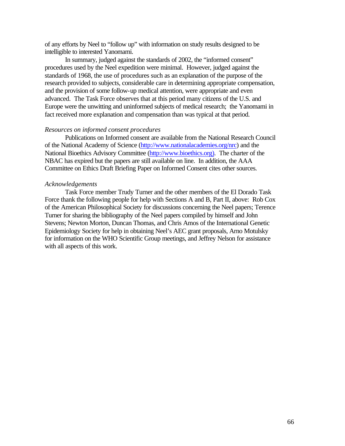of any efforts by Neel to "follow up" with information on study results designed to be intelligible to interested Yanomami.

In summary, judged against the standards of 2002, the "informed consent" procedures used by the Neel expedition were minimal. However, judged against the standards of 1968, the use of procedures such as an explanation of the purpose of the research provided to subjects, considerable care in determining appropriate compensation, and the provision of some follow-up medical attention, were appropriate and even advanced. The Task Force observes that at this period many citizens of the U.S. and Europe were the unwitting and uninformed subjects of medical research; the Yanomami in fact received more explanation and compensation than was typical at that period.

### *Resources on informed consent procedures*

Publications on Informed consent are available from the National Research Council of the National Academy of Science (http://www.nationalacademies.org/nrc) and the National Bioethics Advisory Committee (http://www.bioethics.org). The charter of the NBAC has expired but the papers are still available on line. In addition, the AAA Committee on Ethics Draft Briefing Paper on Informed Consent cites other sources.

## *Acknowledgements*

Task Force member Trudy Turner and the other members of the El Dorado Task Force thank the following people for help with Sections A and B, Part II, above: Rob Cox of the American Philosophical Society for discussions concerning the Neel papers; Terence Turner for sharing the bibliography of the Neel papers compiled by himself and John Stevens; Newton Morton, Duncan Thomas, and Chris Amos of the International Genetic Epidemiology Society for help in obtaining Neel's AEC grant proposals, Arno Motulsky for information on the WHO Scientific Group meetings, and Jeffrey Nelson for assistance with all aspects of this work.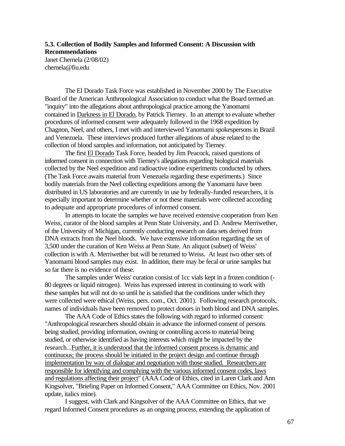# **5.3. Collection of Bodily Samples and Informed Consent: A Discussion with Recommendations**

Janet Chernela (2/08/02) chernela@fiu.edu

The El Dorado Task Force was established in November 2000 by The Executive Board of the American Anthropological Association to conduct what the Board termed an "inquiry" into the allegations about anthropological practice among the Yanomami contained in Darkness in El Dorado, by Patrick Tierney. In an attempt to evaluate whether procedures of informed consent were adequately followed in the 1968 expedition by Chagnon, Neel, and others, I met with and interviewed Yanomami spokespersons in Brazil and Venezuela. These interviews produced further allegations of abuse related to the collection of blood samples and information, not anticipated by Tierney.

The first El Dorado Task Force, headed by Jim Peacock, raised questions of informed consent in connection with Tierney's allegations regarding biological materials collected by the Neel expedition and radioactive iodine experiments conducted by others. (The Task Force awaits material from Venezuela regarding these experiments.) Since bodily materials from the Neel collecting expeditions among the Yanomami have been distributed in US laboratories and are currently in use by federally-funded researchers, it is especially important to determine whether or not these materials were collected according to adequate and appropriate procedures of informed consent.

In attempts to locate the samples we have received extensive cooperation from Ken Weiss, curator of the blood samples at Penn State University, and D. Andrew Merriwether, of the University of Michigan, currently conducting research on data sets derived from DNA extracts from the Neel bloods. We have extensive information regarding the set of 3,500 under the curation of Ken Weiss at Penn State. An aliquot (subset) of Weiss' collection is with A. Merriwether but will be returned to Weiss. At least two other sets of Yanomami blood samples may exist. In addition, there may be fecal or urine samples but so far there is no evidence of these.

The samples under Weiss' curation consist of 1cc vials kept in a frozen condition (- 80 degrees or liquid nitrogen). Weiss has expressed interest in continuing to work with these samples but will not do so until he is satisfied that the conditions under which they were collected were ethical (Weiss, pers. com., Oct. 2001). Following research protocols, names of individuals have been removed to protect donors in both blood and DNA samples.

The AAA Code of Ethics states the following with regard to informed consent: "Anthropological researchers should obtain in advance the informed consent of persons being studied, providing information, owning or controlling access to material being studied, or otherwise identified as having interests which might be impacted by the research...Further, it is understood that the informed consent process is dynamic and continuous; the process should be initiated in the project design and continue through implementation by way of dialogue and negotiation with those studied. Researchers are responsible for identifying and complying with the various informed consent codes, laws and regulations affecting their project" (AAA Code of Ethics, cited in Laren Clark and Ann Kingsolver, "Briefing Paper on Informed Consent," AAA Committee on Ethics, Nov. 2001 update, italics mine).

I suggest, with Clark and Kingsolver of the AAA Committee on Ethics, that we regard Informed Consent procedures as an ongoing process, extending the application of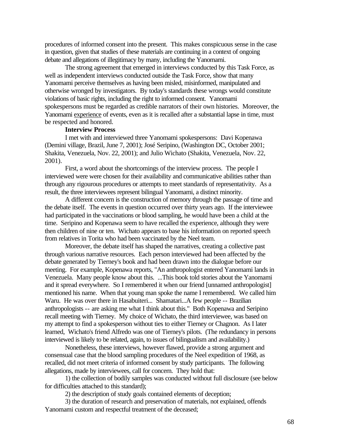procedures of informed consent into the present. This makes conspicuous sense in the case in question, given that studies of these materials are continuing in a context of ongoing debate and allegations of illegitimacy by many, including the Yanomami.

The strong agreement that emerged in interviews conducted by this Task Force, as well as independent interviews conducted outside the Task Force, show that many Yanomami perceive themselves as having been misled, misinformed, manipulated and otherwise wronged by investigators. By today's standards these wrongs would constitute violations of basic rights, including the right to informed consent. Yanomami spokespersons must be regarded as credible narrators of their own histories. Moreover, the Yanomami experience of events, even as it is recalled after a substantial lapse in time, must be respected and honored.

### **Interview Process**

I met with and interviewed three Yanomami spokespersons: Davi Kopenawa (Demini village, Brazil, June 7, 2001); José Seripino, (Washington DC, October 2001; Shakita, Venezuela, Nov. 22, 2001); and Julio Wichato (Shakita, Venezuela, Nov. 22, 2001).

First, a word about the shortcomings of the interview process. The people I interviewed were were chosen for their availability and communicative abilities rather than through any rigourous procedures or attempts to meet standards of representativity. As a result, the three interviewees represent bilingual Yanomami, a distinct minority.

A different concern is the construction of memory through the passage of time and the debate itself. The events in question occurred over thirty years ago. If the interviewee had participated in the vaccinations or blood sampling, he would have been a child at the time. Seripino and Kopenawa seem to have recalled the experience, although they were then children of nine or ten. Wichato appears to base his information on reported speech from relatives in Torita who had been vaccinated by the Neel team.

Moreover, the debate itself has shaped the narratives, creating a collective past through various narrative resources. Each person interviewed had been affected by the debate generated by Tierney's book and had been drawn into the dialogue before our meeting. For example, Kopenawa reports, "An anthropologist entered Yanomami lands in Venezuela. Many people know about this. ...This book told stories about the Yanomami and it spread everywhere. So I remembered it when our friend [unnamed anthropologist] mentioned his name. When that young man spoke the name I remembered. We called him Waru. He was over there in Hasabuiteri... Shamatari...A few people -- Brazilian anthropologists -- are asking me what I think about this." Both Kopenawa and Seripino recall meeting with Tierney. My choice of Wichato, the third interviewee, was based on my attempt to find a spokesperson without ties to either Tierney or Chagnon. As I later learned, Wichato's friend Alfredo was one of Tierney's pilots. (The redundancy in persons interviewed is likely to be related, again, to issues of bilingualism and availability.)

Nonetheless, these interviews, however flawed, provide a strong argument and consensual case that the blood sampling procedures of the Neel expedition of 1968, as recalled, did not meet criteria of informed consent by study participants. The following allegations, made by interviewees, call for concern. They hold that:

1) the collection of bodily samples was conducted without full disclosure (see below for difficulties attached to this standard);

2) the description of study goals contained elements of deception;

3) the duration of research and preservation of materials, not explained, offends Yanomami custom and respectful treatment of the deceased;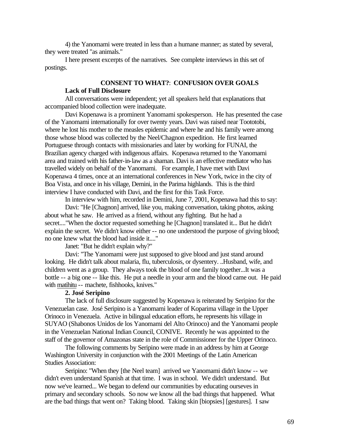4) the Yanomami were treated in less than a humane manner; as stated by several, they were treated "as animals."

I here present excerpts of the narratives. See complete interviews in this set of postings.

#### **CONSENT TO WHAT?**: **CONFUSION OVER GOALS Lack of Full Disclosure**

All conversations were independent; yet all speakers held that explanations that accompanied blood collection were inadequate.

Davi Kopenawa is a prominent Yanomami spokesperson. He has presented the case of the Yanomami internationally for over twenty years. Davi was raised near Toototobi, where he lost his mother to the measles epidemic and where he and his family were among those whose blood was collected by the Neel/Chagnon expedition. He first learned Portuguese through contacts with missionaries and later by working for FUNAI, the Brazilian agency charged with indigenous affairs. Kopenawa returned to the Yanomami area and trained with his father-in-law as a shaman. Davi is an effective mediator who has travelled widely on behalf of the Yanomami. For example, I have met with Davi Kopenawa 4 times, once at an international conferences in New York, twice in the city of Boa Vista, and once in his village, Demini, in the Parima highlands. This is the third interview I have conducted with Davi, and the first for this Task Force.

In interview with him, recorded in Demini, June 7, 2001, Kopenawa had this to say:

Davi: "He [Chagnon] arrived, like you, making conversation, taking photos, asking about what he saw. He arrived as a friend, without any fighting. But he had a secret...."When the doctor requested something he [Chagnon] translated it... But he didn't explain the secret. We didn't know either -- no one understood the purpose of giving blood; no one knew what the blood had inside it...."

Janet: "But he didn't explain why?"

Davi: "The Yanomami were just supposed to give blood and just stand around looking. He didn't talk about malaria, flu, tuberculosis, or dysentery. ..Husband, wife, and children went as a group. They always took the blood of one family together...It was a bottle -- a big one -- like this. He put a needle in your arm and the blood came out. He paid with matihitu -- machete, fishhooks, knives."

#### **2. José Seripino**

The lack of full disclosure suggested by Kopenawa is reiterated by Seripino for the Venezuelan case. José Seripino is a Yanomami leader of Koparima village in the Upper Orinoco in Venezuela. Active in bilingual education efforts, he represents his village in SUYAO (Shabonos Unidos de los Yanomami del Alto Orinoco) and the Yanomami people in the Venezuelan National Indian Council, CONIVE. Recently he was appointed to the staff of the governor of Amazonas state in the role of Commissioner for the Upper Orinoco.

The following comments by Seripino were made in an address by him at George Washington University in conjunction with the 2001 Meetings of the Latin American Studies Association:

Seripino: "When they [the Neel team] arrived we Yanomami didn't know -- we didn't even understand Spanish at that time. I was in school. We didn't understand. But now we've learned... We began to defend our communities by educating ourseves in primary and secondary schools. So now we know all the bad things that happened. What are the bad things that went on? Taking blood. Taking skin [biopsies] [gestures]. I saw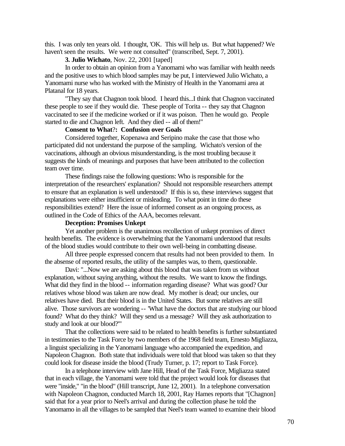this. I was only ten years old. I thought, 'OK. This will help us. But what happened? We haven't seen the results. We were not consulted" (transcribed, Sept. 7, 2001).

# **3. Julio Wichato**, Nov. 22, 2001 [taped]

In order to obtain an opinion from a Yanomami who was familiar with health needs and the positive uses to which blood samples may be put, I interviewed Julio Wichato, a Yanomami nurse who has worked with the Ministry of Health in the Yanomami area at Platanal for 18 years.

"They say that Chagnon took blood. I heard this...I think that Chagnon vaccinated these people to see if they would die. These people of Torita -- they say that Chagnon vaccinated to see if the medicine worked or if it was poison. Then he would go. People started to die and Chagnon left. And they died -- all of them!"

# **Consent to What**?**: Confusion over Goals**

Considered together, Kopenawa and Seripino make the case that those who participated did not understand the purpose of the sampling. Wichato's version of the vaccinations, although an obvious misunderstanding, is the most troubling because it suggests the kinds of meanings and purposes that have been attributed to the collection team over time.

These findings raise the following questions: Who is responsible for the interpretation of the researchers' explanation? Should not responsible researchers attempt to ensure that an explanation is well understood? If this is so, these interviews suggest that explanations were either insufficient or misleading. To what point in time do these responsibilities extend? Here the issue of informed consent as an ongoing process, as outlined in the Code of Ethics of the AAA, becomes relevant.

### **Deception: Promises Unkept**

Yet another problem is the unanimous recollection of unkept promises of direct health benefits. The evidence is overwhelming that the Yanomami understood that results of the blood studies would contribute to their own well-being in combatting disease.

All three people expressed concern that results had not been provided to them. In the absense of reported results, the utility of the samples was, to them, questionable.

Davi: "...Now we are asking about this blood that was taken from us without explanation, without saying anything, without the results. We want to know the findings. What did they find in the blood -- information regarding disease? What was good? Our relatives whose blood was taken are now dead. My mother is dead; our uncles, our relatives have died. But their blood is in the United States. But some relatives are still alive. Those survivors are wondering -- 'What have the doctors that are studying our blood found? What do they think? Will they send us a message? Will they ask authorization to study and look at our blood?'"

That the collections were said to be related to health benefits is further substantiated in testimonies to the Task Force by two members of the 1968 field team, Ernesto Migliazza, a linguist specializing in the Yanomami language who accompanied the expedition, and Napoleon Chagnon. Both state that individuals were told that blood was taken so that they could look for disease inside the blood (Trudy Turner, p. 17; report to Task Force).

In a telephone interview with Jane Hill, Head of the Task Force, Migliazza stated that in each village, the Yanomami were told that the project would look for diseases that were "inside," "in the blood" (Hill transcript, June 12, 2001). In a telephone conversation with Napoleon Chagnon, conducted March 18, 2001, Ray Hames reports that "[Chagnon] said that for a year prior to Neel's arrival and during the collection phase he told the Yanomamo in all the villages to be sampled that Neel's team wanted to examine their blood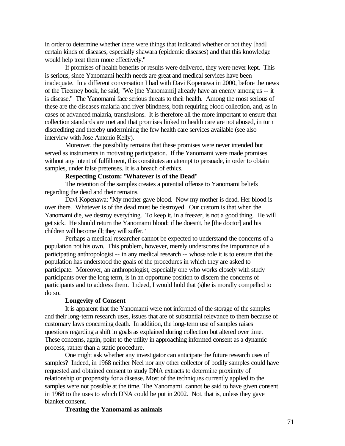in order to determine whether there were things that indicated whether or not they [had] certain kinds of diseases, especially shawara (epidemic diseases) and that this knowledge would help treat them more effectively."

If promises of health benefits or results were delivered, they were never kept. This is serious, since Yanomami health needs are great and medical services have been inadequate. In a different conversation I had with Davi Kopenawa in 2000, before the news of the Tieerney book, he said, "We [the Yanomami] already have an enemy among us -- it is disease." The Yanomami face serious threats to their health. Among the most serious of these are the diseases malaria and river blindness, both requiring blood collection, and, as in cases of advanced malaria, transfusions. It is therefore all the more important to ensure that collection standards are met and that promises linked to health care are not abused, in turn discrediting and thereby undermining the few health care services available (see also interview with Jose Antonio Kelly).

Moreover, the possibility remains that these promises were never intended but served as instruments in motivating participation. If the Yanomami were made promises without any intent of fulfillment, this constitutes an attempt to persuade, in order to obtain samples, under false pretenses. It is a breach of ethics.

# **Respecting Custom:** "**Whatever is of the Dead**"

The retention of the samples creates a potential offense to Yanomami beliefs regarding the dead and their remains.

Davi Kopenawa: "My mother gave blood. Now my mother is dead. Her blood is over there. Whatever is of the dead must be destroyed. Our custom is that when the Yanomami die, we destroy everything. To keep it, in a freezer, is not a good thing. He will get sick. He should return the Yanomami blood; if he doesn't, he [the doctor] and his children will become ill; they will suffer."

Perhaps a medical researcher cannot be expected to understand the concerns of a population not his own. This problem, however, merely underscores the importance of a participating anthropologist -- in any medical research -- whose role it is to ensure that the population has understood the goals of the procedures in which they are asked to participate. Moreover, an anthropologist, especially one who works closely with study participants over the long term, is in an opportune position to discern the concerns of participants and to address them. Indeed, I would hold that (s)he is morally compelled to do so.

## **Longevity of Consent**

It is apparent that the Yanomami were not informed of the storage of the samples and their long-term research uses, issues that are of substantial relevance to them because of customary laws concerning death. In addition, the long-term use of samples raises questions regarding a shift in goals as explained during collection but altered over time. These concerns, again, point to the utility in approaching informed consent as a dynamic process, rather than a static procedure.

One might ask whether any investigator can anticipate the future research uses of samples? Indeed, in 1968 neither Neel nor any other collector of bodily samples could have requested and obtained consent to study DNA extracts to determine proximity of relationship or propensity for a disease. Most of the techniques currently applied to the samples were not possible at the time. The Yanomami cannot be said to have given consent in 1968 to the uses to which DNA could be put in 2002. Not, that is, unless they gave blanket consent.

#### **Treating the Yanomami as animals**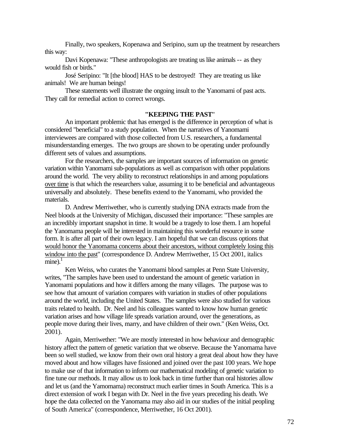Finally, two speakers, Kopenawa and Seripino, sum up the treatment by researchers this way:

Davi Kopenawa: "These anthropologists are treating us like animals -- as they would fish or birds."

José Seripino: "It [the blood] HAS to be destroyed! They are treating us like animals! We are human beings!

These statements well illustrate the ongoing insult to the Yanomami of past acts. They call for remedial action to correct wrongs.

## **"KEEPING THE PAST**"

An important problemic that has emerged is the difference in perception of what is considered "beneficial" to a study population. When the narratives of Yanomami interviewees are compared with those collected from U.S. researchers, a fundamental misunderstanding emerges. The two groups are shown to be operating under profoundly different sets of values and assumptions.

For the researchers, the samples are important sources of information on genetic variation within Yanomami sub-populations as well as comparison with other populations around the world. The very ability to reconstruct relationships in and among populations over time is that which the researchers value, assuming it to be beneficial and advantageous universally and absolutely. These benefits extend to the Yanomami, who provided the materials.

D. Andrew Merriwether, who is currently studying DNA extracts made from the Neel bloods at the University of Michigan, discussed their importance: "These samples are an incredibly important snapshot in time. It would be a tragedy to lose them. I am hopeful the Yanomama people will be interested in maintaining this wonderful resource in some form. It is after all part of their own legacy. I am hopeful that we can discuss options that would honor the Yanomama concerns about their ancestors, without completely losing this window into the past" (correspondence D. Andrew Merriwether, 15 Oct 2001, italics  $mine$ ).<sup>1</sup>

Ken Weiss, who curates the Yanomami blood samples at Penn State University, writes, "The samples have been used to understand the amount of genetic variation in Yanomami populations and how it differs among the many villages. The purpose was to see how that amount of variation compares with variation in studies of other populations around the world, including the United States. The samples were also studied for various traits related to health. Dr. Neel and his colleagues wanted to know how human genetic variation arises and how village life spreads variation around, over the generations, as people move during their lives, marry, and have children of their own." (Ken Weiss, Oct. 2001).

Again, Merriwether: "We are mostly interested in how behaviour and demographic history affect the pattern of genetic variation that we observe. Because the Yanomama have been so well studied, we know from their own oral history a great deal about how they have moved about and how villages have fissioned and joined over the past 100 years. We hope to make use of that information to inform our mathematical modeling of genetic variation to fine tune our methods. It may allow us to look back in time further than oral histories allow and let us (and the Yamomama) reconstruct much earlier times in South America. This is a direct extension of work I began with Dr. Neel in the five years preceding his death. We hope the data collected on the Yanomama may also aid in our studies of the initial peopling of South America" (correspondence, Merriwether, 16 Oct 2001).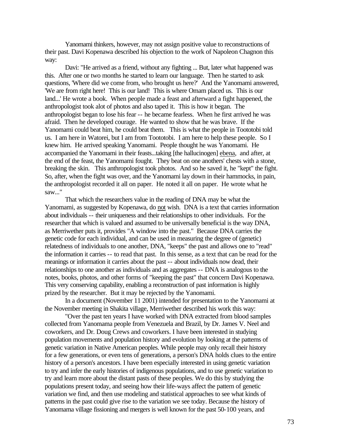Yanomami thinkers, however, may not assign positive value to reconstructions of their past. Davi Kopenawa described his objection to the work of Napoleon Chagnon this way:

Davi: "He arrived as a friend, without any fighting ... But, later what happened was this. After one or two months he started to learn our language. Then he started to ask questions, 'Where did we come from, who brought us here?' And the Yanomami answered, 'We are from right here! This is our land! This is where Omam placed us. This is our land...' He wrote a book. When people made a feast and afterward a fight happened, the anthropologist took alot of photos and also taped it. This is how it began. The anthropologist began to lose his fear -- he became fearless. When he first arrived he was afraid. Then he developed courage. He wanted to show that he was brave. If the Yanomami could beat him, he could beat them. This is what the people in Toototobi told us. I am here in Watorei, but I am from Toototobi. I am here to help these people. So I knew him. He arrived speaking Yanomami. People thought he was Yanomami. He accompanied the Yanomami in their feasts...taking [the hallucinogen] ebena, and after, at the end of the feast, the Yanomami fought. They beat on one anothers' chests with a stone, breaking the skin. This anthropologist took photos. And so he saved it, he "kept" the fight. So, after, when the fight was over, and the Yanomami lay down in their hammocks, in pain, the anthropologist recorded it all on paper. He noted it all on paper. He wrote what he saw..."

That which the researchers value in the reading of DNA may be what the Yanomami, as suggested by Kopenawa, do not wish. DNA is a text that carries information about individuals -- their uniqueness and their relationships to other individuals. For the researcher that which is valued and assumed to be universally beneficial is the way DNA, as Merriwether puts it, provides "A window into the past." Because DNA carries the genetic code for each individual, and can be used in measuring the degree of (genetic) relatedness of individuals to one another, DNA, "keeps" the past and allows one to "read" the information it carries -- to read that past. In this sense, as a text that can be read for the meanings or information it carries about the past -- about individuals now dead, their relationships to one another as individuals and as aggregates -- DNA is analogous to the notes, books, photos, and other forms of "keeping the past" that concern Davi Kopenawa. This very conserving capability, enabling a reconstruction of past information is highly prized by the researcher. But it may be rejected by the Yanomami.

In a document (November 11 2001) intended for presentation to the Yanomami at the November meeting in Shakita village, Merriwether described his work this way:

"Over the past ten years I have worked with DNA extracted from blood samples collected from Yanomama people from Venezuela and Brazil, by Dr. James V. Neel and coworkers, and Dr. Doug Crews and coworkers. I have been interested in studying population movements and population history and evolution by looking at the patterns of genetic variation in Native American peoples. While people may only recall their history for a few generations, or even tens of generations, a person's DNA holds clues to the entire history of a person's ancestors. I have been especially interested in using genetic variation to try and infer the early histories of indigenous populations, and to use genetic variation to try and learn more about the distant pasts of these peoples. We do this by studying the populations present today, and seeing how their life-ways affect the pattern of genetic variation we find, and then use modeling and statistical approaches to see what kinds of patterns in the past could give rise to the variation we see today. Because the history of Yanomama village fissioning and mergers is well known for the past 50-100 years, and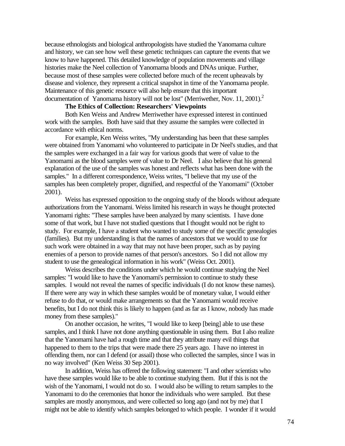because ethnologists and biological anthropologists have studied the Yanomama culture and history, we can see how well these genetic techniques can capture the events that we know to have happened. This detailed knowledge of population movements and village histories make the Neel collection of Yanomama bloods and DNAs unique. Further, because most of these samples were collected before much of the recent upheavals by disease and violence, they represent a critical snapshot in time of the Yanomama people. Maintenance of this genetic resource will also help ensure that this important documentation of Yanomama history will not be lost" (Merriwether, Nov. 11, 2001).<sup>2</sup>

### **The Ethics of Collection: Researchers' Viewpoints**

Both Ken Weiss and Andrew Merriwether have expressed interest in continued work with the samples. Both have said that they assume the samples were collected in accordance with ethical norms.

For example, Ken Weiss writes, "My understanding has been that these samples were obtained from Yanomami who volunteered to participate in Dr Neel's studies, and that the samples were exchanged in a fair way for various goods that were of value to the Yanomami as the blood samples were of value to Dr Neel. I also believe that his general explanation of the use of the samples was honest and reflects what has been done with the samples." In a different correspondence, Weiss writes, "I believe that my use of the samples has been completely proper, dignified, and respectful of the Yanomami" (October 2001).

Weiss has expressed opposition to the ongoing study of the bloods without adequate authorizations from the Yanomami. Weiss limited his research in ways he thought protected Yanomami rights: "These samples have been analyzed by many scientists. I have done some of that work, but I have not studied questions that I thought would not be right to study. For example, I have a student who wanted to study some of the specific genealogies (families). But my understanding is that the names of ancestors that we would to use for such work were obtained in a way that may not have been proper, such as by paying enemies of a person to provide names of that person's ancestors. So I did not allow my student to use the genealogical information in his work" (Weiss Oct. 2001).

Weiss describes the conditions under which he would continue studying the Neel samples: "I would like to have the Yanomami's permission to continue to study these samples. I would not reveal the names of specific individuals (I do not know these names). If there were any way in which these samples would be of monetary value, I would either refuse to do that, or would make arrangements so that the Yanomami would receive benefits, but I do not think this is likely to happen (and as far as I know, nobody has made money from these samples)."

On another occasion, he writes, "I would like to keep [being] able to use these samples, and I think I have not done anything questionable in using them. But I also realize that the Yanomami have had a rough time and that they attribute many evil things that happened to them to the trips that were made there 25 years ago. I have no interest in offending them, nor can I defend (or assail) those who collected the samples, since I was in no way involved" (Ken Weiss 30 Sep 2001).

In addition, Weiss has offered the following statement: "I and other scientists who have these samples would like to be able to continue studying them. But if this is not the wish of the Yanomami, I would not do so. I would also be willing to return samples to the Yanomami to do the ceremonies that honor the individuals who were sampled. But these samples are mostly anonymous, and were collected so long ago (and not by me) that I might not be able to identify which samples belonged to which people. I wonder if it would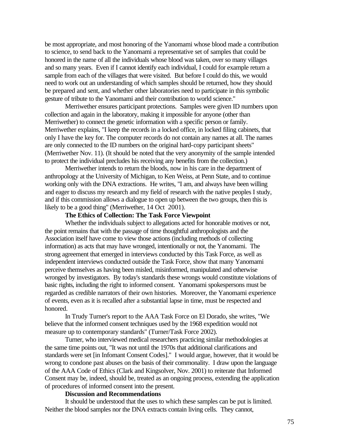be most appropriate, and most honoring of the Yanomami whose blood made a contribution to science, to send back to the Yanomami a representative set of samples that could be honored in the name of all the individuals whose blood was taken, over so many villages and so many years. Even if I cannot identify each individual, I could for example return a sample from each of the villages that were visited. But before I could do this, we would need to work out an understanding of which samples should be returned, how they should be prepared and sent, and whether other laboratories need to participate in this symbolic gesture of tribute to the Yanomami and their contribution to world science."

Merriwether ensures participant protections. Samples were given ID numbers upon collection and again in the laboratory, making it impossible for anyone (other than Merriwether) to connect the genetic information with a specific person or family. Merriwether explains, "I keep the records in a locked office, in locked filing cabinets, that only I have the key for. The computer records do not contain any names at all. The names are only connected to the ID numbers on the original hard-copy participant sheets" (Merriwether Nov. 11). (It should be noted that the very anonymity of the sample intended to protect the individual precludes his receiving any benefits from the collection.)

Merriwether intends to return the bloods, now in his care in the department of anthropology at the University of Michigan, to Ken Weiss, at Penn State, and to continue working only with the DNA extractions. He writes, "I am, and always have been willing and eager to discuss my research and my field of research with the native peoples I study, and if this commission allows a dialogue to open up between the two groups, then this is likely to be a good thing" (Merriwether, 14 Oct 2001).

## **The Ethics of Collection: The Task Force Viewpoint**

Whether the individuals subject to allegations acted for honorable motives or not, the point remains that with the passage of time thoughtful anthropologists and the Association itself have come to view those actions (including methods of collecting information) as acts that may have wronged, intentionally or not, the Yanomami. The strong agreement that emerged in interviews conducted by this Task Force, as well as independent interviews conducted outside the Task Force, show that many Yanomami perceive themselves as having been misled, misinformed, manipulated and otherwise wronged by investigators. By today's standards these wrongs would constitute violations of basic rights, including the right to informed consent. Yanomami spokespersons must be regarded as credible narrators of their own histories. Moreover, the Yanomami experience of events, even as it is recalled after a substantial lapse in time, must be respected and honored.

In Trudy Turner's report to the AAA Task Force on El Dorado, she writes, "We believe that the informed consent techniques used by the 1968 expedition would not measure up to contemporary standards" (Turner/Task Force 2002).

Turner, who interviewed medical researchers practicing similar methodologies at the same time points out, "It was not until the 1970s that additional clarifications and standards were set [in Infomant Consent Codes]." I would argue, however, that it would be wrong to condone past abuses on the basis of their commonality. I draw upon the language of the AAA Code of Ethics (Clark and Kingsolver, Nov. 2001) to reiterate that Informed Consent may be, indeed, should be, treated as an ongoing process, extending the application of procedures of informed consent into the present.

### **Discussion and Recommendations**

It should be understood that the uses to which these samples can be put is limited. Neither the blood samples nor the DNA extracts contain living cells. They cannot,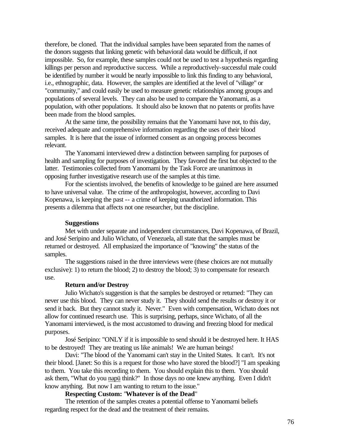therefore, be cloned. That the individual samples have been separated from the names of the donors suggests that linking genetic with behavioral data would be difficult, if not impossible. So, for example, these samples could not be used to test a hypothesis regarding killings per person and reproductive success. While a reproductively-successful male could be identified by number it would be nearly impossible to link this finding to any behavioral, i.e., ethnographic, data. However, the samples are identified at the level of "village" or "community," and could easily be used to measure genetic relationships among groups and populations of several levels. They can also be used to compare the Yanomami, as a population, with other populations. It should also be known that no patents or profits have been made from the blood samples.

At the same time, the possibility remains that the Yanomami have not, to this day, received adequate and comprehensive information regarding the uses of their blood samples. It is here that the issue of informed consent as an ongoing process becomes relevant.

The Yanomami interviewed drew a distinction between sampling for purposes of health and sampling for purposes of investigation. They favored the first but objected to the latter. Testimonies collected from Yanomami by the Task Force are unanimous in opposing further investigative research use of the samples at this time.

For the scientists involved, the benefits of knowledge to be gained are here assumed to have universal value. The crime of the anthropologist, however, according to Davi Kopenawa, is keeping the past -- a crime of keeping unauthorized information. This presents a dilemma that affects not one researcher, but the discipline.

### **Suggestions**

Met with under separate and independent circumstances, Davi Kopenawa, of Brazil, and José Seripino and Julio Wichato, of Venezuela, all state that the samples must be returned or destroyed. All emphasized the importance of "knowing" the status of the samples.

The suggestions raised in the three interviews were (these choices are not mutually exclusive): 1) to return the blood; 2) to destroy the blood; 3) to compensate for research use.

#### **Return and/or Destroy**

Julio Wichato's suggestion is that the samples be destroyed or returned: "They can never use this blood. They can never study it. They should send the results or destroy it or send it back. But they cannot study it. Never." Even with compensation, Wichato does not allow for continued research use. This is surprising, perhaps, since Wichato, of all the Yanomami interviewed, is the most accustomed to drawing and freezing blood for medical purposes.

José Seripino: "ONLY if it is impossible to send should it be destroyed here. It HAS to be destroyed! They are treating us like animals! We are human beings!

Davi: "The blood of the Yanomami can't stay in the United States. It can't. It's not their blood. [Janet: So this is a request for those who have stored the blood?] "I am speaking to them. You take this recording to them. You should explain this to them. You should ask them, "What do you napü think?" In those days no one knew anything. Even I didn't know anything. But now I am wanting to return to the issue."

# **Respecting Custom:** "**Whatever is of the Dead**"

The retention of the samples creates a potential offense to Yanomami beliefs regarding respect for the dead and the treatment of their remains.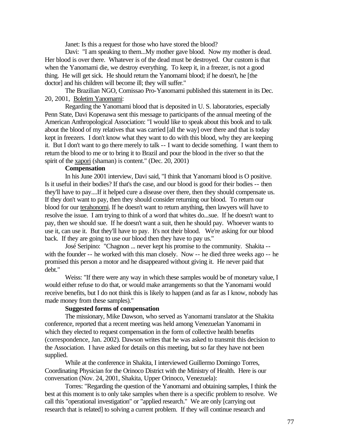Janet: Is this a request for those who have stored the blood?

Davi: "I am speaking to them...My mother gave blood. Now my mother is dead. Her blood is over there. Whatever is of the dead must be destroyed. Our custom is that when the Yanomami die, we destroy everything. To keep it, in a freezer, is not a good thing. He will get sick. He should return the Yanomami blood; if he doesn't, he [the doctor] and his children will become ill; they will suffer."

The Brazilian NGO, Comissao Pro-Yanomami published this statement in its Dec. 20, 2001, Boletim Yanomami:

Regarding the Yanomami blood that is deposited in U. S. laboratories, especially Penn State, Davi Kopenawa sent this message to participants of the annual meeting of the American Anthropological Association: "I would like to speak about this book and to talk about the blood of my relatives that was carried [all the way] over there and that is today kept in freezers. I don't know what they want to do with this blood, why they are keeping it. But I don't want to go there merely to talk -- I want to decide something. I want them to return the blood to me or to bring it to Brazil and pour the blood in the river so that the spirit of the xapori (shaman) is content." (Dec. 20, 2001)

## **Compensation**

In his June 2001 interview, Davi said, "I think that Yanomami blood is O positive. Is it useful in their bodies? If that's the case, and our blood is good for their bodies -- then they'll have to pay....If it helped cure a disease over there, then they should compensate us. If they don't want to pay, then they should consider returning our blood. To return our blood for our terahonomi. If he doesn't want to return anything, then lawyers will have to resolve the issue. I am trying to think of a word that whites do...sue. If he doesn't want to pay, then we should sue. If he doesn't want a suit, then he should pay. Whoever wants to use it, can use it. But they'll have to pay. It's not their blood. We're asking for our blood back. If they are going to use our blood then they have to pay us."

José Seripino: "Chagnon ... never kept his promise to the community. Shakita - with the founder -- he worked with this man closely. Now -- he died three weeks ago -- he promised this person a motor and he disappeared without giving it. He never paid that debt."

Weiss: "If there were any way in which these samples would be of monetary value, I would either refuse to do that, or would make arrangements so that the Yanomami would receive benefits, but I do not think this is likely to happen (and as far as I know, nobody has made money from these samples)."

### **Suggested forms of compensation**

The missionary, Mike Dawson, who served as Yanomami translator at the Shakita conference, reported that a recent meeting was held among Venezuelan Yanomami in which they elected to request compensation in the form of collective health benefits (correspondence, Jan. 2002). Dawson writes that he was asked to transmit this decision to the Association. I have asked for details on this meeting, but so far they have not been supplied.

While at the conference in Shakita, I interviewed Guillermo Domingo Torres, Coordinating Physician for the Orinoco District with the Ministry of Health. Here is our conversation (Nov. 24, 2001, Shakita, Upper Orinoco, Venezuela):

Torres: "Regarding the question of the Yanomami and obtaining samples, I think the best at this moment is to only take samples when there is a specific problem to resolve. We call this "operational investigation" or "applied research." We are only [carrying out research that is related] to solving a current problem. If they will continue research and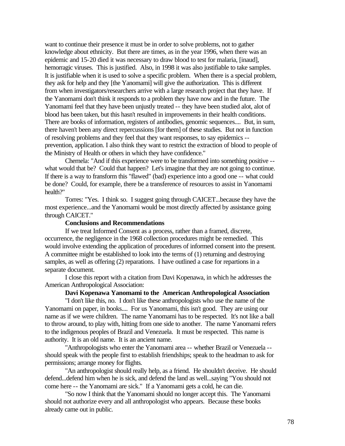want to continue their presence it must be in order to solve problems, not to gather knowledge about ethnicity. But there are times, as in the year 1996, when there was an epidemic and 15-20 died it was necessary to draw blood to test for malaria, [inaud], hemorragic viruses. This is justified. Also, in 1998 it was also justifiable to take samples. It is justifiable when it is used to solve a specific problem. When there is a special problem, they ask for help and they [the Yanomami] will give the authorization. This is different from when investigators/researchers arrive with a large research project that they have. If the Yanomami don't think it responds to a problem they have now and in the future. The Yanomami feel that they have been unjustly treated -- they have been studied alot, alot of blood has been taken, but this hasn't resulted in improvements in their health conditions. There are books of information, registers of antibodies, genomic sequences.... But, in sum, there haven't been any direct repercussions [for them] of these studies. But not in function of resolving problems and they feel that they want responses, to say epidemics - prevention, application. I also think they want to restrict the extraction of blood to people of the Ministry of Health or others in which they have confidence."

Chernela: "And if this experience were to be transformed into something positive - what would that be? Could that happen? Let's imagine that they are not going to continue. If there is a way to fransform this "flawed" (bad) experience into a good one -- what could be done? Could, for example, there be a transference of resources to assist in Yanomami health?"

Torres: "Yes. I think so. I suggest going through CAICET...because they have the most experience...and the Yanomami would be most directly affected by assistance going through CAICET."

#### **Conclusions and Recommendations**

If we treat Informed Consent as a process, rather than a framed, discrete, occurrence, the negligence in the 1968 collection procedures might be remedied. This would involve extending the application of procedures of informed consent into the present. A committee might be established to look into the terms of (1) returning and destroying samples, as well as offering (2) reparations. I have outlined a case for repartions in a separate document.

I close this report with a citation from Davi Kopenawa, in which he addresses the American Anthropological Association:

# **Davi Kopenawa Yanomami to the American Anthropological Association**

"I don't like this, no. I don't like these anthropologists who use the name of the Yanomami on paper, in books.... For us Yanomami, this isn't good. They are using our name as if we were children. The name Yanomami has to be respected. It's not like a ball to throw around, to play with, hitting from one side to another. The name Yanomami refers to the indigenous peoples of Brazil and Venezuela. It must be respected. This name is authority. It is an old name. It is an ancient name.

"Anthropologists who enter the Yanomami area -- whether Brazil or Venezuela - should speak with the people first to establish friendships; speak to the headman to ask for permissions; arrange money for flights.

"An anthropologist should really help, as a friend. He shouldn't deceive. He should defend...defend him when he is sick, and defend the land as well...saying "You should not come here -- the Yanomami are sick." If a Yanomami gets a cold, he can die.

"So now I think that the Yanomami should no longer accept this. The Yanomami should not authorize every and all anthropologist who appears. Because these books already came out in public.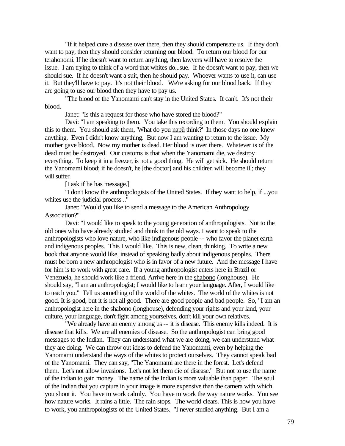"If it helped cure a disease over there, then they should compensate us. If they don't want to pay, then they should consider returning our blood. To return our blood for our terahonomi. If he doesn't want to return anything, then lawyers will have to resolve the issue. I am trying to think of a word that whites do...sue. If he doesn't want to pay, then we should sue. If he doesn't want a suit, then he should pay. Whoever wants to use it, can use it. But they'll have to pay. It's not their blood. We're asking for our blood back. If they are going to use our blood then they have to pay us.

"The blood of the Yanomami can't stay in the United States. It can't. It's not their blood.

Janet: "Is this a request for those who have stored the blood?"

Davi: "I am speaking to them. You take this recording to them. You should explain this to them. You should ask them, 'What do you napü think?' In those days no one knew anything. Even I didn't know anything. But now I am wanting to return to the issue. My mother gave blood. Now my mother is dead. Her blood is over there. Whatever is of the dead must be destroyed. Our customs is that when the Yanomami die, we destroy everything. To keep it in a freezer, is not a good thing. He will get sick. He should return the Yanomami blood; if he doesn't, he [the doctor] and his children will become ill; they will suffer.

[I ask if he has message.]

"I don't know the anthropologists of the United States. If they want to help, if ...you whites use the judicial process .."

Janet: "Would you like to send a message to the American Anthropology Association?"

Davi: "I would like to speak to the young generation of anthropologists. Not to the old ones who have already studied and think in the old ways. I want to speak to the anthropologists who love nature, who like indigenous people -- who favor the planet earth and indigenous peoples. This I would like. This is new, clean, thinking. To write a new book that anyone would like, instead of speaking badly about indigenous peoples. There must be born a new anthropologist who is in favor of a new future. And the message I have for him is to work with great care. If a young anthropologist enters here in Brazil or Venezuela, he should work like a friend. Arrive here in the shabono (longhouse). He should say, "I am an anthropologist; I would like to learn your language. After, I would like to teach you." Tell us something of the world of the whites. The world of the whites is not good. It is good, but it is not all good. There are good people and bad people. So, "I am an anthropologist here in the shabono (longhouse), defending your rights and your land, your culture, your language, don't fight among yourselves, don't kill your own relatives.

"We already have an enemy among us -- it is disease. This enemy kills indeed. It is disease that kills. We are all enemies of disease. So the anthropologist can bring good messages to the Indian. They can understand what we are doing, we can understand what they are doing. We can throw out ideas to defend the Yanomami, even by helping the Yanomami understand the ways of the whites to protect ourselves. They cannot speak bad of the Yanomami. They can say, "The Yanomami are there in the forest. Let's defend them. Let's not allow invasions. Let's not let them die of disease." But not to use the name of the indian to gain money. The name of the Indian is more valuable than paper. The soul of the Indian that you capture in your image is more expensive than the camera with which you shoot it. You have to work calmly. You have to work the way nature works. You see how nature works. It rains a little. The rain stops. The world clears. This is how you have to work, you anthropologists of the United States. "I never studied anything. But I am a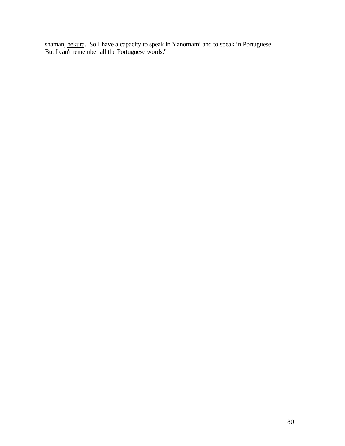shaman, hekura. So I have a capacity to speak in Yanomami and to speak in Portuguese. But I can't remember all the Portuguese words."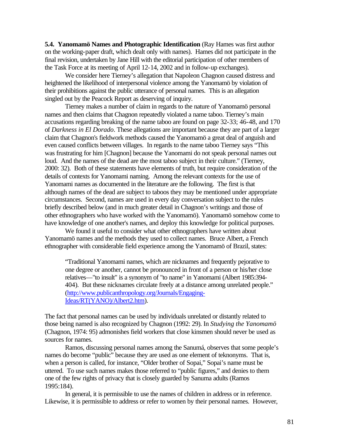**5.4. Yanomamö Names and Photographic Identification** (Ray Hames was first author on the working-paper draft, which dealt only with names). Hames did not participate in the final revision, undertaken by Jane Hill with the editorial participation of other members of the Task Force at its meeting of April 12-14, 2002 and in follow-up exchanges).

We consider here Tierney's allegation that Napoleon Chagnon caused distress and heightened the likelihood of interpersonal violence among the Yanomamö by violation of their prohibitions against the public utterance of personal names. This is an allegation singled out by the Peacock Report as deserving of inquiry.

Tierney makes a number of claim in regards to the nature of Yanomamö personal names and then claims that Chagnon repeatedly violated a name taboo. Tierney's main accusations regarding breaking of the name taboo are found on page 32-33; 46-48, and 170 of *Darkness in El Dorado*. These allegations are important because they are part of a larger claim that Chagnon's fieldwork methods caused the Yanomamö a great deal of anguish and even caused conflicts between villages. In regards to the name taboo Tierney says "This was frustrating for him [Chagnon] because the Yanomami do not speak personal names out loud. And the names of the dead are the most taboo subject in their culture." (Tierney, 2000: 32). Both of these statements have elements of truth, but require consideration of the details of contexts for Yanomami naming. Among the relevant contexts for the use of Yanomami names as documented in the literature are the following. The first is that although names of the dead are subject to taboos they may be mentioned under appropriate circumstances. Second, names are used in every day conversation subject to the rules briefly described below (and in much greater detail in Chagnon's writings and those of other ethnographers who have worked with the Yanomamö). Yanomamö somehow come to have knowledge of one another's names, and deploy this knowledge for political purposes.

We found it useful to consider what other ethnographers have written about Yanomamö names and the methods they used to collect names. Bruce Albert, a French ethnographer with considerable field experience among the Yanomamö of Brazil, states:

"Traditional Yanomami names, which are nicknames and frequently pejorative to one degree or another, cannot be pronounced in front of a person or his/her close relatives—"to insult" is a synonym of "to name" in Yanomami (Albert 1985:394- 404). But these nicknames circulate freely at a distance among unrelated people." (http://www.publicanthropology.org/Journals/Engaging-Ideas/RT(YANO)/Albert2.htm).

The fact that personal names can be used by individuals unrelated or distantly related to those being named is also recognized by Chagnon (1992: 29). In *Studying the Yanomamö* (Chagnon, 1974: 95) admonishes field workers that close kinsmen should never be used as sources for names.

Ramos, discussing personal names among the Sanumá, observes that some people's names do become "public" because they are used as one element of teknonyms. That is, when a person is called, for instance, "Older brother of Sopai," Sopai's name must be uttered. To use such names makes those referred to "public figures," and denies to them one of the few rights of privacy that is closely guarded by Sanuma adults (Ramos 1995:184).

In general, it is permissible to use the names of children in address or in reference. Likewise, it is permissible to address or refer to women by their personal names. However,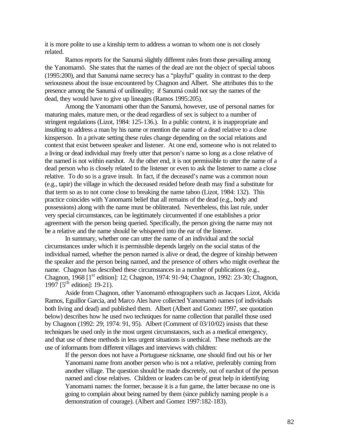it is more polite to use a kinship term to address a woman to whom one is not closely related.

Ramos reports for the Sanumá slightly different rules from those prevailing among the Yanomamö. She states that the names of the dead are not the object of special taboos (1995:200), and that Sanumá name secrecy has a "playful" quality in contrast to the deep seriousness about the issue encountered by Chagnon and Albert. She attributes this to the presence among the Sanumá of unilineality; if Sanumá could not say the names of the dead, they would have to give up lineages (Ramos 1995:205).

Among the Yanomami other than the Sanumá, however, use of personal names for maturing males, mature men, or the dead regardless of sex is subject to a number of stringent regulations (Lizot, 1984: 125-136.). In a public context, it is inappropriate and insulting to address a man by his name or mention the name of a dead relative to a close kinsperson. In a private setting these rules change depending on the social relations and context that exist between speaker and listener. At one end, someone who is not related to a living or dead individual may freely utter that person's name so long as a close relative of the named is not within earshot. At the other end, it is not permissible to utter the name of a dead person who is closely related to the listener or even to ask the listener to name a close relative. To do so is a grave insult. In fact, if the deceased's name was a common noun (e.g., tapir) the village in which the deceased resided before death may find a substitute for that term so as to not come close to breaking the name taboo (Lizot, 1984: 132). This practice coincides with Yanomami belief that all remains of the dead (e.g., body and possessions) along with the name must be obliterated. Nevertheless, this last rule, under very special circumstances, can be legitimately circumvented if one establishes a prior agreement with the person being queried. Specifically, the person giving the name may not be a relative and the name should be whispered into the ear of the listener.

In summary, whether one can utter the name of an individual and the social circumstances under which it is permissible depends largely on the social status of the individual named, whether the person named is alive or dead, the degree of kinship between the speaker and the person being named, and the presence of others who might overhear the name. Chagnon has described these circumstances in a number of publications (e.g., Chagnon, 1968 [1<sup>st</sup> edition]: 12; Chagnon, 1974: 91-94; Chagnon, 1992: 23-30; Chagnon, 1997 [ $5^{\text{th}}$  edition]: 19-21).

Aside from Chagnon, other Yanomamö ethnographers such as Jacques Lizot, Alcida Ramos, Eguillor Garcia, and Marco Ales have collected Yanomamö names (of individuals both living and dead) and published them. Albert (Albert and Gomez 1997, see quotation below) describes how he used two techniques for name collection that parallel those used by Chagnon (1992: 29; 1974: 91, 95). Albert (Comment of 03/10/02) insists that these techniques be used only in the most urgent circumstances, such as a medical emergency, and that use of these methods in less urgent situations is unethical. These methods are the use of informants from different villages and interviews with children:

If the person does not have a Portuguese nickname, one should find out his or her Yanomami name from another person who is not a relative, preferably coming from another village. The question should be made discretely, out of earshot of the person named and close relatives. Children or leaders can be of great help in identifying Yanomami names: the former, because it is a fun game, the latter because no one is going to complain about being named by them (since publicly naming people is a demonstration of courage). (Albert and Gomez 1997:182-183).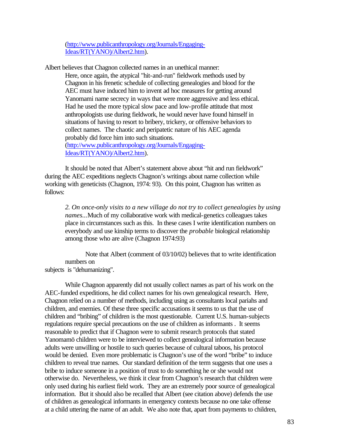(http://www.publicanthropology.org/Journals/Engaging-Ideas/RT(YANO)/Albert2.htm).

Albert believes that Chagnon collected names in an unethical manner:

Here, once again, the atypical "hit-and-run" fieldwork methods used by Chagnon in his frenetic schedule of collecting genealogies and blood for the AEC must have induced him to invent ad hoc measures for getting around Yanomami name secrecy in ways that were more aggressive and less ethical. Had he used the more typical slow pace and low-profile attitude that most anthropologists use during fieldwork, he would never have found himself in situations of having to resort to bribery, trickery, or offensive behaviors to collect names. The chaotic and peripatetic nature of his AEC agenda probably did force him into such situations. (http://www.publicanthropology.org/Journals/Engaging-Ideas/RT(YANO)/Albert2.htm).

It should be noted that Albert's statement above about "hit and run fieldwork" during the AEC expeditions neglects Chagnon's writings about name collection while working with geneticists (Chagnon, 1974: 93). On this point, Chagnon has written as follows:

*2. On once-only visits to a new village do not try to collect genealogies by using names...*Much of my collaborative work with medical-genetics colleagues takes place in circumstances such as this. In these cases I write identification numbers on everybody and use kinship terms to discover the *probable* biological relationship among those who are alive (Chagnon 1974:93)

Note that Albert (comment of 03/10/02) believes that to write identification numbers on subjects is "dehumanizing".

While Chagnon apparently did not usually collect names as part of his work on the AEC-funded expeditions, he did collect names for his own genealogical research. Here, Chagnon relied on a number of methods, including using as consultants local pariahs and children, and enemies. Of these three specific accusations it seems to us that the use of children and "bribing" of children is the most questionable. Current U.S. human-subjects regulations require special precautions on the use of children as informants . It seems reasonable to predict that if Chagnon were to submit research protocols that stated Yanomamö children were to be interviewed to collect genealogical information because adults were unwilling or hostile to such queries because of cultural taboos, his protocol would be denied. Even more problematic is Chagnon's use of the word "bribe" to induce children to reveal true names. Our standard definition of the term suggests that one uses a bribe to induce someone in a position of trust to do something he or she would not otherwise do. Nevertheless, we think it clear from Chagnon's research that children were only used during his earliest field work. They are an extremely poor source of genealogical information. But it should also be recalled that Albert (see citation above) defends the use of children as genealogical informants in emergency contexts because no one take offense at a child uttering the name of an adult. We also note that, apart from payments to children,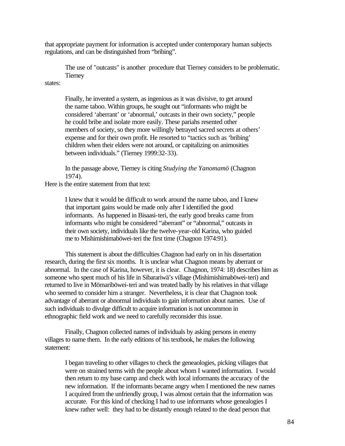that appropriate payment for information is accepted under contemporary human subjects regulations, and can be distinguished from "bribing".

The use of "outcasts" is another procedure that Tierney considers to be problematic. **Tierney** 

states:

Finally, he invented a system, as ingenious as it was divisive, to get around the name taboo. Within groups, he sought out "informants who might be considered 'aberrant' or 'abnormal,' outcasts in their own society," people he could bribe and isolate more easily. These pariahs resented other members of society, so they more willingly betrayed sacred secrets at others' expense and for their own profit. He resorted to "tactics such as 'bribing' children when their elders were not around, or capitalizing on animosities between individuals." (Tierney 1999:32-33).

In the passage above, Tierney is citing *Studying the Yanomamö* (Chagnon 1974).

Here is the entire statement from that text:

I knew that it would be difficult to work around the name taboo, and I knew that important gains would be made only after I identified the good informants. As happened in Bisaasi-teri, the early good breaks came from informants who might be considered "aberrant" or "abnormal," outcasts in their own society, individuals like the twelve-year-old Karina, who guided me to Mishimishimaböwei-teri the first time (Chagnon 1974:91).

This statement is about the difficulties Chagnon had early on in his dissertation research, during the first six months. It is unclear what Chagnon means by aberrant or abnormal. In the case of Karina, however, it is clear. Chagnon, 1974: 18) describes him as someone who spent much of his life in Sibarariwä's village (Mishimishimaböwei-teri) and returned to live in Mömariböwei-teri and was treated badly by his relatives in that village who seemed to consider him a stranger. Nevertheless, it is clear that Chagnon took advantage of aberrant or abnormal individuals to gain information about names. Use of such individuals to divulge difficult to acquire information is not uncommon in ethnographic field work and we need to carefully reconsider this issue.

Finally, Chagnon collected names of individuals by asking persons in enemy villages to name them. In the early editions of his textbook, he makes the following statement:

I began traveling to other villages to check the geneaologies, picking villages that were on strained terms with the people about whom I wanted information. I would then return to my base camp and check with local informants the accuracy of the new information. If the informants became angry when I mentioned the new names I acquired from the unfriendly group, I was almost certain that the information was accurate. For this kind of checking I had to use informants whose genealogies I knew rather well: they had to be distantly enough related to the dead person that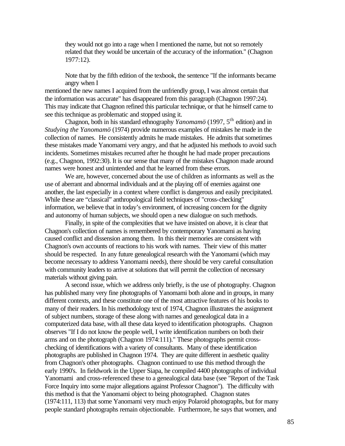they would not go into a rage when I mentioned the name, but not so remotely related that they would be uncertain of the accuracy of the information." (Chagnon 1977:12).

Note that by the fifth edition of the texbook, the sentence "If the informants became angry when I

mentioned the new names I acquired from the unfriendly group, I was almost certain that the information was accurate" has disappeared from this paragraph (Chagnon 1997:24). This may indicate that Chagnon refined this particular technique, or that he himself came to see this technique as problematic and stopped using it.

Chagnon, both in his standard ethnography *Yanomamö* (1997, 5<sup>th</sup> edition) and in *Studying the Yanomamö* (1974) provide numerous examples of mistakes he made in the collection of names. He consistently admits he made mistakes. He admits that sometimes these mistakes made Yanomami very angry, and that he adjusted his methods to avoid such incidents. Sometimes mistakes recurred after he thought he had made proper precautions (e.g., Chagnon, 1992:30). It is our sense that many of the mistakes Chagnon made around names were honest and unintended and that he learned from these errors.

We are, however, concerned about the use of children as informants as well as the use of aberrant and abnormal individuals and at the playing off of enemies against one another, the last especially in a context where conflict is dangerous and easily precipitated. While these are "classical" anthropological field techniques of "cross-checking" information, we believe that in today's environment, of increasing concern for the dignity and autonomy of human subjects, we should open a new dialogue on such methods.

Finally, in spite of the complexities that we have insisted on above, it is clear that Chagnon's collection of names is remembered by contemporary Yanomami as having caused conflict and dissension among them. In this their memories are consistent with Chagnon's own accounts of reactions to his work with names. Their view of this matter should be respected. In any future genealogical research with the Yanomami (which may become necessary to address Yanomami needs), there should be very careful consultation with community leaders to arrive at solutions that will permit the collection of necessary materials without giving pain.

A second issue, which we address only briefly, is the use of photography. Chagnon has published many very fine photographs of Yanomami both alone and in groups, in many different contexts, and these constitute one of the most attractive features of his books to many of their readers. In his methodology text of 1974, Chagnon illustrates the assignment of subject numbers, storage of these along with names and genealogical data in a computerized data base, with all these data keyed to identification photographs. Chagnon observes "If I do not know the people well, I write identification numbers on both their arms and on the photograph (Chagnon 1974:111)." These photographs permit crosschecking of identifications with a variety of consultants. Many of these identification photographs are published in Chagnon 1974. They are quite different in aesthetic quality from Chagnon's other photographs. Chagnon continued to use this method through the early 1990's. In fieldwork in the Upper Siapa, he compiled 4400 photographs of individual Yanomami and cross-referenced these to a genealogical data base (see "Report of the Task Force Inquiry into some major allegations against Professor Chagnon"). The difficulty with this method is that the Yanomami object to being photographed. Chagnon states (1974:111, 113) that some Yanomami very much enjoy Polaroid photographs, but for many people standard photographs remain objectionable. Furthermore, he says that women, and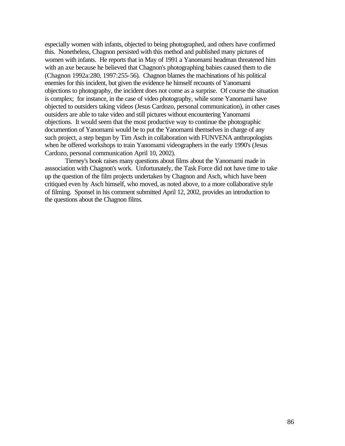especially women with infants, objected to being photographed, and others have confirmed this. Nonetheless, Chagnon persisted with this method and published many pictures of women with infants. He reports that in May of 1991 a Yanomami headman threatened him with an axe because he believed that Chagnon's photographing babies caused them to die (Chagnon 1992a:280, 1997:255-56). Chagnon blames the machinations of his political enemies for this incident, but given the evidence he himself recounts of Yanomami objections to photography, the incident does not come as a surprise. Of course the situation is complex; for instance, in the case of video photography, while some Yanomami have objected to outsiders taking videos (Jesus Cardozo, personal communication), in other cases outsiders are able to take video and still pictures without encountering Yanomami objections. It would seem that the most productive way to continue the photographic documention of Yanomami would be to put the Yanomami themselves in charge of any such project, a step begun by Tim Asch in collaboration with FUNVENA anthropologists when he offered workshops to train Yanomami videographers in the early 1990's (Jesus Cardozo, personal communication April 10, 2002).

Tierney's book raises many questions about films about the Yanomami made in asssociation with Chagnon's work. Unfortunately, the Task Force did not have time to take up the question of the film projects undertaken by Chagnon and Asch, which have been critiqued even by Asch himself, who moved, as noted above, to a more collaborative style of filming. Sponsel in his comment submitted April 12, 2002, provides an introduction to the questions about the Chagnon films.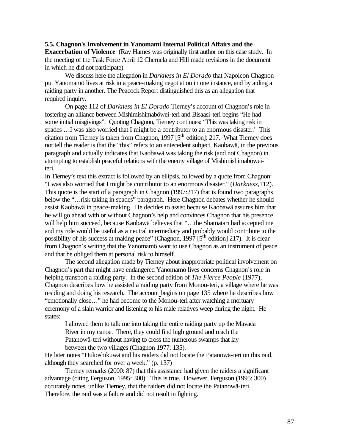#### **5.5. Chagnon's Involvement in Yanomami Internal Political Affairs and the**

**Exacerbation of Violence** (Ray Hames was originally first author on this case study. In the meeting of the Task Force April 12 Chernela and Hill made revisions in the document in which he did not participate).

We discuss here the allegation in *Darkness in El Dorado* that Napoleon Chagnon put Yanomamö lives at risk in a peace-making negotiation in one instance, and by aiding a raiding party in another. The Peacock Report distinguished this as an allegation that required inquiry.

On page 112 of *Darkness in El Dorado* Tierney's account of Chagnon's role in fostering an alliance between Mishimishimaböwei-teri and Bisaasi-teri begins "He had some initial misgivings". Quoting Chagnon, Tierney continues: "This was taking risk in spades …I was also worried that I might be a contributor to an enormous disaster.' This citation from Tierney is taken from Chagnon, 1997  $[5<sup>th</sup>$  edition]: 217. What Tierney does not tell the reader is that the "this" refers to an antecedent subject, Kaobawä, in the previous paragraph and actually indicates that Kaobawä was taking the risk (and not Chagnon) in attempting to establish peaceful relations with the enemy village of Mishimishimaböweiteri.

In Tierney's text this extract is followed by an ellipsis, followed by a quote from Chagnon: "I was also worried that I might be contributor to an enormous disaster." (*Darkness,*112). This quote is the start of a paragraph in Chagnon (1997:217) that is found two paragraphs below the "…risk taking in spades" paragraph. Here Chagnon debates whether he should assist Kaobawä in peace-making. He decides to assist because Kaobawä assures him that he will go ahead with or without Chagnon's help and convinces Chagnon that his presence will help him succeed, because Kaobawä believes that "...the Shamatari had accepted me and my role would be useful as a neutral intermediary and probably would contribute to the possibility of his success at making peace" (Chagnon, 1997  $[5<sup>th</sup>$  edition] 217). It is clear from Chagnon's writing that the Yanomamö want to use Chagnon as an instrument of peace and that he obliged them at personal risk to himself.

The second allegation made by Tierney about inappropriate political involvement on Chagnon's part that might have endangered Yanomamö lives concerns Chagnon's role in helping transport a raiding party. In the second edition of *The Fierce People* (1977), Chagnon describes how he assisted a raiding party from Monou-teri, a village where he was residing and doing his research. The account begins on page 135 where he describes how "emotionally close…" he had become to the Monou-teri after watching a mortuary ceremony of a slain warrior and listening to his male relatives weep during the night. He states:

I allowed them to talk me into taking the entire raiding party up the Mavaca River in my canoe. There, they could find high ground and reach the Patanowä-teri without having to cross the numerous swamps that lay between the two villages (Chagnon 1977: 135).

He later notes "Hukoshikuwä and his raiders did not locate the Patanowä-teri on this raid, although they searched for over a week." (p. 137)

Tierney remarks (2000: 87) that this assistance had given the raiders a significant advantage (citing Ferguson, 1995: 300). This is true. However, Ferguson (1995: 300) accurately notes, unlike Tierney, that the raiders did not locate the Patanowä-teri. Therefore, the raid was a failure and did not result in fighting.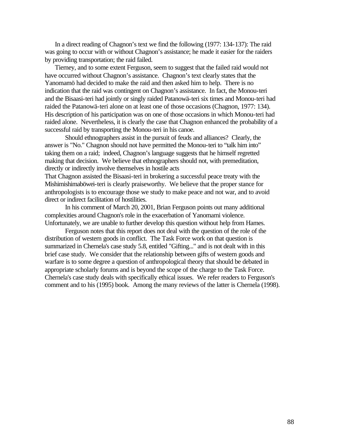In a direct reading of Chagnon's text we find the following (1977: 134-137): The raid was going to occur with or without Chagnon's assistance; he made it easier for the raiders by providing transportation; the raid failed.

Tierney, and to some extent Ferguson, seem to suggest that the failed raid would not have occurred without Chagnon's assistance. Chagnon's text clearly states that the Yanomamö had decided to make the raid and then asked him to help. There is no indication that the raid was contingent on Chagnon's assistance. In fact, the Monou-teri and the Bisaasi-teri had jointly or singly raided Patanowä-teri six times and Monou-teri had raided the Patanowä-teri alone on at least one of those occasions (Chagnon, 1977: 134). His description of his participation was on one of those occasions in which Monou-teri had raided alone. Nevertheless, it is clearly the case that Chagnon enhanced the probability of a successful raid by transporting the Monou-teri in his canoe.

Should ethnographers assist in the pursuit of feuds and alliances? Clearly, the answer is "No." Chagnon should not have permitted the Monou-teri to "talk him into" taking them on a raid; indeed, Chagnon's language suggests that he himself regretted making that decision. We believe that ethnographers should not, with premeditation, directly or indirectly involve themselves in hostile acts

That Chagnon assisted the Bisaasi-teri in brokering a successful peace treaty with the Mishimishimaböwei-teri is clearly praiseworthy. We believe that the proper stance for anthropologists is to encourage those we study to make peace and not war, and to avoid direct or indirect facilitation of hostilities.

In his comment of March 20, 2001, Brian Ferguson points out many additional complexities around Chagnon's role in the exacerbation of Yanomami violence. Unfortunately, we are unable to further develop this question without help from Hames.

Ferguson notes that this report does not deal with the question of the role of the distribution of western goods in conflict. The Task Force work on that question is summarized in Chernela's case study 5.8, entitled "Gifting..." and is not dealt with in this brief case study. We consider that the relationship between gifts of western goods and warfare is to some degree a question of anthropological theory that should be debated in appropriate scholarly forums and is beyond the scope of the charge to the Task Force. Chernela's case study deals with specifically ethical issues. We refer readers to Ferguson's comment and to his (1995) book. Among the many reviews of the latter is Chernela (1998).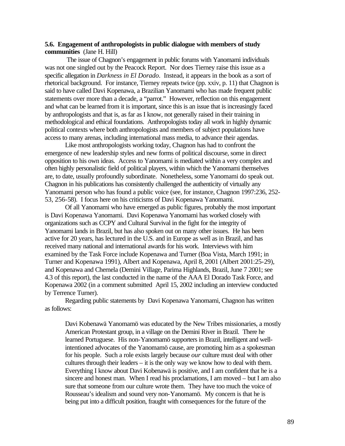# **5.6. Engagement of anthropologists in public dialogue with members of study communities** (Jane H. Hill)

 The issue of Chagnon's engagement in public forums with Yanomami individuals was not one singled out by the Peacock Report. Nor does Tierney raise this issue as a specific allegation in *Darkness in El Dorado*. Instead, it appears in the book as a sort of rhetorical background. For instance, Tierney repeats twice (pp. xxiv, p. 11) that Chagnon is said to have called Davi Kopenawa, a Brazilian Yanomami who has made frequent public statements over more than a decade, a "parrot." However, reflection on this engagement and what can be learned from it is important, since this is an issue that is increasingly faced by anthropologists and that is, as far as I know, not generally raised in their training in methodological and ethical foundations. Anthropologists today all work in highly dynamic political contexts where both anthropologists and members of subject populations have access to many arenas, including international mass media, to advance their agendas.

Like most anthropologists working today, Chagnon has had to confront the emergence of new leadership styles and new forms of political discourse, some in direct opposition to his own ideas. Access to Yanomami is mediated within a very complex and often highly personalistic field of political players, within which the Yanomami themselves are, to date, usually profoundly subordinate. Nonetheless, some Yanomami do speak out. Chagnon in his publications has consistently challenged the authenticity of virtually any Yanomami person who has found a public voice (see, for instance, Chagnon 1997:236, 252- 53, 256-58). I focus here on his criticisms of Davi Kopenawa Yanomami.

Of all Yanomami who have emerged as public figures, probably the most important is Davi Kopenawa Yanomami. Davi Kopenawa Yanomami has worked closely with organizations such as CCPY and Cultural Survival in the fight for the integrity of Yanomami lands in Brazil, but has also spoken out on many other issues. He has been active for 20 years, has lectured in the U.S. and in Europe as well as in Brazil, and has received many national and international awards for his work. Interviews with him examined by the Task Force include Kopenawa and Turner (Boa Vista, March 1991; in Turner and Kopenawa 1991), Albert and Kopenawa, April 8, 2001 (Albert 2001:25-29), and Kopenawa and Chernela (Demini Village, Parima Highlands, Brazil, June 7 2001; see 4.3 of this report), the last conducted in the name of the AAA El Dorado Task Force, and Kopenawa 2002 (in a comment submitted April 15, 2002 including an interview conducted by Terrence Turner).

Regarding public statements by Davi Kopenawa Yanomami, Chagnon has written as follows:

Davi Kobenawä Yanomamö was educated by the New Tribes missionaries, a mostly American Protestant group, in a village on the Demini River in Brazil. There he learned Portuguese. His non-Yanomamö supporters in Brazil, intelligent and wellintentioned advocates of the Yanomamö cause, are promoting him as a spokesman for his people. Such a role exists largely because *our* culture must deal with other cultures through their leaders – it is the only way we know how to deal with them. Everything I know about Davi Kobenawä is positive, and I am confident that he is a sincere and honest man. When I read his proclamations, I am moved – but I am also sure that someone from our culture wrote them. They have too much the voice of Rousseau's idealism and sound very non-Yanomamö. My concern is that he is being put into a difficult position, fraught with consequences for the future of the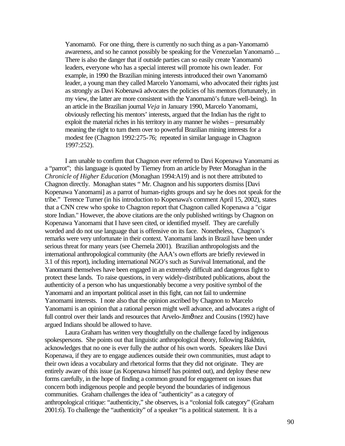Yanomamö. For one thing, there is currently no such thing as a pan-Yanomamö awareness, and so he cannot possibly be speaking for the Venezuelan Yanomamö ... There is also the danger that if outside parties can so easily create Yanomamö leaders, everyone who has a special interest will promote his own leader. For example, in 1990 the Brazilian mining interests introduced their own Yanomamö leader, a young man they called Marcelo Yanomami, who advocated their rights just as strongly as Davi Kobenawä advocates the policies of his mentors (fortunately, in my view, the latter are more consistent with the Yanomamö's future well-being). In an article in the Brazilian journal *Veja* in January 1990, Marcelo Yanomami, obviously reflecting his mentors' interests, argued that the Indian has the right to exploit the material riches in his territory in any manner he wishes – presumably meaning the right to turn them over to powerful Brazilian mining interests for a modest fee (Chagnon 1992:275-76; repeated in similar language in Chagnon 1997:252).

I am unable to confirm that Chagnon ever referred to Davi Kopenawa Yanomami as a "parrot"; this language is quoted by Tierney from an article by Peter Monaghan in the *Chronicle of Higher Education* (Monaghan 1994:A19) and is not there attributed to Chagnon directly. Monaghan states " Mr. Chagnon and his supporters dismiss [Davi Kopenawa Yanomami] as a parrot of human-rights groups and say he does not speak for the tribe." Terence Turner (in his introduction to Kopenawa's comment April 15, 2002), states that a CNN crew who spoke to Chagnon report that Chagnon called Kopenawa a "cigar store Indian." However, the above citations are the only published writings by Chagnon on Kopenawa Yanomami that I have seen cited, or identified myself. They are carefully worded and do not use language that is offensive on its face. Nonetheless, Chagnon's remarks were very unfortunate in their context. Yanomami lands in Brazil have been under serious threat for many years (see Chernela 2001). Brazilian anthropologists and the international anthropological community (the AAA's own efforts are briefly reviewed in 3.1 of this report), including international NGO's such as Survival International, and the Yanomami themselves have been engaged in an extremely difficult and dangerous fight to protect these lands. To raise questions, in very widely-distributed publications, about the authenticity of a person who has unquestionably become a very positive symbol of the Yanomami and an important political asset in this fight, can not fail to undermine Yanomami interests. I note also that the opinion ascribed by Chagnon to Marcelo Yanomami is an opinion that a rational person might well advance, and advocates a right of full control over their lands and resources that Arvelo-Jim $\theta$ nez and Cousins (1992) have argued Indians should be allowed to have.

Laura Graham has written very thoughtfully on the challenge faced by indigenous spokespersons. She points out that linguistic anthropological theory, following Bakhtin, acknowledges that no one is ever fully the author of his own words. Speakers like Davi Kopenawa, if they are to engage audiences outside their own communities, must adapt to their own ideas a vocabulary and rhetorical forms that they did not originate. They are entirely aware of this issue (as Kopenawa himself has pointed out), and deploy these new forms carefully, in the hope of finding a common ground for engagement on issues that concern both indigenous people and people beyond the boundaries of indigenous communities. Graham challenges the idea of "authenticity" as a category of anthropological critique: "authenticity," she observes, is a "colonial folk category" (Graham 2001:6). To challenge the "authenticity" of a speaker "is a political statement. It is a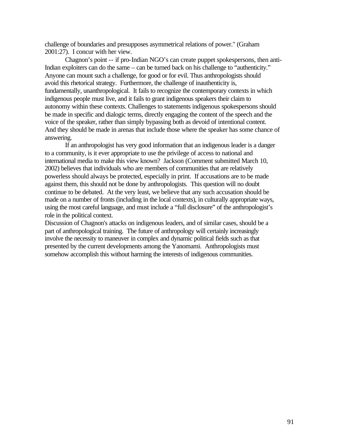challenge of boundaries and presupposes asymmetrical relations of power." (Graham 2001:27). I concur with her view.

Chagnon's point -- if pro-Indian NGO's can create puppet spokespersons, then anti-Indian exploiters can do the same – can be turned back on his challenge to "authenticity." Anyone can mount such a challenge, for good or for evil. Thus anthropologists should avoid this rhetorical strategy. Furthermore, the challenge of inauthenticity is, fundamentally, unanthropological. It fails to recognize the contemporary contexts in which indigenous people must live, and it fails to grant indigenous speakers their claim to autonomy within these contexts. Challenges to statements indigenous spokespersons should be made in specific and dialogic terms, directly engaging the content of the speech and the voice of the speaker, rather than simply bypassing both as devoid of intentional content. And they should be made in arenas that include those where the speaker has some chance of answering.

If an anthropologist has very good information that an indigenous leader is a danger to a community, is it ever appropriate to use the privilege of access to national and international media to make this view known? Jackson (Comment submitted March 10, 2002) believes that individuals who are members of communities that are relatively powerless should always be protected, especially in print. If accusations are to be made against them, this should not be done by anthropologists. This question will no doubt continue to be debated. At the very least, we believe that any such accusation should be made on a number of fronts (including in the local contexts), in culturally appropriate ways, using the most careful language, and must include a "full disclosure" of the anthropologist's role in the political context.

Discussion of Chagnon's attacks on indigenous leaders, and of similar cases, should be a part of anthropological training. The future of anthropology will certainly increasingly involve the necessity to maneuver in complex and dynamic political fields such as that presented by the current developments among the Yanomami. Anthropologists must somehow accomplish this without harming the interests of indigenous communities.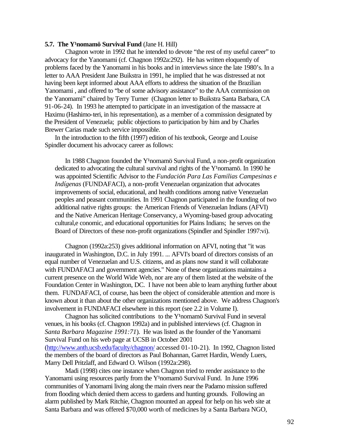#### **5.7. The Y<sup>1</sup>nomamö Survival Fund** (Jane H. Hill)

Chagnon wrote in 1992 that he intended to devote "the rest of my useful career" to advocacy for the Yanomami (cf. Chagnon 1992a:292). He has written eloquently of problems faced by the Yanomami in his books and in interviews since the late 1980's. In a letter to AAA President Jane Buikstra in 1991, he implied that he was distressed at not having been kept informed about AAA efforts to address the situation of the Brazilian Yanomami , and offered to "be of some advisory assistance" to the AAA commission on the Yanomami" chaired by Terry Turner (Chagnon letter to Buikstra Santa Barbara, CA 91-06-24). In 1993 he attempted to participate in an investigation of the massacre at Haximu (Hashimo-teri, in his representation), as a member of a commission designated by the President of Venezuela; public objections to participation by him and by Charles Brewer Carias made such service impossible.

In the introduction to the fifth (1997) edition of his textbook, George and Louise Spindler document his advocacy career as follows:

In 1988 Chagnon founded the Y<sup>1</sup>nomamö Survival Fund, a non-profit organization dedicated to advocating the cultural survival and rights of the  $Y<sup>1</sup>$ nomamö. In 1990 he was appointed Scientific Advisor to the *Fundación Para Las Familias Campesinas e Indígenas* (FUNDAFACI), a non-profit Venezuelan organization that advocates improvements of social, educational, and health conditions among native Venezuelan peoples and peasant communities*.* In 1991 Chagnon participated in the founding of two additional native rights groups: the American Friends of Venezuelan Indians (AFVI) and the Native American Heritage Conservancy, a Wyoming-based group advocating cultural,e conomic, and educational opportunities for Plains Indians; he serves on the Board of Directors of these non-profit organizations (Spindler and Spindler 1997:vi).

Chagnon (1992a:253) gives additional information on AFVI, noting that "it was inaugurated in Washington, D.C. in July 1991. ... AFVI's board of directors consists of an equal number of Venezuelan and U.S. citizens, and as plans now stand it will collaborate with FUNDAFACI and government agencies." None of these organizations maintains a current presence on the World Wide Web, nor are any of them listed at the website of the Foundation Center in Washington, DC. I have not been able to learn anything further about them. FUNDAFACI, of course, has been the object of considerable attention and more is known about it than about the other organizations mentioned above. We address Chagnon's involvement in FUNDAFACI elsewhere in this report (see 2.2 in Volume I).

Chagnon has solicited contributions to the Y<sup>1</sup>nomamö Survival Fund in several venues, in his books (cf. Chagnon 1992a) and in published interviews (cf. Chagnon in *Santa Barbara Magazine 1991:71*). He was listed as the founder of the Yanomami Survival Fund on his web page at UCSB in October 2001

(http://www.anth.ucsb.edu/faculty/chagnon/ accessed 01-10-21). In 1992, Chagnon listed the members of the board of directors as Paul Bohannan, Garret Hardin, Wendy Luers, Marry Dell Pritzlaff, and Edward O. Wilson (1992a:298).

Madi (1998) cites one instance when Chagnon tried to render assistance to the Yanomami using resources partly from the Y<sup>1</sup>nomamö Survival Fund. In June 1996 communities of Yanomami living along the main rivers near the Padamo mission suffered from flooding which denied them access to gardens and hunting grounds. Following an alarm published by Mark Ritchie, Chagnon mounted an appeal for help on his web site at Santa Barbara and was offered \$70,000 worth of medicines by a Santa Barbara NGO,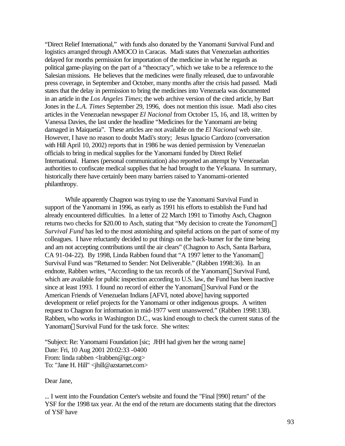"Direct Relief International," with funds also donated by the Yanomami Survival Fund and logistics arranged through AMOCO in Caracas. Madi states that Venezuelan authorities delayed for months permission for importation of the medicine in what he regards as political game-playing on the part of a "theocracy", which we take to be a reference to the Salesian missions. He believes that the medicines were finally released, due to unfavorable press coverage, in September and October, many months after the crisis had passed. Madi states that the delay in permission to bring the medicines into Venezuela was documented in an article in the *Los Angeles Times*; the web archive version of the cited article, by Bart Jones in the *L.A. Times* September 29, 1996, does not mention this issue. Madi also cites articles in the Venezuelan newspaper *El Nacional* from October 15, 16, and 18, written by Vanessa Davies, the last under the headline "Medicines for the Yanomami are being damaged in Maiquetía". These articles are not available on the *El Nacional* web site. However, I have no reason to doubt Madi's story; Jesus Ignacio Cardozo (conversation with Hill April 10, 2002) reports that in 1986 he was denied permission by Venezuelan officials to bring in medical supplies for the Yanomami funded by Direct Relief International. Hames (personal communication) also reported an attempt by Venezuelan authorities to confiscate medical supplies that he had brought to the Ye'kuana. In summary, historically there have certainly been many barriers raised to Yanomami-oriented philanthropy.

While apparently Chagnon was trying to use the Yanomami Survival Fund in support of the Yanomami in 1996, as early as 1991 his efforts to establish the Fund had already encountered difficulties. In a letter of 22 March 1991 to Timothy Asch, Chagnon returns two checks for \$20.00 to Asch, stating that "My decision to create the *Yanomam` Survival Fund* has led to the most astonishing and spiteful actions on the part of some of my colleagues. I have reluctantly decided to put things on the back-burner for the time being and am not accepting contributions until the air clears" (Chagnon to Asch, Santa Barbara, CA 91-04-22). By 1998, Linda Rabben found that "A 1997 letter to the Yanomam Survival Fund was "Returned to Sender: Not Deliverable." (Rabben 1998:36). In an endnote, Rabben writes, "According to the tax records of the Yanomam Survival Fund, which are available for public inspection according to U.S. law, the Fund has been inactive since at least 1993. I found no record of either the Yanomam Survival Fund or the American Friends of Venezuelan Indians [AFVI, noted above] having supported development or relief projects for the Yanomami or other indigenous groups. A written request to Chagnon for information in mid-1977 went unanswered." (Rabben 1998:138). Rabben, who works in Washington D.C., was kind enough to check the current status of the Yanomam Survival Fund for the task force. She writes:

"Subject: Re: Yanomami Foundation [sic; JHH had given her the wrong name] Date: Fri, 10 Aug 2001 20:02:33 -0400 From: linda rabben <lrabben@igc.org> To: "Jane H. Hill" <jhill@azstarnet.com>

Dear Jane,

... I went into the Foundation Center's website and found the "Final [990] return" of the YSF for the 1998 tax year. At the end of the return are documents stating that the directors of YSF have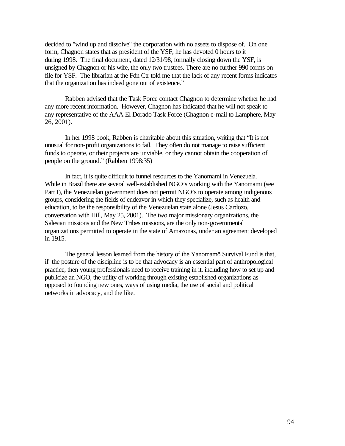decided to "wind up and dissolve" the corporation with no assets to dispose of. On one form, Chagnon states that as president of the YSF, he has devoted 0 hours to it during 1998. The final document, dated 12/31/98, formally closing down the YSF, is unsigned by Chagnon or his wife, the only two trustees. There are no further 990 forms on file for YSF. The librarian at the Fdn Ctr told me that the lack of any recent forms indicates that the organization has indeed gone out of existence."

Rabben advised that the Task Force contact Chagnon to determine whether he had any more recent information. However, Chagnon has indicated that he will not speak to any representative of the AAA El Dorado Task Force (Chagnon e-mail to Lamphere, May 26, 2001).

In her 1998 book, Rabben is charitable about this situation, writing that "It is not unusual for non-profit organizations to fail. They often do not manage to raise sufficient funds to operate, or their projects are unviable, or they cannot obtain the cooperation of people on the ground." (Rabben 1998:35)

In fact, it is quite difficult to funnel resources to the Yanomami in Venezuela. While in Brazil there are several well-established NGO's working with the Yanomami (see Part I), the Venezuelan government does not permit NGO's to operate among indigenous groups, considering the fields of endeavor in which they specialize, such as health and education, to be the responsibility of the Venezuelan state alone (Jesus Cardozo, conversation with Hill, May 25, 2001). The two major missionary organizations, the Salesian missions and the New Tribes missions, are the only non-governmental organizations permitted to operate in the state of Amazonas, under an agreement developed in 1915.

The general lesson learned from the history of the Yanomamö Survival Fund is that, if the posture of the discipline is to be that advocacy is an essential part of anthropological practice, then young professionals need to receive training in it, including how to set up and publicize an NGO, the utility of working through existing established organizations as opposed to founding new ones, ways of using media, the use of social and political networks in advocacy, and the like.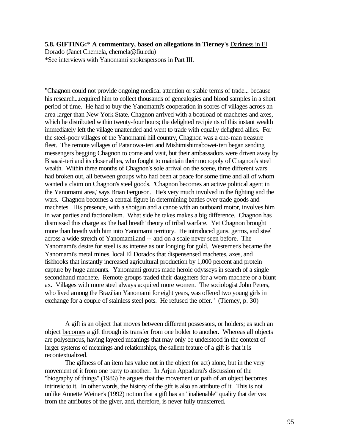# **5.8. GIFTING:**\* **A commentary, based on allegations in Tierney's** Darkness in El Dorado (Janet Chernela, chernela@fiu.edu) \*See interviews with Yanomami spokespersons in Part III.

"Chagnon could not provide ongoing medical attention or stable terms of trade... because his research...required him to collect thousands of genealogies and blood samples in a short period of time. He had to buy the Yanomami's cooperation in scores of villages across an area larger than New York State. Chagnon arrived with a boatload of machetes and axes, which he distributed within twenty-four hours; the delighted recipients of this instant wealth immediately left the village unattended and went to trade with equally delighted allies. For the steel-poor villages of the Yanomami hill country, Chagnon was a one-man treasure fleet. The remote villages of Patanowa-teri and Mishimishimabowei-teri began sending messengers begging Chagnon to come and visit, but their ambassadors were driven away by Bisaasi-teri and its closer allies, who fought to maintain their monopoly of Chagnon's steel wealth. Within three months of Chagnon's sole arrival on the scene, three different wars had broken out, all between groups who had been at peace for some time and all of whom wanted a claim on Chagnon's steel goods. 'Chagnon becomes an active political agent in the Yanomami area,' says Brian Ferguson. 'He's very much involved in the fighting and the wars. Chagnon becomes a central figure in determining battles over trade goods and machetes. His presence, with a shotgun and a canoe with an outboard motor, involves him in war parties and factionalism. What side he takes makes a big difference. Chagnon has dismissed this charge as 'the bad breath' theory of tribal warfare. Yet Chagnon brought more than breath with him into Yanomami territory. He introduced guns, germs, and steel across a wide stretch of Yanomamiland -- and on a scale never seen before. The Yanomami's desire for steel is as intense as our longing for gold. Westerner's became the Yanomami's metal mines, local El Dorados that dispensensed machetes, axes, and fishhooks that instantly increased agricultural production by 1,000 percent and protein capture by huge amounts. Yanomami groups made heroic odysseys in search of a single secondhand machete. Remote groups traded their daughters for a worn machete or a blunt ax. Villages with more steel always acquired more women. The sociologist John Peters, who lived among the Brazilian Yanomami for eight years, was offered two young girls in exchange for a couple of stainless steel pots. He refused the offer." (Tierney, p. 30)

A gift is an object that moves between different possessors, or holders; as such an object becomes a gift through its transfer from one holder to another. Whereas all objects are polysemous, having layered meanings that may only be understood in the context of larger systems of meanings and relationships, the salient feature of a gift is that it is recontextualized.

The giftness of an item has value not in the object (or act) alone, but in the very movement of it from one party to another. In Arjun Appadurai's discussion of the "biography of things" (1986) he argues that the movement or path of an object becomes intrinsic to it. In other words, the history of the gift is also an attribute of it. This is not unlike Annette Weiner's (1992) notion that a gift has an "inalienable" quality that derives from the attributes of the giver, and, therefore, is never fully transferred.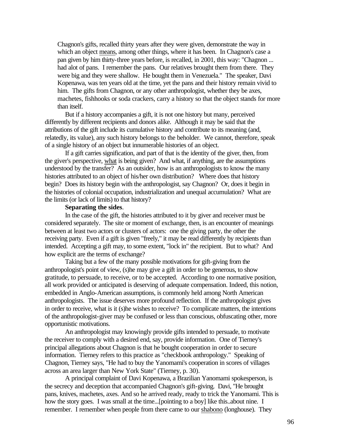Chagnon's gifts, recalled thirty years after they were given, demonstrate the way in which an object means, among other things, where it has been. In Chagnon's case a pan given by him thirty-three years before, is recalled, in 2001, this way: "Chagnon ... had alot of pans. I remember the pans. Our relatives brought them from there. They were big and they were shallow. He bought them in Venezuela." The speaker, Davi Kopenawa, was ten years old at the time, yet the pans and their history remain vivid to him. The gifts from Chagnon, or any other anthropologist, whether they be axes, machetes, fishhooks or soda crackers, carry a history so that the object stands for more than itself.

But if a history accompanies a gift, it is not one history but many, perceived differently by different recipients and donors alike. Although it may be said that the attributions of the gift include its cumulative history and contribute to its meaning (and, relatedly, its value), any such history belongs to the beholder. We cannot, therefore, speak of a single history of an object but innumerable histories of an object.

If a gift carries signification, and part of that is the identity of the giver, then, from the giver's perspective, what is being given? And what, if anything, are the assumptions understood by the transfer? As an outsider, how is an anthropologists to know the many histories attributed to an object of his/her own distribution? Where does that history begin? Does its history begin with the anthropologist, say Chagnon? Or, does it begin in the histories of colonial occupation, industrialization and unequal accumulation? What are the limits (or lack of limits) to that history?

### **Separating the sides**.

In the case of the gift, the histories attributed to it by giver and receiver must be considered separately. The site or moment of exchange, then, is an encounter of meanings between at least two actors or clusters of actors: one the giving party, the other the receiving party. Even if a gift is given "freely," it may be read differently by recipients than intended. Accepting a gift may, to some extent, "lock in" the recipient. But to what? And how explicit are the terms of exchange?

Taking but a few of the many possible motivations for gift-giving from the anthropologist's point of view, (s)he may give a gift in order to be generous, to show gratitude, to persuade, to receive, or to be accepted. According to one normative position, all work provided or anticipated is deserving of adequate compensation. Indeed, this notion, embedded in Anglo-American assumptions, is commonly held among North American anthropologists. The issue deserves more profound reflection. If the anthropologist gives in order to receive, what is it (s)he wishes to receive? To complicate matters, the intentions of the anthropologist-giver may be confused or less than conscious, obfuscating other, more opportunistic motivations.

An anthropologist may knowingly provide gifts intended to persuade, to motivate the receiver to comply with a desired end, say, provide information. One of Tierney's principal allegations about Chagnon is that he bought cooperation in order to secure information. Tierney refers to this practice as "checkbook anthropology." Speaking of Chagnon, Tierney says, "He had to buy the Yanomami's cooperation in scores of villages across an area larger than New York State" (Tierney, p. 30).

A principal complaint of Davi Kopenawa, a Brazilian Yanomami spokesperson, is the secrecy and deception that accompanied Chagnon's gift-giving. Davi, "He brought pans, knives, machetes, axes. And so he arrived ready, ready to trick the Yanomami. This is how the story goes. I was small at the time...[pointing to a boy] like this..about nine. I remember. I remember when people from there came to our shabono (longhouse). They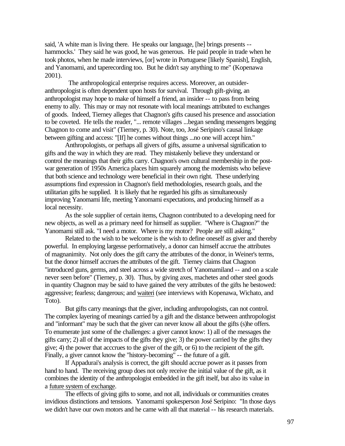said, 'A white man is living there. He speaks our language, [he] brings presents - hammocks.' They said he was good, he was generous. He paid people in trade when he took photos, when he made interviews, [or] wrote in Portuguese [likely Spanish], English, and Yanomami, and taperecording too. But he didn't say anything to me" (Kopenawa 2001).

 The anthropological enterprise requires access. Moreover, an outsideranthropologist is often dependent upon hosts for survival. Through gift-giving, an anthropologist may hope to make of himself a friend, an insider -- to pass from being enemy to ally. This may or may not resonate with local meanings attributed to exchanges of goods. Indeed, Tierney alleges that Chagnon's gifts caused his presence and association to be coveted. He tells the reader, "... remote villages ...began sending messengers begging Chagnon to come and visit" (Tierney, p. 30). Note, too, José Seripino's causal linkage between gifting and access: "[If] he comes without things ...no one will accept him."

Anthropologists, or perhaps all givers of gifts, assume a universal signification to gifts and the way in which they are read. They mistakenly believe they understand or control the meanings that their gifts carry. Chagnon's own cultural membership in the postwar generation of 1950s America places him squarely among the modernists who believe that both science and technology were beneficial in their own right. These underlying assumptions find expression in Chagnon's field methodologies, research goals, and the utilitarian gifts he supplied. It is likely that he regarded his gifts as simultaneously improving Yanomami life, meeting Yanomami expectations, and producing himself as a local necessity.

As the sole supplier of certain items, Chagnon contributed to a developing need for new objects, as well as a primary need for himself as supplier. "Where is Chagnon?" the Yanomami still ask. "I need a motor. Where is my motor? People are still asking."

Related to the wish to be welcome is the wish to define oneself as giver and thereby powerful. In employing largesse performatively, a donor can himself accrue the attributes of magnanimity. Not only does the gift carry the attributes of the donor, in Weiner's terms, but the donor himself accrues the attributes of the gift. Tierney claims that Chagnon "introduced guns, germs, and steel across a wide stretch of Yanomamiland -- and on a scale never seen before" (Tierney, p. 30). Thus, by giving axes, machetes and other steel goods in quantity Chagnon may be said to have gained the very attributes of the gifts he bestowed: aggressive; fearless; dangerous; and waiteri (see interviews with Kopenawa, Wichato, and Toto).

But gifts carry meanings that the giver, including anthropologists, can not control. The complex layering of meanings carried by a gift and the distance between anthropologist and "informant" may be such that the giver can never know all about the gifts (s)he offers. To enumerate just some of the challenges: a giver cannot know: 1) all of the messages the gifts carry; 2) all of the impacts of the gifts they give; 3) the power carried by the gifts they give; 4) the power that acccrues to the giver of the gift, or 6) to the recipient of the gift. Finally, a giver cannot know the "history-becoming" -- the future of a gift.

If Appadurai's analysis is correct, the gift should accrue power as it passes from hand to hand. The receiving group does not only receive the initial value of the gift, as it combines the identity of the anthropologist embedded in the gift itself, but also its value in a future system of exchange.

The effects of giving gifts to some, and not all, individuals or communities creates invidious distinctions and tensions. Yanomami spokesperson José Seripino: "In those days we didn't have our own motors and he came with all that material -- his research materials.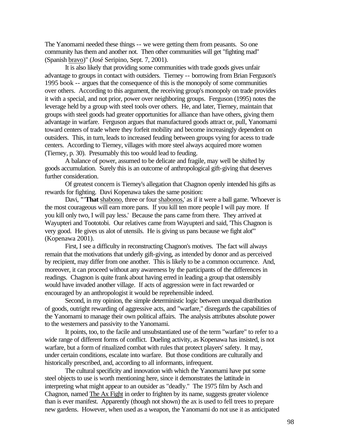The Yanomami needed these things -- we were getting them from peasants. So one community has them and another not. Then other communities will get "fighting mad" (Spanish bravo)" (José Seripino, Sept. 7, 2001).

It is also likely that providing some communities with trade goods gives unfair advantage to groups in contact with outsiders. Tierney -- borrowing from Brian Ferguson's 1995 book -- argues that the consequence of this is the monopoly of some communities over others. According to this argument, the receiving group's monopoly on trade provides it with a special, and not prior, power over neighboring groups. Ferguson (1995) notes the leverage held by a group with steel tools over others. He, and later, Tierney, maintain that groups with steel goods had greater opportunities for alliance than have others, giving them advantage in warfare. Ferguson argues that manufactured goods attract or, pull, Yanomami toward centers of trade where they forfeit mobility and become increasingly dependent on outsiders. This, in turn, leads to increased feuding between groups vying for acess to trade centers. According to Tierney, villages with more steel always acquired more women (Tierney, p. 30). Presumably this too would lead to feuding.

A balance of power, assumed to be delicate and fragile, may well be shifted by goods accumulation. Surely this is an outcome of anthropological gift-giving that deserves further consideration.

Of greatest concern is Tierney's allegation that Chagnon openly intended his gifts as rewards for fighting. Davi Kopenawa takes the same position:

Davi, **"**'**That** shabono, three or four shabonos,' as if it were a ball game. 'Whoever is the most courageous will earn more pans. If you kill ten more people I will pay more. If you kill only two, I will pay less.' Because the pans came from there. They arrived at Wayupteri and Toototobi. Our relatives came from Wayupteri and said, 'This Chagnon is very good. He gives us alot of utensils. He is giving us pans because we fight alot'" (Kopenawa 2001).

First, I see a difficulty in reconstructing Chagnon's motives. The fact will always remain that the motivations that underly gift-giving, as intended by donor and as perceived by recipient, may differ from one another. This is likely to be a common occurrence. And, moreover, it can proceed without any awareness by the participants of the differences in readings. Chagnon is quite frank about having erred in leading a group that ostensibly would have invaded another village. If acts of aggression were in fact rewarded or encouraged by an anthropologist it would be reprehensible indeed.

Second, in my opinion, the simple deterministic logic between unequal distribution of goods, outright rewarding of aggressive acts, and "warfare," disregards the capabilities of the Yanomami to manage their own political affairs. The analysis attributes absolute power to the westerners and passivity to the Yanomami.

It points, too, to the facile and unsubstantiated use of the term "warfare" to refer to a wide range of different forms of conflict. Dueling activity, as Kopenawa has insisted, is not warfare, but a form of ritualized combat with rules that protect players' safety. It may, under certain conditions, escalate into warfare. But those conditions are culturally and historically prescribed, and, according to all informants, infrequent.

The cultural specificity and innovation with which the Yanomami have put some steel objects to use is worth mentioning here, since it demonstrates the lattitude in interpreting what might appear to an outsider as "deadly." The 1975 film by Asch and Chagnon, named The Ax Fight in order to frighten by its name, suggests greater violence than is ever manifest. Apparently (though not shown) the ax is used to fell trees to prepare new gardens. However, when used as a weapon, the Yanomami do not use it as anticipated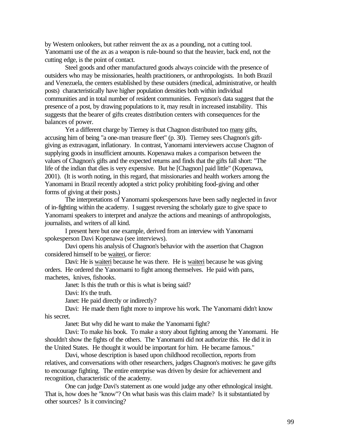by Western onlookers, but rather reinvent the ax as a pounding, not a cutting tool. Yanomami use of the ax as a weapon is rule-bound so that the heavier, back end, not the cutting edge, is the point of contact.

Steel goods and other manufactured goods always coincide with the presence of outsiders who may be missionaries, health practitioners, or anthropologists. In both Brazil and Venezuela, the centers established by these outsiders (medical, administrative, or health posts) characteristically have higher population densities both within individual communities and in total number of resident communities. Ferguson's data suggest that the presence of a post, by drawing populations to it, may result in increased instability. This suggests that the bearer of gifts creates distribution centers with consequences for the balances of power.

Yet a different charge by Tierney is that Chagnon distributed too many gifts, accusing him of being "a one-man treasure fleet" (p. 30). Tierney sees Chagnon's giftgiving as extravagant, inflationary. In contrast, Yanomami interviewers accuse Chagnon of supplying goods in insufficient amounts. Kopenawa makes a comparison between the values of Chagnon's gifts and the expected returns and finds that the gifts fall short: "The life of the indian that dies is very expensive. But he [Chagnon] paid little" (Kopenawa, 2001). (It is worth noting, in this regard, that missionaries and health workers among the Yanomami in Brazil recently adopted a strict policy prohibiting food-giving and other forms of giving at their posts.)

The interpretations of Yanomami spokespersons have been sadly neglected in favor of in-fighting within the academy. I suggest reversing the scholarly gaze to give space to Yanomami speakers to interpret and analyze the actions and meanings of anthropologists, journalists, and writers of all kind.

I present here but one example, derived from an interview with Yanomami spokesperson Davi Kopenawa (see interviews).

Davi opens his analysis of Chagnon's behavior with the assertion that Chagnon considered himself to be waiteri, or fierce:

Davi: He is waiteri because he was there. He is waiteri because he was giving orders. He ordered the Yanomami to fight among themselves. He paid with pans, machetes, knives, fishooks.

Janet: Is this the truth or this is what is being said?

Davi: It's the truth.

Janet: He paid directly or indirectly?

Davi: He made them fight more to improve his work. The Yanomami didn't know his secret.

Janet: But why did he want to make the Yanomami fight?

Davi: To make his book. To make a story about fighting among the Yanomami. He shouldn't show the fights of the others. The Yanomami did not authorize this. He did it in the United States. He thought it would be important for him. He became famous."

Davi, whose description is based upon childhood recollection, reports from relatives, and conversations with other researchers, judges Chagnon's motives: he gave gifts to encourage fighting. The entire enterprise was driven by desire for achievement and recognition, characteristic of the academy.

One can judge Davi's statement as one would judge any other ethnological insight. That is, how does he "know"? On what basis was this claim made? Is it substantiated by other sources? Is it convincing?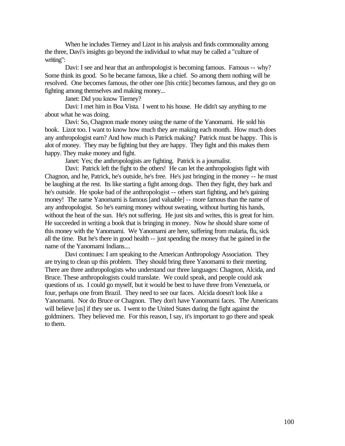When he includes Tierney and Lizot in his analysis and finds commonality among the three, Davi's insights go beyond the individual to what may be called a "culture of writing":

Davi: I see and hear that an anthropologist is becoming famous. Famous -- why? Some think its good. So he became famous, like a chief. So among them nothing will be resolved. One becomes famous, the other one [his critic] becomes famous, and they go on fighting among themselves and making money...

Janet: Did you know Tierney?

Davi: I met him in Boa Vista. I went to his house. He didn't say anything to me about what he was doing.

Davi: So, Chagnon made money using the name of the Yanomami. He sold his book. Lizot too. I want to know how much they are making each month. How much does any anthropologist earn? And how much is Patrick making? Patrick must be happy. This is alot of money. They may be fighting but they are happy. They fight and this makes them happy. They make money and fight.

Janet: Yes; the anthropologists are fighting. Patrick is a journalist.

Davi: Patrick left the fight to the others! He can let the anthropologists fight with Chagnon, and he, Patrick, he's outside, he's free. He's just bringing in the money -- he must be laughing at the rest. Its like starting a fight among dogs. Then they fight, they bark and he's outside. He spoke bad of the anthropologist -- others start fighting, and he's gaining money! The name Yanomami is famous [and valuable] -- more famous than the name of any anthropologist. So he's earning money without sweating, without hurting his hands, without the heat of the sun. He's not suffering. He just sits and writes, this is great for him. He succeeded in writing a book that is bringing in money. Now he should share some of this money with the Yanomami. We Yanomami are here, suffering from malaria, flu, sick all the time. But he's there in good health -- just spending the money that he gained in the name of the Yanomami Indians....

Davi continues: I am speaking to the American Anthropology Association. They are trying to clean up this problem. They should bring three Yanomami to their meeting. There are three anthropologists who understand our three languages: Chagnon, Alcida, and Bruce. These anthropologists could translate. We could speak, and people could ask questions of us. I could go myself, but it would be best to have three from Venezuela, or four, perhaps one from Brazil. They need to see our faces. Alcida doesn't look like a Yanomami. Nor do Bruce or Chagnon. They don't have Yanomami faces. The Americans will believe [us] if they see us. I went to the United States during the fight against the goldminers. They believed me. For this reason, I say, it's important to go there and speak to them.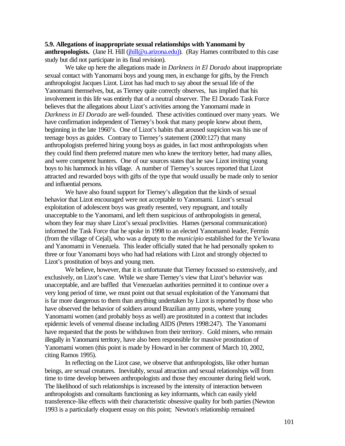# **5.9. Allegations of inappropriate sexual relationships with Yanomami by anthropologists.** (Jane H. Hill (jhill@u.arizona.edu)). (Ray Hames contributed to this case study but did not participate in its final revision).

We take up here the allegations made in *Darkness in El Dorado* about inappropriate sexual contact with Yanomami boys and young men, in exchange for gifts, by the French anthropologist Jacques Lizot. Lizot has had much to say about the sexual life of the Yanomami themselves, but, as Tierney quite correctly observes, has implied that his involvement in this life was entirely that of a neutral observer. The El Dorado Task Force believes that the allegations about Lizot's activities among the Yanomami made in *Darkness in El Dorado* are well-founded. These activities continued over many years. We have confirmation independent of Tierney's book that many people knew about them, beginning in the late 1960's. One of Lizot's habits that aroused suspicion was his use of teenage boys as guides. Contrary to Tierney's statement (2000:127) that many anthropologists preferred hiring young boys as guides, in fact most anthropologists when they could find them preferred mature men who knew the territory better, had many allies, and were competent hunters. One of our sources states that he saw Lizot inviting young boys to his hammock in his village. A number of Tierney's sources reported that Lizot attracted and rewarded boys with gifts of the type that would usually be made only to senior and influential persons.

We have also found support for Tierney's allegation that the kinds of sexual behavior that Lizot encouraged were not acceptable to Yanomami. Lizot's sexual exploitation of adolescent boys was greatly resented, very repugnant, and totally unacceptable to the Yanomami, and left them suspicious of anthropologists in general, whom they fear may share Lizot's sexual proclivities. Hames (personal communication) informed the Task Force that he spoke in 1998 to an elected Yanomamö leader, Fermín (from the village of Cejal), who was a deputy to the *municipio* established for the Ye'kwana and Yanomami in Venezuela. This leader officially stated that he had personally spoken to three or four Yanomami boys who had had relations with Lizot and strongly objected to Lizot's prostitution of boys and young men.

We believe, however, that it is unfortunate that Tierney focussed so extensively, and exclusively, on Lizot's case. While we share Tierney's view that Lizot's behavior was unacceptable, and are baffled that Venezuelan authorities permitted it to continue over a very long period of time, we must point out that sexual exploitation of the Yanomami that is far more dangerous to them than anything undertaken by Lizot is reported by those who have observed the behavior of soldiers around Brazilian army posts, where young Yanomami women (and probably boys as well) are prostituted in a context that includes epidemic levels of venereal disease including AIDS (Peters 1998:247). The Yanomami have requested that the posts be withdrawn from their territory. Gold miners, who remain illegally in Yanomami territory, have also been responsible for massive prostitution of Yanomami women (this point is made by Howard in her comment of March 10, 2002, citing Ramos 1995).

In reflecting on the Lizot case, we observe that anthropologists, like other human beings, are sexual creatures. Inevitably, sexual attraction and sexual relationships will from time to time develop between anthropologists and those they encounter during field work. The likelihood of such relationships is increased by the intensity of interaction between anthropologists and consultants functioning as key informants, which can easily yield transference-like effects with their characteristic obsessive quality for both parties (Newton 1993 is a particularly eloquent essay on this point; Newton's relationship remained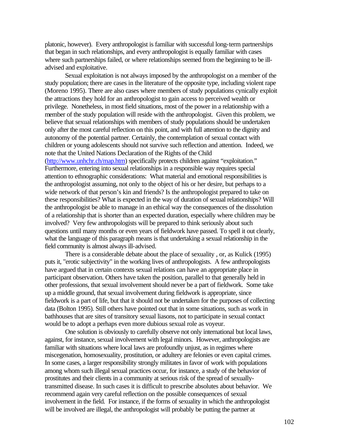platonic, however). Every anthropologist is familiar with successful long-term partnerships that began in such relationships, and every anthropologist is equally familiar with cases where such partnerships failed, or where relationships seemed from the beginning to be illadvised and exploitative.

Sexual exploitation is not always imposed by the anthropologist on a member of the study population; there are cases in the literature of the opposite type, including violent rape (Moreno 1995). There are also cases where members of study populations cynically exploit the attractions they hold for an anthropologist to gain access to perceived wealth or privilege. Nonetheless, in most field situations, most of the power in a relationship with a member of the study population will reside with the anthropologist. Given this problem, we believe that sexual relationships with members of study populations should be undertaken only after the most careful reflection on this point, and with full attention to the dignity and autonomy of the potential partner. Certainly, the contemplation of sexual contact with children or young adolescents should not survive such reflection and attention. Indeed, we note that the United Nations Declaration of the Rights of the Child (http://www.unhchr.ch/map.htm) specifically protects children against "exploitation." Furthermore, entering into sexual relationships in a responsible way requires special attention to ethnographic considerations: What material and emotional responsibilities is the anthropologist assuming, not only to the object of his or her desire, but perhaps to a wide network of that person's kin and friends? Is the anthropologist prepared to take on these responsibilities? What is expected in the way of duration of sexual relationships? Will the anthropologist be able to manage in an ethical way the consequences of the dissolution of a relationship that is shorter than an expected duration, especially where children may be involved? Very few anthropologists will be prepared to think seriously about such questions until many months or even years of fieldwork have passed. To spell it out clearly, what the language of this paragraph means is that undertaking a sexual relationship in the field community is almost always ill-advised.

There is a considerable debate about the place of sexuality , or, as Kulick (1995) puts it, "erotic subjectivity" in the working lives of anthropologists. A few anthropologists have argued that in certain contexts sexual relations can have an appropriate place in participant observation. Others have taken the position, parallel to that generally held in other professions, that sexual involvement should never be a part of fieldwork. Some take up a middle ground, that sexual involvement during fieldwork is appropriate, since fieldwork is a part of life, but that it should not be undertaken for the purposes of collecting data (Bolton 1995). Still others have pointed out that in some situations, such as work in bathhouses that are sites of transitory sexual liasons, not to participate in sexual contact would be to adopt a perhaps even more dubious sexual role as voyeur.

One solution is obviously to carefully observe not only international but local laws, against, for instance, sexual involvement with legal minors. However, anthropologists are familiar with situations where local laws are profoundly unjust, as in regimes where miscegenation, homosexuality, prostitution, or adultery are felonies or even capital crimes. In some cases, a larger responsibility strongly militates in favor of work with populations among whom such illegal sexual practices occur, for instance, a study of the behavior of prostitutes and their clients in a community at serious risk of the spread of sexuallytransmitted disease. In such cases it is difficult to prescribe absolutes about behavior. We recommend again very careful reflection on the possible consequences of sexual involvement in the field. For instance, if the forms of sexuality in which the anthropologist will be involved are illegal, the anthropologist will probably be putting the partner at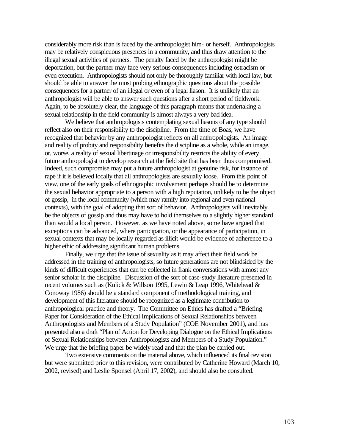considerably more risk than is faced by the anthropologist him- or herself. Anthropologists may be relatively conspicuous presences in a community, and thus draw attention to the illegal sexual activities of partners. The penalty faced by the anthropologist might be deportation, but the partner may face very serious consequences including ostracism or even execution. Anthropologists should not only be thoroughly familiar with local law, but should be able to answer the most probing ethnographic questions about the possible consequences for a partner of an illegal or even of a legal liason. It is unlikely that an anthropologist will be able to answer such questions after a short period of fieldwork. Again, to be absolutely clear, the language of this paragraph means that undertaking a sexual relationship in the field community is almost always a very bad idea.

We believe that anthropologists contemplating sexual liasons of any type should reflect also on their responsibility to the discipline. From the time of Boas, we have recognized that behavior by any anthropologist reflects on all anthropologists. An image and reality of probity and responsibility benefits the discipline as a whole, while an image, or, worse, a reality of sexual libertinage or irresponsibility restricts the ability of every future anthropologist to develop research at the field site that has been thus compromised. Indeed, such compromise may put a future anthropologist at genuine risk, for instance of rape if it is believed locally that all anthropologists are sexually loose. From this point of view, one of the early goals of ethnographic involvement perhaps should be to determine the sexual behavior appropriate to a person with a high reputation, unlikely to be the object of gossip, in the local community (which may ramify into regional and even national contexts), with the goal of adopting that sort of behavior. Anthropologists will inevitably be the objects of gossip and thus may have to hold themselves to a slightly higher standard than would a local person. However, as we have noted above, some have argued that exceptions can be advanced, where participation, or the appearance of participation, in sexual contexts that may be locally regarded as illicit would be evidence of adherence to a higher ethic of addressing significant human problems.

Finally, we urge that the issue of sexuality as it may affect their field work be addressed in the training of anthropologists, so future generations are not blindsided by the kinds of difficult experiences that can be collected in frank conversations with almost any senior scholar in the discipline. Discussion of the sort of case-study literature presented in recent volumes such as (Kulick & Willson 1995, Lewin & Leap 1996, Whitehead & Conoway 1986) should be a standard component of methodological training, and development of this literature should be recognized as a legitimate contribution to anthropological practice and theory. The Committee on Ethics has drafted a "Briefing Paper for Consideration of the Ethical Implications of Sexual Relationships between Anthropologists and Members of a Study Population" (COE November 2001), and has presented also a draft "Plan of Action for Developing Dialogue on the Ethical Implications of Sexual Relationships between Anthropologists and Members of a Study Population." We urge that the briefing paper be widely read and that the plan be carried out.

Two extensive comments on the material above, which influenced its final revision but were submitted prior to this revision, were contributed by Catherine Howard (March 10, 2002, revised) and Leslie Sponsel (April 17, 2002), and should also be consulted.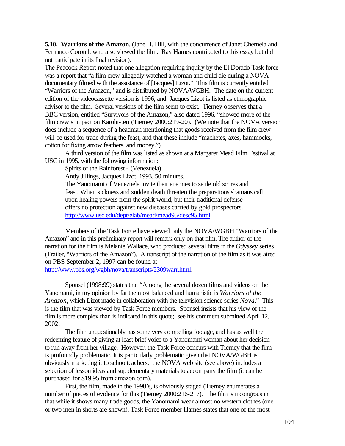**5.10. Warriors of the Amazon**. (Jane H. Hill, with the concurrence of Janet Chernela and Fernando Coronil, who also viewed the film. Ray Hames contributed to this essay but did not participate in its final revision).

The Peacock Report noted that one allegation requiring inquiry by the El Dorado Task force was a report that "a film crew allegedly watched a woman and child die during a NOVA documentary filmed with the assistance of [Jacques] Lizot." This film is currently entitled "Warriors of the Amazon," and is distributed by NOVA/WGBH. The date on the current edition of the videocassette version is 1996, and Jacques Lizot is listed as ethnographic advisor to the film. Several versions of the film seem to exist. Tierney observes that a BBC version, entitled "Survivors of the Amazon," also dated 1996, "showed more of the film crew's impact on Karohi-teri (Tierney 2000:219-20). (We note that the NOVA version does include a sequence of a headman mentioning that goods received from the film crew will be used for trade during the feast, and that these include "machetes, axes, hammocks, cotton for fixing arrow feathers, and money.")

A third version of the film was listed as shown at a Margaret Mead Film Festival at USC in 1995, with the following information:

Spirits of the Rainforest - (Venezuela)

Andy Jillings, Jacques Lizot. 1993. 50 minutes.

The Yanomami of Venezuela invite their enemies to settle old scores and feast. When sickness and sudden death threaten the preparations shamans call upon healing powers from the spirit world, but their traditional defense offers no protection against new diseases carried by gold prospectors. http://www.usc.edu/dept/elab/mead/mead95/desc95.html

Members of the Task Force have viewed only the NOVA/WGBH "Warriors of the Amazon" and in this preliminary report will remark only on that film. The author of the narration for the film is Melanie Wallace, who produced several films in the *Odyssey* series (Trailer, "Warriors of the Amazon"). A transcript of the narration of the film as it was aired on PBS September 2, 1997 can be found at

http://www.pbs.org/wgbh/nova/transcripts/2309warr.html.

Sponsel (1998:99) states that "Among the several dozen films and videos on the Yanomami, in my opinion by far the most balanced and humanistic is *Warriors of the Amazon*, which Lizot made in collaboration with the television science series *Nova*." This is the film that was viewed by Task Force members. Sponsel insists that his view of the film is more complex than is indicated in this quote; see his comment submitted April 12, 2002.

The film unquestionably has some very compelling footage, and has as well the redeeming feature of giving at least brief voice to a Yanomami woman about her decision to run away from her village. However, the Task Force concurs with Tierney that the film is profoundly problematic. It is particularly problematic given that NOVA/WGBH is obviously marketing it to schoolteachers; the NOVA web site (see above) includes a selection of lesson ideas and supplementary materials to accompany the film (it can be purchased for \$19.95 from amazon.com).

First, the film, made in the 1990's, is obviously staged (Tierney enumerates a number of pieces of evidence for this (Tierney 2000:216-217). The film is incongrous in that while it shows many trade goods, the Yanomami wear almost no western clothes (one or two men in shorts are shown). Task Force member Hames states that one of the most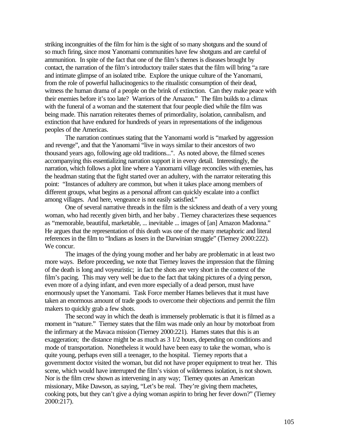striking incongruities of the film for him is the sight of so many shotguns and the sound of so much firing, since most Yanomami communities have few shotguns and are careful of ammunition. In spite of the fact that one of the film's themes is diseases brought by contact, the narration of the film's introductory trailer states that the film will bring "a rare and intimate glimpse of an isolated tribe. Explore the unique culture of the Yanomami, from the role of powerful hallucinogenics to the ritualistic consumption of their dead, witness the human drama of a people on the brink of extinction. Can they make peace with their enemies before it's too late? Warriors of the Amazon." The film builds to a climax with the funeral of a woman and the statement that four people died while the film was being made. This narration reiterates themes of primordiality, isolation, cannibalism, and extinction that have endured for hundreds of years in representations of the indigenous peoples of the Americas.

The narration continues stating that the Yanomami world is "marked by aggression and revenge", and that the Yanomami "live in ways similar to their ancestors of two thousand years ago, following age old traditions...". As noted above, the filmed scenes accompanying this essentializing narration support it in every detail. Interestingly, the narration, which follows a plot line where a Yanomami village reconciles with enemies, has the headman stating that the fight started over an adultery, with the narrator reiterating this point: "Instances of adultery are common, but when it takes place among members of different groups, what begins as a personal affront can quickly escalate into a conflict among villages. And here, vengeance is not easily satisfied."

One of several narrative threads in the film is the sickness and death of a very young woman, who had recently given birth, and her baby . Tierney characterizes these sequences as "memorable, beautiful, marketable, ... inevitable ... images of [an] Amazon Madonna." He argues that the representation of this death was one of the many metaphoric and literal references in the film to "Indians as losers in the Darwinian struggle" (Tierney 2000:222). We concur.

The images of the dying young mother and her baby are problematic in at least two more ways. Before proceeding, we note that Tierney leaves the impression that the filming of the death is long and voyeuristic; in fact the shots are very short in the context of the film's pacing. This may very well be due to the fact that taking pictures of a dying person, even more of a dying infant, and even more especially of a dead person, must have enormously upset the Yanomami. Task Force member Hames believes that it must have taken an enormous amount of trade goods to overcome their objections and permit the film makers to quickly grab a few shots.

The second way in which the death is immensely problematic is that it is filmed as a moment in "nature." Tierney states that the film was made only an hour by motorboat from the infirmary at the Mavaca mission (Tierney 2000:221). Hames states that this is an exaggeration; the distance might be as much as 3 1/2 hours, depending on conditions and mode of transportation. Nonetheless it would have been easy to take the woman, who is quite young, perhaps even still a teenager, to the hospital. Tierney reports that a government doctor visited the woman, but did not have proper equipment to treat her. This scene, which would have interrupted the film's vision of wilderness isolation, is not shown. Nor is the film crew shown as intervening in any way; Tierney quotes an American missionary, Mike Dawson, as saying, "Let's be real. They're giving them machetes, cooking pots, but they can't give a dying woman aspirin to bring her fever down?" (Tierney 2000:217).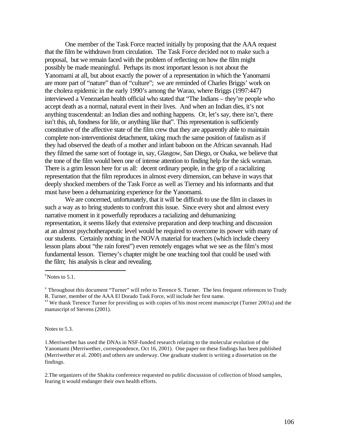One member of the Task Force reacted initially by proposing that the AAA request that the film be withdrawn from circulation. The Task Force decided not to make such a proposal, but we remain faced with the problem of reflecting on how the film might possibly be made meaningful. Perhaps its most important lesson is not about the Yanomami at all, but about exactly the power of a representation in which the Yanomami are more part of "nature" than of "culture"; we are reminded of Charles Briggs' work on the cholera epidemic in the early 1990's among the Warao, where Briggs (1997:447) interviewed a Venezuelan health official who stated that "The Indians – they're people who accept death as a normal, natural event in their lives. And when an Indian dies, it's not anything trascendental: an Indian dies and nothing happens. Or, let's say, there isn't, there isn't this, uh, fondness for life, or anything like that". This representation is sufficiently constitutive of the affective state of the film crew that they are apparently able to maintain complete non-interventionist detachment, taking much the same position of fatalism as if they had observed the death of a mother and infant baboon on the African savannah. Had they filmed the same sort of footage in, say, Glasgow, San Diego, or Osaka, we believe that the tone of the film would been one of intense attention to finding help for the sick woman. There is a grim lesson here for us all: decent ordinary people, in the grip of a racializing representation that the film reproduces in almost every dimension, can behave in ways that deeply shocked members of the Task Force as well as Tierney and his informants and that must have been a dehumanizing experience for the Yanomami.

We are concerned, unfortunately, that it will be difficult to use the film in classes in such a way as to bring students to confront this issue. Since every shot and almost every narrative moment in it powerfully reproduces a racializing and dehumanizing representation, it seems likely that extensive preparation and deep teaching and discussion at an almost psychotherapeutic level would be required to overcome its power with many of our students. Certainly nothing in the NOVA material for teachers (which include cheery lesson plans about "the rain forest") even remotely engages what we see as the film's most fundamental lesson. Tierney's chapter might be one teaching tool that could be used with the film; his analysis is clear and revealing.

 $\overline{a}$ 

Notes to 5.3.

1.Merriwether has used the DNAs in NSF-funded research relating to the molecular evolution of the Yanomami (Merriwether, correspondence, Oct 16, 2001). One paper on these findings has been published (Merriwether et al. 2000) and others are underway. One graduate student is writing a dissertation on the findings.

2.The organizers of the Shakita conference requested no public discussion of collection of blood samples, fearing it would endanger their own health efforts.

 $v$ Notes to 5.1.

<sup>&</sup>lt;sup>v</sup> Throughout this document "Turner" will refer to Terence S. Turner. The less frequent references to Trudy R. Turner, member of the AAA El Dorado Task Force, will include her first name.

<sup>&</sup>lt;sup>vi</sup> We thank Terence Turner for providing us with copies of his most recent manuscript (Turner 2001a) and the manuscript of Stevens (2001).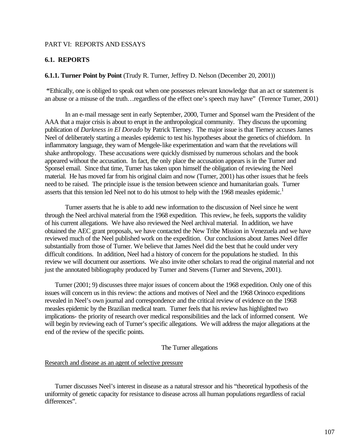## PART VI: REPORTS AND ESSAYS

## **6.1. REPORTS**

#### **6.1.1. Turner Point by Point** (Trudy R. Turner, Jeffrey D. Nelson (December 20, 2001))

 **"**Ethically, one is obliged to speak out when one possesses relevant knowledge that an act or statement is an abuse or a misuse of the truth…regardless of the effect one's speech may have" (Terence Turner, 2001)

In an e-mail message sent in early September, 2000, Turner and Sponsel warn the President of the AAA that a major crisis is about to erupt in the anthropological community. They discuss the upcoming publication of *Darkness in El Dorado* by Patrick Tierney. The major issue is that Tierney accuses James Neel of deliberately starting a measles epidemic to test his hypotheses about the genetics of chiefdom. In inflammatory language, they warn of Mengele-like experimentation and warn that the revelations will shake anthropology. These accusations were quickly dismissed by numerous scholars and the book appeared without the accusation. In fact, the only place the accusation appears is in the Turner and Sponsel email. Since that time, Turner has taken upon himself the obligation of reviewing the Neel material. He has moved far from his original claim and now (Turner, 2001) has other issues that he feels need to be raised. The principle issue is the tension between science and humanitarian goals. Turner asserts that this tension led Neel not to do his utmost to help with the 1968 measles epidemic.<sup>1</sup>

Turner asserts that he is able to add new information to the discussion of Neel since he went through the Neel archival material from the 1968 expedition. This review, he feels, supports the validity of his current allegations. We have also reviewed the Neel archival material. In addition, we have obtained the AEC grant proposals, we have contacted the New Tribe Mission in Venezuela and we have reviewed much of the Neel published work on the expedition. Our conclusions about James Neel differ substantially from those of Turner. We believe that James Neel did the best that he could under very difficult conditions. In addition, Neel had a history of concern for the populations he studied. In this review we will document our assertions. We also invite other scholars to read the original material and not just the annotated bibliography produced by Turner and Stevens (Turner and Stevens, 2001).

Turner (2001; 9) discusses three major issues of concern about the 1968 expedition. Only one of this issues will concern us in this review: the actions and motives of Neel and the 1968 Orinoco expeditions revealed in Neel's own journal and correspondence and the critical review of evidence on the 1968 measles epidemic by the Brazilian medical team. Turner feels that his review has highlighted two implications- the priority of research over medical responsibilities and the lack of informed consent. We will begin by reviewing each of Turner's specific allegations. We will address the major allegations at the end of the review of the specific points.

#### The Turner allegations

## Research and disease as an agent of selective pressure

Turner discusses Neel's interest in disease as a natural stressor and his "theoretical hypothesis of the uniformity of genetic capacity for resistance to disease across all human populations regardless of racial differences".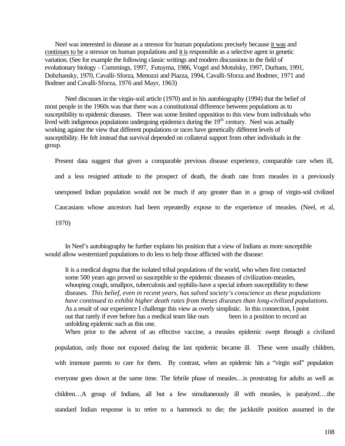Neel was interested in disease as a stressor for human populations precisely because it was and continues to be a stressor on human populations and it is responsible as a selective agent in genetic variation. (See for example the following classic writings and modern discussions in the field of evolutionary biology - Cummings, 1997, Futuyma, 1986, Vogel and Motulsky, 1997, Durham, 1991, Dobzhansky, 1970, Cavalli-Sforza, Menozzi and Piazza, 1994, Cavalli-Sforza and Bodmer, 1971 and Bodmer and Cavalli-Sforza, 1976 and Mayr, 1963)

Neel discusses in the virgin-soil article (1970) and in his autobiography (1994) that the belief of most people in the 1960s was that there was a constitutional difference between populations as to susceptibility to epidemic diseases. There was some limited opposition to this view from individuals who lived with indigenous populations undergoing epidemics during the 19<sup>th</sup> century. Neel was actually working against the view that different populations or races have genetically different levels of susceptibility. He felt instead that survival depended on collateral support from other individuals in the group.

Present data suggest that given a comparable previous disease experience, comparable care when ill, and a less resigned attitude to the prospect of death, the death rate from measles in a previously unexposed Indian population would not be much if any greater than in a group of virgin-soil civilized Caucasians whose ancestors had been repeatedly expose to the experience of measles. (Neel, et al, 1970)

In Neel's autobiography he further explains his position that a view of Indians as more susceptible would allow westernized populations to do less to help those afflicted with the disease:

It is a medical dogma that the isolated tribal populations of the world, who when first contacted some 500 years ago proved so susceptible to the epidemic diseases of civilization-measles, whooping cough, smallpox, tuberculosis and syphilis-have a special inborn susceptibility to these diseases. *This belief, even in recent years, has salved society's conscience as these populations have continued to exhibit higher death rates from theses diseases than long-civilized populations.*  As a result of our experience I challenge this view as overly simplistic. In this connection, I point out that rarely if ever before has a medical team like ours been in a position to record an unfolding epidemic such as this one.

When prior to the advent of an effective vaccine, a measles epidemic swept through a civilized

population, only those not exposed during the last epidemic became ill. These were usually children, with immune parents to care for them. By contrast, when an epidemic hits a "virgin soil" population everyone goes down at the same time. The febrile phase of measles…is prostrating for adults as well as children…A group of Indians, all but a few simultaneously ill with measles, is paralyzed….the standard Indian response is to retire to a hammock to die; the jackknife position assumed in the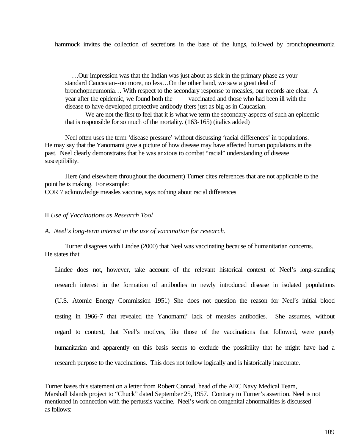hammock invites the collection of secretions in the base of the lungs, followed by bronchopneumonia

 …Our impression was that the Indian was just about as sick in the primary phase as your standard Caucasian--no more, no less…On the other hand, we saw a great deal of bronchopneumonia… With respect to the secondary response to measles, our records are clear. A year after the epidemic, we found both the vaccinated and those who had been ill with the disease to have developed protective antibody titers just as big as in Caucasian.

We are not the first to feel that it is what we term the secondary aspects of such an epidemic that is responsible for so much of the mortality. (163-165) (italics added)

Neel often uses the term 'disease pressure' without discussing 'racial differences' in populations. He may say that the Yanomami give a picture of how disease may have affected human populations in the past. Neel clearly demonstrates that he was anxious to combat "racial" understanding of disease susceptibility.

Here (and elsewhere throughout the document) Turner cites references that are not applicable to the point he is making. For example: COR 7 acknowledge measles vaccine, says nothing about racial differences

#### II *Use of Vaccinations as Research Tool*

*A. Neel's long-term interest in the use of vaccination for research.*

Turner disagrees with Lindee (2000) that Neel was vaccinating because of humanitarian concerns. He states that

Lindee does not, however, take account of the relevant historical context of Neel's long-standing research interest in the formation of antibodies to newly introduced disease in isolated populations (U.S. Atomic Energy Commission 1951) She does not question the reason for Neel's initial blood testing in 1966-7 that revealed the Yanomami' lack of measles antibodies. She assumes, without regard to context, that Neel's motives, like those of the vaccinations that followed, were purely humanitarian and apparently on this basis seems to exclude the possibility that he might have had a research purpose to the vaccinations. This does not follow logically and is historically inaccurate.

Turner bases this statement on a letter from Robert Conrad, head of the AEC Navy Medical Team, Marshall Islands project to "Chuck" dated September 25, 1957. Contrary to Turner's assertion, Neel is not mentioned in connection with the pertussis vaccine. Neel's work on congenital abnormalities is discussed as follows: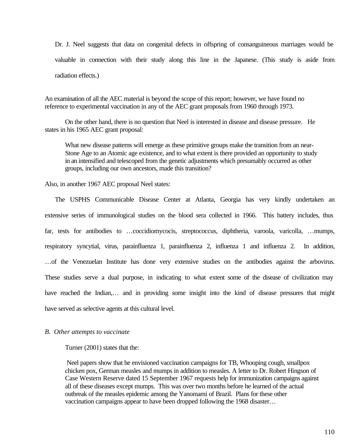Dr. J. Neel suggests that data on congenital defects in offspring of consanguineous marriages would be valuable in connection with their study along this line in the Japanese. (This study is aside from radiation effects.)

An examination of all the AEC material is beyond the scope of this report; however, we have found no reference to experimental vaccination in any of the AEC grant proposals from 1960 through 1973.

On the other hand, there is no question that Neel is interested in disease and disease pressure. He states in his 1965 AEC grant proposal:

What new disease patterns will emerge as these primitive groups make the transition from an near-Stone Age to an Atomic age existence, and to what extent is there provided an opportunity to study in an intensified and telescoped from the genetic adjustments which presumably occurred as other groups, including our own ancestors, made this transition?

Also, in another 1967 AEC proposal Neel states:

The USPHS Communicable Disease Center at Atlanta, Georgia has very kindly undertaken an extensive series of immunological studies on the blood sera collected in 1966. This battery includes, thus far, tests for antibodies to ...coccidiomycocis, streptococcus, diphtheria, varoola, varicolla, ...mumps, respiratory syncytial, virus, parainfluenza 1, parainfluenza 2, influenza 1 and influenza 2. In addition, …of the Venezuelan Institute has done very extensive studies on the antibodies against the arbovirus. These studies serve a dual purpose, in indicating to what extent some of the disease of civilization may have reached the Indian,... and in providing some insight into the kind of disease pressures that might have served as selective agents at this cultural level.

#### *B. Other attempts to vaccinate*

Turner (2001) states that the:

 Neel papers show that he envisioned vaccination campaigns for TB, Whooping cough, smallpox chicken pox, German measles and mumps in addition to measles. A letter to Dr. Robert Hingson of Case Western Reserve dated 15 September 1967 requests help for immunization campaigns against all of these diseases except mumps. This was over two months before he learned of the actual outbreak of the measles epidemic among the Yanomami of Brazil. Plans for these other vaccination campaigns appear to have been dropped following the 1968 disaster…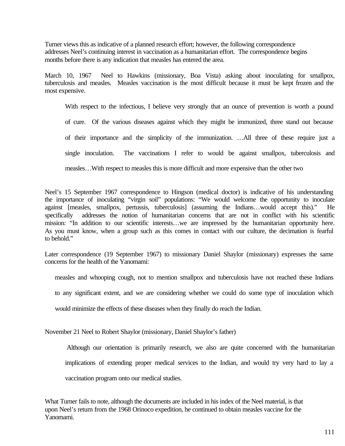Turner views this as indicative of a planned research effort; however, the following correspondence addresses Neel's continuing interest in vaccination as a humanitarian effort. The correspondence begins months before there is any indication that measles has entered the area.

March 10, 1967 Neel to Hawkins (missionary, Boa Vista) asking about inoculating for smallpox, tuberculosis and measles. Measles vaccination is the most difficult because it must be kept frozen and the most expensive.

With respect to the infectious, I believe very strongly that an ounce of prevention is worth a pound of cure. Of the various diseases against which they might be immunized, three stand out because of their importance and the simplicity of the immunization. …All three of these require just a single inoculation. The vaccinations I refer to would be against smallpox, tuberculosis and measles…With respect to measles this is more difficult and more expensive than the other two

Neel's 15 September 1967 correspondence to Hingson (medical doctor) is indicative of his understanding the importance of inoculating "virgin soil" populations: "We would welcome the opportunity to inoculate against [measles, smallpox, pertussis, tuberculosis] (assuming the Indians…would accept this)." He specifically addresses the notion of humanitarian concerns that are not in conflict with his scientific mission: "In addition to our scientific interests…we are impressed by the humanitarian opportunity here. As you must know, when a group such as this comes in contact with our culture, the decimation is fearful to behold."

Later correspondence (19 September 1967) to missionary Daniel Shaylor (missionary) expresses the same concerns for the health of the Yanomami:

measles and whooping cough, not to mention smallpox and tuberculosis have not reached these Indians

to any significant extent, and we are considering whether we could do some type of inoculation which

would minimize the effects of these diseases when they finally do reach the Indian.

November 21 Neel to Robert Shaylor (missionary, Daniel Shaylor's father)

Although our orientation is primarily research, we also are quite concerned with the humanitarian

implications of extending proper medical services to the Indian, and would try very hard to lay a

vaccination program onto our medical studies.

What Turner fails to note, although the documents are included in his index of the Neel material, is that upon Neel's return from the 1968 Orinoco expedition, he continued to obtain measles vaccine for the Yanomami.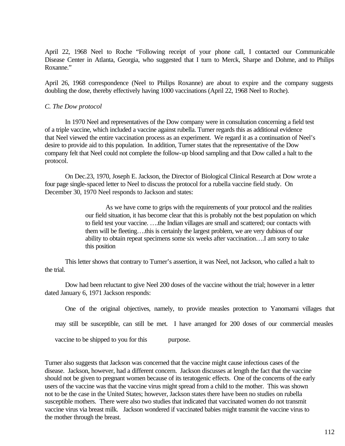April 22, 1968 Neel to Roche "Following receipt of your phone call, I contacted our Communicable Disease Center in Atlanta, Georgia, who suggested that I turn to Merck, Sharpe and Dohme, and to Philips Roxanne."

April 26, 1968 correspondence (Neel to Philips Roxanne) are about to expire and the company suggests doubling the dose, thereby effectively having 1000 vaccinations (April 22, 1968 Neel to Roche).

#### *C. The Dow protocol*

In 1970 Neel and representatives of the Dow company were in consultation concerning a field test of a triple vaccine, which included a vaccine against rubella. Turner regards this as additional evidence that Neel viewed the entire vaccination process as an experiment. We regard it as a continuation of Neel's desire to provide aid to this population. In addition, Turner states that the representative of the Dow company felt that Neel could not complete the follow-up blood sampling and that Dow called a halt to the protocol.

On Dec.23, 1970, Joseph E. Jackson, the Director of Biological Clinical Research at Dow wrote a four page single-spaced letter to Neel to discuss the protocol for a rubella vaccine field study. On December 30, 1970 Neel responds to Jackson and states:

> As we have come to grips with the requirements of your protocol and the realities our field situation, it has become clear that this is probably not the best population on which to field test your vaccine. ….the Indian villages are small and scattered; our contacts with them will be fleeting….this is certainly the largest problem, we are very dubious of our ability to obtain repeat specimens some six weeks after vaccination….I am sorry to take this position

This letter shows that contrary to Turner's assertion, it was Neel, not Jackson, who called a halt to the trial.

Dow had been reluctant to give Neel 200 doses of the vaccine without the trial; however in a letter dated January 6, 1971 Jackson responds:

One of the original objectives, namely, to provide measles protection to Yanomami villages that

may still be susceptible, can still be met. I have arranged for 200 doses of our commercial measles

vaccine to be shipped to you for this purpose.

Turner also suggests that Jackson was concerned that the vaccine might cause infectious cases of the disease. Jackson, however, had a different concern. Jackson discusses at length the fact that the vaccine should not be given to pregnant women because of its teratogenic effects. One of the concerns of the early users of the vaccine was that the vaccine virus might spread from a child to the mother. This was shown not to be the case in the United States; however, Jackson states there have been no studies on rubella susceptible mothers. There were also two studies that indicated that vaccinated women do not transmit vaccine virus via breast milk. Jackson wondered if vaccinated babies might transmit the vaccine virus to the mother through the breast.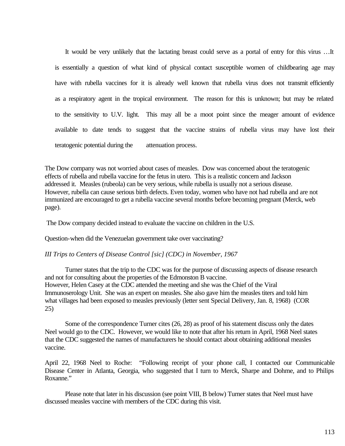It would be very unlikely that the lactating breast could serve as a portal of entry for this virus …It is essentially a question of what kind of physical contact susceptible women of childbearing age may have with rubella vaccines for it is already well known that rubella virus does not transmit efficiently as a respiratory agent in the tropical environment. The reason for this is unknown; but may be related to the sensitivity to U.V. light. This may all be a moot point since the meager amount of evidence available to date tends to suggest that the vaccine strains of rubella virus may have lost their teratogenic potential during the attenuation process.

The Dow company was not worried about cases of measles. Dow was concerned about the teratogenic effects of rubella and rubella vaccine for the fetus in utero. This is a realistic concern and Jackson addressed it. Measles (rubeola) can be very serious, while rubella is usually not a serious disease. However, rubella can cause serious birth defects. Even today, women who have not had rubella and are not immunized are encouraged to get a rubella vaccine several months before becoming pregnant (Merck, web page).

The Dow company decided instead to evaluate the vaccine on children in the U.S.

Question-when did the Venezuelan government take over vaccinating?

#### *III Trips to Centers of Disease Control [sic] (CDC) in November, 1967*

Turner states that the trip to the CDC was for the purpose of discussing aspects of disease research and not for consulting about the properties of the Edmonston B vaccine. However, Helen Casey at the CDC attended the meeting and she was the Chief of the Viral Immunoserology Unit. She was an expert on measles. She also gave him the measles titers and told him what villages had been exposed to measles previously (letter sent Special Delivery, Jan. 8, 1968) (COR 25)

Some of the correspondence Turner cites (26, 28) as proof of his statement discuss only the dates Neel would go to the CDC. However, we would like to note that after his return in April, 1968 Neel states that the CDC suggested the names of manufacturers he should contact about obtaining additional measles vaccine.

April 22, 1968 Neel to Roche: "Following receipt of your phone call, I contacted our Communicable Disease Center in Atlanta, Georgia, who suggested that I turn to Merck, Sharpe and Dohme, and to Philips Roxanne."

Please note that later in his discussion (see point VIII, B below) Turner states that Neel must have discussed measles vaccine with members of the CDC during this visit.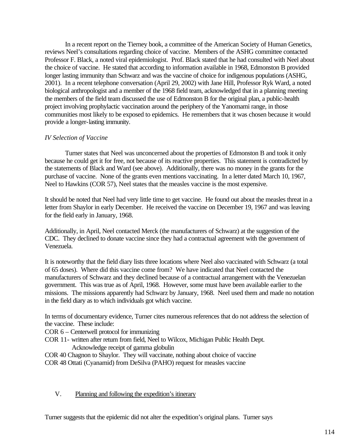In a recent report on the Tierney book, a committee of the American Society of Human Genetics, reviews Neel's consultations regarding choice of vaccine. Members of the ASHG committee contacted Professor F. Black, a noted viral epidemiologist. Prof. Black stated that he had consulted with Neel about the choice of vaccine. He stated that according to information available in 1968, Edmonston B provided longer lasting immunity than Schwarz and was the vaccine of choice for indigenous populations (ASHG, 2001). In a recent telephone conversation (April 29, 2002) with Jane Hill, Professor Ryk Ward, a noted biological anthropologist and a member of the 1968 field team, acknowledged that in a planning meeting the members of the field team discussed the use of Edmonston B for the original plan, a public-health project involving prophylactic vaccination around the periphery of the Yanomami range, in those communities most likely to be exposed to epidemics. He remembers that it was chosen because it would provide a longer-lasting immunity.

## *IV Selection of Vaccine*

Turner states that Neel was unconcerned about the properties of Edmonston B and took it only because he could get it for free, not because of its reactive properties. This statement is contradicted by the statements of Black and Ward (see above). Additionally, there was no money in the grants for the purchase of vaccine. None of the grants even mentions vaccinating. In a letter dated March 10, 1967, Neel to Hawkins (COR 57), Neel states that the measles vaccine is the most expensive.

It should be noted that Neel had very little time to get vaccine. He found out about the measles threat in a letter from Shaylor in early December. He received the vaccine on December 19, 1967 and was leaving for the field early in January, 1968.

Additionally, in April, Neel contacted Merck (the manufacturers of Schwarz) at the suggestion of the CDC. They declined to donate vaccine since they had a contractual agreement with the government of Venezuela.

It is noteworthy that the field diary lists three locations where Neel also vaccinated with Schwarz (a total of 65 doses). Where did this vaccine come from? We have indicated that Neel contacted the manufacturers of Schwarz and they declined because of a contractual arrangement with the Venezuelan government. This was true as of April, 1968. However, some must have been available earlier to the missions. The missions apparently had Schwarz by January, 1968. Neel used them and made no notation in the field diary as to which individuals got which vaccine.

In terms of documentary evidence, Turner cites numerous references that do not address the selection of the vaccine. These include:

- COR 6 Centerwell protocol for immunizing
- COR 11- written after return from field, Neel to Wilcox, Michigan Public Health Dept.
	- Acknowledge receipt of gamma globulin
- COR 40 Chagnon to Shaylor. They will vaccinate, nothing about choice of vaccine

COR 48 Ottati (Cyanamid) from DeSilva (PAHO) request for measles vaccine

### V. Planning and following the expedition's itinerary

Turner suggests that the epidemic did not alter the expedition's original plans. Turner says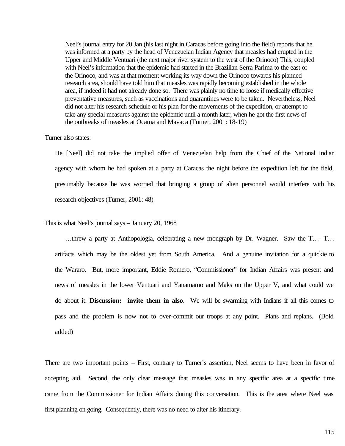Neel's journal entry for 20 Jan (his last night in Caracas before going into the field) reports that he was informed at a party by the head of Venezuelan Indian Agency that measles had erupted in the Upper and Middle Ventuari (the next major river system to the west of the Orinoco) This, coupled with Neel's information that the epidemic had started in the Brazilian Serra Parima to the east of the Orinoco, and was at that moment working its way down the Orinoco towards his planned research area, should have told him that measles was rapidly becoming established in the whole area, if indeed it had not already done so. There was plainly no time to loose if medically effective preventative measures, such as vaccinations and quarantines were to be taken. Nevertheless, Neel did not alter his research schedule or his plan for the movements of the expedition, or attempt to take any special measures against the epidemic until a month later, when he got the first news of the outbreaks of measles at Ocama and Mavaca (Turner, 2001: 18-19)

#### Turner also states:

He [Neel] did not take the implied offer of Venezuelan help from the Chief of the National Indian agency with whom he had spoken at a party at Caracas the night before the expedition left for the field, presumably because he was worried that bringing a group of alien personnel would interfere with his research objectives (Turner, 2001: 48)

#### This is what Neel's journal says – January 20, 1968

…threw a party at Anthopologia, celebrating a new mongraph by Dr. Wagner. Saw the T…- T… artifacts which may be the oldest yet from South America. And a genuine invitation for a quickie to the Wararo. But, more important, Eddie Romero, "Commissioner" for Indian Affairs was present and news of measles in the lower Ventuari and Yanamamo and Maks on the Upper V, and what could we do about it. **Discussion: invite them in also**. We will be swarming with Indians if all this comes to pass and the problem is now not to over-commit our troops at any point. Plans and replans. (Bold added)

There are two important points – First, contrary to Turner's assertion, Neel seems to have been in favor of accepting aid. Second, the only clear message that measles was in any specific area at a specific time came from the Commissioner for Indian Affairs during this conversation. This is the area where Neel was first planning on going. Consequently, there was no need to alter his itinerary.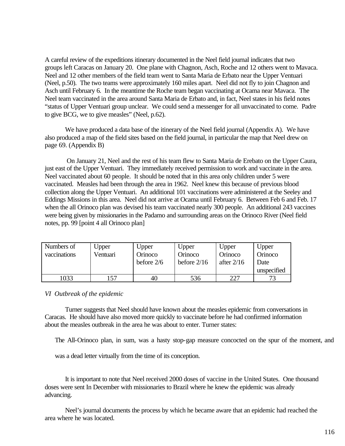A careful review of the expeditions itinerary documented in the Neel field journal indicates that two groups left Caracas on January 20. One plane with Chagnon, Asch, Roche and 12 others went to Mavaca. Neel and 12 other members of the field team went to Santa Maria de Erbato near the Upper Ventuari (Neel, p.50). The two teams were approximately 160 miles apart. Neel did not fly to join Chagnon and Asch until February 6. In the meantime the Roche team began vaccinating at Ocama near Mavaca. The Neel team vaccinated in the area around Santa Maria de Erbato and, in fact, Neel states in his field notes "status of Upper Ventuari group unclear. We could send a messenger for all unvaccinated to come. Padre to give BCG, we to give measles" (Neel, p.62).

We have produced a data base of the itinerary of the Neel field journal (Appendix A). We have also produced a map of the field sites based on the field journal, in particular the map that Neel drew on page 69. (Appendix B)

 On January 21, Neel and the rest of his team flew to Santa Maria de Erebato on the Upper Caura, just east of the Upper Ventuari. They immediately received permission to work and vaccinate in the area. Neel vaccinated about 60 people. It should be noted that in this area only children under 5 were vaccinated. Measles had been through the area in 1962. Neel knew this because of previous blood collection along the Upper Ventuari. An additional 101 vaccinations were administered at the Seeley and Eddings Missions in this area. Neel did not arrive at Ocama until February 6. Between Feb 6 and Feb. 17 when the all Orinoco plan was devised his team vaccinated nearly 300 people. An additional 243 vaccines were being given by missionaries in the Padamo and surrounding areas on the Orinoco River (Neel field notes, pp. 99 [point 4 all Orinoco plan]

| Numbers of<br>vaccinations | Upper<br>Ventuari | Upper<br>Orinoco | Upper<br>Orinoco | Upper<br>Orinoco | Upper<br>Orinoco |
|----------------------------|-------------------|------------------|------------------|------------------|------------------|
|                            |                   | before $2/6$     | before $2/16$    | after $2/16$     | Date             |
|                            |                   |                  |                  |                  | unspecified      |
| 1033                       | .57               | 40               | 536              | 227              |                  |

## *VI Outbreak of the epidemic*

Turner suggests that Neel should have known about the measles epidemic from conversations in Caracas. He should have also moved more quickly to vaccinate before he had confirmed information about the measles outbreak in the area he was about to enter. Turner states:

The All-Orinoco plan, in sum, was a hasty stop-gap measure concocted on the spur of the moment, and

was a dead letter virtually from the time of its conception.

It is important to note that Neel received 2000 doses of vaccine in the United States. One thousand doses were sent In December with missionaries to Brazil where he knew the epidemic was already advancing.

Neel's journal documents the process by which he became aware that an epidemic had reached the area where he was located.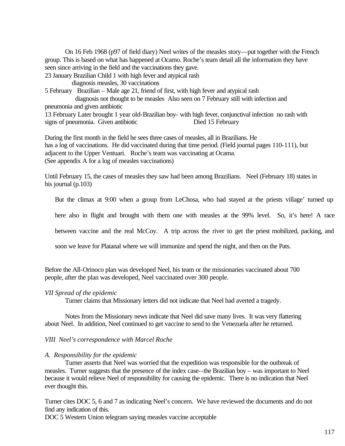On 16 Feb 1968 (p97 of field diary) Neel writes of the measles story—put together with the French group. This is based on what has happened at Ocamo. Roche's team detail all the information they have seen since arriving in the field and the vaccinations they gave.

23 January Brazilian Child 1 with high fever and atypical rash

diagnosis measles, 30 vaccinations

5 February Brazilian – Male age 21, friend of first, with high fever and atypical rash

 diagnosis not thought to be measles Also seen on 7 February still with infection and pneumonia and given antibiotic

13 February Later brought 1 year old-Brazilian boy- with high fever, conjunctival infection no rash with signs of pneumonia. Given antibiotic Died 15 February

During the first month in the field he sees three cases of measles, all in Brazilians. He has a log of vaccinations. He did vaccinated during that time period. (Field journal pages 110-111), but adjacent to the Upper Ventuari. Roche's team was vaccinating at Ocama. (See appendix A for a log of measles vaccinations)

Until February 15, the cases of measles they saw had been among Brazilians. Neel (February 18) states in his journal (p.103)

But the climax at 9:00 when a group from LeChosa, who had stayed at the priests village' turned up

here also in flight and brought with them one with measles at the 99% level. So, it's here! A race

between vaccine and the real McCoy. A trip across the river to get the priest mobilized, packing, and

soon we leave for Platanal where we will immunize and spend the night, and then on the Pats.

Before the All-Orinoco plan was developed Neel, his team or the missionaries vaccinated about 700 people, after the plan was developed, Neel vaccinated over 300 people.

## *VII Spread of the epidemic*

Turner claims that Missionary letters did not indicate that Neel had averted a tragedy.

Notes from the Missionary news indicate that Neel did save many lives. It was very flattering about Neel. In addition, Neel continued to get vaccine to send to the Venezuela after he returned.

## *VIII Neel's correspondence with Marcel Roche*

#### *A. Responsibility for the epidemic*

Turner asserts that Neel was worried that the expedition was responsible for the outbreak of measles. Turner suggests that the presence of the index case--the Brazilian boy – was important to Neel because it would relieve Neel of responsibility for causing the epidemic. There is no indication that Neel ever thought this.

Turner cites DOC 5, 6 and 7 as indicating Neel's concern. We have reviewed the documents and do not find any indication of this.

DOC 5 Western Union telegram saying measles vaccine acceptable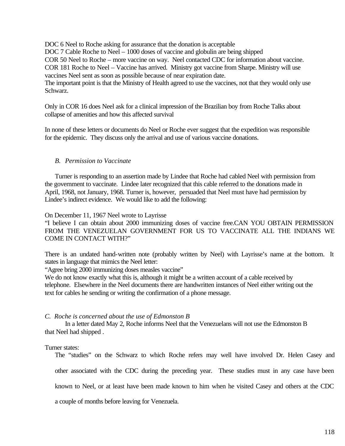DOC 6 Neel to Roche asking for assurance that the donation is acceptable DOC 7 Cable Roche to Neel – 1000 doses of vaccine and globulin are being shipped COR 50 Neel to Roche – more vaccine on way. Neel contacted CDC for information about vaccine. COR 181 Roche to Neel – Vaccine has arrived. Ministry got vaccine from Sharpe. Ministry will use vaccines Neel sent as soon as possible because of near expiration date. The important point is that the Ministry of Health agreed to use the vaccines, not that they would only use Schwarz.

Only in COR 16 does Neel ask for a clinical impression of the Brazilian boy from Roche Talks about collapse of amenities and how this affected survival

In none of these letters or documents do Neel or Roche ever suggest that the expedition was responsible for the epidemic. They discuss only the arrival and use of various vaccine donations.

## *B. Permission to Vaccinate*

Turner is responding to an assertion made by Lindee that Roche had cabled Neel with permission from the government to vaccinate. Lindee later recognized that this cable referred to the donations made in April, 1968, not January, 1968. Turner is, however, persuaded that Neel must have had permission by Lindee's indirect evidence. We would like to add the following:

On December 11, 1967 Neel wrote to Layrisse

"I believe I can obtain about 2000 immunizing doses of vaccine free.CAN YOU OBTAIN PERMISSION FROM THE VENEZUELAN GOVERNMENT FOR US TO VACCINATE ALL THE INDIANS WE COME IN CONTACT WITH?"

There is an undated hand-written note (probably written by Neel) with Layrisse's name at the bottom. It states in language that mimics the Neel letter:

"Agree bring 2000 immunizing doses measles vaccine"

We do not know exactly what this is, although it might be a written account of a cable received by telephone. Elsewhere in the Neel documents there are handwritten instances of Neel either writing out the text for cables he sending or writing the confirmation of a phone message.

## *C. Roche is concerned about the use of Edmonston B*

In a letter dated May 2, Roche informs Neel that the Venezuelans will not use the Edmonston B that Neel had shipped .

## Turner states:

The "studies" on the Schwarz to which Roche refers may well have involved Dr. Helen Casey and other associated with the CDC during the preceding year. These studies must in any case have been known to Neel, or at least have been made known to him when he visited Casey and others at the CDC

a couple of months before leaving for Venezuela.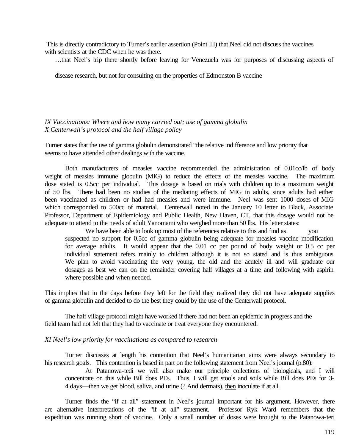This is directly contradictory to Turner's earlier assertion (Point III) that Neel did not discuss the vaccines with scientists at the CDC when he was there.

…that Neel's trip there shortly before leaving for Venezuela was for purposes of discussing aspects of

disease research, but not for consulting on the properties of Edmonston B vaccine

*IX Vaccinations: Where and how many carried out; use of gamma globulin X Centerwall's protocol and the half village policy*

Turner states that the use of gamma globulin demonstrated "the relative indifference and low priority that seems to have attended other dealings with the vaccine.

Both manufacturers of measles vaccine recommended the administration of 0.01cc/lb of body weight of measles immune globulin (MIG) to reduce the effects of the measles vaccine. The maximum dose stated is 0.5cc per individual. This dosage is based on trials with children up to a maximum weight of 50 lbs. There had been no studies of the mediating effects of MIG in adults, since adults had either been vaccinated as children or had had measles and were immune. Neel was sent 1000 doses of MIG which corresponded to 500cc of material. Centerwall noted in the January 10 letter to Black, Associate Professor, Department of Epidemiology and Public Health, New Haven, CT, that this dosage would not be adequate to attend to the needs of adult Yanomami who weighed more than 50 lbs. His letter states:

We have been able to look up most of the references relative to this and find as you suspected no support for 0.5cc of gamma globulin being adequate for measles vaccine modification for average adults. It would appear that the 0.01 cc per pound of body weight or 0.5 cc per individual statement refers mainly to children although it is not so stated and is thus ambiguous. We plan to avoid vaccinating the very young, the old and the acutely ill and will graduate our dosages as best we can on the remainder covering half villages at a time and following with aspirin where possible and when needed.

This implies that in the days before they left for the field they realized they did not have adequate supplies of gamma globulin and decided to do the best they could by the use of the Centerwall protocol.

The half village protocol might have worked if there had not been an epidemic in progress and the field team had not felt that they had to vaccinate or treat everyone they encountered.

*XI Neel's low priority for vaccinations as compared to research*

Turner discusses at length his contention that Neel's humanitarian aims were always secondary to his research goals. This contention is based in part on the following statement from Neel's journal (p.80):

At Patanowa-tedi we will also make our principle collections of biologicals, and I will concentrate on this while Bill does PEs. Thus, I will get stools and soils while Bill does PEs for 3- 4 days—then we get blood, saliva, and urine (? And dermats), then inoculate if at all.

Turner finds the "if at all" statement in Neel's journal important for his argument. However, there are alternative interpretations of the "if at all" statement. Professor Ryk Ward remembers that the expedition was running short of vaccine. Only a small number of doses were brought to the Patanowa-teri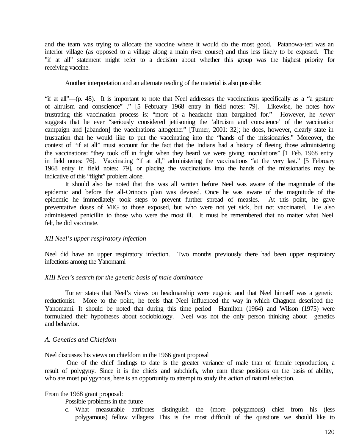and the team was trying to allocate the vaccine where it would do the most good. Patanowa-teri was an interior village (as opposed to a village along a main river course) and thus less likely to be exposed. The "if at all" statement might refer to a decision about whether this group was the highest priority for receiving vaccine.

Another interpretation and an alternate reading of the material is also possible:

"if at all"—(p. 48). It is important to note that Neel addresses the vaccinations specifically as a "a gesture of altruism and conscience" ." [5 February 1968 entry in field notes: 79]. Likewise, he notes how frustrating this vaccination process is: "more of a headache than bargained for." However, he *never* suggests that he ever "seriously considered jettisoning the 'altruism and conscience' of the vaccination campaign and [abandon] the vaccinations altogether" [Turner, 2001: 32]; he does, however, clearly state in frustration that he would like to put the vaccinating into the "hands of the missionaries." Moreover, the context of "if at all" must account for the fact that the Indians had a history of fleeing those administering the vaccinations: "they took off in fright when they heard we were giving inoculations" [1 Feb. 1968 entry in field notes: 76]. Vaccinating "if at all," administering the vaccinations "at the very last." [5 February 1968 entry in field notes: 79], or placing the vaccinations into the hands of the missionaries may be indicative of this "flight" problem alone.

It should also be noted that this was all written before Neel was aware of the magnitude of the epidemic and before the all-Orinoco plan was devised. Once he was aware of the magnitude of the epidemic he immediately took steps to prevent further spread of measles. At this point, he gave preventative doses of MIG to those exposed, but who were not yet sick, but not vaccinated. He also administered penicillin to those who were the most ill. It must be remembered that no matter what Neel felt, he did vaccinate.

#### *XII Neel's upper respiratory infection*

Neel did have an upper respiratory infection. Two months previously there had been upper respiratory infections among the Yanomami

#### *XIII Neel's search for the genetic basis of male dominance*

Turner states that Neel's views on headmanship were eugenic and that Neel himself was a genetic reductionist. More to the point, he feels that Neel influenced the way in which Chagnon described the Yanomami. It should be noted that during this time period Hamilton (1964) and Wilson (1975) were formulated their hypotheses about sociobiology. Neel was not the only person thinking about genetics and behavior.

#### *A. Genetics and Chiefdom*

Neel discusses his views on chiefdom in the 1966 grant proposal

 One of the chief findings to date is the greater variance of male than of female reproduction, a result of polygyny. Since it is the chiefs and subchiefs, who earn these positions on the basis of ability, who are most polygynous, here is an opportunity to attempt to study the action of natural selection.

#### From the 1968 grant proposal:

Possible problems in the future

c. What measurable attributes distinguish the (more polygamous) chief from his (less polygamous) fellow villagers/ This is the most difficult of the questions we should like to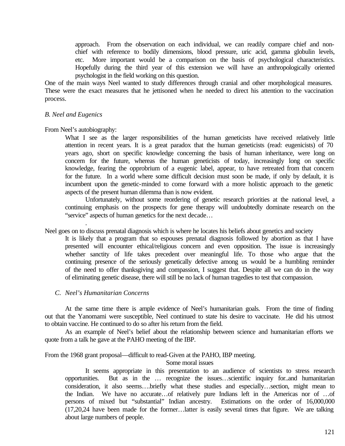approach. From the observation on each individual, we can readily compare chief and nonchief with reference to bodily dimensions, blood pressure, uric acid, gamma globulin levels, etc. More important would be a comparison on the basis of psychological characteristics. Hopefully during the third year of this extension we will have an anthropologically oriented psychologist in the field working on this question.

One of the main ways Neel wanted to study differences through cranial and other morphological measures. These were the exact measures that he jettisoned when he needed to direct his attention to the vaccination process.

#### *B. Neel and Eugenics*

From Neel's autobiography:

.

What I see as the larger responsibilities of the human geneticists have received relatively little attention in recent years. It is a great paradox that the human geneticists (read: eugenicists) of 70 years ago, short on specific knowledge concerning the basis of human inheritance, were long on concern for the future, whereas the human geneticists of today, increasingly long on specific knowledge, fearing the opprobrium of a eugenic label, appear, to have retreated from that concern for the future. In a world where some difficult decision must soon be made, if only by default, it is incumbent upon the genetic-minded to come forward with a more holistic approach to the genetic aspects of the present human dilemma than is now evident.

Unfortunately, without some reordering of genetic research priorities at the national level, a continuing emphasis on the prospects for gene therapy will undoubtedly dominate research on the "service" aspects of human genetics for the next decade…

Neel goes on to discuss prenatal diagnosis which is where he locates his beliefs about genetics and society

It is likely that a program that so espouses prenatal diagnosis followed by abortion as that I have presented will encounter ethical/religious concern and even opposition. The issue is increasingly whether sanctity of life takes precedent over meaningful life. To those who argue that the continuing presence of the seriously genetically defective among us would be a humbling reminder of the need to offer thanksgiving and compassion, I suggest that. Despite all we can do in the way of eliminating genetic disease, there will still be no lack of human tragedies to test that compassion.

## *C. Neel's Humanitarian Concerns*

At the same time there is ample evidence of Neel's humanitarian goals. From the time of finding out that the Yanomami were susceptible, Neel continued to state his desire to vaccinate. He did his utmost to obtain vaccine. He continued to do so after his return from the field.

As an example of Neel's belief about the relationship between science and humanitarian efforts we quote from a talk he gave at the PAHO meeting of the IBP.

From the 1968 grant proposal—difficult to read-Given at the PAHO, IBP meeting.

Some moral issues

It seems appropriate in this presentation to an audience of scientists to stress research opportunities. But as in the … recognize the issues…scientific inquiry for..and humanitarian consideration, it also seems….briefly what these studies and especially…section, might mean to the Indian. We have no accurate…of relatively pure Indians left in the Americas nor of …of persons of mixed but "substantial" Indian ancestry. Estimations on the order of 16,000,000 (17,20,24 have been made for the former…latter is easily several times that figure. We are talking about large numbers of people.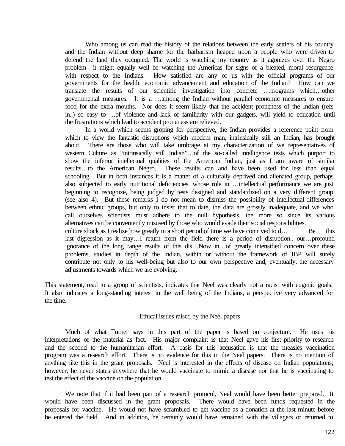Who among us can read the history of the relations between the early settlers of his country and the Indian without deep shame for the barbarism heaped upon a people who were driven to defend the land they occupied. The world is watching my country as it agonizes over the Negro problem—it might equally well be watching the Americas for signs of a bleated, moral resurgence with respect to the Indians. How satisfied are any of us with the official programs of our governments for the health, economic advancement and education of the Indian? How can we translate the results of our scientific investigation into concrete …programs which…other governmental measures. It is a …among the Indian without parallel economic measures to ensure food for the extra mouths. Nor does it seem likely that the accident proneness of the Indian (refs in..) so easy to …of violence and lack of familiarity with our gadgets, will yield to education until the frustrations which lead to accident proneness are relieved.

In a world which seems groping for perspective, the Indian provides a reference point from which to view the fantastic disruptions which modern man, intrinsically still an Indian, has brought about. There are those who will take umbrage at my characterization of we representatives of western Culture as "intrinsically still Indian"…of the so-called intelligence tests which purport to show the inferior intellectual qualities of the American Indian, just as I am aware of similar results…to the American Negro. These results can and have been used for less than equal schooling. But in both instances it is a matter of a culturally deprived and alienated group, perhaps also subjected to early nutritional deficiencies, whose role in …intellectual performance we are just beginning to recognize, being judged by tests designed and standardized on a very different group (see also 4). But these remarks I do not mean to dismiss the possibility of intellectual differences between ethnic groups, but only to insist that to date, the data are grossly inadequate, and we who call ourselves scientists must adhere to the null hypothesis, the more so since its various alternatives can be conveniently misused by those who would evade their social responsibilities. culture shock as I realize how greatly in a short period of time we have contrived to d… Be this last digression as it may…I return from the field there is a period of disruption.. our…profound ignorance of the long range results of this dis…Now in…of greatly intensified concern over these problems, studies in depth of the Indian, within or without the framework of IBP will surely contribute not only to his well-being but also to our own perspective and, eventually, the necessary

adjustments towards which we are evolving.

This statement, read to a group of scientists, indicates that Neel was clearly not a racist with eugenic goals. It also indicates a long-standing interest in the well being of the Indians, a perspective very advanced for the time.

### Ethical issues raised by the Neel papers

Much of what Turner says in this part of the paper is based on conjecture. He uses his interpretations of the material as fact. His major complaint is that Neel gave his first priority to research and the second to the humanitarian effort. A basis for this accusation is that the measles vaccination program was a research effort. There is no evidence for this in the Neel papers. There is no mention of anything like this in the grant proposals. Neel is interested in the effects of disease on Indian populations; however, he never states anywhere that he would vaccinate to mimic a disease nor that he is vaccinating to test the effect of the vaccine on the population.

We note that if it had been part of a research protocol, Neel would have been better prepared. It would have been discussed in the grant proposals. There would have been funds requested in the proposals for vaccine. He would not have scrambled to get vaccine as a donation at the last minute before he entered the field. And in addition, he certainly would have remained with the villagers or returned to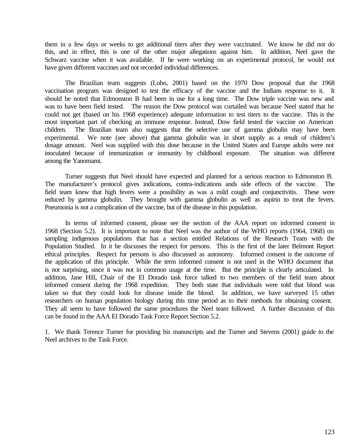them in a few days or weeks to get additional titers after they were vaccinated. We know he did not do this, and in effect, this is one of the other major allegations against him. In addition, Neel gave the Schwarz vaccine when it was available. If he were working on an experimental protocol, he would not have given different vaccines and not recorded individual differences.

The Brazilian team suggests (Lobo, 2001) based on the 1970 Dow proposal that the 1968 vaccination program was designed to test the efficacy of the vaccine and the Indians response to it. It should be noted that Edmonston B had been in use for a long time. The Dow triple vaccine was new and was to have been field tested. The reason the Dow protocol was curtailed was because Neel stated that he could not get (based on his 1968 experience) adequate information to test titers to the vaccine. This is the most important part of checking an immune response. Instead, Dow field tested the vaccine on American children. The Brazilian team also suggests that the selective use of gamma globulin may have been experimental. We note (see above) that gamma globulin was in short supply as a result of children's dosage amount. Neel was supplied with this dose because in the United States and Europe adults were not inoculated because of immunization or immunity by childhood exposure. The situation was different among the Yanomami.

Turner suggests that Neel should have expected and planned for a serious reaction to Edmonston B. The manufacturer's protocol gives indications, contra-indications ands side effects of the vaccine. The field team knew that high fevers were a possibility as was a mild cough and conjunctivitis. These were reduced by gamma globulin. They brought with gamma globulin as well as aspirin to treat the fevers. Pneumonia is not a complication of the vaccine, but of the disease in this population.

In terms of informed consent, please see the section of the AAA report on informed consent in 1968 (Section 5.2). It is important to note that Neel was the author of the WHO reports (1964, 1968) on sampling indigenous populations that has a section entitled Relations of the Research Team with the Population Studied. In it he discusses the respect for persons. This is the first of the later Belmont Report ethical principles. Respect for persons is also discussed as autonomy. Informed consent is the outcome of the application of this principle. While the term informed consent is not used in the WHO document that is not surprising, since it was not in common usage at the time. But the principle is clearly articulated. In addition, Jane Hill, Chair of the El Dorado task force talked to two members of the field team about informed consent during the 1968 expedition. They both state that individuals were told that blood was taken so that they could look for disease inside the blood. In addition, we have surveyed 15 other researchers on human population biology during this time period as to their methods for obtaining consent. They all seem to have followed the same procedures the Neel team followed. A further discussion of this can be found in the AAA El Dorado Task Force Report Section 5.2.

1. We thank Terence Turner for providing his manuscripts and the Turner and Stevens (2001) guide to the Neel archives to the Task Force.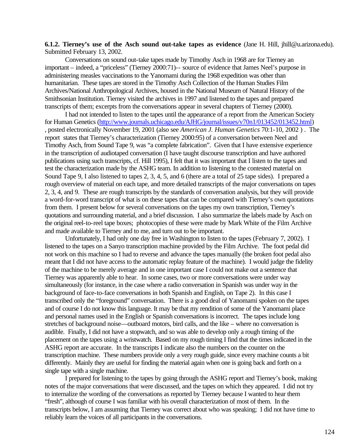**6.1.2. Tierney's use of the Asch sound out-take tapes as evidence** (Jane H. Hill, jhill@u.arizona.edu). Submitted February 13, 2002.

Conversations on sound out-take tapes made by Timothy Asch in 1968 are for Tierney an important – indeed, a "priceless" (Tierney 2000:71)-- source of evidence that James Neel's purpose in administering measles vaccinations to the Yanomami during the 1968 expedition was other than humanitarian. These tapes are stored in the Timothy Asch Collection of the Human Studies Film Archives/National Anthropological Archives, housed in the National Museum of Natural History of the Smithsonian Institution. Tierney visited the archives in 1997 and listened to the tapes and prepared transcripts of them; excerpts from the conversations appear in several chapters of Tierney (2000).

I had not intended to listen to the tapes until the appearance of a report from the American Society for Human Genetics (http://www.journals.uchicago.edu/AJHG/journal/issues/v70n1/013452/013452.html) , posted electronically November 19, 2001 (also see *American J. Human Genetics* 70:1-10, 2002 ) . The report states that Tierney's characterization (Tierney 2000:95) of a conversation between Neel and Timothy Asch, from Sound Tape 9, was "a complete fabrication". Given that I have extensive experience in the transcription of audiotaped conversation (I have taught discourse transcription and have authored publications using such transcripts, cf. Hill 1995), I felt that it was important that I listen to the tapes and test the characterization made by the ASHG team. In addition to listening to the contested material on Sound Tape 9, I also listened to tapes 2, 3, 4, 5, and 6 (there are a total of 25 tape sides). I prepared a rough overview of material on each tape, and more detailed transcripts of the major conversations on tapes 2, 3, 4, and 9. These are rough transcripts by the standards of conversation analysis, but they will provide a word-for-word transcript of what is on these tapes that can be compared with Tierney's own quotations from them. I present below for several conversations on the tapes my own transcription, Tierney's quotations and surrounding material, and a brief discussion. I also summarize the labels made by Asch on the original reel-to-reel tape boxes; photocopies of these were made by Mark White of the Film Archive and made available to Tierney and to me, and turn out to be important.

Unfortunately, I had only one day free in Washington to listen to the tapes (February 7, 2002). I listened to the tapes on a Sanyo transcription machine provided by the Film Archive. The foot pedal did not work on this machine so I had to reverse and advance the tapes manually (the broken foot pedal also meant that I did not have access to the automatic replay feature of the machine). I would judge the fidelity of the machine to be merely average and in one important case I could not make out a sentence that Tierney was apparently able to hear. In some cases, two or more conversations were under way simultaneously (for instance, in the case where a radio conversation in Spanish was under way in the background of face-to-face conversations in both Spanish and English, on Tape 2). In this case I transcribed only the "foreground" conversation. There is a good deal of Yanomami spoken on the tapes and of course I do not know this language. It may be that my rendition of some of the Yanomami place and personal names used in the English or Spanish conversations is incorrect. The tapes include long stretches of background noise—outboard motors, bird calls, and the like – where no conversation is audible. Finally, I did not have a stopwatch, and so was able to develop only a rough timing of the placement on the tapes using a wristwatch. Based on my rough timing I find that the times indicated in the ASHG report are accurate. In the transcripts I indicate also the numbers on the counter on the transcription machine. These numbers provide only a very rough guide, since every machine counts a bit differently. Mainly they are useful for finding the material again when one is going back and forth on a single tape with a single machine.

I prepared for listening to the tapes by going through the ASHG report and Tierney's book, making notes of the major conversations that were discussed, and the tapes on which they appeared. I did not try to internalize the wording of the conversations as reported by Tierney because I wanted to hear them "fresh", although of course I was familiar with his overall characterization of most of them. In the transcripts below, I am assuming that Tierney was correct about who was speaking; I did not have time to reliably learn the voices of all participants in the conversations.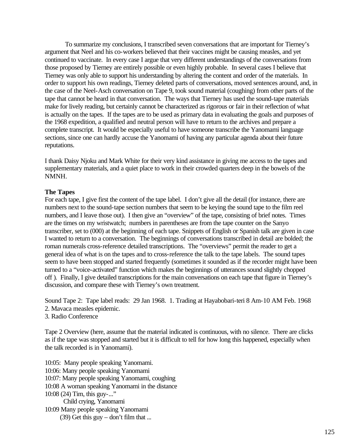To summarize my conclusions, I transcribed seven conversations that are important for Tierney's argument that Neel and his co-workers believed that their vaccines might be causing measles, and yet continued to vaccinate. In every case I argue that very different understandings of the conversations from those proposed by Tierney are entirely possible or even highly probable. In several cases I believe that Tierney was only able to support his understanding by altering the content and order of the materials. In order to support his own readings, Tierney deleted parts of conversations, moved sentences around, and, in the case of the Neel-Asch conversation on Tape 9, took sound material (coughing) from other parts of the tape that cannot be heard in that conversation. The ways that Tierney has used the sound-tape materials make for lively reading, but certainly cannot be characterized as rigorous or fair in their reflection of what is actually on the tapes. If the tapes are to be used as primary data in evaluating the goals and purposes of the 1968 expedition, a qualified and neutral person will have to return to the archives and prepare a complete transcript. It would be especially useful to have someone transcribe the Yanomami language sections, since one can hardly accuse the Yanomami of having any particular agenda about their future reputations.

I thank Daisy Njoku and Mark White for their very kind assistance in giving me access to the tapes and supplementary materials, and a quiet place to work in their crowded quarters deep in the bowels of the NMNH.

### **The Tapes**

For each tape, I give first the content of the tape label. I don't give all the detail (for instance, there are numbers next to the sound-tape section numbers that seem to be keying the sound tape to the film reel numbers, and I leave those out). I then give an "overview" of the tape, consisting of brief notes. Times are the times on my wristwatch; numbers in parentheses are from the tape counter on the Sanyo transcriber, set to (000) at the beginning of each tape. Snippets of English or Spanish talk are given in case I wanted to return to a conversation. The beginnings of conversations transcribed in detail are bolded; the roman numerals cross-reference detailed transcriptions. The "overviews" permit the reader to get a general idea of what is on the tapes and to cross-reference the talk to the tape labels. The sound tapes seem to have been stopped and started frequently (sometimes it sounded as if the recorder might have been turned to a "voice-activated" function which makes the beginnings of utterances sound slightly chopped off ). Finally, I give detailed transcriptions for the main conversations on each tape that figure in Tierney's discussion, and compare these with Tierney's own treatment.

Sound Tape 2: Tape label reads: 29 Jan 1968. 1. Trading at Hayabobari-teri 8 Am-10 AM Feb. 1968

- 2. Mavaca measles epidemic.
- 3. Radio Conference

Tape 2 Overview (here, assume that the material indicated is continuous, with no silence. There are clicks as if the tape was stopped and started but it is difficult to tell for how long this happened, especially when the talk recorded is in Yanomami).

10:05: Many people speaking Yanomami. 10:06: Many people speaking Yanomami 10:07: Many people speaking Yanomami, coughing 10:08 A woman speaking Yanomami in the distance 10:08 (24) Tim, this guy-..." Child crying, Yanomami 10:09 Many people speaking Yanomami  $(39)$  Get this guy – don't film that ...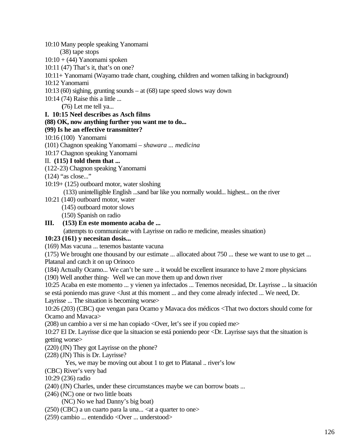10:10 Many people speaking Yanomami

(38) tape stops

- $10:10 + (44)$  Yanomami spoken
- 10:11 (47) That's it, that's on one?
- 10:11+ Yanomami (Wayamo trade chant, coughing, children and women talking in background)
- 10:12 Yanomami
- 10:13 (60) sighing, grunting sounds at (68) tape speed slows way down
- 10:14 (74) Raise this a little ...
	- **(**76) Let me tell ya...
- **I. 10:15 Neel describes as Asch films**

## **(88) OK, now anything further you want me to do...**

## **(99) Is he an effective transmitter?**

- 10:16 (100) Yanomami
- (101) Chagnon speaking Yanomami *shawara ... medicina*
- 10:17 Chagnon speaking Yanomami

# II. **(115) I told them that ...**

- (122-23) Chagnon speaking Yanomami
- $(124)$  "as close..."
- 10:19+ (125) outboard motor, water sloshing
	- (133) unintelligible English ...sand bar like you normally would... highest... on the river
- 10:21 (140) outboard motor, water
	- (145) outboard motor slows
	- (150) Spanish on radio

# **III. (153) En este momento acaba de ...**

(attempts to communicate with Layrisse on radio re medicine, measles situation)

# **10:23 (161) y necesitan dosis...**

(169) Mas vacuna ... tenemos bastante vacuna

(175) We brought one thousand by our estimate ... allocated about 750 ... these we want to use to get ... Platanal and catch it on up Orinoco

(184) Actually Ocamo... We can't be sure ... it would be excellent insurance to have 2 more physicians (190) Well another thing- Well we can move them up and down river

10:25 Acaba en este momento ... y vienen ya infectados ... Tenemos necesidad, Dr. Layrisse ... la situación se está poniendo mas grave <Just at this moment ... and they come already infected ... We need, Dr. Layrisse ... The situation is becoming worse>

10:26 (203) (CBC) que vengan para Ocamo y Mavaca dos médicos <That two doctors should come for Ocamo and Mavaca>

(208) un cambio a ver si me han copiado < Over, let's see if you copied me>

10:27 El Dr. Layrisse dice que la situacion se está poniendo peor <Dr. Layrisse says that the situation is getting worse>

- (220) (JN) They got Layrisse on the phone?
- (228) (JN) This is Dr. Layrisse?

Yes, we may be moving out about 1 to get to Platanal .. river's low

- (CBC) River's very bad
- 10:29 (236) radio
- (240) (JN) Charles, under these circumstances maybe we can borrow boats ...
- (246) (NC) one or two little boats

(NC) No we had Danny's big boat)

- $(250)$  (CBC) a un cuarto para la una...  $\leq$  a quarter to one
- (259) cambio ... entendido <Over ... understood>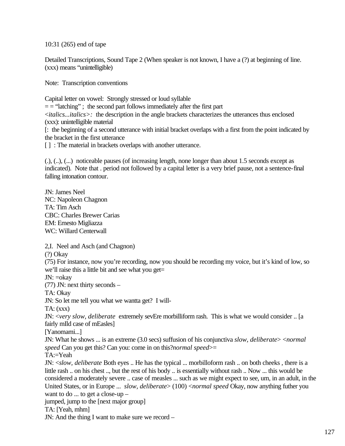10:31 (265) end of tape

Detailed Transcriptions, Sound Tape 2 (When speaker is not known, I have a (?) at beginning of line. (xxx) means "unintelligible)

Note: Transcription conventions

Capital letter on vowel: Strongly stressed or loud syllable

 $=$  = "latching"; the second part follows immediately after the first part

<*italics...italics>:* the description in the angle brackets characterizes the utterances thus enclosed (xxx): unintelligible material

[: the beginning of a second utterance with initial bracket overlaps with a first from the point indicated by the bracket in the first utterance

[] : The material in brackets overlaps with another utterance.

(.), (..), (...) noticeable pauses (of increasing length, none longer than about 1.5 seconds except as indicated). Note that . period not followed by a capital letter is a very brief pause, not a sentence-final falling intonation contour.

JN: James Neel NC: Napoleon Chagnon TA: Tim Asch CBC: Charles Brewer Carias EM: Ernesto Migliazza WC: Willard Centerwall

2,I. Neel and Asch (and Chagnon)

(?) Okay

(75) For instance, now you're recording, now you should be recording my voice, but it's kind of low, so we'll raise this a little bit and see what you get=

JN: =okay

(77) JN: next thirty seconds –

TA: Okay

JN: So let me tell you what we wantta get? I will-

TA: (xxx)

JN: <*very slow, deliberate* extremely sevEre morbilliform rash. This is what we would consider .. [a fairly mIld case of mEasles]

[Yanomami...]

JN: What he shows ... is an extreme (3.0 secs) suffusion of his conjunctiva *slow, deliberate*> <*normal speed* Can you get this? Can you: come in on this?*normal speed*>=

TA:=Yeah

JN: <*slow, deliberate* Both eyes .. He has the typical ... morbilloform rash .. on both cheeks , there is a little rash .. on his chest .., but the rest of his body .. is essentially without rash .. Now ... this would be considered a moderately severe .. case of measles ... such as we might expect to see, um, in an adult, in the United States, or in Europe ... *slow, deliberate*> (100) <*normal speed* Okay, now anything futher you want to do ... to get a close-up –

jumped, jump to the [next major group]

TA: [Yeah, mhm]

JN: And the thing I want to make sure we record –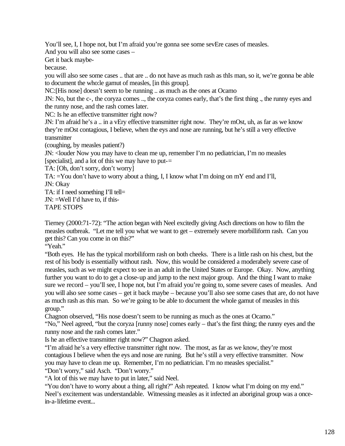You'll see, I, I hope not, but I'm afraid you're gonna see some sevEre cases of measles.

And you will also see some cases –

Get it back maybe-

because.

you will also see some cases .. that are .. do not have as much rash as thIs man, so it, we're gonna be able to document the who:le gamut of measles, [in this group].

NC:[His nose] doesn't seem to be running .. as much as the ones at Ocamo

JN: No, but the c-, the coryza comes .., the coryza comes early, that's the first thing ., the runny eyes and the runny nose, and the rash comes later.

NC: Is he an effective transmitter right now?

JN: I'm afraid he's a .. in a vEry effective transmitter right now. They're mOst, uh, as far as we know they're mOst contagious, I believe, when the eys and nose are running, but he's still a very effective transmitter

(coughing, by measles patient?)

JN: <louder Now you may have to clean me up, remember I'm no pediatrician, I'm no measles [specialist], and a lot of this we may have to put-=

TA: [Oh, don't sorry, don't worry]

TA: =You don't have to worry about a thing, I, I know what I'm doing on mY end and I'll,

JN: Okay

TA: if I need something I'll tell= JN: =Well I'd have to, if this-

TAPE STOPS

Tierney (2000:71-72): "The action began with Neel excitedly giving Asch directions on how to film the measles outbreak. "Let me tell you what we want to get – extremely severe morbilliform rash. Can you get this? Can you come in on this?"

"Yeah."

"Both eyes. He has the typical morbiliform rash on both cheeks. There is a little rash on his chest, but the rest of his body is essentially without rash. Now, this would be considered a moderabely severe case of measles, such as we might expect to see in an adult in the United States or Europe. Okay. Now, anything further you want to do to get a close-up and jump to the next major group. And the thing I want to make sure we record – you'll see, I hope not, but I'm afraid you're going to, some severe cases of measles. And you will also see some cases – get it back maybe – because you'll also see some cases that are, do not have as much rash as this man. So we're going to be able to document the whole gamut of measles in this group."

Chagnon observed, "His nose doesn't seem to be running as much as the ones at Ocamo."

"No," Neel agreed, "but the coryza [runny nose] comes early – that's the first thing; the runny eyes and the runny nose and the rash comes later."

Is he an effective transmitter right now?" Chagnon asked.

"I'm afraid he's a very effective transmitter right now. The most, as far as we know, they're most contagious I believe when the eys and nose are runing. But he's still a very effective transmitter. Now you may have to clean me up. Remember, I'm no pediatrician. I'm no measles specialist."

"Don't worry," said Asch. "Don't worry."

"A lot of this we may have to put in later," said Neel.

"You don't have to worry about a thing, all right?" Ash repeated. I know what I'm doing on my end." Neel's excitement was understandable. Witnessing measles as it infected an aboriginal group was a oncein-a-lifetime event...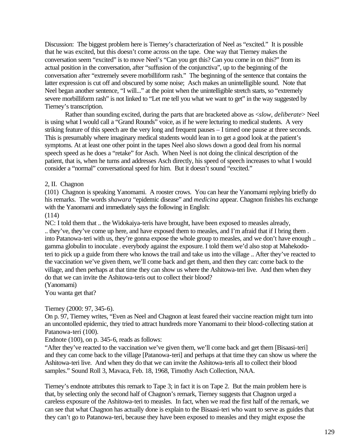Discussion: The biggest problem here is Tierney's characterization of Neel as "excited." It is possible that he was excited, but this doesn't come across on the tape. One way that Tierney makes the conversation seem "excited" is to move Neel's "Can you get this? Can you come in on this?" from its actual position in the conversation, after "suffusion of the conjunctiva", up to the beginning of the conversation after "extremely severe morbilliform rash." The beginning of the sentence that contains the latter expression is cut off and obscured by some noise; Asch makes an unintelligible sound. Note that Neel began another sentence, "I will..." at the point when the unintelligible stretch starts, so "extremely severe morbilliform rash" is not linked to "Let me tell you what we want to get" in the way suggested by Tierney's transcription.

Rather than sounding excited, during the parts that are bracketed above as <*slow, deliberate*> Neel is using what I would call a "Grand Rounds" voice, as if he were lecturing to medical students. A very striking feature of this speech are the very long and frequent pauses – I timed one pause at three seconds. This is presumably where imaginary medical students would lean in to get a good look at the patient's symptoms. At at least one other point in the tapes Neel also slows down a good deal from his normal speech speed as he does a "retake" for Asch. When Neel is not doing the clinical description of the patient, that is, when he turns and addresses Asch directly, his speed of speech increases to what I would consider a "normal" conversational speed for him. But it doesn't sound "excited."

## 2, II. Chagnon

(101) Chagnon is speaking Yanomami. A rooster crows. You can hear the Yanomami replying briefly do his remarks. The words *shawara* "epidemic disease" and *medicina* appear. Chagnon finishes his exchange with the Yanomami and immediately says the following in English:

(114)

NC: I told them that .. the Widokaiya-teris have brought, have been exposed to measles already, .. they've, they've come up here, and have exposed them to measles, and I'm afraid that if I bring them . into Patanowa-teri with us, they're gonna expose the whole group to measles, and we don't have enough .. gamma globulin to inoculate . everybody against the exposure. I told them we'd also stop at Mahekodoteri to pick up a guide from there who knows the trail and take us into the village .. After they've reacted to the vaccination we've given them, we'll come back and get them, and then they can: come back to the village, and then perhaps at that time they can show us where the Ashitowa-teri live. And then when they do that we can invite the Ashitowa-teris out to collect their blood?

(Yanomami)

You wanta get that?

## Tierney (2000: 97, 345-6).

On p. 97, Tierney writes, "Even as Neel and Chagnon at least feared their vaccine reaction might turn into an uncontolled epidemic, they tried to attract hundreds more Yanomami to their blood-collecting station at Patanowa-teri (100).

Endnote (100), on p. 345-6, reads as follows:

"After they've reacted to the vaccination we've given them, we'll come back and get them [Bisaasi-teri] and they can come back to the village [Patanowa-teri] and perhaps at that time they can show us where the Ashitowa-teri live. And when they do that we can invite the Ashitowa-teris all to collect their blood samples." Sound Roll 3, Mavaca, Feb. 18, 1968, Timothy Asch Collection, NAA.

Tierney's endnote attributes this remark to Tape 3; in fact it is on Tape 2. But the main problem here is that, by selecting only the second half of Chagnon's remark, Tierney suggests that Chagnon urged a careless exposure of the Ashitowa-teri to measles. In fact, when we read the first half of the remark, we can see that what Chagnon has actually done is explain to the Bisaasi-teri who want to serve as guides that they can't go to Patanowa-teri, because they have been exposed to measles and they might expose the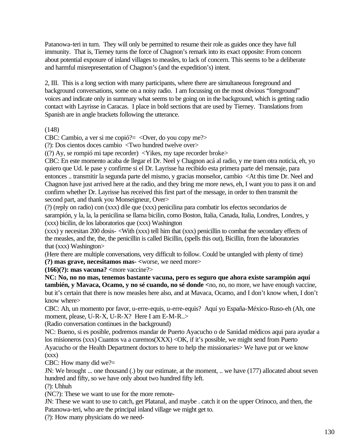Patanowa-teri in turn. They will only be permitted to resume their role as guides once they have full immunity. That is, Tierney turns the force of Chagnon's remark into its exact opposite: From concern about potential exposure of inland villages to measles, to lack of concern. This seems to be a deliberate and harmful misrepresentation of Chagnon's (and the expedition's) intent.

2, III. This is a long section with many participants, where there are simultaneous foreground and background conversations, some on a noisy radio. I am focussing on the most obvious "foreground" voices and indicate only in summary what seems to be going on in the background, which is getting radio contact with Layrisse in Caracas. I place in bold sections that are used by Tierney. Translations from Spanish are in angle brackets following the utterance.

(148)

CBC: Cambio, a ver si me copió? $=$  <Over, do you copy me? $>$ 

(?): Dos cientos doces cambio <Two hundred twelve over>

 $(2)$  Ay, se rompió mi tape recorder)  $\langle$ Yikes, my tape recorder broke>

CBC: En este momento acaba de llegar el Dr. Neel y Chagnon acá al radio, y me traen otra noticia, eh, yo quiero que Ud. le pase y confirme si el Dr. Layrisse ha recibido esta primera parte del mensaje, para entonces .. transmitir la segunda parte del mismo, y gracias monseñor, cambio <At this time Dr. Neel and Chagnon have just arrived here at the radio, and they bring me more news, eh, I want you to pass it on and confirm whether Dr. Layrisse has received this first part of the message, in order to then transmit the second part, and thank you Monseigneur, Over>

(?) (reply on radio) con (xxx) díle que (xxx) penicilina para combatir los efectos secondarios de sarampión, y la, la, la penicilina se llama bicilin, como Boston, Italia, Canada, Italia, Londres, Londres, y (xxx) bicilin, de los laboratorios que (xxx) Washington

(xxx) y necesitan 200 dosis- <With (xxx) tell him that (xxx) penicillin to combat the secondary effects of the measles, and the, the, the penicillin is called Bicillin, (spells this out), Bicillin, from the laboratories that (xxx) Washington>

(Here there are multiple conversations, very difficult to follow. Could be untangled with plenty of time)

**(?) mas grave, necesitamos mas- <**worse, we need more>

**(166)(?): mas vacuna? <**more vaccine?>

**NC: No, no no mas, tenemos bastante vacuna, pero es seguro que ahora existe sarampión aquí también, y Mavaca, Ocamo, y no sé cuando, no sé donde <**no, no, no more, we have enough vaccine, but it's certain that there is now measles here also, and at Mavaca, Ocamo, and I don't know when, I don't know where>

CBC: Ah, un momento por favor, u-erre-equis, u-erre-equis? Aquí yo España-México-Ruso-eh (Ah, one moment, please, U-R-X, U-R-X? Here I am E-M-R..>

(Radio conversation continues in the background)

NC: Bueno, si es posible, podremos mandar de Puerto Ayacucho o de Sanidad médicos aqui para ayudar a los misioneros (xxx) Cuantos va a curemos(XXX) < OK, if it's possible, we might send from Puerto Ayacucho or the Health Department doctors to here to help the missionaries> We have put or we know  $(xxx)$ 

CBC: How many did we?=

JN: We brought ... one thousand (.) by our estimate, at the moment, .. we have (177) allocated about seven hundred and fifty, so we have only about two hundred fifty left.

(?): Uhhuh

(NC?): These we want to use for the more remote-

JN: These we want to use to catch, get Platanal, and maybe . catch it on the upper Orinoco, and then, the Patanowa-teri, who are the principal inland village we might get to.

(?): How many physicians do we need-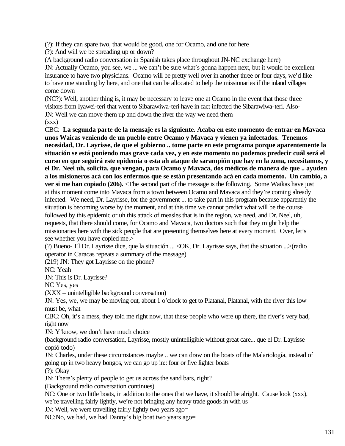(?): If they can spare two, that would be good, one for Ocamo, and one for here

(?): And will we be spreading up or down?

(A background radio conversation in Spanish takes place throughout JN-NC exchange here) JN: Actually Ocamo, you see, we ... we can't be sure what's gonna happen next, but it would be excellent insurance to have two physicians. Ocamo will be pretty well over in another three or four days, we'd like to have one standing by here, and one that can be allocated to help the missionaries if the inland villages come down

(NC?): Well, another thing is, it may be necessary to leave one at Ocamo in the event that those three visitors from Iyawei-teri that went to Sibarawiwa-teri have in fact infected the Sibarawiwa-teri. Also-JN: Well we can move them up and down the river the way we need them  $(xxx)$ 

CBC: **La segunda parte de la mensaje es la siguiente. Acaba en este momento de entrar en Mavaca unos Waicas veniendo de un pueblo entre Ocamo y Mavaca y vienen ya infectados. Tenemos necesidad, Dr. Layrisse, de que el gobierno .. tome parte en este programa porque aparentemente la situación se está poniendo mas grave cada vez, y en este momento no podemos predecir cuál será el curso en que seguirá este epidemia o esta ah ataque de sarampión que hay en la zona, necesitamos, y el Dr. Neel uh, solicita, que vengan, para Ocamo y Mavaca, dos médicos de manera de que .. ayuden a los misioneros acá con los enfermos que se están presentando acá en cada momento. Un cambio, a ver si me han copiado (206).** <The second part of the message is the following. Some Waikas have just at this moment come into Mavaca from a town between Ocamo and Mavaca and they're coming already infected. We need, Dr. Layrisse, for the government ... to take part in this program because apparently the situation is becoming worse by the moment, and at this time we cannot predict what will be the course followed by this epidemic or uh this attack of measles that is in the region, we need, and Dr. Neel, uh, requests, that there should come, for Ocamo and Mavaca, two doctors such that they might help the missionaries here with the sick people that are presenting themselves here at every moment. Over, let's see whether you have copied me.>

(?) Bueno- El Dr. Layrisse dice, que la situación ... <OK, Dr. Layrisse says, that the situation ...>(radio operator in Caracas repeats a summary of the message)

(219) JN: They got Layrisse on the phone?

NC: Yeah

JN: This is Dr. Layrisse?

NC Yes, yes

(XXX – unintelligible background conversation)

JN: Yes, we, we may be moving out, about 1 o'clock to get to Platanal, Platanal, with the river this low must be, what

CBC: Oh, it's a mess, they told me right now, that these people who were up there, the river's very bad, right now

JN: Y'know, we don't have much choice

(background radio conversation, Layrisse, mostly unintelligible without great care... que el Dr. Layrisse copió todo)

JN: Charles, under these circumstances maybe .. we can draw on the boats of the Malariología, instead of going up in two heavy bongos, we can go up in:: four or five lighter boats

(?): Okay

JN: There's plenty of people to get us across the sand bars, right?

(Background radio conversation continues)

NC: One or two little boats, in addition to the ones that we have, it should be alright. Cause look (xxx), we're travelling fairly lightly, we're not bringing any heavy trade goods in with us

JN: Well, we were travelling fairly lightly two years ago=

NC:No, we had, we had Danny's bIg boat two years ago=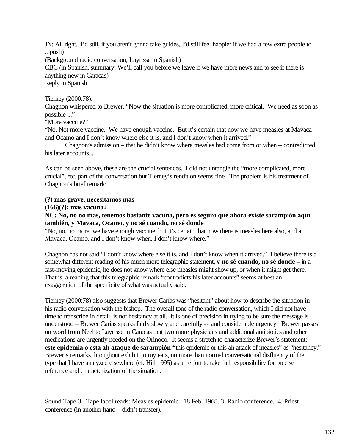JN: All right. I'd still, if you aren't gonna take guides, I'd still feel happier if we had a few extra people to .. push)

(Background radio conversation, Layrisse in Spanish)

CBC (in Spanish, summary: We'll call you before we leave if we have more news and to see if there is anything new in Caracas)

Reply in Spanish

## Tierney (2000:78):

Chagnon whispered to Brewer, "Now the situation is more complicated, more critical. We need as soon as possible ..."

"More vaccine?"

"No. Not more vaccine. We have enough vaccine. But it's certain that now we have measles at Mavaca and Ocamo and I don't know where else it is, and I don't know when it arrived."

Chagnon's admission – that he didn't know where measles had come from or when – contradicted his later accounts...

As can be seen above, these are the crucial sentences. I did not untangle the "more complicated, more crucial", etc. part of the conversation but Tierney's rendition seems fine. The problem is his treatment of Chagnon's brief remark:

## **(?) mas grave, necesitamos mas-**

## **(166)(?): mas vacuna?**

## **NC: No, no no mas, tenemos bastante vacuna, pero es seguro que ahora existe sarampión aquí también, y Mavaca, Ocamo, y no sé cuando, no sé donde**

"No, no, no more, we have enough vaccine, but it's certain that now there is measles here also, and at Mavaca, Ocamo, and I don't know when, I don't know where."

Chagnon has not said "I don't know where else it is, and I don't know when it arrived." I believe there is a somewhat different reading of his much more telegraphic statement, **y no sé cuando, no sé donde –** in a fast-moving epidemic, he does not know where else measles might show up, or when it might get there. That is, a reading that this telegraphic remark "contradicts his later accounts" seems at best an exaggeration of the specificity of what was actually said.

Tierney (2000:78) also suggests that Brewer Carías was "hesitant" about how to describe the situation in his radio conversation with the bishop. The overall tone of the radio conversation, which I did not have time to transcribe in detail, is not hesitancy at all. It is one of precision in trying to be sure the message is understood – Brewer Carías speaks fairly slowly and carefully -- and considerable urgency. Brewer passes on word from Neel to Layrisse in Caracas that two more physicians and additional antibiotics and other medications are urgently needed on the Orinoco. It seems a stretch to characterize Brewer's statement: **este epidemia o esta ah ataque de sarampión "this epidemic or this ah attack of measles" as "hesitancy."** Brewer's remarks throughout exhibit, to my ears, no more than normal conversational disfluency of the type that I have analyzed elsewhere (cf. Hill 1995) as an effort to take full responsibility for precise reference and characterization of the situation.

Sound Tape 3. Tape label reads: Measles epidemic. 18 Feb. 1968. 3. Radio conference. 4. Priest conference (in another hand – didn't transfer).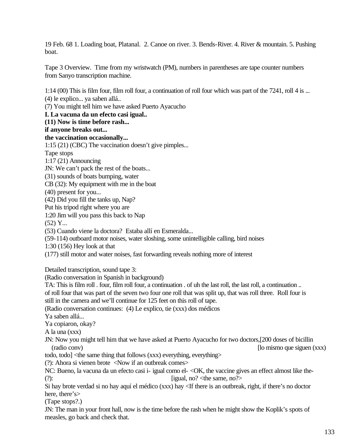19 Feb. 68 1. Loading boat, Platanal. 2. Canoe on river. 3. Bends-River. 4. River & mountain. 5. Pushing boat.

Tape 3 Overview. Time from my wristwatch (PM), numbers in parentheses are tape counter numbers from Sanyo transcription machine.

1:14 (00) This is film four, film roll four, a continuation of roll four which was part of the 7241, roll 4 is ...

(4) le explico... ya saben allá..

(7) You might tell him we have asked Puerto Ayacucho

**I. La vacuna da un efecto casi igual..**

## **(11) Now is time before rash...**

**if anyone breaks out...**

**the vaccination occasionally...**

1:15 (21) (CBC) The vaccination doesn't give pimples...

Tape stops

1:17 (21) Announcing

JN: We can't pack the rest of the boats...

(31) sounds of boats bumping, water

CB (32): My equipment with me in the boat

(40) present for you...

(42) Did you fill the tanks up, Nap?

Put his tripod right where you are

1:20 Jim will you pass this back to Nap

(52) Y...

(53) Cuando viene la doctora? Estaba allí en Esmeralda...

(59-114) outboard motor noises, water sloshing, some unintelligible calling, bird noises

1:30 (156) Hey look at that

(177) still motor and water noises, fast forwarding reveals nothing more of interest

Detailed transcription, sound tape 3:

(Radio conversation in Spanish in background)

TA: This is film roll . four, film roll four, a continuation . of uh the last roll, the last roll, a continuation ..

of roll four that was part of the seven two four one roll that was split up, that was roll three. Roll four is still in the camera and we'll continue for 125 feet on this roll of tape.

(Radio conversation continues: (4) Le explico, tie (xxx) dos médicos

Ya saben allá...

Ya copiaron, okay?

A la una (xxx)

JN: Now you might tell him that we have asked at Puerto Ayacucho for two doctors,[200 doses of bicillin (radio conv) [lo mismo que siguen (xxx)

todo, todo] <the same thing that follows (xxx) everything, everything>

(?): Ahora si vienen brote <Now if an outbreak comes>

NC: Bueno, la vacuna da un efecto casi i- igual como el- < OK, the vaccine gives an effect almost like the-(?):  $[$ igual, no? <the same, no?>

Si hay brote verdad si no hay aquí el médico (xxx) hay <If there is an outbreak, right, if there's no doctor here, there's>

(Tape stops?.)

JN: The man in your front hall, now is the time before the rash when he might show the Koplik's spots of measles, go back and check that.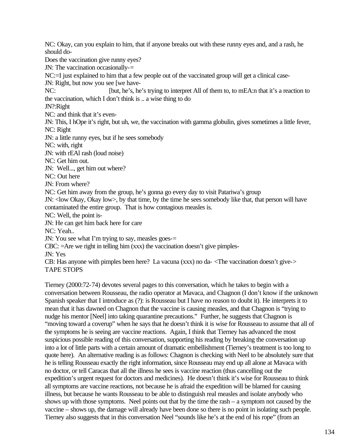NC: Okay, can you explain to him, that if anyone breaks out with these runny eyes and, and a rash, he should do-

Does the vaccination give runny eyes?

JN: The vaccination occasionally-=

NC:=I just explained to him that a few people out of the vaccinated group will get a clinical case-

JN: Right, but now you see [we have-

NC: [but, he's, he's trying to interpret All of them to, to mEA:n that it's a reaction to the vaccination, which I don't think is .. a wise thing to do

JN?:Right

NC: and think that it's even-

JN: This, I hOpe it's right, but uh, we, the vaccination with gamma globulin, gives sometimes a little fever, NC: Right

JN: a little runny eyes, but if he sees somebody

NC: with, right

JN: with rEAl rash (loud noise)

NC: Get him out.

JN: Well..., get him out where?

NC: Out here

JN: From where?

NC: Get him away from the group, he's gonna go every day to visit Patariwa's group

JN: <low Okay, Okay low>, by that time, by the time he sees somebody like that, that person will have contaminated the entire group. That is how contagious measles is.

NC: Well, the point is-

JN: He can get him back here for care

NC: Yeah..

JN: You see what I'm trying to say, measles goes-=

CBC: =Are we right in telling him (xxx) the vaccination doesn't give pimples-

JN: Yes

CB: Has anyone with pimples been here? La vacuna (xxx) no da- <The vaccination doesn't give-> TAPE STOPS

Tierney (2000:72-74) devotes several pages to this conversation, which he takes to begin with a conversation between Rousseau, the radio operator at Mavaca, and Chagnon (I don't know if the unknown Spanish speaker that I introduce as (?): is Rousseau but I have no reason to doubt it). He interprets it to mean that it has dawned on Chagnon that the vaccine is causing measles, and that Chagnon is "trying to nudge his mentor [Neel] into taking quarantine precautions." Further, he suggests that Chagnon is "moving toward a coverup" when he says that he doesn't think it is wise for Rousseau to assume that all of the symptoms he is seeing are vaccine reactions. Again, I think that Tierney has advanced the most suspicious possible reading of this conversation, supporting his reading by breaking the conversation up into a lot of little parts with a certain amount of dramatic embellishment (Tierney's treatment is too long to quote here). An alternative reading is as follows: Chagnon is checking with Neel to be absolutely sure that he is telling Rousseau exactly the right information, since Rousseau may end up all alone at Mavaca with no doctor, or tell Caracas that all the illness he sees is vaccine reaction (thus cancelling out the expedition's urgent request for doctors and medicines). He doesn't think it's wise for Rousseau to think all symptoms are vaccine reactions, not because he is afraid the expedition will be blamed for causing illness, but because he wants Rousseau to be able to distinguish real measles and isolate anybody who shows up with those symptoms. Neel points out that by the time the rash – a symptom not caused by the vaccine – shows up, the damage will already have been done so there is no point in isolating such people. Tierney also suggests that in this conversation Neel "sounds like he's at the end of his rope" (from an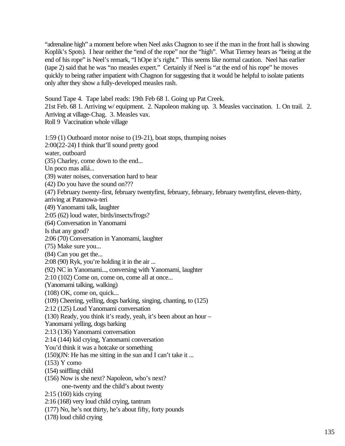"adrenaline high" a moment before when Neel asks Chagnon to see if the man in the front hall is showing Koplik's Spots). I hear neither the "end of the rope" nor the "high". What Tierney hears as "being at the end of his rope" is Neel's remark, "I hOpe it's right." This seems like normal caution. Neel has earlier (tape 2) said that he was "no measles expert." Certainly if Neel is "at the end of his rope" he moves quickly to being rather impatient with Chagnon for suggesting that it would be helpful to isolate patients only after they show a fully-developed measles rash.

Sound Tape 4. Tape label reads: 19th Feb 68 1. Going up Pat Creek.

21st Feb. 68 1. Arriving w/ equipment. 2. Napoleon making up. 3. Measles vaccination. 1. On trail. 2. Arriving at village-Chag. 3. Measles vax. Roll 9 Vaccination whole village

1:59 (1) Outboard motor noise to (19-21), boat stops, thumping noises 2:00(22-24) I think that'll sound pretty good water, outboard (35) Charley, come down to the end... Un poco mas allá... (39) water noises, conversation hard to hear (42) Do you have the sound on??? (47) February twenty-first, february twentyfirst, february, february, february twentyfirst, eleven-thirty, arriving at Patanowa-teri (49) Yanomami talk, laughter 2:05 (62) loud water, birds/insects/frogs? (64) Conversation in Yanomami Is that any good? 2:06 (70) Conversation in Yanomami, laughter (75) Make sure you... (84) Can you get the... 2:08 (90) Ryk, you're holding it in the air ... (92) NC in Yanomami..., conversing with Yanomami, laughter 2:10 (102) Come on, come on, come all at once... (Yanomami talking, walking) (108) OK, come on, quick... (109) Cheering, yelling, dogs barking, singing, chanting, to (125) 2:12 (125) Loud Yanomami conversation (130) Ready, you think it's ready, yeah, it's been about an hour – Yanomami yelling, dogs barking 2:13 (136) Yanomami conversation 2:14 (144) kid crying, Yanomami conversation You'd think it was a hotcake or something  $(150)(JN:$  He has me sitting in the sun and I can't take it ... (153) Y como (154) sniffling child (156) Now is she next? Napoleon, who's next? one-twenty and the child's about twenty 2:15 (160) kids crying 2:16 (168) very loud child crying, tantrum

(177) No, he's not thirty, he's about fifty, forty pounds

(178) loud child crying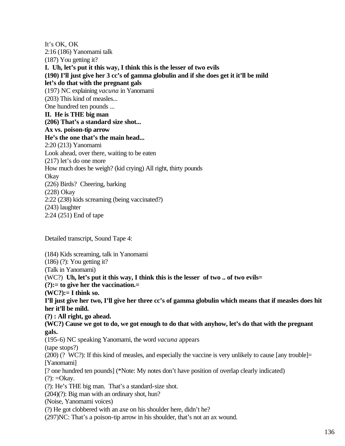It's OK, OK 2:16 (186) Yanomami talk (187) You getting it? **I. Uh, let's put it this way, I think this is the lesser of two evils (190) I'll just give her 3 cc's of gamma globulin and if she does get it it'll be mild let's do that with the pregnant gals** (197) NC explaining *vacuna* in Yanomami (203) This kind of measles... One hundred ten pounds ... **II. He is THE big man (206) That's a standard size shot... Ax vs. poison-tip arrow He's the one that's the main head...** 2:20 (213) Yanomami Look ahead, over there, waiting to be eaten (217) let's do one more How much does he weigh? (kid crying) All right, thirty pounds **Okay** (226) Birds? Cheering, barking (228) Okay 2:22 (238) kids screaming (being vaccinated?) (243) laughter 2:24 (251) End of tape

Detailed transcript, Sound Tape 4:

(184) Kids screaming, talk in Yanomami (186) (?): You getting it? (Talk in Yanomami) (WC?) **Uh, let's put it this way, I think this is the lesser of two .. of two evils= (?):= to give her the vaccination.= (WC?):= I think so. I'll just give her two, I'll give her three cc's of gamma globulin which means that if measles does hit her it'll be mild. (?) : All right, go ahead. (WC?) Cause we got to do, we got enough to do that with anyhow, let's do that with the pregnant gals.** (195-6) NC speaking Yanomami, the word *vacuna* appears (tape stops?) (200) (? WC?): If this kind of measles, and especially the vaccine is very unlikely to cause [any trouble]= [Yanomami] [? one hundred ten pounds] (\*Note: My notes don't have position of overlap clearly indicated)  $(?)$ :  $=$ Okay. (?): He's THE big man. That's a standard-size shot. (204)(?): Big man with an ordinary shot, hun? (Noise, Yanomami voices) (?) He got clobbered with an axe on his shoulder here, didn't he? (297)NC: That's a poison-tip arrow in his shoulder, that's not an ax wound.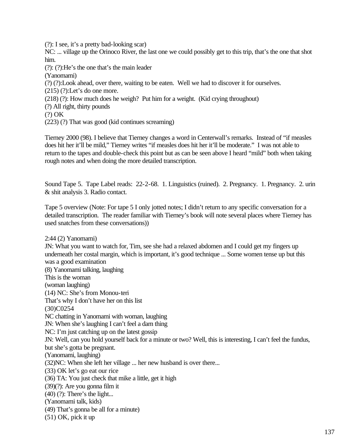(?): I see, it's a pretty bad-looking scar)

NC: ... village up the Orinoco River, the last one we could possibly get to this trip, that's the one that shot him.

(?): (?):He's the one that's the main leader

(Yanomami)

(?) (?):Look ahead, over there, waiting to be eaten. Well we had to discover it for ourselves.

 $(215)$   $(?)$ :Let's do one more.

(218) (?): How much does he weigh? Put him for a weight. (Kid crying throughout)

(?) All right, thirty pounds

(?) OK

(223) (?) That was good (kid continues screaming)

Tierney 2000 (98). I believe that Tierney changes a word in Centerwall's remarks. Instead of "if measles does hit her it'll be mild," Tierney writes "if measles does hit her it'll be moderate." I was not able to return to the tapes and double-check this point but as can be seen above I heard "mild" both when taking rough notes and when doing the more detailed transcription.

Sound Tape 5. Tape Label reads: 22-2-68. 1. Linguistics (ruined). 2. Pregnancy. 1. Pregnancy. 2. urin & shit analysis 3. Radio contact.

Tape 5 overview (Note: For tape 5 I only jotted notes; I didn't return to any specific conversation for a detailed transcription. The reader familiar with Tierney's book will note several places where Tierney has used snatches from these conversations))

2:44 (2) Yanomami)

JN: What you want to watch for, Tim, see she had a relaxed abdomen and I could get my fingers up underneath her costal margin, which is important, it's good technique ... Some women tense up but this was a good examination (8) Yanomami talking, laughing

This is the woman

(woman laughing)

(14) NC: She's from Monou-teri

That's why I don't have her on this list

(30)C0254

NC chatting in Yanomami with woman, laughing

JN: When she's laughing I can't feel a darn thing

NC: I'm just catching up on the latest gossip

JN: Well, can you hold yourself back for a minute or two? Well, this is interesting, I can't feel the fundus, but she's gotta be pregnant.

(Yanomami, laughing)

(32)NC: When she left her village ... her new husband is over there...

(33) OK let's go eat our rice

(36) TA: You just check that mike a little, get it high

(39)(?): Are you gonna film it

 $(40)$   $(?)$ : There's the light...

(Yanomami talk, kids)

(49) That's gonna be all for a minute)

(51) OK, pick it up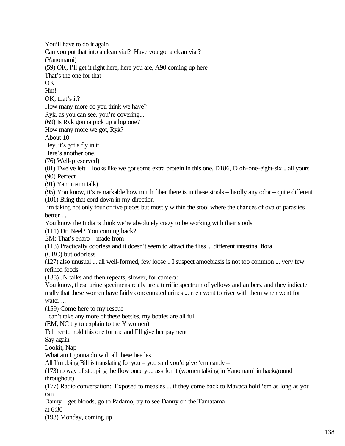You'll have to do it again

Can you put that into a clean vial? Have you got a clean vial?

(Yanomami)

(59) OK, I'll get it right here, here you are, A90 coming up here

That's the one for that

OK

Hm!

OK, that's it?

How many more do you think we have?

Ryk, as you can see, you're covering...

(69) Is Ryk gonna pick up a big one?

How many more we got, Ryk?

About 10

Hey, it's got a fly in it

Here's another one.

(76) Well-preserved)

(81) Twelve left – looks like we got some extra protein in this one, D186, D oh-one-eight-six .. all yours

(90) Perfect

(91) Yanomami talk)

(95) You know, it's remarkable how much fiber there is in these stools – hardly any odor – quite different

(101) Bring that cord down in my direction

I'm taking not only four or five pieces but mostly within the stool where the chances of ova of parasites better ...

You know the Indians think we're absolutely crazy to be working with their stools

(111) Dr. Neel? You coming back?

EM: That's enaro – made from

(118) Practically odorless and it doesn't seem to attract the flies ... different intestinal flora

(CBC) but odorless

(127) also unusual ... all well-formed, few loose .. I suspect amoebiasis is not too common ... very few refined foods

(138) JN talks and then repeats, slower, for camera:

You know, these urine specimens really are a terrific spectrum of yellows and ambers, and they indicate really that these women have fairly concentrated urines ... men went to river with them when went for water ...

(159) Come here to my rescue

I can't take any more of these beetles, my bottles are all full

(EM, NC try to explain to the Y women)

Tell her to hold this one for me and I'll give her payment

Say again

Lookit, Nap

What am I gonna do with all these beetles

All I'm doing Bill is translating for you – you said you'd give 'em candy –

(173)no way of stopping the flow once you ask for it (women talking in Yanomami in background throughout)

(177) Radio conversation: Exposed to measles ... if they come back to Mavaca hold 'em as long as you can

Danny – get bloods, go to Padamo, try to see Danny on the Tamatama

at 6:30

(193) Monday, coming up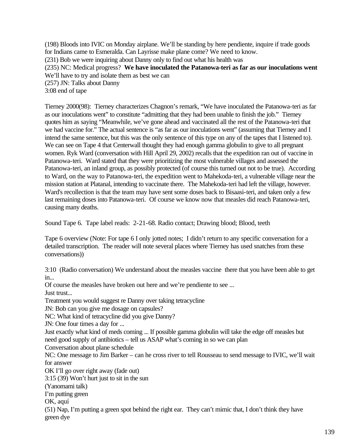(198) Bloods into IVIC on Monday airplane. We'll be standing by here pendiente, inquire if trade goods for Indians came to Esmeralda. Can Layrisse make plane come? We need to know. (231) Bob we were inquiring about Danny only to find out what his health was (235) NC: Medical progress? **We have inoculated the Patanowa-teri as far as our inoculations went** We'll have to try and isolate them as best we can (257) JN: Talks about Danny 3:08 end of tape

Tierney 2000(98): Tierney characterizes Chagnon's remark, "We have inoculated the Patanowa-teri as far as our inoculations went" to constitute "admitting that they had been unable to finish the job." Tierney quotes him as saying "Meanwhile, we've gone ahead and vaccinated all the rest of the Patanowa-teri that we had vaccine for." The actual sentence is "as far as our inoculations went" (assuming that Tierney and I intend the same sentence, but this was the only sentence of this type on any of the tapes that I listened to). We can see on Tape 4 that Centerwall thought they had enough gamma globulin to give to all pregnant women. Ryk Ward (conversation with Hill April 29, 2002) recalls that the expedition ran out of vaccine in Patanowa-teri. Ward stated that they were prioritizing the most vulnerable villages and assessed the Patanowa-teri, an inland group, as possibly protected (of course this turned out not to be true). According to Ward, on the way to Patanowa-teri, the expedition went to Mahekoda-teri, a vulnerable village near the mission station at Platanal, intending to vaccinate there. The Mahekoda-teri had left the village, however. Ward's recollection is that the team may have sent some doses back to Bisaasi-teri, and taken only a few last remaining doses into Patanowa-teri. Of course we know now that measles did reach Patanowa-teri, causing many deaths.

Sound Tape 6. Tape label reads: 2-21-68. Radio contact; Drawing blood; Blood, teeth

Tape 6 overview (Note: For tape 6 I only jotted notes; I didn't return to any specific conversation for a detailed transcription. The reader will note several places where Tierney has used snatches from these conversations))

3:10 (Radio conversation) We understand about the measles vaccine there that you have been able to get in...

Of course the measles have broken out here and we're pendiente to see ...

Just trust...

Treatment you would suggest re Danny over taking tetracycline

JN: Bob can you give me dosage on capsules?

NC: What kind of tetracycline did you give Danny?

JN: One four times a day for ...

Just exactly what kind of meds coming ... If possible gamma globulin will take the edge off measles but need good supply of antibiotics – tell us ASAP what's coming in so we can plan

Conversation about plane schedule

NC: One message to Jim Barker – can he cross river to tell Rousseau to send message to IVIC, we'll wait for answer

OK I'll go over right away (fade out)

3:15 (39) Won't hurt just to sit in the sun

(Yanomami talk)

I'm putting green

OK, aquí

(51) Nap, I'm putting a green spot behind the right ear. They can't mimic that, I don't think they have green dye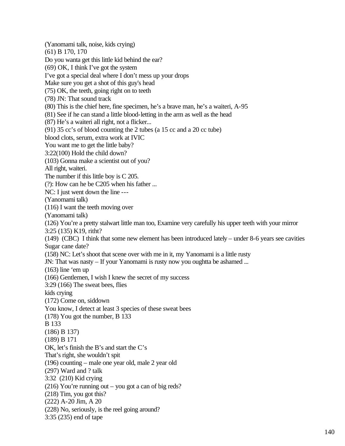(Yanomami talk, noise, kids crying) (61) B 170, 170 Do you wanta get this little kid behind the ear? (69) OK, I think I've got the system I've got a special deal where I don't mess up your drops Make sure you get a shot of this guy's head (75) OK, the teeth, going right on to teeth (78) JN: That sound track (80) This is the chief here, fine specimen, he's a brave man, he's a waiteri, A-95 (81) See if he can stand a little blood-letting in the arm as well as the head (87) He's a waiteri all right, not a flicker... (91) 35 cc's of blood counting the 2 tubes (a 15 cc and a 20 cc tube) blood clots, serum, extra work at IVIC You want me to get the little baby? 3:22(100) Hold the child down? (103) Gonna make a scientist out of you? All right, waiteri. The number if this little boy is C 205. (?): How can he be C205 when his father ... NC: I just went down the line --- (Yanomami talk) (116) I want the teeth moving over (Yanomami talk) (126) You're a pretty stalwart little man too, Examine very carefully his upper teeth with your mirror 3:25 (135) K19, ritht? (149) (CBC) I think that some new element has been introduced lately – under 8-6 years see cavities Sugar cane date? (158) NC: Let's shoot that scene over with me in it, my Yanomami is a little rusty JN: That was nasty – If your Yanomami is rusty now you oughtta be ashamed ... (163) line 'em up (166) Gentlemen, I wish I knew the secret of my success 3:29 (166) The sweat bees, flies kids crying (172) Come on, siddown You know, I detect at least 3 species of these sweat bees (178) You got the number, B 133 B 133 (186) B 137) (189) B 171 OK, let's finish the B's and start the C's That's right, she wouldn't spit (196) counting – male one year old, male 2 year old (297) Ward and ? talk 3:32 (210) Kid crying  $(216)$  You're running out – you got a can of big reds? (218) Tim, you got this? (222) A-20 Jim, A 20 (228) No, seriously, is the reel going around? 3:35 (235) end of tape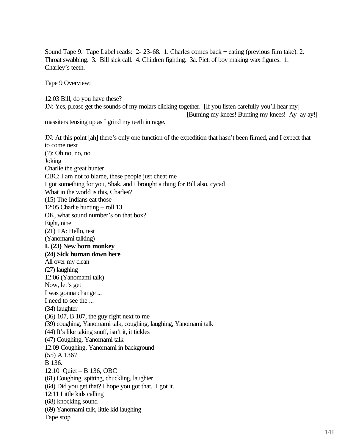Sound Tape 9. Tape Label reads: 2- 23-68. 1. Charles comes back + eating (previous film take). 2. Throat swabbing. 3. Bill sick call. 4. Children fighting. 3a. Pict. of boy making wax figures. 1. Charley's teeth.

Tape 9 Overview:

12:03 Bill, do you have these? JN: Yes, please get the sounds of my molars clicking together. [If you listen carefully you'll hear my] [Burning my knees! Burning my knees! Ay ay ay!]

massiters tensing up as I grind my teeth in ra:ge.

JN: At this point [ah] there's only one function of the expedition that hasn't been filmed, and I expect that to come next (?): Oh no, no, no **Joking** Charlie the great hunter CBC: I am not to blame, these people just cheat me I got something for you, Shak, and I brought a thing for Bill also, cycad What in the world is this, Charles? (15) The Indians eat those 12:05 Charlie hunting – roll 13 OK, what sound number's on that box? Eight, nine (21) TA: Hello, test (Yanomami talking) **I. (23) New born monkey (24) Sick human down here** All over my clean (27) laughing 12:06 (Yanomami talk) Now, let's get I was gonna change ... I need to see the ... (34) laughter (36) 107, B 107, the guy right next to me (39) coughing, Yanomami talk, coughing, laughing, Yanomami talk (44) It's like taking snuff, isn't it, it tickles (47) Coughing, Yanomami talk 12:09 Coughing, Yanomami in background (55) A 136? B 136. 12:10 Quiet – B 136, OBC (61) Coughing, spitting, chuckling, laughter (64) Did you get that? I hope you got that. I got it. 12:11 Little kids calling (68) knocking sound (69) Yanomami talk, little kid laughing Tape stop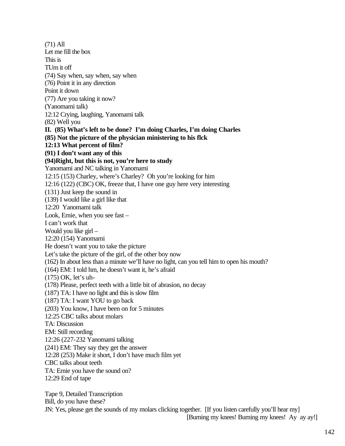(71) All Let me fill the box This is TUrn it off (74) Say when, say when, say when (76) Point it in any direction Point it down (77) Are you taking it now? (Yanomami talk) 12:12 Crying, laughing, Yanomami talk (82) Well you **II. (85) What's left to be done? I'm doing Charles, I'm doing Charles (85) Not the picture of the physician ministering to his flck 12:13 What percent of film? (91) I don't want any of this (94)Right, but this is not, you're here to study** Yanomami and NC talking in Yanomami 12:15 (153) Charley, where's Charley? Oh you're looking for him 12:16 (122) (CBC) OK, freeze that, I have one guy here very interesting (131) Just keep the sound in (139) I would like a girl like that 12:20 Yanomami talk Look, Ernie, when you see fast – I can't work that Would you like girl – 12:20 (154) Yanomami He doesn't want you to take the picture Let's take the picture of the girl, of the other boy now (162) In about less than a minute we'll have no light, can you tell him to open his mouth? (164) EM: I told hm, he doesn't want it, he's afraid (175) OK, let's uh- (178) Please, perfect teeth with a little bit of abrasion, no decay (187) TA: I have no light and this is slow film (187) TA: I want YOU to go back (203) You know, I have been on for 5 minutes 12:25 CBC talks about molars TA: Discussion EM: Still recording 12:26 (227-232 Yanomami talking (241) EM: They say they get the answer 12:28 (253) Make it short, I don't have much film yet CBC talks about teeth TA: Ernie you have the sound on? 12:29 End of tape Tape 9, Detailed Transcription

Bill, do you have these?

JN: Yes, please get the sounds of my molars clicking together. [If you listen carefully you'll hear my]

[Burning my knees! Burning my knees! Ay ay ay!]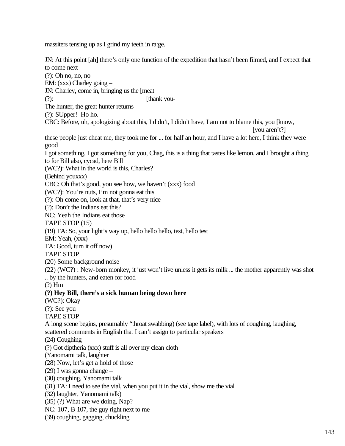massiters tensing up as I grind my teeth in ra:ge.

JN: At this point [ah] there's only one function of the expedition that hasn't been filmed, and I expect that to come next

(?): Oh no, no, no EM: (xxx) Charley going – JN: Charley, come in, bringing us the [meat (?): [thank you-The hunter, the great hunter returns (?): SUpper! Ho ho. CBC: Before, uh, apologizing about this, I didn't, I didn't have, I am not to blame this, you [know, [you aren't?] these people just cheat me, they took me for ... for half an hour, and I have a lot here, I think they were good I got something, I got something for you, Chag, this is a thing that tastes like lemon, and I brought a thing to for Bill also, cycad, here Bill (WC?): What in the world is this, Charles? (Behind youxxx) CBC: Oh that's good, you see how, we haven't (xxx) food (WC?): You're nuts, I'm not gonna eat this (?): Oh come on, look at that, that's very nice (?): Don't the Indians eat this? NC: Yeah the Indians eat those TAPE STOP (15) (19) TA: So, your light's way up, hello hello hello, test, hello test EM: Yeah, (xxx) TA: Good, turn it off now) TAPE STOP (20) Some background noise (22) (WC?) : New-born monkey, it just won't live unless it gets its milk ... the mother apparently was shot .. by the hunters, and eaten for food (?) Hm **(?) Hey Bill, there's a sick human being down here** (WC?): Okay (?): See you TAPE STOP A long scene begins, presumably "throat swabbing) (see tape label), with lots of coughing, laughing, scattered comments in English that I can't assign to particular speakers (24) Coughing (?) Got diptheria (xxx) stuff is all over my clean cloth (Yanomami talk, laughter (28) Now, let's get a hold of those (29) I was gonna change – (30) coughing, Yanomami talk (31) TA: I need to see the vial, when you put it in the vial, show me the vial (32) laughter, Yanomami talk) (35) (?) What are we doing, Nap?

- NC: 107, B 107, the guy right next to me
- (39) coughing, gagging, chuckling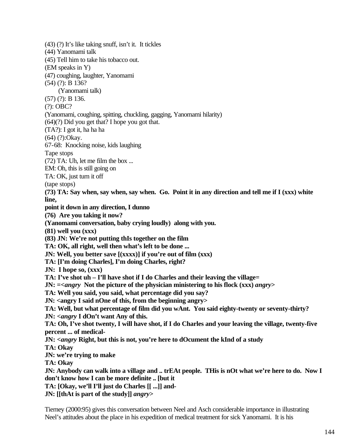(43) (?) It's like taking snuff, isn't it. It tickles

(44) Yanomami talk

(45) Tell him to take his tobacco out.

(EM speaks in Y)

(47) coughing, laughter, Yanomami

(54) (?): B 136?

(Yanomami talk)

(57) (?): B 136.

(?): OBC?

(Yanomami, coughing, spitting, chuckling, gagging, Yanomami hilarity)

(64)(?) Did you get that? I hope you got that.

(TA?): I got it, ha ha ha

(64) (?):Okay.

67-68: Knocking noise, kids laughing

Tape stops

(72) TA: Uh, let me film the box ...

EM: Oh, this is still going on

TA: OK, just turn it off

(tape stops)

**(73) TA: Say when, say when, say when. Go. Point it in any direction and tell me if I (xxx) white line,**

**point it down in any direction, I dunno**

**(76) Are you taking it now?**

**(Yanomami conversation, baby crying loudly) along with you.**

**(81) well you (xxx)**

**(83) JN: We're not putting thIs together on the film**

**TA: OK, all right, well then what's left to be done ...**

**JN: Well, you better save [(xxxx)] if you're out of film (xxx)**

**TA: [I'm doing Charles], I'm doing Charles, right?**

**JN: I hope so, (xxx)**

**TA: I've shot uh – I'll have shot if I do Charles and their leaving the village=**

**JN: =<***angry* **Not the picture of the physician ministering to his flock (xxx)** *angry***>**

**TA: Well you said, you said, what percentage did you say?**

**JN: <angry I said nOne of this, from the beginning angry>**

**TA: Well, but what percentage of film did you wAnt. You said eighty-twenty or seventy-thirty? JN: <***angry* **I dOn't want Any of this.**

**TA: Oh, I've shot twenty, I will have shot, if I do Charles and your leaving the village, twenty-five percent ... of medical-**

**JN: <***angry* **Right, but this is not, you're here to dOcument the kInd of a study**

**TA: Okay**

**JN: we're trying to make**

**TA: Okay**

**JN: Anybody can walk into a village and .. trEAt people. THis is nOt what we're here to do. Now I don't know how I can be more definite .. [but it**

**TA: [Okay, we'll I'll just do Charles [[ ...]] and-**

**JN: [[thAt is part of the study]]** *angry***>**

Tierney (2000:95) gives this conversation between Neel and Asch considerable importance in illustrating Neel's attitudes about the place in his expedition of medical treatment for sick Yanomami. It is his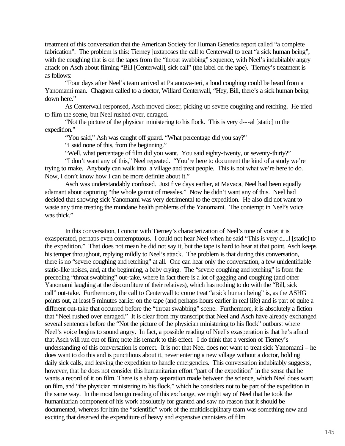treatment of this conversation that the American Society for Human Genetics report called "a complete fabrication". The problem is this: Tierney juxtaposes the call to Centerwall to treat "a sick human being", with the coughing that is on the tapes from the "throat swabbing" sequence, with Neel's indubitably angry attack on Asch about filming "Bill [Centerwall], sick call" (the label on the tape). Tierney's treatment is as follows:

"Four days after Neel's team arrived at Patanowa-teri, a loud coughing could be heard from a Yanomami man. Chagnon called to a doctor, Willard Centerwall, "Hey, Bill, there's a sick human being down here."

As Centerwall responsed, Asch moved closer, picking up severe coughing and retching. He tried to film the scene, but Neel rushed over, enraged.

"Not the picture of the physican ministering to his flock. This is very d---al [static] to the expedition."

"You said," Ash was caught off guard. "What percentage did you say?"

"I said none of this, from the beginning."

"Well, what percentage of film did you want. You said eighty-twenty, or seventy-thirty?"

"I don't want any of this," Neel repeated. "You're here to document the kind of a study we're trying to make. Anybody can walk into a village and treat people. This is not what we're here to do. Now, I don't know how I can be more definite about it."

Asch was understandably confused. Just five days earlier, at Mavaca, Neel had been equally adamant about capturing "the whole gamut of measles." Now he didn't want any of this. Neel had decided that showing sick Yanomami was very detrimental to the expedition. He also did not want to waste any time treating the mundane health problems of the Yanomami. The contempt in Neel's voice was thick."

In this conversation, I concur with Tierney's characterization of Neel's tone of voice; it is exasperated, perhaps even contemptuous. I could not hear Neel when he said "This is very d....l [static] to the expedition." That does not mean he did not say it, but the tape is hard to hear at that point. Asch keeps his temper throughout, replying mildly to Neel's attack. The problem is that during this conversation, there is no "severe coughing and retching" at all. One can hear only the conversation, a few unidentifiable static-like noises, and, at the beginning, a baby crying. The "severe coughing and retching" is from the preceding "throat swabbing" out-take, where in fact there is a lot of gagging and coughing (and other Yanomami laughing at the discomfiture of their relatives), which has nothing to do with the "Bill, sick call" out-take. Furthermore, the call to Centerwall to come treat "a sick human being" is, as the ASHG points out, at least 5 minutes earlier on the tape (and perhaps hours earlier in real life) and is part of quite a different out-take that occurred before the "throat swabbing" scene. Furthermore, it is absolutely a fiction that "Neel rushed over enraged." It is clear from my transcript that Neel and Asch have already exchanged several sentences before the "Not the picture of the physician ministering to his flock" outburst where Neel's voice begins to sound angry. In fact, a possible reading of Neel's exasperation is that he's afraid that Asch will run out of film; note his remark to this effect. I do think that a version of Tierney's understanding of this conversation is correct. It is not that Neel does not want to treat sick Yanomami – he does want to do this and is punctilious about it, never entering a new village without a doctor, holding daily sick calls, and leaving the expedition to handle emergencies. This conversation indubitably suggests, however, that he does not consider this humanitarian effort "part of the expedition" in the sense that he wants a record of it on film. There is a sharp separation made between the science, which Neel does want on film, and "the physician ministering to his flock," which he considers not to be part of the expedition in the same way. In the most benign reading of this exchange, we might say of Neel that he took the humanitarian component of his work absolutely for granted and saw no reason that it should be documented, whereas for him the "scientific" work of the multidisciplinary team was something new and exciting that deserved the expenditure of heavy and expensive cannisters of film.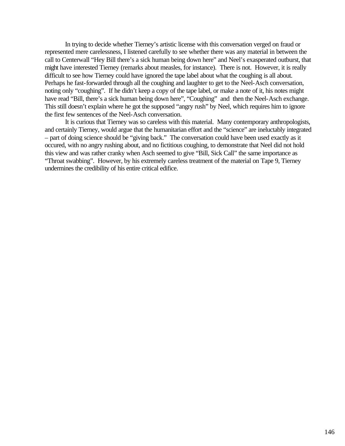In trying to decide whether Tierney's artistic license with this conversation verged on fraud or represented mere carelessness, I listened carefully to see whether there was any material in between the call to Centerwall "Hey Bill there's a sick human being down here" and Neel's exasperated outburst, that might have interested Tierney (remarks about measles, for instance). There is not. However, it is really difficult to see how Tierney could have ignored the tape label about what the coughing is all about. Perhaps he fast-forwarded through all the coughing and laughter to get to the Neel-Asch conversation, noting only "coughing". If he didn't keep a copy of the tape label, or make a note of it, his notes might have read "Bill, there's a sick human being down here", "Coughing" and then the Neel-Asch exchange. This still doesn't explain where he got the supposed "angry rush" by Neel, which requires him to ignore the first few sentences of the Neel-Asch conversation.

It is curious that Tierney was so careless with this material. Many contemporary anthropologists, and certainly Tierney, would argue that the humanitarian effort and the "science" are ineluctably integrated – part of doing science should be "giving back." The conversation could have been used exactly as it occured, with no angry rushing about, and no fictitious coughing, to demonstrate that Neel did not hold this view and was rather cranky when Asch seemed to give "Bill, Sick Call" the same importance as "Throat swabbing". However, by his extremely careless treatment of the material on Tape 9, Tierney undermines the credibility of his entire critical edifice.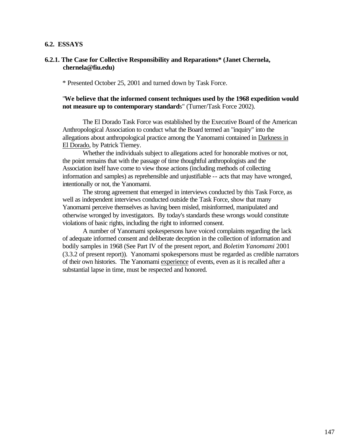### **6.2. ESSAYS**

### **6.2.1. The Case for Collective Responsibility and Reparations\* (Janet Chernela, chernela@fiu.edu)**

\* Presented October 25, 2001 and turned down by Task Force.

### "**We believe that the informed consent techniques used by the 1968 expedition would not measure up to contemporary standard**s" (Turner/Task Force 2002).

The El Dorado Task Force was established by the Executive Board of the American Anthropological Association to conduct what the Board termed an "inquiry" into the allegations about anthropological practice among the Yanomami contained in Darkness in El Dorado, by Patrick Tierney.

Whether the individuals subject to allegations acted for honorable motives or not, the point remains that with the passage of time thoughtful anthropologists and the Association itself have come to view those actions (including methods of collecting information and samples) as reprehensible and unjustifiable -- acts that may have wronged, intentionally or not, the Yanomami.

The strong agreement that emerged in interviews conducted by this Task Force, as well as independent interviews conducted outside the Task Force, show that many Yanomami perceive themselves as having been misled, misinformed, manipulated and otherwise wronged by investigators. By today's standards these wrongs would constitute violations of basic rights, including the right to informed consent.

A number of Yanomami spokespersons have voiced complaints regarding the lack of adequate informed consent and deliberate deception in the collection of information and bodily samples in 1968 (See Part IV of the present report, and *Boletim Yanomami* 2001 (3.3.2 of present report)). Yanomami spokespersons must be regarded as credible narrators of their own histories. The Yanomami experience of events, even as it is recalled after a substantial lapse in time, must be respected and honored.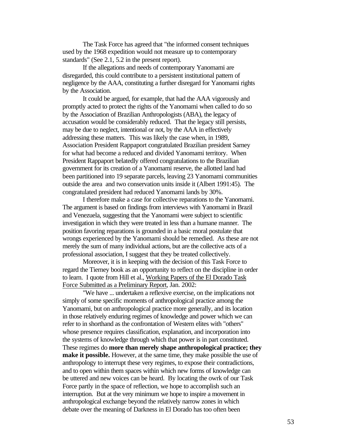The Task Force has agreed that "the informed consent techniques used by the 1968 expedition would not measure up to contemporary standards" (See 2.1, 5.2 in the present report).

If the allegations and needs of contemporary Yanomami are disregarded, this could contribute to a persistent institutional pattern of negligence by the AAA, constituting a further disregard for Yanomami rights by the Association.

It could be argued, for example, that had the AAA vigorously and promptly acted to protect the rights of the Yanomami when called to do so by the Association of Brazilian Anthropologists (ABA), the legacy of accusation would be considerably reduced. That the legacy still persists, may be due to neglect, intentional or not, by the AAA in effectively addressing these matters. This was likely the case when, in 1989, Association President Rappaport congratulated Brazilian president Sarney for what had become a reduced and divided Yanomami territory. When President Rappaport belatedly offered congratulations to the Brazilian government for its creation of a Yanomami reserve, the allotted land had been partitioned into 19 separate parcels, leaving 23 Yanomami communities outside the area and two conservation units inside it (Albert 1991:45). The congratulated president had reduced Yanomami lands by 30%.

I therefore make a case for collective reparations to the Yanomami. The argument is based on findings from interviews with Yanomami in Brazil and Venezuela, suggesting that the Yanomami were subject to scientific investigation in which they were treated in less than a humane manner. The position favoring reparations is grounded in a basic moral postulate that wrongs experienced by the Yanomami should be remedied. As these are not merely the sum of many individual actions, but are the collective acts of a professional association, I suggest that they be treated collectively.

Moreover, it is in keeping with the decision of this Task Force to regard the Tierney book as an opportunity to reflect on the discipline in order to learn. I quote from Hill et al., Working Papers of the El Dorado Task Force Submitted as a Preliminary Report, Jan. 2002:

"We have ... undertaken a reflexive exercise, on the implications not simply of some specific moments of anthropological practice among the Yanomami, but on anthropological practice more generally, and its location in those relatively enduring regimes of knowledge and power which we can refer to in shorthand as the confrontation of Western elites with "others" whose presence requires classification, explanation, and incorporation into the systems of knowledge through which that power is in part constituted. These regimes do **more than merely shape anthropological practice; they make it possible.** However, at the same time, they make possible the use of anthropology to interrupt these very regimes, to expose their contradictions, and to open within them spaces within which new forms of knowledge can be uttered and new voices can be heard. By locating the owrk of our Task Force partly in the space of reflection, we hope to accomplish such an interruption. But at the very minimum we hope to inspire a movement in anthropological exchange beyond the relatively narrow zones in which debate over the meaning of Darkness in El Dorado has too often been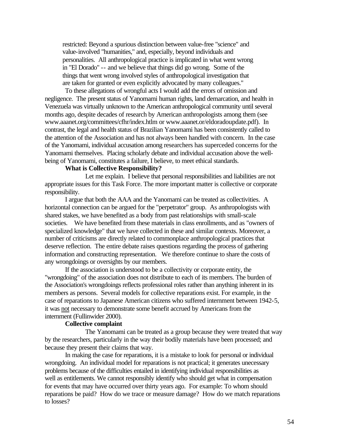restricted: Beyond a spurious distinction between value-free "science" and value-involved "humanities," and, especially, beyond individuals and personalities. All anthropological practice is implicated in what went wrong in "El Dorado" -- and we believe that things did go wrong. Some of the things that went wrong involved styles of anthropological investigation that are taken for granted or even explicitly advocated by many colleagues."

To these allegations of wrongful acts I would add the errors of omission and negligence. The present status of Yanomami human rights, land demarcation, and health in Venezuela was virtually unknown to the American anthropological community until several months ago, despite decades of research by American anthropologists among them (see www.aaanet.org/committees/cfhr/index.htlm or www.aaanet.or/eldoradoupdate.pdf). In contrast, the legal and health status of Brazilian Yanomami has been consistently called to the attention of the Association and has not always been handled with concern. In the case of the Yanomami, individual accusation among researchers has superceded concerns for the Yanomami themselves. Placing scholarly debate and individual accusation above the wellbeing of Yanomami, constitutes a failure, I believe, to meet ethical standards.

### **What is Collective Responsibility?**

Let me explain. I believe that personal responsibilities and liabilities are not appropriate issues for this Task Force. The more important matter is collective or corporate responsibility.

I argue that both the AAA and the Yanomami can be treated as collectivities. A horizontal connection can be argued for the "perpetrator" group. As anthropologists with shared stakes, we have benefited as a body from past relationships with small-scale societies. We have benefited from these materials in class enrollments, and as "owners of specialized knowledge" that we have collected in these and similar contexts. Moreover, a number of criticisms are directly related to commonplace anthropological practices that deserve reflection. The entire debate raises questions regarding the process of gathering information and constructing representation. We therefore continue to share the costs of any wrongdoings or oversights by our members.

If the association is understood to be a collectivity or corporate entity, the "wrongdoing" of the association does not distribute to each of its members. The burden of the Association's wrongdoings reflects professional roles rather than anything inherent in its members as persons. Several models for collective reparations exist. For example, in the case of reparations to Japanese American citizens who suffered internment between 1942-5, it was not necessary to demonstrate some benefit accrued by Americans from the internment (Fullinwider 2000).

## **Collective complaint**

The Yanomami can be treated as a group because they were treated that way by the researchers, particularly in the way their bodily materials have been processed; and because they present their claims that way.

In making the case for reparations, it is a mistake to look for personal or individual wrongdoing. An individual model for reparations is not practical; it generates unecessary problems because of the difficulties entailed in identifying individual responsibilities as well as entitlements. We cannot responsibly identify who should get what in compensation for events that may have occurred over thirty years ago. For example: To whom should reparations be paid? How do we trace or measure damage? How do we match reparations to losses?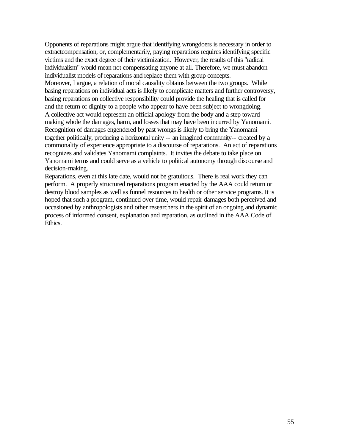Opponents of reparations might argue that identifying wrongdoers is necessary in order to extractcompensation, or, complementarily, paying reparations requires identifying specific victims and the exact degree of their victimization. However, the results of this "radical individualism" would mean not compensating anyone at all. Therefore, we must abandon individualist models of reparations and replace them with group concepts. Moreover, I argue, a relation of moral causality obtains between the two groups. While basing reparations on individual acts is likely to complicate matters and further controversy, basing reparations on collective responsibility could provide the healing that is called for and the return of dignity to a people who appear to have been subject to wrongdoing. A collective act would represent an official apology from the body and a step toward making whole the damages, harm, and losses that may have been incurred by Yanomami. Recognition of damages engendered by past wrongs is likely to bring the Yanomami together politically, producing a horizontal unity -- an imagined community-- created by a commonality of experience appropriate to a discourse of reparations. An act of reparations recognizes and validates Yanomami complaints. It invites the debate to take place on Yanomami terms and could serve as a vehicle to political autonomy through discourse and decision-making.

Reparations, even at this late date, would not be gratuitous. There is real work they can perform. A properly structured reparations program enacted by the AAA could return or destroy blood samples as well as funnel resources to health or other service programs. It is hoped that such a program, continued over time, would repair damages both perceived and occasioned by anthropologists and other researchers in the spirit of an ongoing and dynamic process of informed consent, explanation and reparation, as outlined in the AAA Code of Ethics.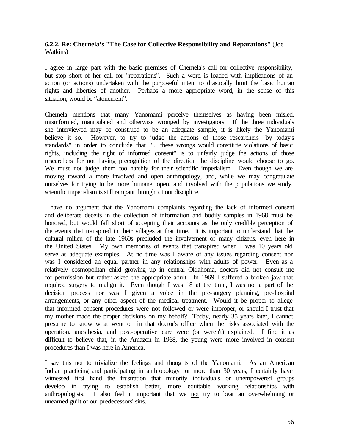## **6.2.2. Re: Chernela's "The Case for Collective Responsibility and Reparations"** (Joe Watkins)

I agree in large part with the basic premises of Chernela's call for collective responsibility, but stop short of her call for "reparations". Such a word is loaded with implications of an action (or actions) undertaken with the purposeful intent to drastically limit the basic human rights and liberties of another. Perhaps a more appropriate word, in the sense of this situation, would be "atonement".

Chernela mentions that many Yanomami perceive themselves as having been misled, misinformed, manipulated and otherwise wronged by investigators. If the three individuals she interviewed may be construed to be an adequate sample, it is likely the Yanomami believe it so. However, to try to judge the actions of those researchers "by today's standards" in order to conclude that "... these wrongs would constitute violations of basic rights, including the right of informed consent" is to unfairly judge the actions of those researchers for not having precognition of the direction the discipline would choose to go. We must not judge them too harshly for their scientific imperialism. Even though we are moving toward a more involved and open anthropology, and, while we may congratulate ourselves for trying to be more humane, open, and involved with the populations we study, scientific imperialism is still rampant throughout our discipline.

I have no argument that the Yanomami complaints regarding the lack of informed consent and deliberate deceits in the collection of information and bodily samples in 1968 must be honored, but would fall short of accepting their accounts as the only credible perception of the events that transpired in their villages at that time. It is important to understand that the cultural milieu of the late 1960s precluded the involvement of many citizens, even here in the United States. My own memories of events that transpired when I was 10 years old serve as adequate examples. At no time was I aware of any issues regarding consent nor was I considered an equal partner in any relationships with adults of power. Even as a relatively cosmopolitan child growing up in central Oklahoma, doctors did not consult me for permission but rather asked the appropriate adult. In 1969 I suffered a broken jaw that required surgery to realign it. Even though I was 18 at the time, I was not a part of the decision process nor was I given a voice in the pre-surgery planning, pre-hospital arrangements, or any other aspect of the medical treatment. Would it be proper to allege that informed consent procedures were not followed or were improper, or should I trust that my mother made the proper decisions on my behalf? Today, nearly 35 years later, I cannot presume to know what went on in that doctor's office when the risks associated with the operation, anesthesia, and post-operative care were (or weren't) explained. I find it as difficult to believe that, in the Amazon in 1968, the young were more involved in consent procedures than I was here in America.

I say this not to trivialize the feelings and thoughts of the Yanomami. As an American Indian practicing and participating in anthropology for more than 30 years, I certainly have witnessed first hand the frustration that minority individuals or unempowered groups develop in trying to establish better, more equitable working relationships with anthropologists. I also feel it important that we not try to bear an overwhelming or unearned guilt of our predecessors' sins.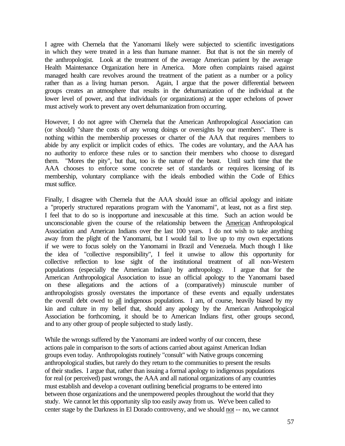I agree with Chernela that the Yanomami likely were subjected to scientific investigations in which they were treated in a less than humane manner. But that is not the sin merely of the anthropologist. Look at the treatment of the average American patient by the average Health Maintenance Organization here in America. More often complaints raised against managed health care revolves around the treatment of the patient as a number or a policy rather than as a living human person. Again, I argue that the power differential between groups creates an atmosphere that results in the dehumanization of the individual at the lower level of power, and that individuals (or organizations) at the upper echelons of power must actively work to prevent any overt dehumanization from occurring.

However, I do not agree with Chernela that the American Anthropological Association can (or should) "share the costs of any wrong doings or oversights by our members". There is nothing within the membership processes or charter of the AAA that requires members to abide by any explicit or implicit codes of ethics. The codes are voluntary, and the AAA has no authority to enforce these rules or to sanction their members who choose to disregard them. "Mores the pity", but that, too is the nature of the beast. Until such time that the AAA chooses to enforce some concrete set of standards or requires licensing of its membership, voluntary compliance with the ideals embodied within the Code of Ethics must suffice.

Finally, I disagree with Chernela that the AAA should issue an official apology and initiate a "properly structured reparations program with the Yanomami", at least, not as a first step. I feel that to do so is inopportune and inexcusable at this time. Such an action would be unconscionable given the course of the relationship between the American Anthropological Association and American Indians over the last 100 years. I do not wish to take anything away from the plight of the Yanomami, but I would fail to live up to my own expectations if we were to focus solely on the Yanomami in Brazil and Venezuela. Much though I like the idea of "collective responsibility", I feel it unwise to allow this opportunity for collective reflection to lose sight of the institutional treatment of all non-Western populations (especially the American Indian) by anthropology. I argue that for the American Anthropological Association to issue an official apology to the Yanomami based on these allegations and the actions of a (comparatively) minuscule number of anthropologists grossly overstates the importance of these events and equally understates the overall debt owed to all indigenous populations. I am, of course, heavily biased by my kin and culture in my belief that, should any apology by the American Anthropological Association be forthcoming, it should be to American Indians first, other groups second, and to any other group of people subjected to study lastly.

While the wrongs suffered by the Yanomami are indeed worthy of our concern, these actions pale in comparison to the sorts of actions carried about against American Indian groups even today. Anthropologists routinely "consult" with Native groups concerning anthropological studies, but rarely do they return to the communities to present the results of their studies. I argue that, rather than issuing a formal apology to indigenous populations for real (or perceived) past wrongs, the AAA and all national organizations of any countries must establish and develop a covenant outlining beneficial programs to be entered into between those organizations and the unempowered peoples throughout the world that they study. We cannot let this opportunity slip too easily away from us. We've been called to center stage by the Darkness in El Dorado controversy, and we should not -- no, we cannot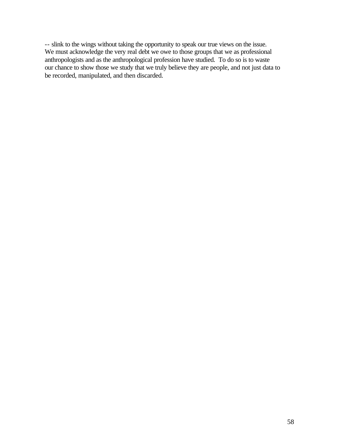-- slink to the wings without taking the opportunity to speak our true views on the issue. We must acknowledge the very real debt we owe to those groups that we as professional anthropologists and as the anthropological profession have studied. To do so is to waste our chance to show those we study that we truly believe they are people, and not just data to be recorded, manipulated, and then discarded.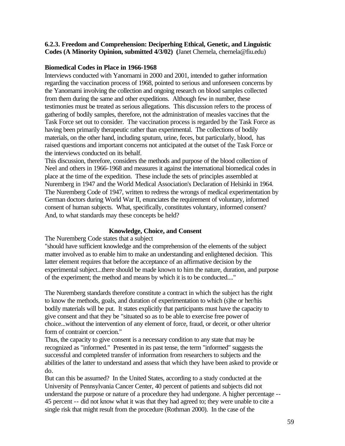### **6.2.3. Freedom and Comprehension: Deciperhing Ethical, Genetic, and Linguistic Codes (A Minority Opinion, submitted 4/3/02) (**Janet Chernela, chernela@fiu.edu)

## **Biomedical Codes in Place in 1966-1968**

Interviews conducted with Yanomami in 2000 and 2001, intended to gather information regarding the vaccination process of 1968, pointed to serious and unforeseen concerns by the Yanomami involving the collection and ongoing research on blood samples collected from them during the same and other expeditions. Although few in number, these testimonies must be treated as serious allegations. This discussion refers to the process of gathering of bodily samples, therefore, not the administration of measles vaccines that the Task Force set out to consider. The vaccination process is regarded by the Task Force as having been primarily therapeutic rather than experimental. The collections of bodily materials, on the other hand, including sputum, urine, feces, but particularly, blood, has raised questions and important concerns not anticipated at the outset of the Task Force or the interviews conducted on its behalf.

This discussion, therefore, considers the methods and purpose of the blood collection of Neel and others in 1966-1968 and measures it against the international biomedical codes in place at the time of the expedition. These include the sets of principles assembled at Nuremberg in 1947 and the World Medical Association's Declaration of Helsinki in 1964. The Nuremberg Code of 1947, written to redress the wrongs of medical experimentation by German doctors during World War II, enunciates the requirement of voluntary, informed consent of human subjects. What, specifically, constitutes voluntary, informed consent? And, to what standards may these concepts be held?

# **Knowledge, Choice, and Consent**

The Nuremberg Code states that a subject

"should have sufficient knowledge and the comprehension of the elements of the subject matter involved as to enable him to make an understanding and enlightened decision. This latter element requires that before the acceptance of an affirmative decision by the experimental subject...there should be made known to him the nature, duration, and purpose of the experiment; the method and means by which it is to be conducted...."

The Nuremberg standards therefore constitute a contract in which the subject has the right to know the methods, goals, and duration of experimentation to which (s)he or her/his bodily materials will be put. It states explicitly that participants must have the capacity to give consent and that they be "situated so as to be able to exercise free power of choice...without the intervention of any element of force, fraud, or deceit, or other ulterior form of contraint or coercion."

Thus, the capacity to give consent is a necessary condition to any state that may be recognized as "informed." Presented in its past tense, the term "informed" suggests the successful and completed transfer of information from researchers to subjects and the abilities of the latter to understand and assess that which they have been asked to provide or do.

But can this be assumed? In the United States, according to a study conducted at the University of Pennsylvania Cancer Center, 40 percent of patients and subjects did not understand the purpose or nature of a procedure they had undergone. A higher percentage -- 45 percent -- did not know what it was that they had agreed to; they were unable to cite a single risk that might result from the procedure (Rothman 2000). In the case of the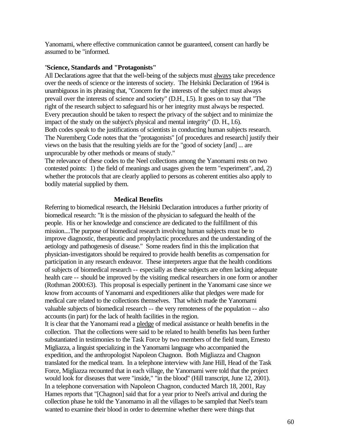Yanomami, where effective communication cannot be guaranteed, consent can hardly be assumed to be "informed.

#### "**Science, Standards and "Protagonists"**

All Declarations agree that that the well-being of the subjects must always take precedence over the needs of science or the interests of society. The Helsinki Declaration of 1964 is unambiguous in its phrasing that, "Concern for the interests of the subject must always prevail over the interests of science and society" (D.H., I.5). It goes on to say that "The right of the research subject to safeguard his or her integrity must always be respected. Every precaution should be taken to respect the privacy of the subject and to minimize the impact of the study on the subject's physical and mental integrity" (D. H., I.6). Both codes speak to the justifications of scientists in conducting human subjects research. The Nuremberg Code notes that the "protagonists" [of procedures and research] justify their

views on the basis that the resulting yields are for the "good of society [and] ... are unprocurable by other methods or means of study."

The relevance of these codes to the Neel collections among the Yanomami rests on two contested points: 1) the field of meanings and usages given the term "experiment", and, 2) whether the protocols that are clearly applied to persons as coherent entities also apply to bodily material supplied by them.

### **Medical Benefits**

Referring to biomedical research, the Helsinki Declaration introduces a further priority of biomedical research: "It is the mission of the physician to safeguard the health of the people. His or her knowledge and conscience are dedicated to the fulfillment of this mission....The purpose of biomedical research involving human subjects must be to improve diagnostic, therapeutic and prophylactic procedures and the understanding of the aetiology and pathogenesis of disease." Some readers find in this the implication that physician-investigators should be required to provide health benefits as compensation for participation in any research endeavor. These interpreters argue that the health conditions of subjects of biomedical research -- especially as these subjects are often lacking adequate health care -- should be improved by the visiting medical researchers in one form or another (Rothman 2000:63). This proposal is especially pertinent in the Yanomami case since we know from accounts of Yanomami and expeditioners alike that pledges were made for medical care related to the collections themselves. That which made the Yanomami valuable subjects of biomedical research -- the very remoteness of the population -- also accounts (in part) for the lack of health facilities in the region.

It is clear that the Yanomami read a pledge of medical assistance or health benefits in the collection. That the collections were said to be related to health benefits has been further substantiated in testimonies to the Task Force by two members of the field team, Ernesto Migliazza, a linguist specializing in the Yanomami language who accompanied the expedition, and the anthropologist Napoleon Chagnon. Both Migliazza and Chagnon translated for the medical team. In a telephone interview with Jane Hill, Head of the Task Force, Migliazza recounted that in each village, the Yanomami were told that the project would look for diseases that were "inside," "in the blood" (Hill transcript, June 12, 2001). In a telephone conversation with Napoleon Chagnon, conducted March 18, 2001, Ray Hames reports that "[Chagnon] said that for a year prior to Neel's arrival and during the collection phase he told the Yanomamo in all the villages to be sampled that Neel's team wanted to examine their blood in order to determine whether there were things that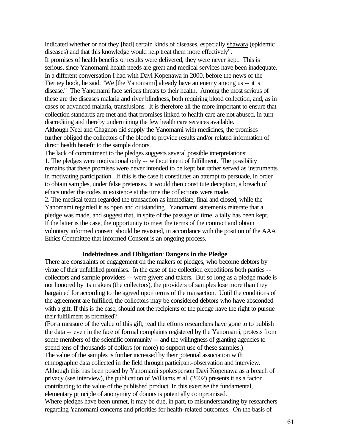indicated whether or not they [had] certain kinds of diseases, especially shawara (epidemic diseases) and that this knowledge would help treat them more effectively".

If promises of health benefits or results were delivered, they were never kept. This is serious, since Yanomami health needs are great and medical services have been inadequate. In a different conversation I had with Davi Kopenawa in 2000, before the news of the Tierney book, he said, "We [the Yanomami] already have an enemy among us -- it is disease." The Yanomami face serious threats to their health. Among the most serious of these are the diseases malaria and river blindness, both requiring blood collection, and, as in cases of advanced malaria, transfusions. It is therefore all the more important to ensure that collection standards are met and that promises linked to health care are not abused, in turn discrediting and thereby undermining the few health care services available. Although Neel and Chagnon did supply the Yanomami with medicines, the promises

further obliged the collectors of the blood to provide results and/or related information of direct health benefit to the sample donors.

The lack of commitment to the pledges suggests several possible interpretations:

1. The pledges were motivational only -- without intent of fulfillment. The possibility remains that these promises were never intended to be kept but rather served as instruments in motivating participation. If this is the case it constitutes an attempt to persuade, in order to obtain samples, under false pretenses. It would then constitute deception, a breach of ethics under the codes in existence at the time the collections were made.

2. The medical team regarded the transaction as immediate, final and closed, while the Yanomami regarded it as open and outstanding. Yanomami statements reiterate that a pledge was made, and suggest that, in spite of the passage of time, a tally has been kept. If the latter is the case, the opportunity to meet the terms of the contract and obtain voluntary informed consent should be revisited, in accordance with the position of the AAA Ethics Committee that Informed Consent is an ongoing process.

#### **Indebtedness and Obligation**: **Dangers in the Pledge**

There are constraints of engagement on the makers of pledges, who become debtors by virtue of their unfulfilled promises. In the case of the collection expeditions both parties - collectors and sample providers -- were givers and takers. But so long as a pledge made is not honored by its makers (the collectors), the providers of samples lose more than they bargained for according to the agreed upon terms of the transaction. Until the conditions of the agreement are fulfilled, the collectors may be considered debtors who have absconded with a gift. If this is the case, should not the recipients of the pledge have the right to pursue their fulfillment as promised?

(For a measure of the value of this gift, read the efforts researchers have gone to to publish the data -- even in the face of formal complaints registered by the Yanomami, protests from some members of the scientific community -- and the willingness of granting agencies to spend tens of thousands of dollors (or more) to support use of these samples.) The value of the samples is further increased by their potential association with ethnographic data collected in the field through participant-observation and interview. Although this has been posed by Yanomami spokesperson Davi Kopenawa as a breach of privacy (see interview), the publication of Williams et al. (2002) presents it as a factor contributing to the value of the published product. In this exercise the fundamental, elementary principle of anonymity of donors is potentially compromised. Where pledges have been unmet, it may be due, in part, to misunderstanding by researchers regarding Yanomami concerns and priorities for health-related outcomes. On the basis of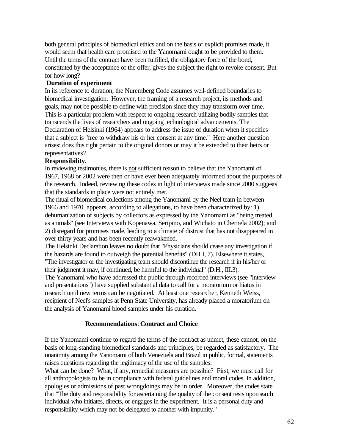both general principles of biomedical ethics and on the basis of explicit promises made, it would seem that health care promised to the Yanomami ought to be provided to them. Until the terms of the contract have been fulfilled, the obligatory force of the bond, constituted by the acceptance of the offer, gives the subject the right to revoke consent. But for how long?

## **Duration of experiment**

In its reference to duration, the Nuremberg Code assumes well-defined boundaries to biomedical investigation. However, the framing of a research project, its methods and goals, may not be possible to define with precision since they may transform over time. This is a particular problem with respect to ongoing research utilizing bodily samples that transcends the lives of researchers and ongoing technological advancements. The Declaration of Helsinki (1964) appears to address the issue of duration when it specifies that a subject is "free to withdraw his or her consent at any time." Here another question arises: does this right pertain to the original donors or may it be extended to their heirs or representatives?

# **Responsibility**.

In reviewing testimonies, there is not sufficient reason to believe that the Yanomami of 1967, 1968 or 2002 were then or have ever been adequately informed about the purposes of the research. Indeed, reviewing these codes in light of interviews made since 2000 suggests that the standards in place were not entirely met.

The ritual of biomedical collections among the Yanomami by the Neel team in between 1966 and 1970 appears, according to allegations, to have been characterized by: 1) dehumanization of subjects by collectors as expressed by the Yanomami as "being treated as animals" (see Interviews with Kopenawa, Seripino, and Wichato in Chernela 2002); and 2) disregard for promises made, leading to a climate of distrust that has not disappeared in over thirty years and has been recently reawakened.

The Helsinki Declaration leaves no doubt that "Physicians should cease any investigation if the hazards are found to outweigh the potential benefits" (DH I, 7). Elsewhere it states,

"The investigator or the investigating team should discontinue the research if in his/her or their judgment it may, if continued, be harmful to the individual" (D.H., III.3).

The Yanomami who have addressed the public through recorded interviews (see "interview and presentations") have supplied substantial data to call for a moratorium or hiatus in research until new terms can be negotiated. At least one researcher, Kenneth Weiss, recipient of Neel's samples at Penn State University, has already placed a moratorium on the analysis of Yanomami blood samples under his curation.

# **Recommendations**: **Contract and Choice**

If the Yanomami continue to regard the terms of the contract as unmet, these cannot, on the basis of long-standing biomedical standards and principles, be regarded as satisfactory. The unanimity among the Yanomami of both Venezuela and Brazil in public, formal, statements raises questions regarding the legitimacy of the use of the samples.

What can be done? What, if any, remedial measures are possible? First, we must call for all anthropologists to be in compliance with federal guidelines and moral codes. In addition, apologies or admissions of past wrongdoings may be in order. Moreover, the codes state that "The duty and responsibility for ascertaining the quality of the consent rests upon **each** individual who initiates, directs, or engages in the experiment. It is a personal duty and responsibility which may not be delegated to another with impunity."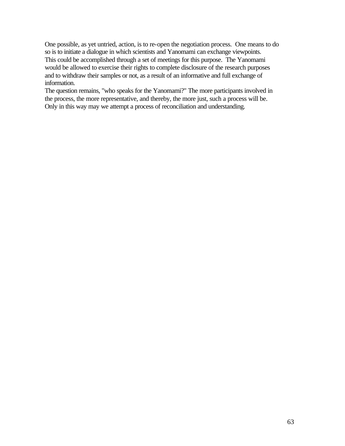One possible, as yet untried, action, is to re-open the negotiation process. One means to do so is to initiate a dialogue in which scientists and Yanomami can exchange viewpoints. This could be accomplished through a set of meetings for this purpose. The Yanomami would be allowed to exercise their rights to complete disclosure of the research purposes and to withdraw their samples or not, as a result of an informative and full exchange of information.

The question remains, "who speaks for the Yanomami?" The more participants involved in the process, the more representative, and thereby, the more just, such a process will be. Only in this way may we attempt a process of reconciliation and understanding.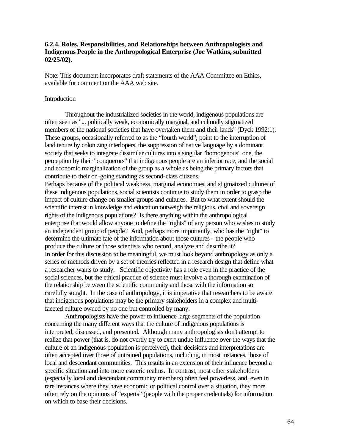### **6.2.4. Roles, Responsibilities, and Relationships between Anthropologists and Indigenous People in the Anthropological Enterprise (Joe Watkins, submitted 02/25/02).**

Note: This document incorporates draft statements of the AAA Committee on Ethics, available for comment on the AAA web site.

#### Introduction

Throughout the industrialized societies in the world, indigenous populations are often seen as "... politically weak, economically marginal, and culturally stigmatized members of the national societies that have overtaken them and their lands" (Dyck 1992:1). These groups, occasionally referred to as the "fourth world", point to the interruption of land tenure by colonizing interlopers, the suppression of native language by a dominant society that seeks to integrate dissimilar cultures into a singular "homogenous" one, the perception by their "conquerors" that indigenous people are an inferior race, and the social and economic marginalization of the group as a whole as being the primary factors that contribute to their on-going standing as second-class citizens.

Perhaps because of the political weakness, marginal economies, and stigmatized cultures of these indigenous populations, social scientists continue to study them in order to grasp the impact of culture change on smaller groups and cultures. But to what extent should the scientific interest in knowledge and education outweigh the religious, civil and sovereign rights of the indigenous populations? Is there anything within the anthropological enterprise that would allow anyone to define the "rights" of any person who wishes to study an independent group of people? And, perhaps more importantly, who has the "right" to determine the ultimate fate of the information about those cultures - the people who produce the culture or those scientists who record, analyze and describe it? In order for this discussion to be meaningful, we must look beyond anthropology as only a series of methods driven by a set of theories reflected in a research design that define what a researcher wants to study. Scientific objectivity has a role even in the practice of the social sciences, but the ethical practice of science must involve a thorough examination of the relationship between the scientific community and those with the information so carefully sought. In the case of anthropology, it is imperative that researchers to be aware that indigenous populations may be the primary stakeholders in a complex and multifaceted culture owned by no one but controlled by many.

Anthropologists have the power to influence large segments of the population concerning the many different ways that the culture of indigenous populations is interpreted, discussed, and presented. Although many anthropologists don't attempt to realize that power (that is, do not overtly try to exert undue influence over the ways that the culture of an indigenous population is perceived), their decisions and interpretations are often accepted over those of untrained populations, including, in most instances, those of local and descendant communities. This results in an extension of their influence beyond a specific situation and into more esoteric realms. In contrast, most other stakeholders (especially local and descendant community members) often feel powerless, and, even in rare instances where they have economic or political control over a situation, they more often rely on the opinions of "experts" (people with the proper credentials) for information on which to base their decisions.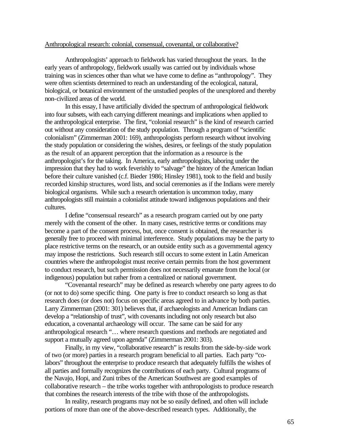#### Anthropological research: colonial, consensual, covenantal, or collaborative?

Anthropologists' approach to fieldwork has varied throughout the years. In the early years of anthropology, fieldwork usually was carried out by individuals whose training was in sciences other than what we have come to define as "anthropology". They were often scientists determined to reach an understanding of the ecological, natural, biological, or botanical environment of the unstudied peoples of the unexplored and thereby non-civilized areas of the world.

In this essay, I have artificially divided the spectrum of anthropological fieldwork into four subsets, with each carrying different meanings and implications when applied to the anthropological enterprise. The first, "colonial research" is the kind of research carried out without any consideration of the study population. Through a program of "scientific colonialism" (Zimmerman 2001: 169), anthropologists perform research without involving the study population or considering the wishes, desires, or feelings of the study population as the result of an apparent perception that the information as a resource is the anthropologist's for the taking. In America, early anthropologists, laboring under the impression that they had to work feverishly to "salvage" the history of the American Indian before their culture vanished (c.f. Bieder 1986; Hinsley 1981), took to the field and busily recorded kinship structures, word lists, and social ceremonies as if the Indians were merely biological organisms. While such a research orientation is uncommon today, many anthropologists still maintain a colonialist attitude toward indigenous populations and their cultures.

I define "consensual research" as a research program carried out by one party merely with the consent of the other. In many cases, restrictive terms or conditions may become a part of the consent process, but, once consent is obtained, the researcher is generally free to proceed with minimal interference. Study populations may be the party to place restrictive terms on the research, or an outside entity such as a governmental agency may impose the restrictions. Such research still occurs to some extent in Latin American countries where the anthropologist must receive certain permits from the host government to conduct research, but such permission does not necessarily emanate from the local (or indigenous) population but rather from a centralized or national government.

"Covenantal research" may be defined as research whereby one party agrees to do (or not to do) some specific thing. One party is free to conduct research so long as that research does (or does not) focus on specific areas agreed to in advance by both parties. Larry Zimmerman (2001: 301) believes that, if archaeologists and American Indians can develop a "relationship of trust", with covenants including not only research but also education, a covenantal archaeology will occur. The same can be said for any anthropological research "… where research questions and methods are negotiated and support a mutually agreed upon agenda" (Zimmerman 2001: 303).

Finally, in my view, "collaborative research" is results from the side-by-side work of two (or more) parties in a research program beneficial to all parties. Each party "colabors" throughout the enterprise to produce research that adequately fulfills the wishes of all parties and formally recognizes the contributions of each party. Cultural programs of the Navajo, Hopi, and Zuni tribes of the American Southwest are good examples of collaborative research – the tribe works together with anthropologists to produce research that combines the research interests of the tribe with those of the anthropologists.

In reality, research programs may not be so easily defined, and often will include portions of more than one of the above-described research types. Additionally, the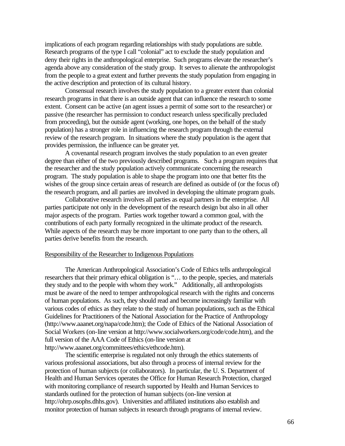implications of each program regarding relationships with study populations are subtle. Research programs of the type I call "colonial" act to exclude the study population and deny their rights in the anthropological enterprise. Such programs elevate the researcher's agenda above any consideration of the study group. It serves to alienate the anthropologist from the people to a great extent and further prevents the study population from engaging in the active description and protection of its cultural history.

Consensual research involves the study population to a greater extent than colonial research programs in that there is an outside agent that can influence the research to some extent. Consent can be active (an agent issues a permit of some sort to the researcher) or passive (the researcher has permission to conduct research unless specifically precluded from proceeding), but the outside agent (working, one hopes, on the behalf of the study population) has a stronger role in influencing the research program through the external review of the research program. In situations where the study population is the agent that provides permission, the influence can be greater yet.

A covenantal research program involves the study population to an even greater degree than either of the two previously described programs. Such a program requires that the researcher and the study population actively communicate concerning the research program. The study population is able to shape the program into one that better fits the wishes of the group since certain areas of research are defined as outside of (or the focus of) the research program, and all parties are involved in developing the ultimate program goals.

Collaborative research involves all parties as equal partners in the enterprise. All parties participate not only in the development of the research design but also in all other major aspects of the program. Parties work together toward a common goal, with the contributions of each party formally recognized in the ultimate product of the research. While aspects of the research may be more important to one party than to the others, all parties derive benefits from the research.

### Responsibility of the Researcher to Indigenous Populations

The American Anthropological Association's Code of Ethics tells anthropological researchers that their primary ethical obligation is "… to the people, species, and materials they study and to the people with whom they work." Additionally, all anthropologists must be aware of the need to temper anthropological research with the rights and concerns of human populations. As such, they should read and become increasingly familiar with various codes of ethics as they relate to the study of human populations, such as the Ethical Guidelines for Practitioners of the National Association for the Practice of Anthropology (http://www.aaanet.org/napa/code.htm); the Code of Ethics of the National Association of Social Workers (on-line version at http://www.socialworkers.org/code/code.htm), and the full version of the AAA Code of Ethics (on-line version at http://www.aaanet.org/committees/ethics/ethcode.htm).

The scientific enterprise is regulated not only through the ethics statements of various professional associations, but also through a process of internal review for the protection of human subjects (or collaborators). In particular, the U. S. Department of Health and Human Services operates the Office for Human Research Protection, charged with monitoring compliance of research supported by Health and Human Services to standards outlined for the protection of human subjects (on-line version at http://ohrp.osophs.dhhs.gov). Universities and affiliated institutions also establish and monitor protection of human subjects in research through programs of internal review.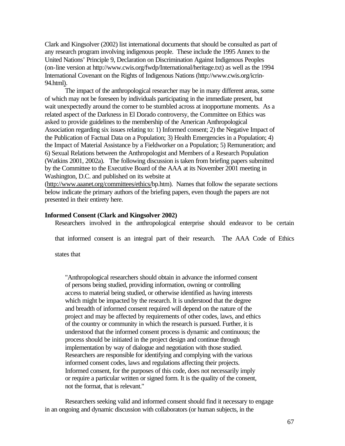Clark and Kingsolver (2002) list international documents that should be consulted as part of any research program involving indigenous people. These include the 1995 Annex to the United Nations' Principle 9, Declaration on Discrimination Against Indigenous Peoples (on-line version at http://www.cwis.org/fwdp/International/heritage.txt) as well as the 1994 International Covenant on the Rights of Indigenous Nations (http://www.cwis.org/icrin-94.html).

The impact of the anthropological researcher may be in many different areas, some of which may not be foreseen by individuals participating in the immediate present, but wait unexpectedly around the corner to be stumbled across at inopportune moments. As a related aspect of the Darkness in El Dorado controversy, the Committee on Ethics was asked to provide guidelines to the membership of the American Anthropological Association regarding six issues relating to: 1) Informed consent; 2) the Negative Impact of the Publication of Factual Data on a Population; 3) Health Emergencies in a Population; 4) the Impact of Material Assistance by a Fieldworker on a Population; 5) Remuneration; and 6) Sexual Relations between the Anthropologist and Members of a Research Population (Watkins 2001, 2002a). The following discussion is taken from briefing papers submitted by the Committee to the Executive Board of the AAA at its November 2001 meeting in Washington, D.C. and published on its website at

(http://www.aaanet.org/committees/ethics/bp.htm). Names that follow the separate sections below indicate the primary authors of the briefing papers, even though the papers are not presented in their entirety here.

#### **Informed Consent (Clark and Kingsolver 2002)**

Researchers involved in the anthropological enterprise should endeavor to be certain

that informed consent is an integral part of their research. The AAA Code of Ethics

states that

"Anthropological researchers should obtain in advance the informed consent of persons being studied, providing information, owning or controlling access to material being studied, or otherwise identified as having interests which might be impacted by the research. It is understood that the degree and breadth of informed consent required will depend on the nature of the project and may be affected by requirements of other codes, laws, and ethics of the country or community in which the research is pursued. Further, it is understood that the informed consent process is dynamic and continuous; the process should be initiated in the project design and continue through implementation by way of dialogue and negotiation with those studied. Researchers are responsible for identifying and complying with the various informed consent codes, laws and regulations affecting their projects. Informed consent, for the purposes of this code, does not necessarily imply or require a particular written or signed form. It is the quality of the consent, not the format, that is relevant."

Researchers seeking valid and informed consent should find it necessary to engage in an ongoing and dynamic discussion with collaborators (or human subjects, in the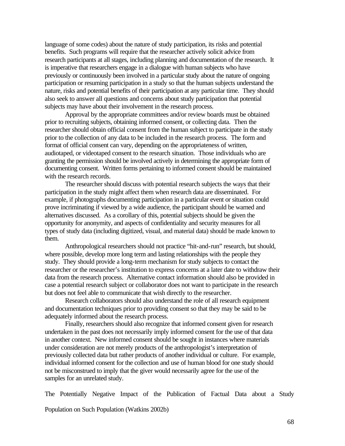language of some codes) about the nature of study participation, its risks and potential benefits. Such programs will require that the researcher actively solicit advice from research participants at all stages, including planning and documentation of the research. It is imperative that researchers engage in a dialogue with human subjects who have previously or continuously been involved in a particular study about the nature of ongoing participation or resuming participation in a study so that the human subjects understand the nature, risks and potential benefits of their participation at any particular time. They should also seek to answer all questions and concerns about study participation that potential subjects may have about their involvement in the research process.

Approval by the appropriate committees and/or review boards must be obtained prior to recruiting subjects, obtaining informed consent, or collecting data. Then the researcher should obtain official consent from the human subject to participate in the study prior to the collection of any data to be included in the research process. The form and format of official consent can vary, depending on the appropriateness of written, audiotaped, or videotaped consent to the research situation. Those individuals who are granting the permission should be involved actively in determining the appropriate form of documenting consent. Written forms pertaining to informed consent should be maintained with the research records.

The researcher should discuss with potential research subjects the ways that their participation in the study might affect them when research data are disseminated. For example, if photographs documenting participation in a particular event or situation could prove incriminating if viewed by a wide audience, the participant should be warned and alternatives discussed. As a corollary of this, potential subjects should be given the opportunity for anonymity, and aspects of confidentiality and security measures for all types of study data (including digitized, visual, and material data) should be made known to them.

Anthropological researchers should not practice "hit-and-run" research, but should, where possible, develop more long term and lasting relationships with the people they study. They should provide a long-term mechanism for study subjects to contact the researcher or the researcher's institution to express concerns at a later date to withdraw their data from the research process. Alternative contact information should also be provided in case a potential research subject or collaborator does not want to participate in the research but does not feel able to communicate that wish directly to the researcher.

Research collaborators should also understand the role of all research equipment and documentation techniques prior to providing consent so that they may be said to be adequately informed about the research process.

Finally, researchers should also recognize that informed consent given for research undertaken in the past does not necessarily imply informed consent for the use of that data in another context. New informed consent should be sought in instances where materials under consideration are not merely products of the anthropologist's interpretation of previously collected data but rather products of another individual or culture. For example, individual informed consent for the collection and use of human blood for one study should not be misconstrued to imply that the giver would necessarily agree for the use of the samples for an unrelated study.

The Potentially Negative Impact of the Publication of Factual Data about a Study

Population on Such Population (Watkins 2002b)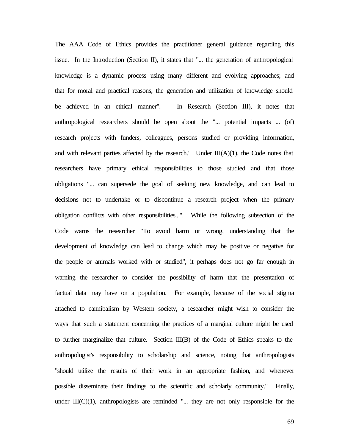The AAA Code of Ethics provides the practitioner general guidance regarding this issue. In the Introduction (Section II), it states that "... the generation of anthropological knowledge is a dynamic process using many different and evolving approaches; and that for moral and practical reasons, the generation and utilization of knowledge should be achieved in an ethical manner". In Research (Section III), it notes that anthropological researchers should be open about the "... potential impacts ... (of) research projects with funders, colleagues, persons studied or providing information, and with relevant parties affected by the research." Under  $III(A)(1)$ , the Code notes that researchers have primary ethical responsibilities to those studied and that those obligations "... can supersede the goal of seeking new knowledge, and can lead to decisions not to undertake or to discontinue a research project when the primary obligation conflicts with other responsibilities...". While the following subsection of the Code warns the researcher "To avoid harm or wrong, understanding that the development of knowledge can lead to change which may be positive or negative for the people or animals worked with or studied", it perhaps does not go far enough in warning the researcher to consider the possibility of harm that the presentation of factual data may have on a population. For example, because of the social stigma attached to cannibalism by Western society, a researcher might wish to consider the ways that such a statement concerning the practices of a marginal culture might be used to further marginalize that culture. Section III(B) of the Code of Ethics speaks to the anthropologist's responsibility to scholarship and science, noting that anthropologists "should utilize the results of their work in an appropriate fashion, and whenever possible disseminate their findings to the scientific and scholarly community." Finally, under  $III(C)(1)$ , anthropologists are reminded "... they are not only responsible for the

69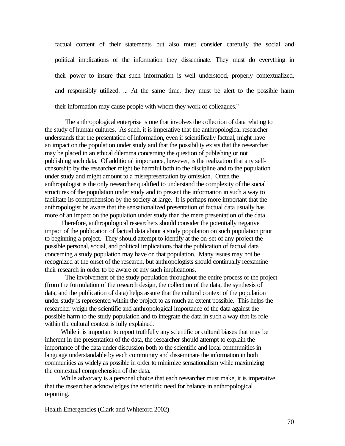factual content of their statements but also must consider carefully the social and political implications of the information they disseminate. They must do everything in their power to insure that such information is well understood, properly contextualized, and responsibly utilized. ... At the same time, they must be alert to the possible harm their information may cause people with whom they work of colleagues."

The anthropological enterprise is one that involves the collection of data relating to the study of human cultures. As such, it is imperative that the anthropological researcher understands that the presentation of information, even if scientifically factual, might have an impact on the population under study and that the possibility exists that the researcher may be placed in an ethical dilemma concerning the question of publishing or not publishing such data. Of additional importance, however, is the realization that any selfcensorship by the researcher might be harmful both to the discipline and to the population under study and might amount to a misrepresentation by omission. Often the anthropologist is the only researcher qualified to understand the complexity of the social structures of the population under study and to present the information in such a way to facilitate its comprehension by the society at large. It is perhaps more important that the anthropologist be aware that the sensationalized presentation of factual data usually has more of an impact on the population under study than the mere presentation of the data.

Therefore, anthropological researchers should consider the potentially negative impact of the publication of factual data about a study population on such population prior to beginning a project. They should attempt to identify at the on-set of any project the possible personal, social, and political implications that the publication of factual data concerning a study population may have on that population. Many issues may not be recognized at the onset of the research, but anthropologists should continually reexamine their research in order to be aware of any such implications.

The involvement of the study population throughout the entire process of the project (from the formulation of the research design, the collection of the data, the synthesis of data, and the publication of data) helps assure that the cultural context of the population under study is represented within the project to as much an extent possible. This helps the researcher weigh the scientific and anthropological importance of the data against the possible harm to the study population and to integrate the data in such a way that its role within the cultural context is fully explained.

While it is important to report truthfully any scientific or cultural biases that may be inherent in the presentation of the data, the researcher should attempt to explain the importance of the data under discussion both to the scientific and local communities in language understandable by each community and disseminate the information in both communities as widely as possible in order to minimize sensationalism while maximizing the contextual comprehension of the data.

While advocacy is a personal choice that each researcher must make, it is imperative that the researcher acknowledges the scientific need for balance in anthropological reporting.

Health Emergencies (Clark and Whiteford 2002)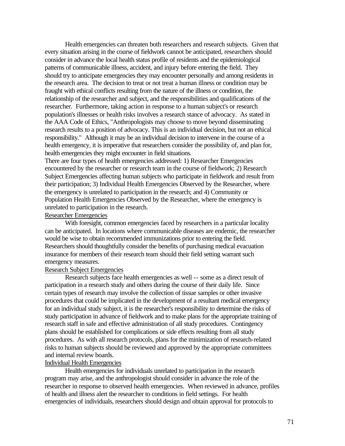Health emergencies can threaten both researchers and research subjects. Given that every situation arising in the course of fieldwork cannot be anticipated, researchers should consider in advance the local health status profile of residents and the epidemiological patterns of communicable illness, accident, and injury before entering the field. They should try to anticipate emergencies they may encounter personally and among residents in the research area. The decision to treat or not treat a human illness or condition may be fraught with ethical conflicts resulting from the nature of the illness or condition, the relationship of the researcher and subject, and the responsibilities and qualifications of the researcher. Furthermore, taking action in response to a human subject's or research population's illnesses or health risks involves a research stance of advocacy. As stated in the AAA Code of Ethics, "Anthropologists may choose to move beyond disseminating research results to a position of advocacy. This is an individual decision, but not an ethical responsibility." Although it may be an individual decision to intervene in the course of a health emergency, it is imperative that researchers consider the possibility of, and plan for, health emergencies they might encounter in field situations.

There are four types of health emergencies addressed: 1) Researcher Emergencies encountered by the researcher or research team in the course of fieldwork; 2) Research Subject Emergencies affecting human subjects who participate in fieldwork and result from their participation; 3) Individual Health Emergencies Observed by the Researcher, where the emergency is unrelated to participation in the research; and 4) Community or Population Health Emergencies Observed by the Researcher, where the emergency is unrelated to participation in the research.

### Researcher Emergencies

With foresight, common emergencies faced by researchers in a particular locality can be anticipated. In locations where communicable diseases are endemic, the researcher would be wise to obtain recommended immunizations prior to entering the field. Researchers should thoughtfully consider the benefits of purchasing medical evacuation insurance for members of their research team should their field setting warrant such emergency measures.

## Research Subject Emergencies

Research subjects face health emergencies as well -- some as a direct result of participation in a research study and others during the course of their daily life. Since certain types of research may involve the collection of tissue samples or other invasive procedures that could be implicated in the development of a resultant medical emergency for an individual study subject, it is the researcher's responsibility to determine the risks of study participation in advance of fieldwork and to make plans for the appropriate training of research staff in safe and effective administration of all study procedures. Contingency plans should be established for complications or side effects resulting from all study procedures. As with all research protocols, plans for the minimization of research-related risks to human subjects should be reviewed and approved by the appropriate committees and internal review boards.

### Individual Health Emergencies

Health emergencies for individuals unrelated to participation in the research program may arise, and the anthropologist should consider in advance the role of the researcher in response to observed health emergencies. When reviewed in advance, profiles of health and illness alert the researcher to conditions in field settings. For health emergencies of individuals, researchers should design and obtain approval for protocols to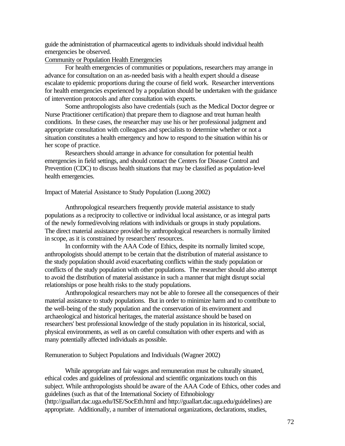guide the administration of pharmaceutical agents to individuals should individual health emergencies be observed.

### Community or Population Health Emergencies

For health emergencies of communities or populations, researchers may arrange in advance for consultation on an as-needed basis with a health expert should a disease escalate to epidemic proportions during the course of field work. Researcher interventions for health emergencies experienced by a population should be undertaken with the guidance of intervention protocols and after consultation with experts.

Some anthropologists also have credentials (such as the Medical Doctor degree or Nurse Practitioner certification) that prepare them to diagnose and treat human health conditions. In these cases, the researcher may use his or her professional judgment and appropriate consultation with colleagues and specialists to determine whether or not a situation constitutes a health emergency and how to respond to the situation within his or her scope of practice.

Researchers should arrange in advance for consultation for potential health emergencies in field settings, and should contact the Centers for Disease Control and Prevention (CDC) to discuss health situations that may be classified as population-level health emergencies.

#### Impact of Material Assistance to Study Population (Luong 2002)

Anthropological researchers frequently provide material assistance to study populations as a reciprocity to collective or individual local assistance, or as integral parts of the newly formed/evolving relations with individuals or groups in study populations. The direct material assistance provided by anthropological researchers is normally limited in scope, as it is constrained by researchers' resources.

In conformity with the AAA Code of Ethics, despite its normally limited scope, anthropologists should attempt to be certain that the distribution of material assistance to the study population should avoid exacerbating conflicts within the study population or conflicts of the study population with other populations. The researcher should also attempt to avoid the distribution of material assistance in such a manner that might disrupt social relationships or pose health risks to the study populations.

Anthropological researchers may not be able to foresee all the consequences of their material assistance to study populations. But in order to minimize harm and to contribute to the well-being of the study population and the conservation of its environment and archaeological and historical heritages, the material assistance should be based on researchers' best professional knowledge of the study population in its historical, social, physical environments, as well as on careful consultation with other experts and with as many potentially affected individuals as possible.

Remuneration to Subject Populations and Individuals (Wagner 2002)

While appropriate and fair wages and remuneration must be culturally situated, ethical codes and guidelines of professional and scientific organizations touch on this subject. While anthropologists should be aware of the AAA Code of Ethics, other codes and guidelines (such as that of the International Society of Ethnobiology (http://guallart.dac.uga.edu/ISE/SocEth.html and http://guallart.dac.uga.edu/guidelines) are appropriate. Additionally, a number of international organizations, declarations, studies,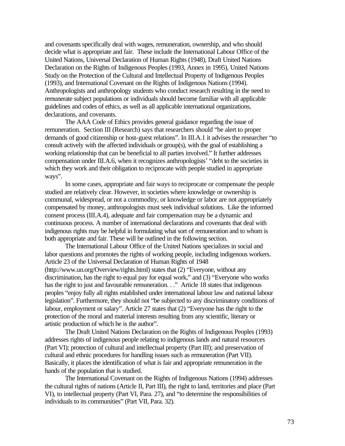and covenants specifically deal with wages, remuneration, ownership, and who should decide what is appropriate and fair. These include the International Labour Office of the United Nations, Universal Declaration of Human Rights (1948), Draft United Nations Declaration on the Rights of Indigenous Peoples (1993, Annex in 1995), United Nations Study on the Protection of the Cultural and Intellectual Property of Indigenous Peoples (1993), and International Covenant on the Rights of Indigenous Nations (1994). Anthropologists and anthropology students who conduct research resulting in the need to remunerate subject populations or individuals should become familiar with all applicable guidelines and codes of ethics, as well as all applicable international organizations, declarations, and covenants.

The AAA Code of Ethics provides general guidance regarding the issue of remuneration. Section III (Research) says that researchers should "be alert to proper demands of good citizenship or host-guest relations". In III.A.1 it advises the researcher "to consult actively with the affected individuals or group(s), with the goal of establishing a working relationship that can be beneficial to all parties involved." It further addresses compensation under III.A.6, when it recognizes anthropologists' "debt to the societies in which they work and their obligation to reciprocate with people studied in appropriate ways".

In some cases, appropriate and fair ways to reciprocate or compensate the people studied are relatively clear. However, in societies where knowledge or ownership is communal, widespread, or not a commodity, or knowledge or labor are not appropriately compensated by money, anthropologists must seek individual solutions. Like the informed consent process (III.A.4), adequate and fair compensation may be a dynamic and continuous process. A number of international declarations and covenants that deal with indigenous rights may be helpful in formulating what sort of remuneration and to whom is both appropriate and fair. These will be outlined in the following section.

The International Labour Office of the United Nations specializes in social and labor questions and promotes the rights of working people, including indigenous workers. Article 23 of the Universal Declaration of Human Rights of 1948 (http://www.un.org/Overview/rights.html) states that (2) "Everyone, without any discrimination, has the right to equal pay for equal work," and (3) "Everyone who works has the right to just and favourable remuneration. . ." Article 18 states that indigenous peoples "enjoy fully all rights established under international labour law and national labour legislation". Furthermore, they should not "be subjected to any discriminatory conditions of labour, employment or salary". Article 27 states that (2) "Everyone has the right to the protection of the moral and material interests resulting from any scientific, literary or artistic production of which he is the author".

The Draft United Nations Declaration on the Rights of Indigenous Peoples (1993) addresses rights of indigenous people relating to indigenous lands and natural resources (Part VI); protection of cultural and intellectual property (Part III); and preservation of cultural and ethnic procedures for handling issues such as remuneration (Part VII). Basically, it places the identification of what is fair and appropriate remuneration in the hands of the population that is studied.

The International Covenant on the Rights of Indigenous Nations (1994) addresses the cultural rights of nations (Article II, Part III), the right to land, territories and place (Part VI), to intellectual property (Part VI, Para. 27), and "to determine the responsibilities of individuals to its communities" (Part VII, Para. 32).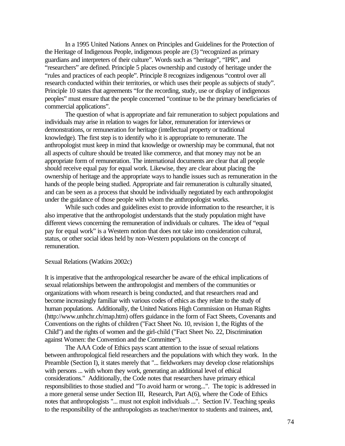In a 1995 United Nations Annex on Principles and Guidelines for the Protection of the Heritage of Indigenous People, indigenous people are (3) "recognized as primary guardians and interpreters of their culture". Words such as "heritage", "IPR", and "researchers" are defined. Principle 5 places ownership and custody of heritage under the "rules and practices of each people". Principle 8 recognizes indigenous "control over all research conducted within their territories, or which uses their people as subjects of study". Principle 10 states that agreements "for the recording, study, use or display of indigenous peoples" must ensure that the people concerned "continue to be the primary beneficiaries of commercial applications".

The question of what is appropriate and fair remuneration to subject populations and individuals may arise in relation to wages for labor, remuneration for interviews or demonstrations, or remuneration for heritage (intellectual property or traditional knowledge). The first step is to identify who it is appropriate to remunerate. The anthropologist must keep in mind that knowledge or ownership may be communal, that not all aspects of culture should be treated like commerce, and that money may not be an appropriate form of remuneration. The international documents are clear that all people should receive equal pay for equal work. Likewise, they are clear about placing the ownership of heritage and the appropriate ways to handle issues such as remuneration in the hands of the people being studied. Appropriate and fair remuneration is culturally situated, and can be seen as a process that should be individually negotiated by each anthropologist under the guidance of those people with whom the anthropologist works.

While such codes and guidelines exist to provide information to the researcher, it is also imperative that the anthropologist understands that the study population might have different views concerning the remuneration of individuals or cultures. The idea of "equal pay for equal work" is a Western notion that does not take into consideration cultural, status, or other social ideas held by non-Western populations on the concept of remuneration.

#### Sexual Relations (Watkins 2002c)

It is imperative that the anthropological researcher be aware of the ethical implications of sexual relationships between the anthropologist and members of the communities or organizations with whom research is being conducted, and that researchers read and become increasingly familiar with various codes of ethics as they relate to the study of human populations. Additionally, the United Nations High Commission on Human Rights (http://www.unhchr.ch/map.htm) offers guidance in the form of Fact Sheets, Covenants and Conventions on the rights of children ("Fact Sheet No. 10, revision 1, the Rights of the Child") and the rights of women and the girl-child ("Fact Sheet No. 22, Discrimination against Women: the Convention and the Committee").

The AAA Code of Ethics pays scant attention to the issue of sexual relations between anthropological field researchers and the populations with which they work. In the Preamble (Section I), it states merely that "... fieldworkers may develop close relationships with persons ... with whom they work, generating an additional level of ethical considerations." Additionally, the Code notes that researchers have primary ethical responsibilities to those studied and "To avoid harm or wrong...". The topic is addressed in a more general sense under Section III, Research, Part A(6), where the Code of Ethics notes that anthropologists "... must not exploit individuals ...". Section IV. Teaching speaks to the responsibility of the anthropologists as teacher/mentor to students and trainees, and,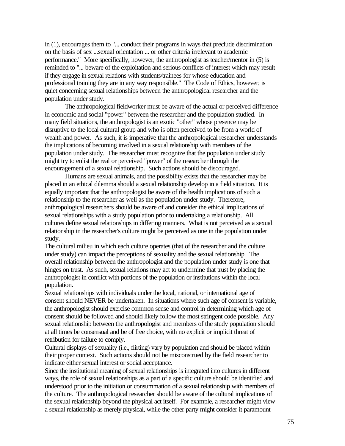in (1), encourages them to "... conduct their programs in ways that preclude discrimination on the basis of sex ...sexual orientation ... or other criteria irrelevant to academic performance." More specifically, however, the anthropologist as teacher/mentor in (5) is reminded to "... beware of the exploitation and serious conflicts of interest which may result if they engage in sexual relations with students/trainees for whose education and professional training they are in any way responsible." The Code of Ethics, however, is quiet concerning sexual relationships between the anthropological researcher and the population under study.

The anthropological fieldworker must be aware of the actual or perceived difference in economic and social "power" between the researcher and the population studied. In many field situations, the anthropologist is an exotic "other" whose presence may be disruptive to the local cultural group and who is often perceived to be from a world of wealth and power. As such, it is imperative that the anthropological researcher understands the implications of becoming involved in a sexual relationship with members of the population under study. The researcher must recognize that the population under study might try to enlist the real or perceived "power" of the researcher through the encouragement of a sexual relationship. Such actions should be discouraged.

Humans are sexual animals, and the possibility exists that the researcher may be placed in an ethical dilemma should a sexual relationship develop in a field situation. It is equally important that the anthropologist be aware of the health implications of such a relationship to the researcher as well as the population under study. Therefore, anthropological researchers should be aware of and consider the ethical implications of sexual relationships with a study population prior to undertaking a relationship. All cultures define sexual relationships in differing manners. What is not perceived as a sexual relationship in the researcher's culture might be perceived as one in the population under study.

The cultural milieu in which each culture operates (that of the researcher and the culture under study) can impact the perceptions of sexuality and the sexual relationship. The overall relationship between the anthropologist and the population under study is one that hinges on trust. As such, sexual relations may act to undermine that trust by placing the anthropologist in conflict with portions of the population or institutions within the local population.

Sexual relationships with individuals under the local, national, or international age of consent should NEVER be undertaken. In situations where such age of consent is variable, the anthropologist should exercise common sense and control in determining which age of consent should be followed and should likely follow the most stringent code possible. Any sexual relationship between the anthropologist and members of the study population should at all times be consensual and be of free choice, with no explicit or implicit threat of retribution for failure to comply.

Cultural displays of sexuality (i.e., flirting) vary by population and should be placed within their proper context. Such actions should not be misconstrued by the field researcher to indicate either sexual interest or social acceptance.

Since the institutional meaning of sexual relationships is integrated into cultures in different ways, the role of sexual relationships as a part of a specific culture should be identified and understood prior to the initiation or consummation of a sexual relationship with members of the culture. The anthropological researcher should be aware of the cultural implications of the sexual relationship beyond the physical act itself. For example, a researcher might view a sexual relationship as merely physical, while the other party might consider it paramount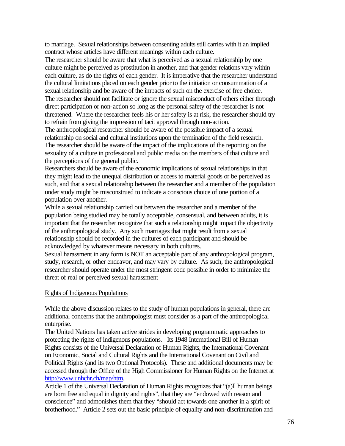to marriage. Sexual relationships between consenting adults still carries with it an implied contract whose articles have different meanings within each culture.

The researcher should be aware that what is perceived as a sexual relationship by one culture might be perceived as prostitution in another, and that gender relations vary within each culture, as do the rights of each gender. It is imperative that the researcher understand the cultural limitations placed on each gender prior to the initiation or consummation of a sexual relationship and be aware of the impacts of such on the exercise of free choice.

The researcher should not facilitate or ignore the sexual misconduct of others either through direct participation or non-action so long as the personal safety of the researcher is not threatened. Where the researcher feels his or her safety is at risk, the researcher should try to refrain from giving the impression of tacit approval through non-action.

The anthropological researcher should be aware of the possible impact of a sexual relationship on social and cultural institutions upon the termination of the field research. The researcher should be aware of the impact of the implications of the reporting on the sexuality of a culture in professional and public media on the members of that culture and the perceptions of the general public.

Researchers should be aware of the economic implications of sexual relationships in that they might lead to the unequal distribution or access to material goods or be perceived as such, and that a sexual relationship between the researcher and a member of the population under study might be misconstrued to indicate a conscious choice of one portion of a population over another.

While a sexual relationship carried out between the researcher and a member of the population being studied may be totally acceptable, consensual, and between adults, it is important that the researcher recognize that such a relationship might impact the objectivity of the anthropological study. Any such marriages that might result from a sexual relationship should be recorded in the cultures of each participant and should be acknowledged by whatever means necessary in both cultures.

Sexual harassment in any form is NOT an acceptable part of any anthropological program, study, research, or other endeavor, and may vary by culture. As such, the anthropological researcher should operate under the most stringent code possible in order to minimize the threat of real or perceived sexual harassment

### Rights of Indigenous Populations

While the above discussion relates to the study of human populations in general, there are additional concerns that the anthropologist must consider as a part of the anthropological enterprise.

The United Nations has taken active strides in developing programmatic approaches to protecting the rights of indigenous populations. Its 1948 International Bill of Human Rights consists of the Universal Declaration of Human Rights, the International Covenant on Economic, Social and Cultural Rights and the International Covenant on Civil and Political Rights (and its two Optional Protocols). These and additional documents may be accessed through the Office of the High Commissioner for Human Rights on the Internet at http://www.unhchr.ch/map/htm.

Article 1 of the Universal Declaration of Human Rights recognizes that "(a)ll human beings are born free and equal in dignity and rights", that they are "endowed with reason and conscience" and admonishes them that they "should act towards one another in a spirit of brotherhood." Article 2 sets out the basic principle of equality and non-discrimination and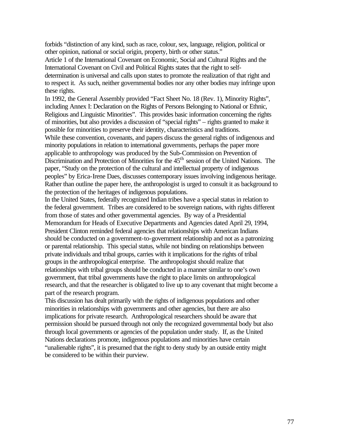forbids "distinction of any kind, such as race, colour, sex, language, religion, political or other opinion, national or social origin, property, birth or other status."

Article 1 of the International Covenant on Economic, Social and Cultural Rights and the International Covenant on Civil and Political Rights states that the right to self-

determination is universal and calls upon states to promote the realization of that right and to respect it. As such, neither governmental bodies nor any other bodies may infringe upon these rights.

In 1992, the General Assembly provided "Fact Sheet No. 18 (Rev. 1), Minority Rights", including Annex I: Declaration on the Rights of Persons Belonging to National or Ethnic, Religious and Linguistic Minorities". This provides basic information concerning the rights of minorities, but also provides a discussion of "special rights" – rights granted to make it possible for minorities to preserve their identity, characteristics and traditions. While these convention, covenants, and papers discuss the general rights of indigenous and minority populations in relation to international governments, perhaps the paper more applicable to anthropology was produced by the Sub-Commission on Prevention of Discrimination and Protection of Minorities for the 45<sup>th</sup> session of the United Nations. The paper, "Study on the protection of the cultural and intellectual property of indigenous peoples" by Erica-Irene Daes, discusses contemporary issues involving indigenous heritage. Rather than outline the paper here, the anthropologist is urged to consult it as background to the protection of the heritages of indigenous populations.

In the United States, federally recognized Indian tribes have a special status in relation to the federal government. Tribes are considered to be sovereign nations, with rights different from those of states and other governmental agencies. By way of a Presidential Memorandum for Heads of Executive Departments and Agencies dated April 29, 1994, President Clinton reminded federal agencies that relationships with American Indians should be conducted on a government-to-government relationship and not as a patronizing or parental relationship. This special status, while not binding on relationships between private individuals and tribal groups, carries with it implications for the rights of tribal groups in the anthropological enterprise. The anthropologist should realize that relationships with tribal groups should be conducted in a manner similar to one's own government, that tribal governments have the right to place limits on anthropological research, and that the researcher is obligated to live up to any covenant that might become a part of the research program.

This discussion has dealt primarily with the rights of indigenous populations and other minorities in relationships with governments and other agencies, but there are also implications for private research. Anthropological researchers should be aware that permission should be pursued through not only the recognized governmental body but also through local governments or agencies of the population under study. If, as the United Nations declarations promote, indigenous populations and minorities have certain "unalienable rights", it is presumed that the right to deny study by an outside entity might be considered to be within their purview.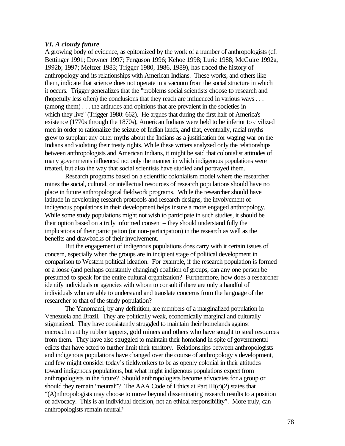#### *VI. A cloudy future*

A growing body of evidence, as epitomized by the work of a number of anthropologists (cf. Bettinger 1991; Downer 1997; Ferguson 1996; Kehoe 1998; Lurie 1988; McGuire 1992a, 1992b; 1997; Meltzer 1983; Trigger 1980, 1986, 1989), has traced the history of anthropology and its relationships with American Indians. These works, and others like them, indicate that science does not operate in a vacuum from the social structure in which it occurs. Trigger generalizes that the "problems social scientists choose to research and (hopefully less often) the conclusions that they reach are influenced in various ways . . . (among them) . . . the attitudes and opinions that are prevalent in the societies in which they live" (Trigger 1980: 662). He argues that during the first half of America's existence (1770s through the 1870s), American Indians were held to be inferior to civilized men in order to rationalize the seizure of Indian lands, and that, eventually, racial myths grew to supplant any other myths about the Indians as a justification for waging war on the Indians and violating their treaty rights. While these writers analyzed only the relationships between anthropologists and American Indians, it might be said that colonialist attitudes of many governments influenced not only the manner in which indigenous populations were treated, but also the way that social scientists have studied and portrayed them.

Research programs based on a scientific colonialism model where the researcher mines the social, cultural, or intellectual resources of research populations should have no place in future anthropological fieldwork programs. While the researcher should have latitude in developing research protocols and research designs, the involvement of indigenous populations in their development helps insure a more engaged anthropology. While some study populations might not wish to participate in such studies, it should be their option based on a truly informed consent – they should understand fully the implications of their participation (or non-participation) in the research as well as the benefits and drawbacks of their involvement.

But the engagement of indigenous populations does carry with it certain issues of concern, especially when the groups are in incipient stage of political development in comparison to Western political ideation. For example, if the research population is formed of a loose (and perhaps constantly changing) coalition of groups, can any one person be presumed to speak for the entire cultural organization? Furthermore, how does a researcher identify individuals or agencies with whom to consult if there are only a handful of individuals who are able to understand and translate concerns from the language of the researcher to that of the study population?

The Yanomami, by any definition, are members of a marginalized population in Venezuela and Brazil. They are politically weak, economically marginal and culturally stigmatized. They have consistently struggled to maintain their homelands against encroachment by rubber tappers, gold miners and others who have sought to steal resources from them. They have also struggled to maintain their homeland in spite of governmental edicts that have acted to further limit their territory. Relationships between anthropologists and indigenous populations have changed over the course of anthropology's development, and few might consider today's fieldworkers to be as openly colonial in their attitudes toward indigenous populations, but what might indigenous populations expect from anthropologists in the future? Should anthropologists become advocates for a group or should they remain "neutral"? The AAA Code of Ethics at Part  $III(c)(2)$  states that "(A)nthropologists may choose to move beyond disseminating research results to a position of advocacy. This is an individual decision, not an ethical responsibility". More truly, can anthropologists remain neutral?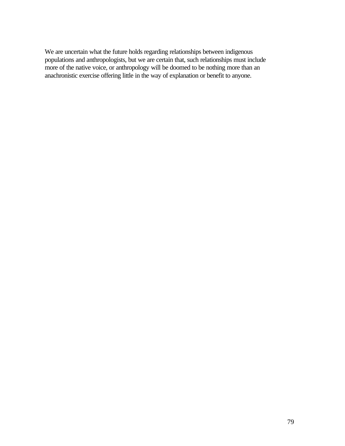We are uncertain what the future holds regarding relationships between indigenous populations and anthropologists, but we are certain that, such relationships must include more of the native voice, or anthropology will be doomed to be nothing more than an anachronistic exercise offering little in the way of explanation or benefit to anyone.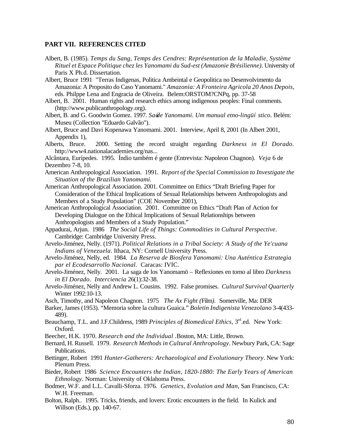#### **PART VII. REFERENCES CITED**

- Albert, B. (1985). *Temps du Sang, Temps des Cendres: Représentation de la Maladie, Système Rituel et Espace Politique chez les Yanomami du Sud-est (Amazonie Brésilienne).* University of Paris X Ph.d. Dissertation.
- Albert, Bruce 1991 "Terras Indigenas, Politica Ambeintal e Geopolitica no Desenvolvimento da Amazonia: A Proposito do Caso Yanomami." *Amazonia: A Fronteira Agricola 20 Anos Depois*, eds. Philppe Lena and Engracia de Oliveira. Belem:ORSTOM?CNPq, pp. 37-58
- Albert, B. 2001. Human rights and research ethics among indigenous peoples: Final comments. (http://www.publicanthropology.org).
- Albert, B. and G. Goodwin Gomez. 1997. *Saúde Yanomami. Um manual etno-lingüí stico*. Belém: Museu (Collection "Eduardo Galvão").
- Albert, Bruce and Davi Kopenawa Yanomami. 2001. Interview, April 8, 2001 (In Albert 2001, Appendix 1),
- Alberts, Bruce. 2000. Setting the record straight regarding *Darkness in El Dorado*. http://www4.nationalacademies.org/nas...

Alcântara, Eurípedes. 1995. Índio também é gente (Entrevista: Napoleon Chagnon). *Veja* 6 de Dezembro 7-8, 10.

- American Anthropological Association. 1991. *Report of the Special Commission to Investigate the Situation of the Brazilian Yanomami.*
- American Anthropological Association. 2001. Committee on Ethics "Draft Briefing Paper for Consideration of the Ethical Implications of Sexual Relationships between Anthropologists and Members of a Study Population" (COE November 2001),
- American Anthropological Association. 2001. Committee on Ethics "Draft Plan of Action for Developing Dialogue on the Ethical Implications of Sexual Relationships between Anthropologists and Members of a Study Population."
- Appadurai, Arjun. 1986 *The Social Life of Things: Commodities in Cultural Perspective*. Cambridge: Cambridge University Press.
- Arvelo-Jiménez, Nelly. (1971). *Political Relations in a Tribal Society: A Study of the Ye'cuana Indians of Venezuela*. Ithaca, NY: Cornell University Press.
- Arvelo-Jiménez, Nelly, ed. 1984. *La Reserva de Biosfera Yanomami: Una Auténtica Estrategia par el Ecodesarrollo Nacional.* Caracas: IVIC.
- Arvelo-Jiménez, Nelly. 2001. La saga de los Yanomamö Reflexiones en torno al libro *Darkness in El Dorado*. *Interciencia* 26(1):32-38.
- Arvelo-Jiménez, Nelly and Andrew L. Cousins. 1992. False promises. *Cultural Survival Quarterly* Winter 1992:10-13.
- Asch, Timothy, and Napoleon Chagnon. 1975 *The Ax Fight (*Film*).* Somerville, Ma: DER
- Barker, James (1953). "Memoria sobre la cultura Guaica." *Boletin Indigenista Venezolano* 3-4(433- 489).
- Beauchamp, T.L. and J.F.Childress, 1989 *Principles of Biomedical Ethics*, 3<sup>rd</sup>.ed. New York: Oxford.
- Beecher, H.K. 1970. *Research and the Individual .*Boston, MA: Little, Brown.
- Bernard, H. Russell. 1979. *Research Methods in Cultural Anthropology*. Newbury Park, CA: Sage Publications.
- Bettinger, Robert 1991 *Hunter-Gatherers: Archaeological and Evolutionary Theory*. New York: Plenum Press.
- Bieder, Robert 1986 *Science Encounters the Indian, 1820-1880: The Early Years of American Ethnology*. Norman: University of Oklahoma Press.
- Bodmer, W.F. and L.L. Cavalli-Sforza. 1976. *Genetics, Evolution and Man*, San Francisco, CA: W.H. Freeman.
- Bolton, Ralph.. 1995. Tricks, friends, and lovers: Erotic encounters in the field. In Kulick and Willson (Eds.), pp. 140-67.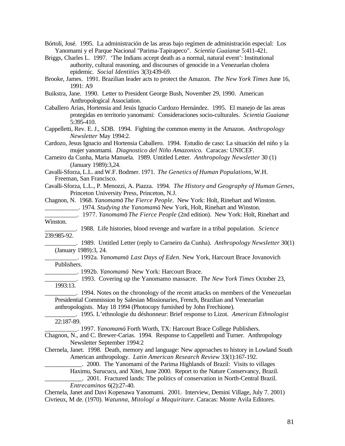Bórtoli, José. 1995. La administración de las areas bajo regímen de administración especial: Los Yanomami y el Parque Nacional "Parima-Tapirapeco". *Scientia Guaianæ* 5:411-421.

Briggs, Charles L. 1997. 'The Indians accept death as a normal, natural event': Institutional authority, cultural reasoning, and discourses of genocide in a Venezuelan cholera epidemic. *Social Identities* 3(3):439-69.

Brooke, James. 1991. Brazilian leader acts to protect the Amazon. *The New York Times* June 16, 1991: A9

Buikstra, Jane. 1990. Letter to President George Bush, November 29, 1990. American Anthropological Association.

Caballero Arias, Hortensia and Jesús Ignacio Cardozo Hernández. 1995. El manejo de las areas protegidas en territorio yanomami: Consideraciones socio-culturales. *Scientia Guaianæ* 5:395-410.

Cappelletti, Rev. E. J., SDB. 1994. Fighting the common enemy in the Amazon. *Anthropology Newsletter* May 1994:2.

Cardozo, Jesus Ignacio and Hortensia Caballero. 1994. Estudio de caso: La situación del niño y la mujer yanomami. *Diagnostico del Niño Amazonico.* Caracas: UNICEF.

Carneiro da Cunha, Maria Manuela. 1989. Untitled Letter. *Anthropology Newsletter* 30 (1) (January 1989):3,24.

Cavalli-Sforza, L.L. and W.F. Bodmer. 1971. *The Genetics of Human Populations*, W.H. Freeman, San Francisco.

Cavalli-Sforza, L.L., P. Menozzi, A. Piazza. 1994. *The History and Geography of Human Genes*, Princeton University Press, Princeton, N.J.

Chagnon, N. 1968. *Yanomamö*: *The Fierce People*. New York: Holt, Rinehart and Winston. \_\_\_\_\_\_\_\_\_\_. 1974. *Studying the Yanomamö*. New York, Holt, Rinehart and Winston.

\_\_\_\_\_\_\_\_\_\_. 1977. *Yanomamö*: *The Fierce People* (2nd edition). New York: Holt, Rinehart and Winston.

\_\_\_\_\_\_\_\_\_\_. 1988. Life histories, blood revenge and warfare in a tribal population. *Science* 239:985-92.

\_\_\_\_\_\_\_\_\_\_. 1989. Untitled Letter (reply to Carneiro da Cunha). *Anthropology Newsletter* 30(1) (January 1989):3, 24.

\_\_\_\_\_\_\_\_\_\_. 1992a. *Yanomamö: Last Days of Eden*. New York, Harcourt Brace Jovanovich Publishers.

\_\_\_\_\_\_\_\_\_\_. 1992b. *Yanomamö*. New York: Harcourt Brace.

\_\_\_\_\_\_\_\_\_\_. 1993. Covering up the Yanomamo massacre. *The New York Times* October 23, 1993:13.

\_\_\_\_\_\_\_\_\_\_. 1994. Notes on the chronology of the recent attacks on members of the Venezuelan Presidential Commission by Salesian Missionaries, French, Brazilian and Venezuelan anthropologists. May 18 1994 (Photocopy furnished by John Frechione).

\_\_\_\_\_\_\_\_\_\_. 1995. L'ethnologie du déshonneur: Brief response to Lizot. *American Ethnologist* 22:187-89.

\_\_\_\_\_\_\_\_\_\_. 1997. *Yanomamö*. Forth Worth, TX: Harcourt Brace College Publishers.

Chagnon, N., and C. Brewer-Carias. 1994. Response to Cappelletti and Turner. Anthropology Newsletter September 1994:2

Chernela, Janet. 1998. Death, memory and language: New approaches to history in Lowland South American anthropology. *Latin American Research Review* 33(1):167-192.

. 2000. The Yanomami of the Parima Highlands of Brazil: Visits to villages Haximu, Surucucu, and Xitei, June 2000. Report to the Nature Conservancy, Brazil.

\_\_\_\_\_\_\_\_\_\_\_\_. 2001. Fractured lands: The politics of conservation in North-Central Brazil. *Entrecaminos* 6(2):27-40.

Chernela, Janet and Davi Kopenawa Yanomami. 2001. Interview, Demini Village, July 7. 2001) Civrieux, M de. (1970). *Watunna, Mitologí a Maquiritare*. Caracas: Monte Avila Editores.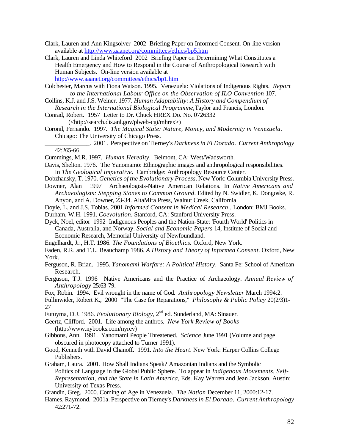- Clark, Lauren and Ann Kingsolver 2002 Briefing Paper on Informed Consent. On-line version available at http://www.aaanet.org/committees/ethics/bp5.htm
- Clark, Lauren and Linda Whiteford 2002 Briefing Paper on Determining What Constitutes a Health Emergency and How to Respond in the Course of Anthropological Research with Human Subjects. On-line version available at

http://www.aaanet.org/committees/ethics/bp1.htm

- Colchester, Marcus with Fiona Watson. 1995. Venezuela: Violations of Indigenous Rights. *Report to the International Labour Office on the Observation of ILO Convention* 107.
- Collins, K.J. and J.S. Weiner. 1977. *Human Adaptability: A History and Compendium of Research in the International Biological Programme,*Taylor and Francis, London.
- Conrad, Robert. 1957 Letter to Dr. Chuck HREX Do. No. 0726332 (<http://search.dis.anl.gov/plweb-cgi/mhrex>)
- Coronil, Fernando. 1997. *The Magical State: Nature, Money, and Modernity in Venezuela*. Chicago: The University of Chicago Press.
	- \_\_\_\_\_\_\_\_\_\_\_\_\_\_. 2001. Perspective on Tierney's *Darkness in El Dorado*. *Current Anthropology* 42:265-66.

Cummings, M.R. 1997. *Human Heredity*. Belmont, CA: West/Wadsworth.

- Davis, Shelton. 1976. The Yanomamö: Ethnographic images and anthropological responsibilities. In *The Geological Imperative*. Cambridge: Anthropology Resource Center.
- Dobzhansky, T. 1970. *Genetics of the Evolutionary Process*. New York: Columbia University Press.
- Downer, Alan 1997 Archaeologists-Native American Relations. In *Native Americans and Archaeologists: Stepping Stones to Common Ground*. Edited by N. Swidler, K. Dongoske, R. Anyon, and A. Downer, 23-34. AltaMira Press, Walnut Creek, California
- Doyle, L. and J.S. Tobias. 2001.*Informed Consent in Medical Research .* London: BMJ Books.
- Durham, W.H. 1991. *Coevolution*. Stanford, CA: Stanford University Press.

Dyck, Noel, editor 1992 Indigenous Peoples and the Nation-State: 'Fourth World' Politics in Canada, Australia, and Norway. *Social and Economic Papers* 14, Institute of Social and Economic Research, Memorial University of Newfoundland.

- Engelhardt, Jr., H.T. 1986. *The Foundations of Bioethics.* Oxford, New York.
- Faden, R.R. and T.L. Beauchamp 1986. *A History and Theory of Informed Consent.* Oxford, New York.
- Ferguson, R. Brian. 1995. *Yanomami Warfare: A Political History*. Santa Fe: School of American Research.
- Ferguson, T.J. 1996 Native Americans and the Practice of Archaeology. *Annual Review of Anthropology* 25:63-79.
- Fox, Robin. 1994. Evil wrought in the name of God. *Anthropology Newsletter* March 1994:2.
- Fullinwider, Robert K., 2000 "The Case for Reparations," *Philosophy & Public Policy* 20(2/3)1-27
- Futuyma, D.J. 1986. *Evolutionary Biology*, 2nd ed. Sunderland, MA: Sinauer.
- Geertz, Clifford. 2001. Life among the anthros. *New York Review of Books* (http://www.nybooks.com/nyrev)
- Gibbons, Ann. 1991. Yanomami People Threatened. *Science* June 1991 (Volume and page obscured in photocopy attached to Turner 1991).
- Good, Kenneth with David Chanoff. 1991. *Into the Heart*. New York: Harper Collins College Publishers.
- Graham, Laura. 2001. How Shall Indians Speak? Amazonian Indians and the Symbolic Politics of Language in the Global Public Sphere. To appear in *Indigenous Movements, Self-Representation, and the State in Latin America*, Eds. Kay Warren and Jean Jackson. Austin: University of Texas Press.
- Grandin, Greg. 2000. Coming of Age in Venezuela. *The Nation* December 11, 2000:12-17.
- Hames, Raymond. 2001a. Perspective on Tierney's *Darkness in El Dorado*. *Current Anthropology* 42:271-72.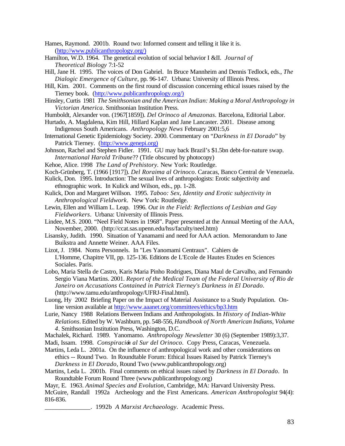Hames, Raymond. 2001b. Round two: Informed consent and telling it like it is. (http://www.publicanthropology.org/)

- Hamilton, W.D. 1964. The genetical evolution of social behavior I &II. *Journal of Theoretical Biology* 7:1-52
- Hill, Jane H. 1995. The voices of Don Gabriel. In Bruce Mannheim and Dennis Tedlock, eds., *The Dialogic Emergence of Culture*, pp. 96-147. Urbana: University of Illinois Press.
- Hill, Kim. 2001. Comments on the first round of discussion concerning ethical issues raised by the Tierney book. (http://www.publicanthropology.org/)
- Hinsley, Curtis 1981 *The Smithsonian and the American Indian: Making a Moral Anthropology in Victorian America*. Smithsonian Institution Press.

Humboldt, Alexander von. (1967[1859]). *Del Orinoco al Amazonas.* Barcelona, Editorial Labor.

- Hurtado, A. Magdalena, Kim Hill, Hillard Kaplan and Jane Lancaster. 2001. Disease among Indigenous South Americans. *Anthropology News* February 2001:5,6
- International Genetic Epidemiology Society. 2000. Commentary on "*Darkness in El Dorado*" by Patrick Tierney. (http://www.genepi.org)
- Johnson, Rachel and Stephen Fidler. 1991. GU may back Brazil's \$1.5bn debt-for-nature swap. *International Harold Tribune*?? (Title obscured by photocopy)
- Kehoe, Alice. 1998 *The Land of Prehistory.* New York: Routledge.

Koch-Grünberg, T. (1966 [1917]). *Del Roraima al Orinoco*. Caracas, Banco Central de Venezuela.

- Kulick, Don. 1995. Introduction: The sexual lives of anthropologists: Erotic subjectivity and ethnographic work. In Kulick and Wilson, eds., pp. 1-28.
- Kulick, Don and Margaret Willson. 1995. *Taboo: Sex, Identity and Erotic subjectivity in Anthropological Fieldwork*. New York: Routledge.
- Lewin, Ellen and William L. Leap. 1996. *Out in the Field: Reflections of Lesbian and Gay Fieldworkers*. Urbana: University of Illinois Press.
- Lindee, M.S. 2000. "Neel Field Notes in 1968". Paper presented at the Annual Meeting of the AAA, November, 2000. (http://ccat.sas.upenn.edu/hss/faculty/neel.htm)
- Lisansky, Judith. 1990. Situation of Yanamami and need for AAA action. Memorandum to Jane Buikstra and Annette Weiner. AAA Files.
- Lizot, J. 1984. Noms Personnels. In "Les Yanomami Centraux". Cahiers de L'Homme, Chapitre VII, pp. 125-136. Editions de L'Ecole de Hautes Etudes en Sciences Sociales. Paris.
- Lobo, Maria Stella de Castro, Karis Maria Pinho Rodrigues, Diana Maul de Carvalho, and Fernando Sergio Viana Martins. 2001. *Report of the Medical Team of the Federal University of Rio de Janeiro on Accusations Contained in Patrick Tierney's Darkness in El Dorado*. (http://www.tamu.edu/anthropology/UFRJ-Final.html).

Luong, Hy 2002 Briefing Paper on the Impact of Material Assistance to a Study Population. Online version available at http://www.aaanet.org/committees/ethics/bp3.htm

Lurie, Nancy 1988 Relations Between Indians and Anthropologists. In *History of Indian-White Relations*. Edited by W. Washburn, pp. 548-556, *Handbook of North American Indians, Volume 4*. Smithsonian Institution Press, Washington, D.C.

Machalek, Richard. 1989. Yanomamo. *Anthropology Newsletter* 30 (6) (September 1989):3,37.

Madi, Issam. 1998. *Conspiración al Sur del Orinoco*. Copy Press, Caracas, Venezuela.

- Martins, Leda L. 2001a. On the influence of anthropological work and other considerations on ethics -- Round Two. In Roundtable Forum: Ethical Issues Raised by Patrick Tierney's *Darkness in El Dorado*, Round Two (www.publicanthropology.org)
- Martins, Leda L. 2001b. Final comments on ethical issues raised by *Darkness in El Dorado*. In Roundtable Forum Round Three (www.publicanthropology.org)

Mayr, E. 1963. *Animal Species and Evolution*, Cambridge, MA: Harvard University Press. McGuire, Randall 1992a Archeology and the First Americans. *American Anthropologist* 94(4): 816-836.

\_\_\_\_\_\_\_\_\_\_\_\_\_\_. 1992b *A Marxist Archaeology*. Academic Press.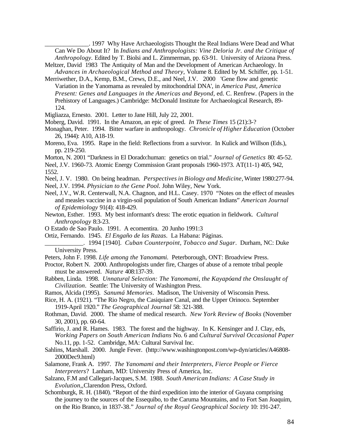\_\_\_\_\_\_\_\_\_\_\_\_\_\_. 1997 Why Have Archaeologists Thought the Real Indians Were Dead and What Can We Do About It? In *Indians and Anthropologists: Vine Deloria Jr. and the Critique of Anthropology.* Edited by T. Biolsi and L. Zimmerman, pp. 63-91. University of Arizona Press.

Meltzer, David 1983 The Antiquity of Man and the Development of American Archaeology. In *Advances in Archaeological Method and Theory,* Volume 8. Edited by M. Schiffer, pp. 1-51.

Merriwether, D.A., Kemp, B.M., Crews, D.E., and Neel, J.V. 2000 'Gene flow and genetic Variation in the Yanomama as revealed by mitochondrial DNA', in *America Past, America Present: Genes and Languages in the Americas and Beyond,* ed. C. Renfrew. (Papers in the Prehistory of Languages.) Cambridge: McDonald Institute for Archaeological Research, 89- 124.

Migliazza, Ernesto. 2001. Letter to Jane Hill, July 22, 2001.

Moberg, David. 1991. In the Amazon, an epic of greed. *In These Times* 15 (21):3-?

Monaghan, Peter. 1994. Bitter warfare in anthropology. *Chronicle of Higher Education* (October 26, 1944): A10, A18-19.

- Moreno, Eva. 1995. Rape in the field: Reflections from a survivor. In Kulick and Willson (Eds.), pp. 219-250.
- Morton, N. 2001 "Darkness in El Dorado:human: genetics on trial." *Journal of Genetics* 80: 45-52.

Neel, J.V. 1960-73. Atomic Energy Commission Grant proposals 1960-1973. AT(11-1) 405, 942, 1552.

Neel, J. V. 1980. On being headman. *Perspectives in Biology and Medicine*, Winter 1980:277-94.

- Neel, J.V. 1994. *Physician to the Gene Pool.* John Wiley, New York.
- Neel, J.V., W.R. Centerwall, N.A. Chagnon, and H.L. Casey. 1970 "Notes on the effect of measles and measles vaccine in a virgin-soil population of South American Indians" *American Journal of Epidemiology* 91(4): 418-429.
- Newton, Esther. 1993. My best informant's dress: The erotic equation in fieldwork. *Cultural Anthropology* 8:3-23.

O Estado de Sao Paulo. 1991. A ecomentira. 20 Junho 1991:3

Ortiz, Fernando. 1945. *El Engaño de las Razas*. La Habana: Páginas.

- \_\_\_\_\_\_\_\_\_\_\_\_. 1994 [1940]. *Cuban Counterpoint, Tobacco and Sugar*. Durham, NC: Duke University Press.
- Peters, John F. 1998. *Life among the Yanomami*. Peterborough, ONT: Broadview Press.
- Proctor, Robert N. 2000. Anthropologists under fire, Charges of abuse of a remote tribal people must be answered. *Nature* 408:137-39.
- Rabben, Linda. 1998. *Unnatural Selection: The Yanomami, the Kayapóand the Onslaught of Civilization*. Seattle: The University of Washington Press.
- Ramos, Alcida (1995). *Sanumá Memories*. Madison, The University of Wisconsin Press.

Rice, H. A. (1921). "The Rio Negro, the Casiquiare Canal, and the Upper Orinoco. September 1919-April 1920." *The Geographical Journal* 58: 321-388.

Rothman, David. 2000. The shame of medical research. *New York Review of Books* (November 30, 2001), pp. 60-64.

Saffirio, J. and R. Hames. 1983. The forest and the highway. In K. Kensinger and J. Clay, eds, *Working Papers on South American Indians* No. 6 and *Cultural Survival Occasional Paper* No.11, pp. 1-52. Cambridge, MA: Cultural Survival Inc.

Sahlins, Marshall. 2000. Jungle Fever. (http://www.washingtonpost.com/wp-dyn/articles/A46808- 2000Dec9.html)

Salamone, Frank A. 1997. *The Yanomami and their Interpreters, Fierce People or Fierce Interpreters*? Lanham, MD: University Press of America, Inc.

Salzano, F.M and Callegari-Jacques, S.M. 1988. *South American Indians: A Case Study in Evolution,,*Clarendon Press, Oxford.

Schomburgk, R. H. (1840). "Report of the third expedition into the interior of Guyana comprising the journey to the sources of the Essequibo, to the Caruma Mountains, and to Fort San Joaquim, on the Rio Branco, in 1837-38." *Journal of the Royal Geographical Society* 10: 191-247.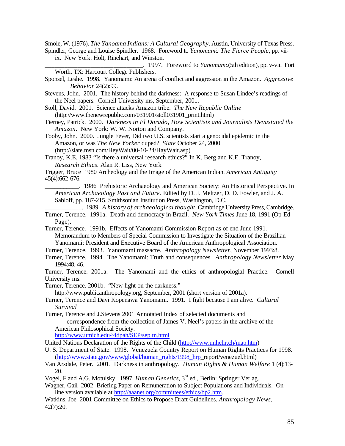Smole, W. (1976). *The Yanoama Indians: A Cultural Geography*. Austin, University of Texas Press.

Spindler, George and Louise Spindler. 1968. Foreword to *Yanomamö: The Fierce People*, pp. viiix. New York: Holt, Rinehart, and Winston.

\_\_\_\_\_\_\_\_\_\_\_\_\_\_\_\_\_\_\_\_\_\_\_\_\_\_\_\_\_\_. 1997. Foreword to *Yanomamö* (5th edition), pp. v-vii. Fort Worth, TX: Harcourt College Publishers.

Sponsel, Leslie. 1998. Yanomami: An arena of conflict and aggression in the Amazon. *Aggressive Behavior* 24(2):99.

Stevens, John. 2001. The history behind the darkness: A response to Susan Lindee's readings of the Neel papers. Cornell University ms, September, 2001.

Stoll, David. 2001. Science attacks Amazon tribe. *The New Republic Online* (http://www.thenewrepublic.com/031901/stoll031901\_print.html)

Tierney, Patrick. 2000. *Darkness in El Dorado, How Scientists and Journalists Devastated the Amazon*. New York: W. W. Norton and Company.

Tooby, John. 2000. Jungle Fever, Did two U.S. scientists start a genocidal epidemic in the Amazon, or was *The New Yorker* duped? *Slate* October 24, 2000 (http://slate.msn.com/HeyWait/00-10-24/HayWait.asp)

Tranoy, K.E. 1983 "Is there a universal research ethics?" In K. Berg and K.E. Tranoy, *Research Ethics.* Alan R. Liss, New York

Trigger, Bruce 1980 Archeology and the Image of the American Indian. *American Antiquity* 45(4):662-676.

\_\_\_\_\_\_\_\_\_\_\_. 1986 Prehistoric Archaeology and American Society: An Historical Perspective. In *American Archaeology Past and Future*. Edited by D. J. Meltzer, D. D. Fowler, and J. A. Sabloff, pp. 187-215. Smithsonian Institution Press, Washington, D.C.

*\_\_\_\_\_\_\_\_\_\_\_.* 1989. *A history of archaeological thought*. Cambridge University Press, Cambridge. Turner, Terence. 1991a. Death and democracy in Brazil. *New York Times* June 18, 1991 (Op-Ed Page).

Turner, Terence. 1991b. Effects of Yanomami Commission Report as of end June 1991. Memorandum to Members of Special Commission to Investigate the Situation of the Brazilian Yanomami; President and Executive Board of the American Anthropological Association.

Turner, Terence. 1993. Yanomami massacre. *Anthropology Newsletter*, November 1993:8.

Turner, Terence. 1994. The Yanomami: Truth and consequences. *Anthropology Newsletter* May 1994:48, 46.

Turner, Terence. 2001a. The Yanomami and the ethics of anthropologial Practice. Cornell University ms.

Turner, Terence. 2001b. "New light on the darkness."

http://www.publicanthropology.org, September, 2001 (short version of 2001a).

Turner, Terence and Davi Kopenawa Yanomami. 1991. I fight because I am alive. *Cultural Survival*

Turner, Terence and J.Stevens 2001 Annotated Index of selected documents and correspondence from the collection of James V. Neel's papers in the archive of the American Philosophical Society.

http://www.umich.edu/~idpah/SEP/sep tn.html

United Nations Declaration of the Rights of the Child (http://www.unhchr.ch/map.htm)

- U. S. Department of State. 1998. Venezuela Country Report on Human Rights Practices for 1998. (http://www.state.gov/www/global/human\_rights/1998\_hrp\_report/venezuel.html)
- Van Arsdale, Peter. 2001. Darkness in anthropology. *Human Rights & Human Welfare* 1 (4):13- 20.

Vogel, F and A.G. Motulsky. 1997. *Human Genetics*, 3rd ed., Berlin: Springer Verlag.

Wagner, Gail 2002 Briefing Paper on Remuneration to Subject Populations and Individuals. Online version available at http://aaanet.org/committees/ethics/bp2.htm.

Watkins, Joe 2001 Committee on Ethics to Propose Draft Guidelines. *Anthropology News*, 42(7):20.